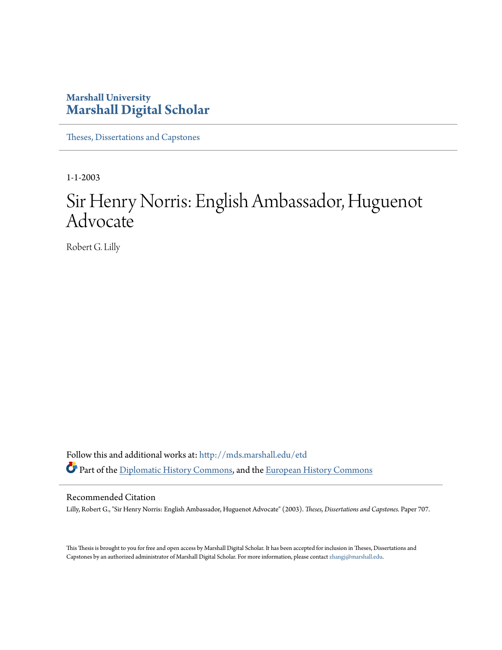#### **Marshall University [Marshall Digital Scholar](http://mds.marshall.edu?utm_source=mds.marshall.edu%2Fetd%2F707&utm_medium=PDF&utm_campaign=PDFCoverPages)**

[Theses, Dissertations and Capstones](http://mds.marshall.edu/etd?utm_source=mds.marshall.edu%2Fetd%2F707&utm_medium=PDF&utm_campaign=PDFCoverPages)

1-1-2003

# Sir Henry Norris: English Ambassador, Huguenot **Advocate**

Robert G. Lilly

Follow this and additional works at: [http://mds.marshall.edu/etd](http://mds.marshall.edu/etd?utm_source=mds.marshall.edu%2Fetd%2F707&utm_medium=PDF&utm_campaign=PDFCoverPages) Part of the [Diplomatic History Commons,](http://network.bepress.com/hgg/discipline/497?utm_source=mds.marshall.edu%2Fetd%2F707&utm_medium=PDF&utm_campaign=PDFCoverPages) and the [European History Commons](http://network.bepress.com/hgg/discipline/492?utm_source=mds.marshall.edu%2Fetd%2F707&utm_medium=PDF&utm_campaign=PDFCoverPages)

#### Recommended Citation

Lilly, Robert G., "Sir Henry Norris: English Ambassador, Huguenot Advocate" (2003). *Theses, Dissertations and Capstones.* Paper 707.

This Thesis is brought to you for free and open access by Marshall Digital Scholar. It has been accepted for inclusion in Theses, Dissertations and Capstones by an authorized administrator of Marshall Digital Scholar. For more information, please contact [zhangj@marshall.edu.](mailto:zhangj@marshall.edu)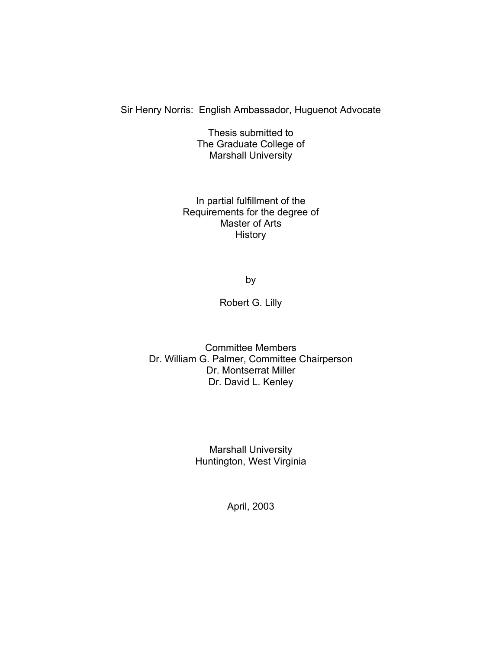Sir Henry Norris: English Ambassador, Huguenot Advocate

Thesis submitted to The Graduate College of Marshall University

In partial fulfillment of the Requirements for the degree of Master of Arts **History** 

by

Robert G. Lilly

Committee Members Dr. William G. Palmer, Committee Chairperson Dr. Montserrat Miller Dr. David L. Kenley

> Marshall University Huntington, West Virginia

> > April, 2003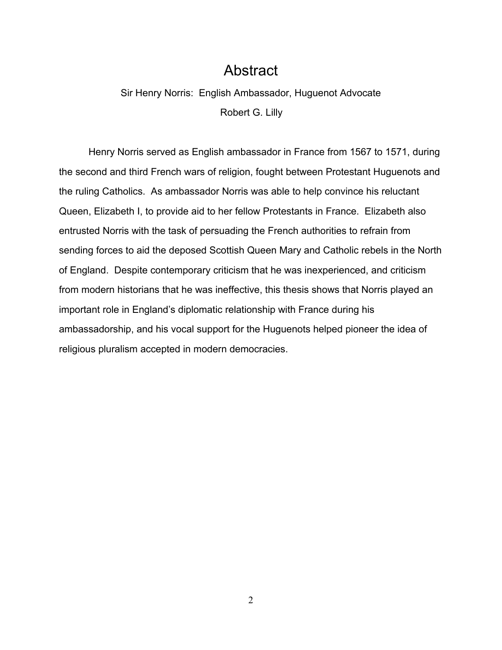## Abstract

# Sir Henry Norris: English Ambassador, Huguenot Advocate Robert G. Lilly

 Henry Norris served as English ambassador in France from 1567 to 1571, during the second and third French wars of religion, fought between Protestant Huguenots and the ruling Catholics. As ambassador Norris was able to help convince his reluctant Queen, Elizabeth I, to provide aid to her fellow Protestants in France. Elizabeth also entrusted Norris with the task of persuading the French authorities to refrain from sending forces to aid the deposed Scottish Queen Mary and Catholic rebels in the North of England. Despite contemporary criticism that he was inexperienced, and criticism from modern historians that he was ineffective, this thesis shows that Norris played an important role in England's diplomatic relationship with France during his ambassadorship, and his vocal support for the Huguenots helped pioneer the idea of religious pluralism accepted in modern democracies.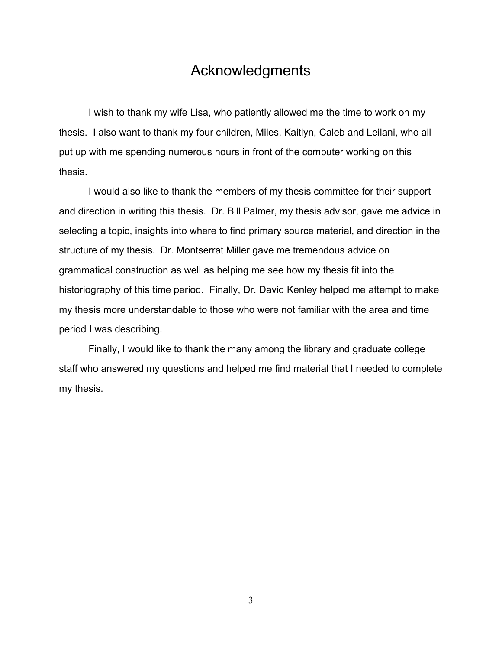### Acknowledgments

 I wish to thank my wife Lisa, who patiently allowed me the time to work on my thesis. I also want to thank my four children, Miles, Kaitlyn, Caleb and Leilani, who all put up with me spending numerous hours in front of the computer working on this thesis.

 I would also like to thank the members of my thesis committee for their support and direction in writing this thesis. Dr. Bill Palmer, my thesis advisor, gave me advice in selecting a topic, insights into where to find primary source material, and direction in the structure of my thesis. Dr. Montserrat Miller gave me tremendous advice on grammatical construction as well as helping me see how my thesis fit into the historiography of this time period. Finally, Dr. David Kenley helped me attempt to make my thesis more understandable to those who were not familiar with the area and time period I was describing.

 Finally, I would like to thank the many among the library and graduate college staff who answered my questions and helped me find material that I needed to complete my thesis.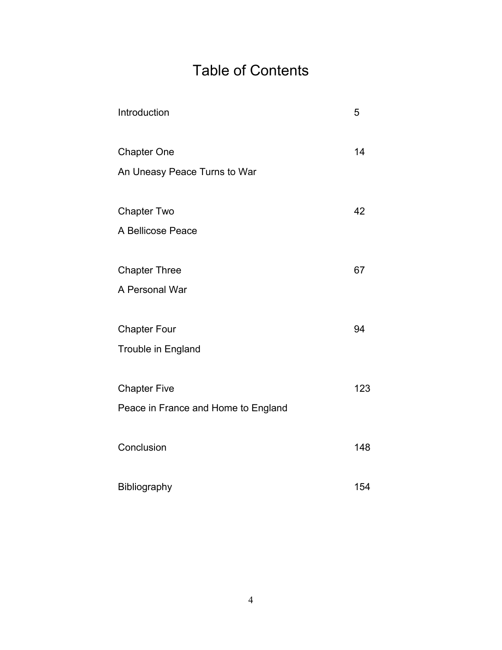# Table of Contents

| Introduction                        | 5   |
|-------------------------------------|-----|
| <b>Chapter One</b>                  | 14  |
| An Uneasy Peace Turns to War        |     |
| <b>Chapter Two</b>                  | 42  |
| A Bellicose Peace                   |     |
| <b>Chapter Three</b>                | 67  |
| A Personal War                      |     |
| <b>Chapter Four</b>                 | 94  |
| Trouble in England                  |     |
| <b>Chapter Five</b>                 | 123 |
| Peace in France and Home to England |     |
| Conclusion                          | 148 |
|                                     |     |
| Bibliography                        | 154 |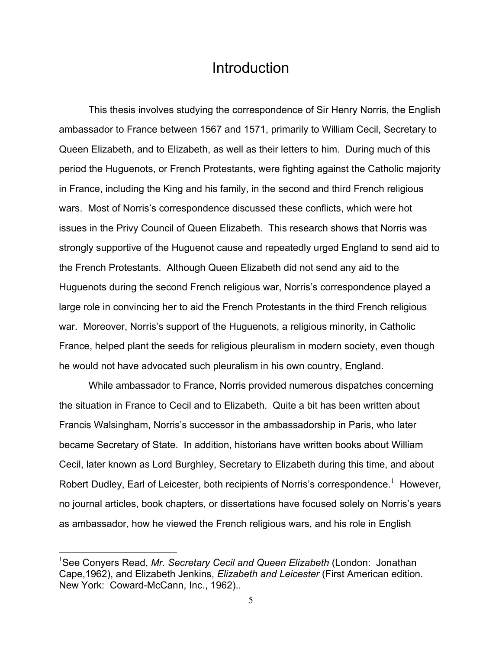#### **Introduction**

 This thesis involves studying the correspondence of Sir Henry Norris, the English ambassador to France between 1567 and 1571, primarily to William Cecil, Secretary to Queen Elizabeth, and to Elizabeth, as well as their letters to him. During much of this period the Huguenots, or French Protestants, were fighting against the Catholic majority in France, including the King and his family, in the second and third French religious wars. Most of Norris's correspondence discussed these conflicts, which were hot issues in the Privy Council of Queen Elizabeth. This research shows that Norris was strongly supportive of the Huguenot cause and repeatedly urged England to send aid to the French Protestants. Although Queen Elizabeth did not send any aid to the Huguenots during the second French religious war, Norris's correspondence played a large role in convincing her to aid the French Protestants in the third French religious war. Moreover, Norris's support of the Huguenots, a religious minority, in Catholic France, helped plant the seeds for religious pleuralism in modern society, even though he would not have advocated such pleuralism in his own country, England.

 While ambassador to France, Norris provided numerous dispatches concerning the situation in France to Cecil and to Elizabeth. Quite a bit has been written about Francis Walsingham, Norris's successor in the ambassadorship in Paris, who later became Secretary of State. In addition, historians have written books about William Cecil, later known as Lord Burghley, Secretary to Elizabeth during this time, and about Robert Dudley, Earl of Leicester, both recipients of Norris's correspondence.<sup>1</sup> However, no journal articles, book chapters, or dissertations have focused solely on Norris's years as ambassador, how he viewed the French religious wars, and his role in English

1

<sup>1</sup> See Conyers Read, *Mr. Secretary Cecil and Queen Elizabeth* (London: Jonathan Cape,1962), and Elizabeth Jenkins, *Elizabeth and Leicester* (First American edition. New York: Coward-McCann, Inc., 1962)..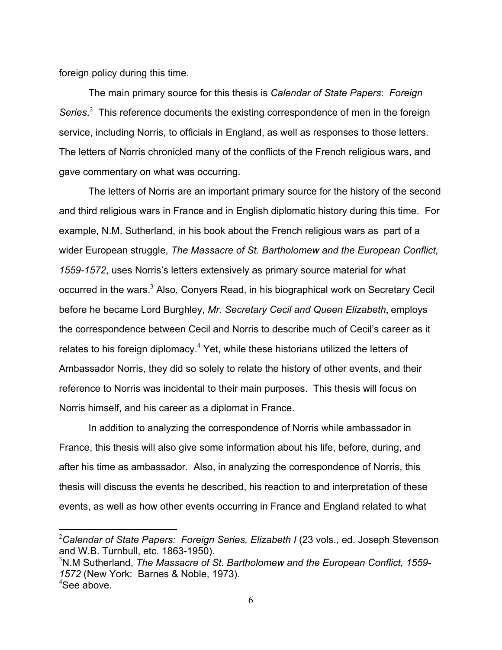foreign policy during this time.

1

 The main primary source for this thesis is *Calendar of State Papers*: *Foreign*  Series.<sup>2</sup> This reference documents the existing correspondence of men in the foreign service, including Norris, to officials in England, as well as responses to those letters. The letters of Norris chronicled many of the conflicts of the French religious wars, and gave commentary on what was occurring.

 The letters of Norris are an important primary source for the history of the second and third religious wars in France and in English diplomatic history during this time. For example, N.M. Sutherland, in his book about the French religious wars as part of a wider European struggle, *The Massacre of St. Bartholomew and the European Conflict, 1559-1572*, uses Norris's letters extensively as primary source material for what occurred in the wars.<sup>3</sup> Also, Conyers Read, in his biographical work on Secretary Cecil before he became Lord Burghley, *Mr. Secretary Cecil and Queen Elizabeth*, employs the correspondence between Cecil and Norris to describe much of Cecil's career as it relates to his foreign diplomacy. $4$  Yet, while these historians utilized the letters of Ambassador Norris, they did so solely to relate the history of other events, and their reference to Norris was incidental to their main purposes. This thesis will focus on Norris himself, and his career as a diplomat in France.

 In addition to analyzing the correspondence of Norris while ambassador in France, this thesis will also give some information about his life, before, during, and after his time as ambassador. Also, in analyzing the correspondence of Norris, this thesis will discuss the events he described, his reaction to and interpretation of these events, as well as how other events occurring in France and England related to what

<sup>&</sup>lt;sup>2</sup>Calendar of State Papers: Foreign Series, Elizabeth I (23 vols., ed. Joseph Stevenson and W.B. Turnbull, etc. 1863-1950).

<sup>3</sup> N.M Sutherland, *The Massacre of St. Bartholomew and the European Conflict, 1559- 1572* (New York: Barnes & Noble, 1973). 4 See above.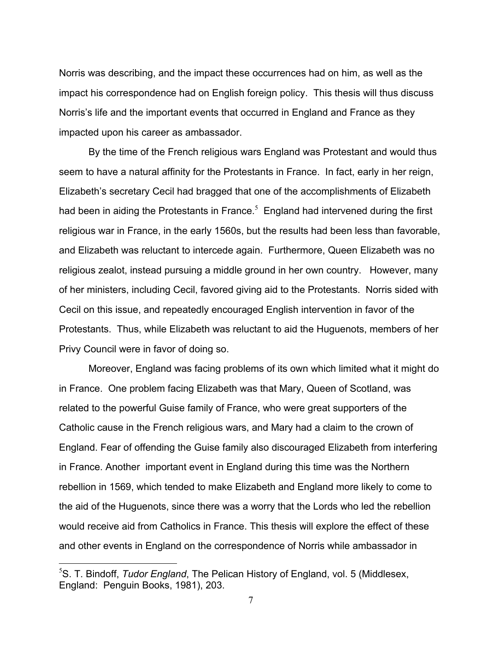Norris was describing, and the impact these occurrences had on him, as well as the impact his correspondence had on English foreign policy. This thesis will thus discuss Norris's life and the important events that occurred in England and France as they impacted upon his career as ambassador.

 By the time of the French religious wars England was Protestant and would thus seem to have a natural affinity for the Protestants in France. In fact, early in her reign, Elizabeth's secretary Cecil had bragged that one of the accomplishments of Elizabeth had been in aiding the Protestants in France. $5$  England had intervened during the first religious war in France, in the early 1560s, but the results had been less than favorable, and Elizabeth was reluctant to intercede again. Furthermore, Queen Elizabeth was no religious zealot, instead pursuing a middle ground in her own country. However, many of her ministers, including Cecil, favored giving aid to the Protestants. Norris sided with Cecil on this issue, and repeatedly encouraged English intervention in favor of the Protestants. Thus, while Elizabeth was reluctant to aid the Huguenots, members of her Privy Council were in favor of doing so.

 Moreover, England was facing problems of its own which limited what it might do in France. One problem facing Elizabeth was that Mary, Queen of Scotland, was related to the powerful Guise family of France, who were great supporters of the Catholic cause in the French religious wars, and Mary had a claim to the crown of England. Fear of offending the Guise family also discouraged Elizabeth from interfering in France. Another important event in England during this time was the Northern rebellion in 1569, which tended to make Elizabeth and England more likely to come to the aid of the Huguenots, since there was a worry that the Lords who led the rebellion would receive aid from Catholics in France. This thesis will explore the effect of these and other events in England on the correspondence of Norris while ambassador in

<u>.</u>

<sup>5</sup> S. T. Bindoff, *Tudor England*, The Pelican History of England, vol. 5 (Middlesex, England: Penguin Books, 1981), 203.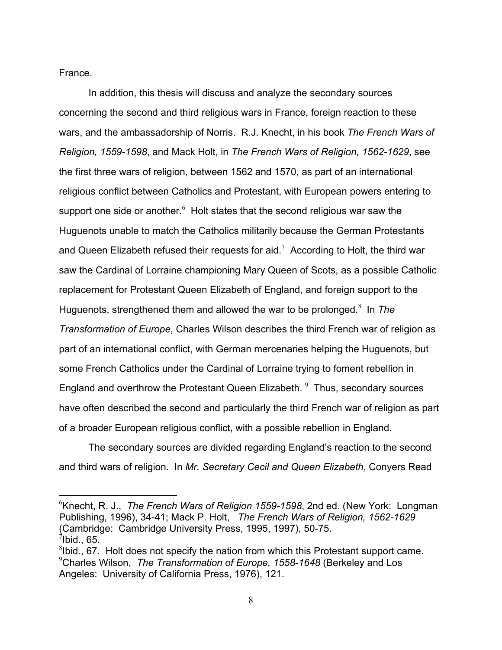France.

 In addition, this thesis will discuss and analyze the secondary sources concerning the second and third religious wars in France, foreign reaction to these wars, and the ambassadorship of Norris. R.J. Knecht, in his book *The French Wars of Religion, 1559-1598*, and Mack Holt, in *The French Wars of Religion, 1562-1629*, see the first three wars of religion, between 1562 and 1570, as part of an international religious conflict between Catholics and Protestant, with European powers entering to support one side or another. $^6$  Holt states that the second religious war saw the Huguenots unable to match the Catholics militarily because the German Protestants and Queen Elizabeth refused their requests for aid.<sup>7</sup> According to Holt, the third war saw the Cardinal of Lorraine championing Mary Queen of Scots, as a possible Catholic replacement for Protestant Queen Elizabeth of England, and foreign support to the Huguenots, strengthened them and allowed the war to be prolonged.<sup>8</sup> In The *Transformation of Europe*, Charles Wilson describes the third French war of religion as part of an international conflict, with German mercenaries helping the Huguenots, but some French Catholics under the Cardinal of Lorraine trying to foment rebellion in England and overthrow the Protestant Queen Elizabeth.  $9$  Thus, secondary sources have often described the second and particularly the third French war of religion as part of a broader European religious conflict, with a possible rebellion in England.

 The secondary sources are divided regarding England's reaction to the second and third wars of religion. In *Mr. Secretary Cecil and Queen Elizabeth*, Conyers Read

 $\overline{a}$ 6 Knecht, R. J., *The French Wars of Religion 1559-1598*, 2nd ed. (New York: Longman Publishing, 1996), 34-41; Mack P. Holt, *The French Wars of Religion, 1562-1629*  (Cambridge: Cambridge University Press, 1995, 1997), 50-75.  $^7$ Ibid., 65.

 $8$ Ibid., 67. Holt does not specify the nation from which this Protestant support came. 9 Charles Wilson, *The Transformation of Europe, 1558-1648* (Berkeley and Los Angeles: University of California Press, 1976), 121.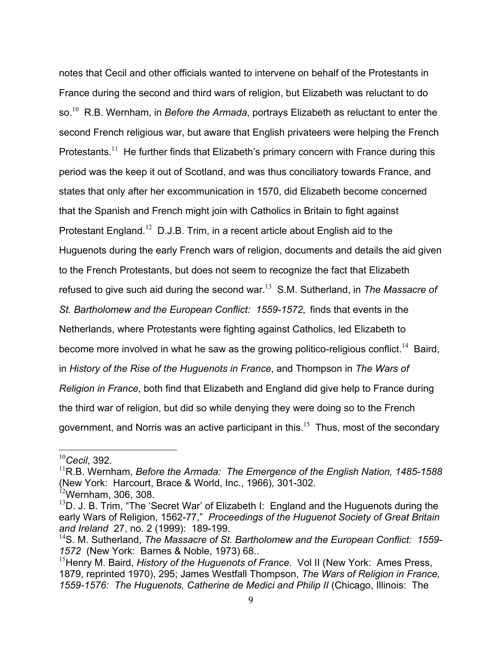notes that Cecil and other officials wanted to intervene on behalf of the Protestants in France during the second and third wars of religion, but Elizabeth was reluctant to do so.<sup>10</sup> R.B. Wernham, in *Before the Armada*, portrays Elizabeth as reluctant to enter the second French religious war, but aware that English privateers were helping the French Protestants.<sup>11</sup> He further finds that Elizabeth's primary concern with France during this period was the keep it out of Scotland, and was thus conciliatory towards France, and states that only after her excommunication in 1570, did Elizabeth become concerned that the Spanish and French might join with Catholics in Britain to fight against Protestant England.<sup>12</sup> D.J.B. Trim, in a recent article about English aid to the Huguenots during the early French wars of religion, documents and details the aid given to the French Protestants, but does not seem to recognize the fact that Elizabeth refused to give such aid during the second war.<sup>13</sup> S.M. Sutherland, in *The Massacre of St. Bartholomew and the European Conflict: 1559-1572*, finds that events in the Netherlands, where Protestants were fighting against Catholics, led Elizabeth to become more involved in what he saw as the growing politico-religious conflict.<sup>14</sup> Baird, in *History of the Rise of the Huguenots in France*, and Thompson in *The Wars of Religion in France*, both find that Elizabeth and England did give help to France during the third war of religion, but did so while denying they were doing so to the French government, and Norris was an active participant in this.<sup>15</sup> Thus, most of the secondary

<sup>10</sup>*Cecil*, 392.

<sup>&</sup>lt;sup>11</sup>R.B. Wernham, *Before the Armada: The Emergence of the English Nation, 1485-1588* (New York: Harcourt, Brace & World, Inc., 1966), 301-302.

 $12$ Wernham, 306, 308.

 $13D$ . J. B. Trim, "The 'Secret War' of Elizabeth I: England and the Huguenots during the early Wars of Religion, 1562-77," *Proceedings of the Huguenot Society of Great Britain and Ireland* 27, no. 2 (1999): 189-199.

<sup>14</sup>S. M. Sutherland, *The Massacre of St. Bartholomew and the European Conflict: 1559- 1572* (New York: Barnes & Noble, 1973) 68..

<sup>&</sup>lt;sup>15</sup> Henry M. Baird, *History of the Huguenots of France*. Vol II (New York: Ames Press, 1879, reprinted 1970), 295; James Westfall Thompson, *The Wars of Religion in France, 1559-1576: The Huguenots, Catherine de Medici and Philip II* (Chicago, Illinois: The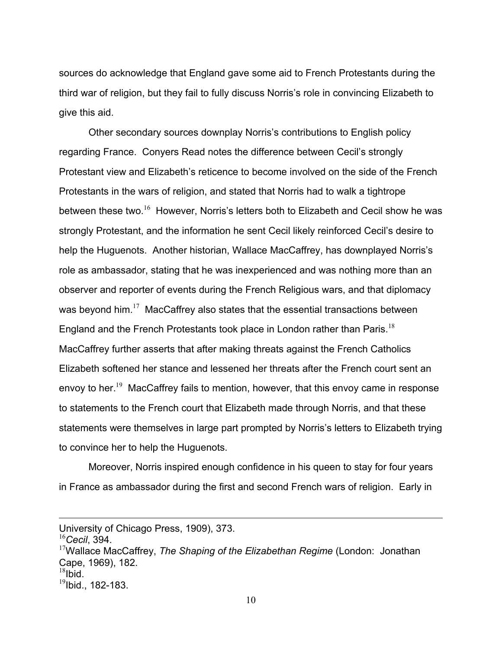sources do acknowledge that England gave some aid to French Protestants during the third war of religion, but they fail to fully discuss Norris's role in convincing Elizabeth to give this aid.

 Other secondary sources downplay Norris's contributions to English policy regarding France. Conyers Read notes the difference between Cecil's strongly Protestant view and Elizabeth's reticence to become involved on the side of the French Protestants in the wars of religion, and stated that Norris had to walk a tightrope between these two.<sup>16</sup> However, Norris's letters both to Elizabeth and Cecil show he was strongly Protestant, and the information he sent Cecil likely reinforced Cecil's desire to help the Huguenots. Another historian, Wallace MacCaffrey, has downplayed Norris's role as ambassador, stating that he was inexperienced and was nothing more than an observer and reporter of events during the French Religious wars, and that diplomacy was beyond him.<sup>17</sup> MacCaffrey also states that the essential transactions between England and the French Protestants took place in London rather than Paris.<sup>18</sup> MacCaffrey further asserts that after making threats against the French Catholics Elizabeth softened her stance and lessened her threats after the French court sent an envov to her.<sup>19</sup> MacCaffrey fails to mention, however, that this envoy came in response to statements to the French court that Elizabeth made through Norris, and that these statements were themselves in large part prompted by Norris's letters to Elizabeth trying to convince her to help the Huguenots.

 Moreover, Norris inspired enough confidence in his queen to stay for four years in France as ambassador during the first and second French wars of religion. Early in

University of Chicago Press, 1909), 373.

<sup>16</sup>*Cecil*, 394.

<sup>17</sup>Wallace MacCaffrey, *The Shaping of the Elizabethan Regime* (London: Jonathan Cape, 1969), 182.  $18$ Ibid.

 $^{19}$ Ibid., 182-183.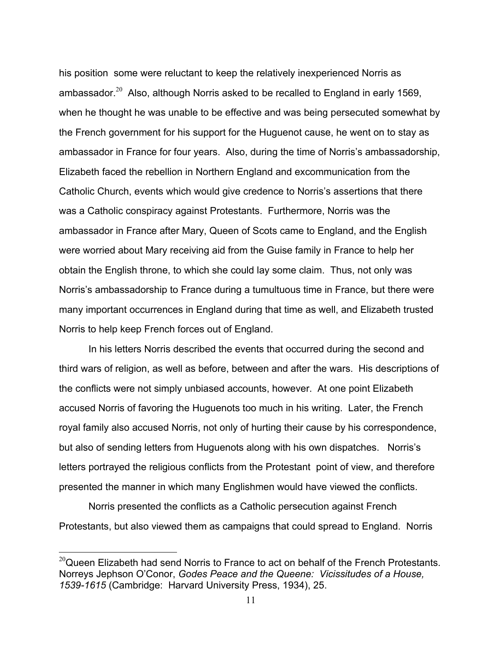his position some were reluctant to keep the relatively inexperienced Norris as ambassador.<sup>20</sup> Also, although Norris asked to be recalled to England in early 1569, when he thought he was unable to be effective and was being persecuted somewhat by the French government for his support for the Huguenot cause, he went on to stay as ambassador in France for four years. Also, during the time of Norris's ambassadorship, Elizabeth faced the rebellion in Northern England and excommunication from the Catholic Church, events which would give credence to Norris's assertions that there was a Catholic conspiracy against Protestants. Furthermore, Norris was the ambassador in France after Mary, Queen of Scots came to England, and the English were worried about Mary receiving aid from the Guise family in France to help her obtain the English throne, to which she could lay some claim. Thus, not only was Norris's ambassadorship to France during a tumultuous time in France, but there were many important occurrences in England during that time as well, and Elizabeth trusted Norris to help keep French forces out of England.

 In his letters Norris described the events that occurred during the second and third wars of religion, as well as before, between and after the wars. His descriptions of the conflicts were not simply unbiased accounts, however. At one point Elizabeth accused Norris of favoring the Huguenots too much in his writing. Later, the French royal family also accused Norris, not only of hurting their cause by his correspondence, but also of sending letters from Huguenots along with his own dispatches. Norris's letters portrayed the religious conflicts from the Protestant point of view, and therefore presented the manner in which many Englishmen would have viewed the conflicts.

 Norris presented the conflicts as a Catholic persecution against French Protestants, but also viewed them as campaigns that could spread to England. Norris

 $^{20}$ Queen Elizabeth had send Norris to France to act on behalf of the French Protestants. Norreys Jephson O'Conor, *Godes Peace and the Queene: Vicissitudes of a House, 1539-1615* (Cambridge: Harvard University Press, 1934), 25.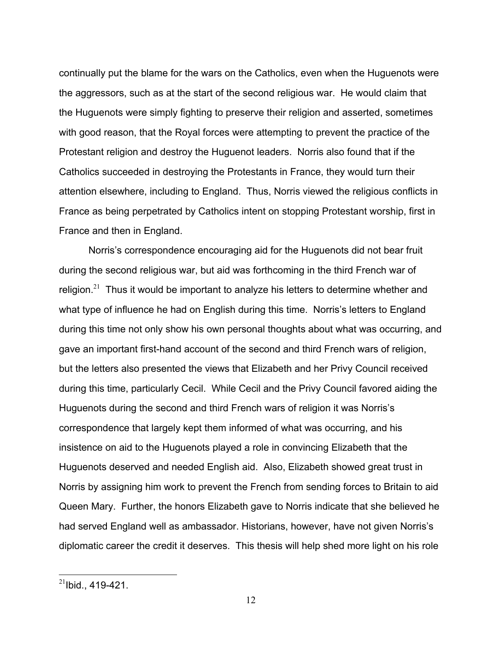continually put the blame for the wars on the Catholics, even when the Huguenots were the aggressors, such as at the start of the second religious war. He would claim that the Huguenots were simply fighting to preserve their religion and asserted, sometimes with good reason, that the Royal forces were attempting to prevent the practice of the Protestant religion and destroy the Huguenot leaders. Norris also found that if the Catholics succeeded in destroying the Protestants in France, they would turn their attention elsewhere, including to England. Thus, Norris viewed the religious conflicts in France as being perpetrated by Catholics intent on stopping Protestant worship, first in France and then in England.

 Norris's correspondence encouraging aid for the Huguenots did not bear fruit during the second religious war, but aid was forthcoming in the third French war of religion.<sup>21</sup> Thus it would be important to analyze his letters to determine whether and what type of influence he had on English during this time. Norris's letters to England during this time not only show his own personal thoughts about what was occurring, and gave an important first-hand account of the second and third French wars of religion, but the letters also presented the views that Elizabeth and her Privy Council received during this time, particularly Cecil. While Cecil and the Privy Council favored aiding the Huguenots during the second and third French wars of religion it was Norris's correspondence that largely kept them informed of what was occurring, and his insistence on aid to the Huguenots played a role in convincing Elizabeth that the Huguenots deserved and needed English aid. Also, Elizabeth showed great trust in Norris by assigning him work to prevent the French from sending forces to Britain to aid Queen Mary. Further, the honors Elizabeth gave to Norris indicate that she believed he had served England well as ambassador. Historians, however, have not given Norris's diplomatic career the credit it deserves. This thesis will help shed more light on his role

 $^{21}$ Ibid., 419-421.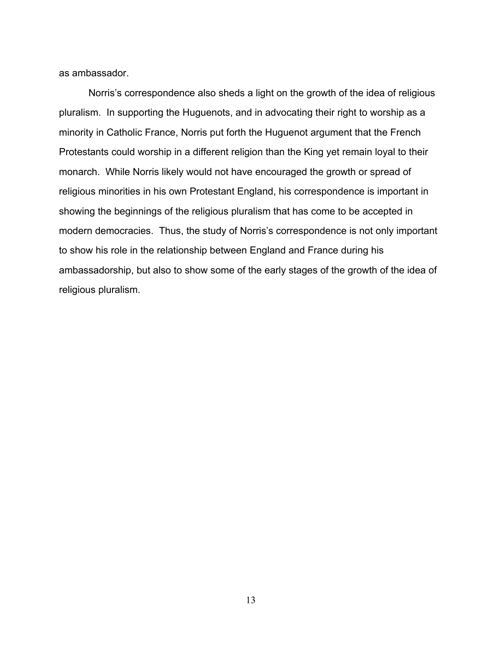as ambassador.

 Norris's correspondence also sheds a light on the growth of the idea of religious pluralism. In supporting the Huguenots, and in advocating their right to worship as a minority in Catholic France, Norris put forth the Huguenot argument that the French Protestants could worship in a different religion than the King yet remain loyal to their monarch. While Norris likely would not have encouraged the growth or spread of religious minorities in his own Protestant England, his correspondence is important in showing the beginnings of the religious pluralism that has come to be accepted in modern democracies. Thus, the study of Norris's correspondence is not only important to show his role in the relationship between England and France during his ambassadorship, but also to show some of the early stages of the growth of the idea of religious pluralism.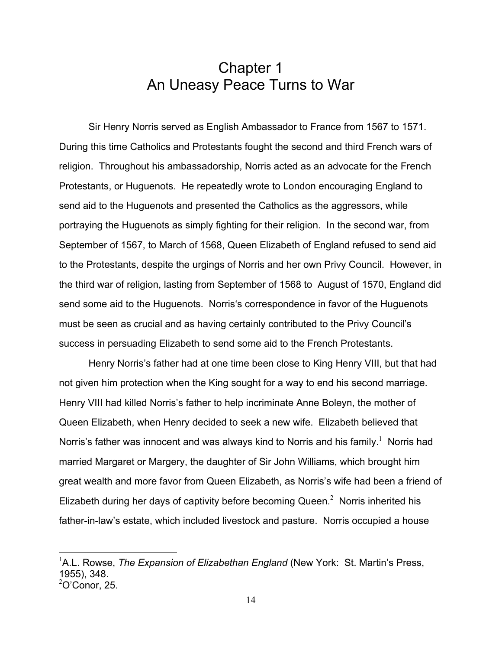## Chapter 1 An Uneasy Peace Turns to War

 Sir Henry Norris served as English Ambassador to France from 1567 to 1571. During this time Catholics and Protestants fought the second and third French wars of religion. Throughout his ambassadorship, Norris acted as an advocate for the French Protestants, or Huguenots. He repeatedly wrote to London encouraging England to send aid to the Huguenots and presented the Catholics as the aggressors, while portraying the Huguenots as simply fighting for their religion. In the second war, from September of 1567, to March of 1568, Queen Elizabeth of England refused to send aid to the Protestants, despite the urgings of Norris and her own Privy Council. However, in the third war of religion, lasting from September of 1568 to August of 1570, England did send some aid to the Huguenots. Norris's correspondence in favor of the Huguenots must be seen as crucial and as having certainly contributed to the Privy Council's success in persuading Elizabeth to send some aid to the French Protestants.

 Henry Norris's father had at one time been close to King Henry VIII, but that had not given him protection when the King sought for a way to end his second marriage. Henry VIII had killed Norris's father to help incriminate Anne Boleyn, the mother of Queen Elizabeth, when Henry decided to seek a new wife. Elizabeth believed that Norris's father was innocent and was always kind to Norris and his family.<sup>1</sup> Norris had married Margaret or Margery, the daughter of Sir John Williams, which brought him great wealth and more favor from Queen Elizabeth, as Norris's wife had been a friend of Elizabeth during her days of captivity before becoming Queen.<sup>2</sup> Norris inherited his father-in-law's estate, which included livestock and pasture. Norris occupied a house

<sup>&</sup>lt;sup>1</sup>A.L. Rowse, *The Expansion of Elizabethan England* (New York: St. Martin's Press, 1955), 348.  $2$ O'Conor, 25.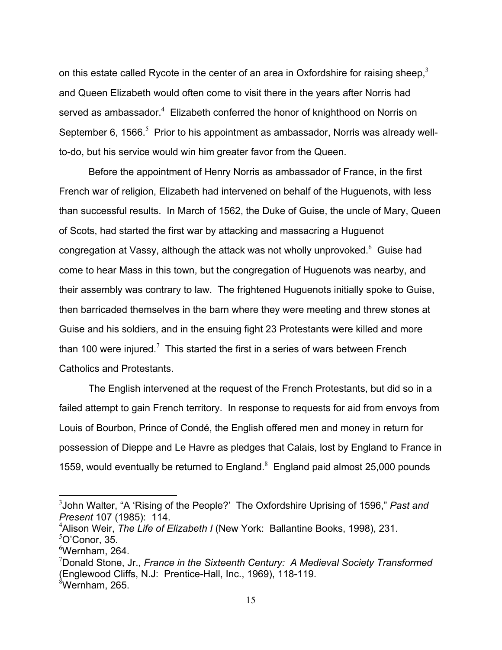on this estate called Rycote in the center of an area in Oxfordshire for raising sheep, $3$ and Queen Elizabeth would often come to visit there in the years after Norris had served as ambassador. $4$  Elizabeth conferred the honor of knighthood on Norris on September 6, 1566. $<sup>5</sup>$  Prior to his appointment as ambassador, Norris was already well-</sup> to-do, but his service would win him greater favor from the Queen.

 Before the appointment of Henry Norris as ambassador of France, in the first French war of religion, Elizabeth had intervened on behalf of the Huguenots, with less than successful results. In March of 1562, the Duke of Guise, the uncle of Mary, Queen of Scots, had started the first war by attacking and massacring a Huguenot congregation at Vassy, although the attack was not wholly unprovoked. $6\,$  Guise had come to hear Mass in this town, but the congregation of Huguenots was nearby, and their assembly was contrary to law. The frightened Huguenots initially spoke to Guise, then barricaded themselves in the barn where they were meeting and threw stones at Guise and his soldiers, and in the ensuing fight 23 Protestants were killed and more than 100 were injured.<sup>7</sup> This started the first in a series of wars between French Catholics and Protestants.

 The English intervened at the request of the French Protestants, but did so in a failed attempt to gain French territory. In response to requests for aid from envoys from Louis of Bourbon, Prince of Condé, the English offered men and money in return for possession of Dieppe and Le Havre as pledges that Calais, lost by England to France in 1559, would eventually be returned to England. $8$  England paid almost 25,000 pounds

1

<sup>3</sup> John Walter, "A 'Rising of the People?' The Oxfordshire Uprising of 1596," *Past and Present* 107 (1985): 114.

<sup>4</sup> Alison Weir, *The Life of Elizabeth I* (New York: Ballantine Books, 1998), 231.

 $5$ O'Conor, 35.

 $6$ Wernham, 264.

<sup>7</sup> Donald Stone, Jr., *France in the Sixteenth Century: A Medieval Society Transformed* (Englewood Cliffs, N.J: Prentice-Hall, Inc., 1969), 118-119.  ${}^{8}$ Wernham, 265.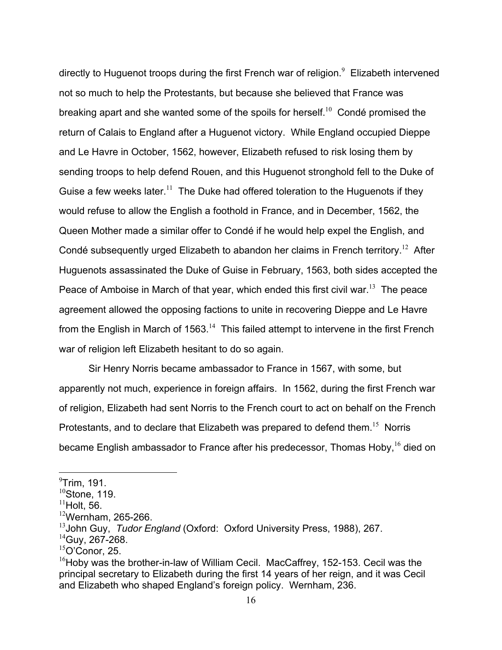directly to Huguenot troops during the first French war of religion. $^9$  Elizabeth intervened not so much to help the Protestants, but because she believed that France was breaking apart and she wanted some of the spoils for herself.<sup>10</sup> Condé promised the return of Calais to England after a Huguenot victory. While England occupied Dieppe and Le Havre in October, 1562, however, Elizabeth refused to risk losing them by sending troops to help defend Rouen, and this Huguenot stronghold fell to the Duke of Guise a few weeks later.<sup>11</sup> The Duke had offered toleration to the Huguenots if they would refuse to allow the English a foothold in France, and in December, 1562, the Queen Mother made a similar offer to Condé if he would help expel the English, and Condé subsequently urged Elizabeth to abandon her claims in French territory.<sup>12</sup> After Huguenots assassinated the Duke of Guise in February, 1563, both sides accepted the Peace of Amboise in March of that year, which ended this first civil war.<sup>13</sup> The peace agreement allowed the opposing factions to unite in recovering Dieppe and Le Havre from the English in March of 1563.<sup>14</sup> This failed attempt to intervene in the first French war of religion left Elizabeth hesitant to do so again.

 Sir Henry Norris became ambassador to France in 1567, with some, but apparently not much, experience in foreign affairs. In 1562, during the first French war of religion, Elizabeth had sent Norris to the French court to act on behalf on the French Protestants, and to declare that Elizabeth was prepared to defend them.<sup>15</sup> Norris became English ambassador to France after his predecessor, Thomas Hoby, <sup>16</sup> died on

1

 $^9$ Trim, 191.

 $10$ Stone, 119.

 $11$ Holt, 56.

 $12$ Wernham, 265-266.

<sup>13</sup>John Guy, *Tudor England* (Oxford: Oxford University Press, 1988), 267.

 $14$ Guy, 267-268.

 $15$ O'Conor, 25.

 $16$ Hoby was the brother-in-law of William Cecil. MacCaffrey, 152-153. Cecil was the principal secretary to Elizabeth during the first 14 years of her reign, and it was Cecil and Elizabeth who shaped England's foreign policy. Wernham, 236.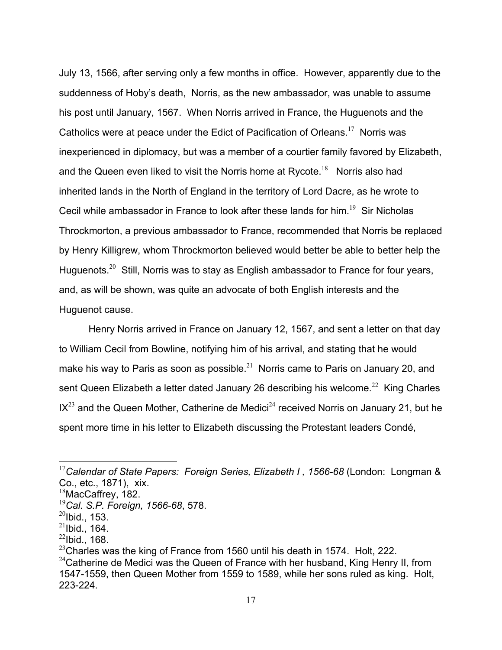July 13, 1566, after serving only a few months in office. However, apparently due to the suddenness of Hoby's death, Norris, as the new ambassador, was unable to assume his post until January, 1567. When Norris arrived in France, the Huguenots and the Catholics were at peace under the Edict of Pacification of Orleans.<sup>17</sup> Norris was inexperienced in diplomacy, but was a member of a courtier family favored by Elizabeth, and the Queen even liked to visit the Norris home at Rycote. $18$  Norris also had inherited lands in the North of England in the territory of Lord Dacre, as he wrote to Cecil while ambassador in France to look after these lands for him.<sup>19</sup> Sir Nicholas Throckmorton, a previous ambassador to France, recommended that Norris be replaced by Henry Killigrew, whom Throckmorton believed would better be able to better help the Huguenots.<sup>20</sup> Still, Norris was to stay as English ambassador to France for four years, and, as will be shown, was quite an advocate of both English interests and the Huguenot cause.

 Henry Norris arrived in France on January 12, 1567, and sent a letter on that day to William Cecil from Bowline, notifying him of his arrival, and stating that he would make his way to Paris as soon as possible.<sup>21</sup> Norris came to Paris on January 20, and sent Queen Elizabeth a letter dated January 26 describing his welcome.<sup>22</sup> King Charles  $IX<sup>23</sup>$  and the Queen Mother, Catherine de Medici<sup>24</sup> received Norris on January 21, but he spent more time in his letter to Elizabeth discussing the Protestant leaders Condé,

<sup>17</sup>*Calendar of State Papers: Foreign Series, Elizabeth I , 1566-68* (London: Longman & Co., etc., 1871), xix.

<sup>&</sup>lt;sup>18</sup>MacCaffrey, 182.

<sup>19</sup>*Cal. S.P. Foreign, 1566-68*, 578.

 $^{20}$ Ibid., 153.

 $^{21}$ Ibid., 164.

 $22$ Ibid., 168.

 $^{23}$ Charles was the king of France from 1560 until his death in 1574. Holt, 222.

 $24$ Catherine de Medici was the Queen of France with her husband, King Henry II, from 1547-1559, then Queen Mother from 1559 to 1589, while her sons ruled as king. Holt, 223-224.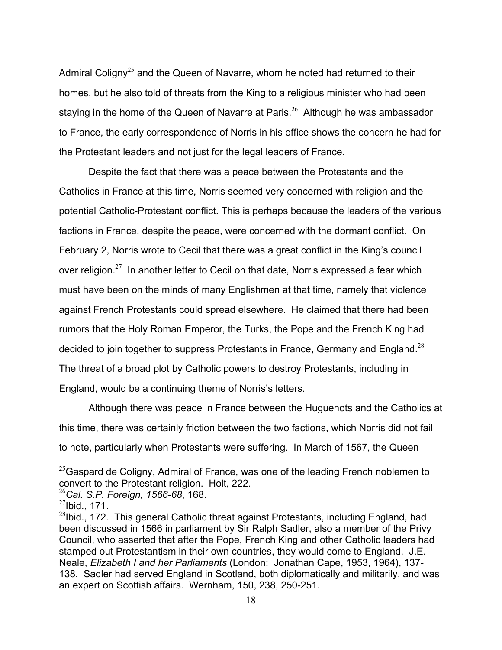Admiral Coligny<sup>25</sup> and the Queen of Navarre, whom he noted had returned to their homes, but he also told of threats from the King to a religious minister who had been staying in the home of the Queen of Navarre at Paris.<sup>26</sup> Although he was ambassador to France, the early correspondence of Norris in his office shows the concern he had for the Protestant leaders and not just for the legal leaders of France.

 Despite the fact that there was a peace between the Protestants and the Catholics in France at this time, Norris seemed very concerned with religion and the potential Catholic-Protestant conflict. This is perhaps because the leaders of the various factions in France, despite the peace, were concerned with the dormant conflict. On February 2, Norris wrote to Cecil that there was a great conflict in the King's council over religion. $27$  In another letter to Cecil on that date, Norris expressed a fear which must have been on the minds of many Englishmen at that time, namely that violence against French Protestants could spread elsewhere. He claimed that there had been rumors that the Holy Roman Emperor, the Turks, the Pope and the French King had decided to join together to suppress Protestants in France, Germany and England.<sup>28</sup> The threat of a broad plot by Catholic powers to destroy Protestants, including in England, would be a continuing theme of Norris's letters.

 Although there was peace in France between the Huguenots and the Catholics at this time, there was certainly friction between the two factions, which Norris did not fail to note, particularly when Protestants were suffering. In March of 1567, the Queen

1

 $^{25}$ Gaspard de Coligny, Admiral of France, was one of the leading French noblemen to convert to the Protestant religion. Holt, 222.

<sup>26</sup>*Cal. S.P. Foreign, 1566-68*, 168.

 $^{27}$ Ibid., 171.

 $^{28}$ Ibid., 172. This general Catholic threat against Protestants, including England, had been discussed in 1566 in parliament by Sir Ralph Sadler, also a member of the Privy Council, who asserted that after the Pope, French King and other Catholic leaders had stamped out Protestantism in their own countries, they would come to England. J.E. Neale, *Elizabeth I and her Parliaments* (London: Jonathan Cape, 1953, 1964), 137- 138. Sadler had served England in Scotland, both diplomatically and militarily, and was an expert on Scottish affairs. Wernham, 150, 238, 250-251.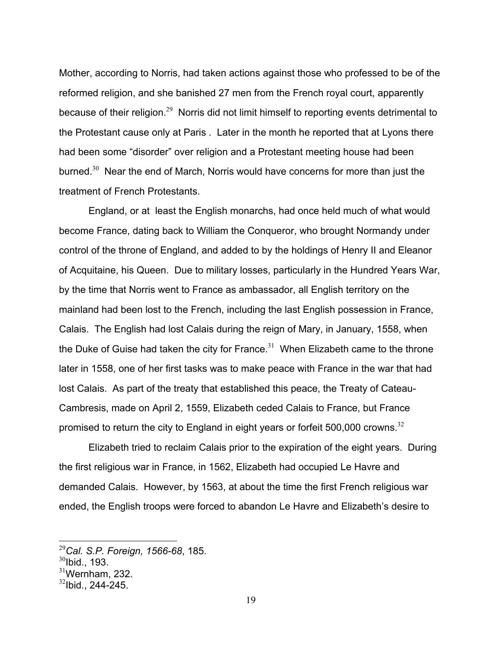Mother, according to Norris, had taken actions against those who professed to be of the reformed religion, and she banished 27 men from the French royal court, apparently because of their religion.<sup>29</sup> Norris did not limit himself to reporting events detrimental to the Protestant cause only at Paris . Later in the month he reported that at Lyons there had been some "disorder" over religion and a Protestant meeting house had been burned. $30$  Near the end of March, Norris would have concerns for more than just the treatment of French Protestants.

 England, or at least the English monarchs, had once held much of what would become France, dating back to William the Conqueror, who brought Normandy under control of the throne of England, and added to by the holdings of Henry II and Eleanor of Acquitaine, his Queen. Due to military losses, particularly in the Hundred Years War, by the time that Norris went to France as ambassador, all English territory on the mainland had been lost to the French, including the last English possession in France, Calais. The English had lost Calais during the reign of Mary, in January, 1558, when the Duke of Guise had taken the city for France.<sup>31</sup> When Elizabeth came to the throne later in 1558, one of her first tasks was to make peace with France in the war that had lost Calais. As part of the treaty that established this peace, the Treaty of Cateau-Cambresis, made on April 2, 1559, Elizabeth ceded Calais to France, but France promised to return the city to England in eight years or forfeit 500,000 crowns.<sup>32</sup>

 Elizabeth tried to reclaim Calais prior to the expiration of the eight years. During the first religious war in France, in 1562, Elizabeth had occupied Le Havre and demanded Calais. However, by 1563, at about the time the first French religious war ended, the English troops were forced to abandon Le Havre and Elizabeth's desire to

<u>.</u>

<sup>29</sup>*Cal. S.P. Foreign, 1566-68*, 185.

 $30$ Ibid., 193.

 $31$ Wernham, 232.

 $32$ lbid., 244-245.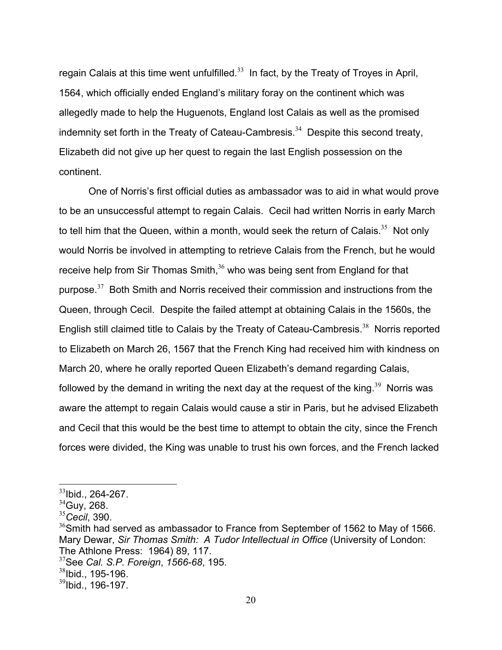regain Calais at this time went unfulfilled.<sup>33</sup> In fact, by the Treaty of Troyes in April, 1564, which officially ended England's military foray on the continent which was allegedly made to help the Huguenots, England lost Calais as well as the promised indemnity set forth in the Treaty of Cateau-Cambresis.<sup>34</sup> Despite this second treaty, Elizabeth did not give up her quest to regain the last English possession on the continent.

 One of Norris's first official duties as ambassador was to aid in what would prove to be an unsuccessful attempt to regain Calais. Cecil had written Norris in early March to tell him that the Queen, within a month, would seek the return of Calais.<sup>35</sup> Not only would Norris be involved in attempting to retrieve Calais from the French, but he would receive help from Sir Thomas Smith, $36$  who was being sent from England for that purpose.<sup>37</sup> Both Smith and Norris received their commission and instructions from the Queen, through Cecil. Despite the failed attempt at obtaining Calais in the 1560s, the English still claimed title to Calais by the Treaty of Cateau-Cambresis.<sup>38</sup> Norris reported to Elizabeth on March 26, 1567 that the French King had received him with kindness on March 20, where he orally reported Queen Elizabeth's demand regarding Calais, followed by the demand in writing the next day at the request of the king.<sup>39</sup> Norris was aware the attempt to regain Calais would cause a stir in Paris, but he advised Elizabeth and Cecil that this would be the best time to attempt to obtain the city, since the French forces were divided, the King was unable to trust his own forces, and the French lacked

<sup>33</sup>Ibid., 264-267.

 $34$ Guy, 268.

<sup>35</sup>*Cecil*, 390.

<sup>&</sup>lt;sup>36</sup>Smith had served as ambassador to France from September of 1562 to May of 1566. Mary Dewar, *Sir Thomas Smith: A Tudor Intellectual in Office* (University of London: The Athlone Press: 1964) 89, 117.

<sup>37</sup>See *Cal. S.P. Foreign*, *1566-68*, 195.

 $38$ Ibid., 195-196.

 $39$ Ibid., 196-197.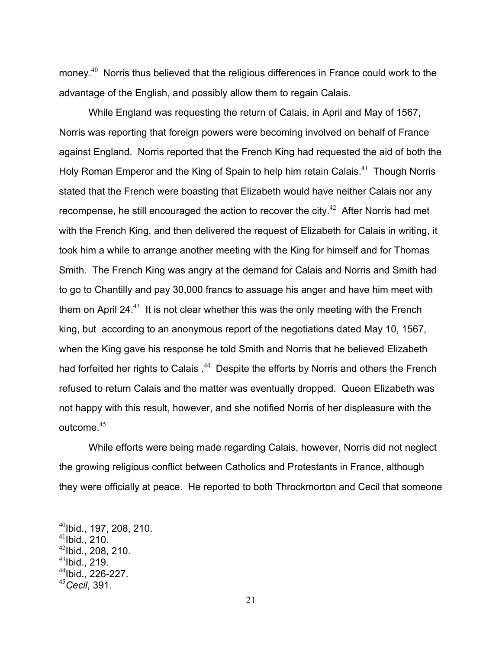money.<sup>40</sup> Norris thus believed that the religious differences in France could work to the advantage of the English, and possibly allow them to regain Calais.

 While England was requesting the return of Calais, in April and May of 1567, Norris was reporting that foreign powers were becoming involved on behalf of France against England. Norris reported that the French King had requested the aid of both the Holy Roman Emperor and the King of Spain to help him retain Calais.<sup>41</sup> Though Norris stated that the French were boasting that Elizabeth would have neither Calais nor any recompense, he still encouraged the action to recover the city.<sup> $42$ </sup> After Norris had met with the French King, and then delivered the request of Elizabeth for Calais in writing, it took him a while to arrange another meeting with the King for himself and for Thomas Smith. The French King was angry at the demand for Calais and Norris and Smith had to go to Chantilly and pay 30,000 francs to assuage his anger and have him meet with them on April 24 $<sup>43</sup>$  It is not clear whether this was the only meeting with the French</sup> king, but according to an anonymous report of the negotiations dated May 10, 1567, when the King gave his response he told Smith and Norris that he believed Elizabeth had forfeited her rights to Calais .<sup>44</sup> Despite the efforts by Norris and others the French refused to return Calais and the matter was eventually dropped. Queen Elizabeth was not happy with this result, however, and she notified Norris of her displeasure with the outcome.<sup>45</sup>

 While efforts were being made regarding Calais, however, Norris did not neglect the growing religious conflict between Catholics and Protestants in France, although they were officially at peace. He reported to both Throckmorton and Cecil that someone

 $^{40}$ Ibid., 197, 208, 210.

 $41$ Ibid., 210.

 $42$ Ibid., 208, 210.

 $^{43}$ Ibid., 219.

<sup>44</sup>Ibid., 226-227.

<sup>45</sup>*Cecil*, 391.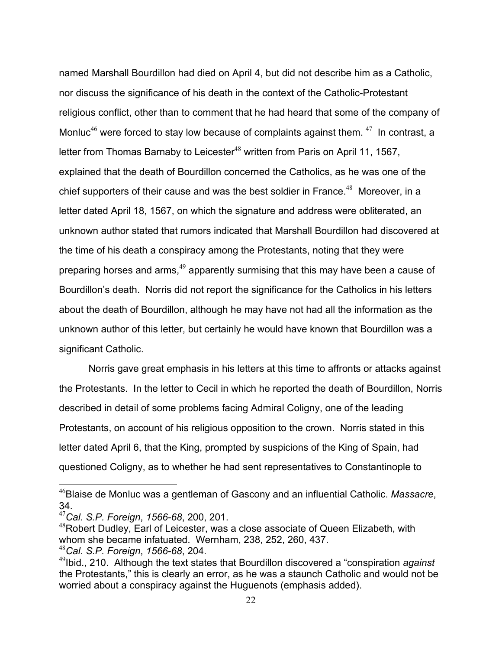named Marshall Bourdillon had died on April 4, but did not describe him as a Catholic, nor discuss the significance of his death in the context of the Catholic-Protestant religious conflict, other than to comment that he had heard that some of the company of Monluc<sup>46</sup> were forced to stay low because of complaints against them.  $47$  In contrast, a letter from Thomas Barnaby to Leicester<sup>48</sup> written from Paris on April 11, 1567, explained that the death of Bourdillon concerned the Catholics, as he was one of the chief supporters of their cause and was the best soldier in France.<sup>48</sup> Moreover, in a letter dated April 18, 1567, on which the signature and address were obliterated, an unknown author stated that rumors indicated that Marshall Bourdillon had discovered at the time of his death a conspiracy among the Protestants, noting that they were preparing horses and arms, $49$  apparently surmising that this may have been a cause of Bourdillon's death. Norris did not report the significance for the Catholics in his letters about the death of Bourdillon, although he may have not had all the information as the unknown author of this letter, but certainly he would have known that Bourdillon was a significant Catholic.

 Norris gave great emphasis in his letters at this time to affronts or attacks against the Protestants. In the letter to Cecil in which he reported the death of Bourdillon, Norris described in detail of some problems facing Admiral Coligny, one of the leading Protestants, on account of his religious opposition to the crown. Norris stated in this letter dated April 6, that the King, prompted by suspicions of the King of Spain, had questioned Coligny, as to whether he had sent representatives to Constantinople to

<sup>46</sup>Blaise de Monluc was a gentleman of Gascony and an influential Catholic. *Massacre*, 34.

<sup>47</sup>*Cal. S.P. Foreign*, *1566-68*, 200, 201.

<sup>&</sup>lt;sup>48</sup>Robert Dudley, Earl of Leicester, was a close associate of Queen Elizabeth, with whom she became infatuated. Wernham, 238, 252, 260, 437. <sup>48</sup>*Cal. S.P. Foreign*, *1566-68*, 204.

<sup>49</sup>Ibid., 210. Although the text states that Bourdillon discovered a "conspiration *against* the Protestants," this is clearly an error, as he was a staunch Catholic and would not be worried about a conspiracy against the Huguenots (emphasis added).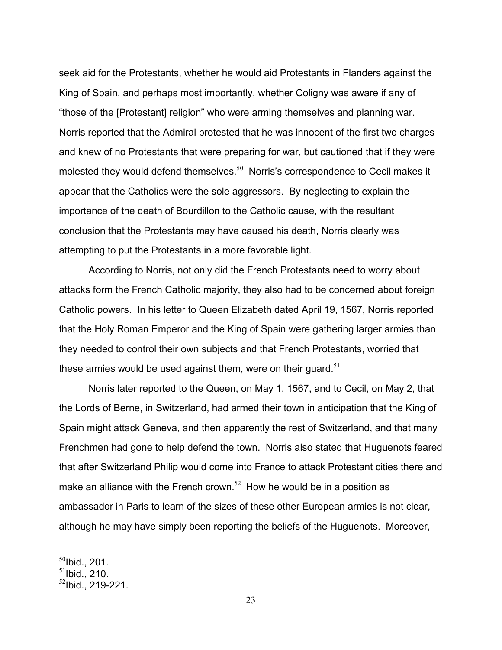seek aid for the Protestants, whether he would aid Protestants in Flanders against the King of Spain, and perhaps most importantly, whether Coligny was aware if any of "those of the [Protestant] religion" who were arming themselves and planning war. Norris reported that the Admiral protested that he was innocent of the first two charges and knew of no Protestants that were preparing for war, but cautioned that if they were molested they would defend themselves.<sup>50</sup> Norris's correspondence to Cecil makes it appear that the Catholics were the sole aggressors. By neglecting to explain the importance of the death of Bourdillon to the Catholic cause, with the resultant conclusion that the Protestants may have caused his death, Norris clearly was attempting to put the Protestants in a more favorable light.

 According to Norris, not only did the French Protestants need to worry about attacks form the French Catholic majority, they also had to be concerned about foreign Catholic powers. In his letter to Queen Elizabeth dated April 19, 1567, Norris reported that the Holy Roman Emperor and the King of Spain were gathering larger armies than they needed to control their own subjects and that French Protestants, worried that these armies would be used against them, were on their quard.<sup>51</sup>

Norris later reported to the Queen, on May 1, 1567, and to Cecil, on May 2, that the Lords of Berne, in Switzerland, had armed their town in anticipation that the King of Spain might attack Geneva, and then apparently the rest of Switzerland, and that many Frenchmen had gone to help defend the town. Norris also stated that Huguenots feared that after Switzerland Philip would come into France to attack Protestant cities there and make an alliance with the French crown.<sup>52</sup> How he would be in a position as ambassador in Paris to learn of the sizes of these other European armies is not clear, although he may have simply been reporting the beliefs of the Huguenots. Moreover,

 $^{50}$ Ibid., 201.

 $51$ Ibid., 210.

 $52$ Ibid., 219-221.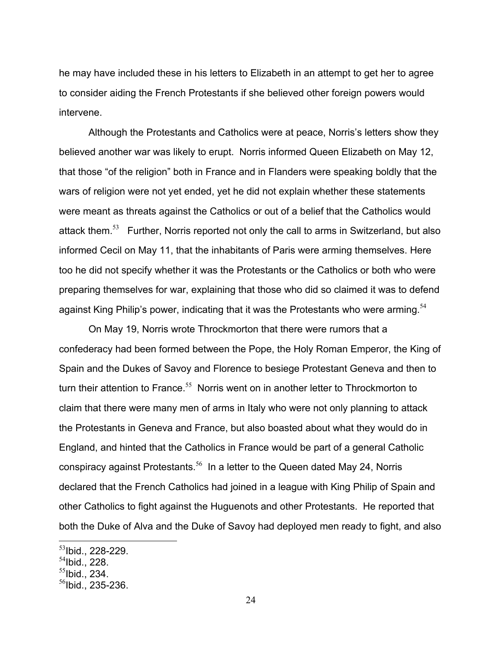he may have included these in his letters to Elizabeth in an attempt to get her to agree to consider aiding the French Protestants if she believed other foreign powers would intervene.

Although the Protestants and Catholics were at peace, Norris's letters show they believed another war was likely to erupt. Norris informed Queen Elizabeth on May 12, that those "of the religion" both in France and in Flanders were speaking boldly that the wars of religion were not yet ended, yet he did not explain whether these statements were meant as threats against the Catholics or out of a belief that the Catholics would attack them.<sup>53</sup> Further, Norris reported not only the call to arms in Switzerland, but also informed Cecil on May 11, that the inhabitants of Paris were arming themselves. Here too he did not specify whether it was the Protestants or the Catholics or both who were preparing themselves for war, explaining that those who did so claimed it was to defend against King Philip's power, indicating that it was the Protestants who were arming.  $54$ 

 On May 19, Norris wrote Throckmorton that there were rumors that a confederacy had been formed between the Pope, the Holy Roman Emperor, the King of Spain and the Dukes of Savoy and Florence to besiege Protestant Geneva and then to turn their attention to France.<sup>55</sup> Norris went on in another letter to Throckmorton to claim that there were many men of arms in Italy who were not only planning to attack the Protestants in Geneva and France, but also boasted about what they would do in England, and hinted that the Catholics in France would be part of a general Catholic conspiracy against Protestants.<sup>56</sup> In a letter to the Queen dated May 24, Norris declared that the French Catholics had joined in a league with King Philip of Spain and other Catholics to fight against the Huguenots and other Protestants. He reported that both the Duke of Alva and the Duke of Savoy had deployed men ready to fight, and also

<u>.</u>

 $^{53}$ lbid., 228-229.

 $54$ Ibid., 228.

 $55$ Ibid., 234.

 $56$ Ibid., 235-236.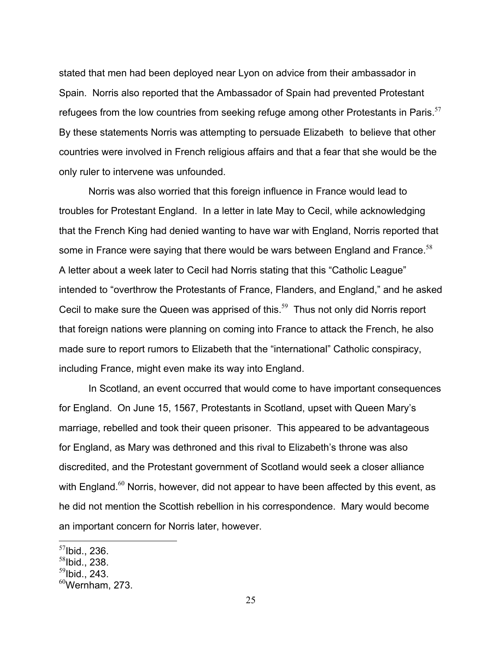stated that men had been deployed near Lyon on advice from their ambassador in Spain. Norris also reported that the Ambassador of Spain had prevented Protestant refugees from the low countries from seeking refuge among other Protestants in Paris.<sup>57</sup> By these statements Norris was attempting to persuade Elizabeth to believe that other countries were involved in French religious affairs and that a fear that she would be the only ruler to intervene was unfounded.

Norris was also worried that this foreign influence in France would lead to troubles for Protestant England. In a letter in late May to Cecil, while acknowledging that the French King had denied wanting to have war with England, Norris reported that some in France were saying that there would be wars between England and France.<sup>58</sup> A letter about a week later to Cecil had Norris stating that this "Catholic League" intended to "overthrow the Protestants of France, Flanders, and England," and he asked Cecil to make sure the Queen was apprised of this.<sup>59</sup> Thus not only did Norris report that foreign nations were planning on coming into France to attack the French, he also made sure to report rumors to Elizabeth that the "international" Catholic conspiracy, including France, might even make its way into England.

In Scotland, an event occurred that would come to have important consequences for England. On June 15, 1567, Protestants in Scotland, upset with Queen Mary's marriage, rebelled and took their queen prisoner. This appeared to be advantageous for England, as Mary was dethroned and this rival to Elizabeth's throne was also discredited, and the Protestant government of Scotland would seek a closer alliance with England. $60$  Norris, however, did not appear to have been affected by this event, as he did not mention the Scottish rebellion in his correspondence. Mary would become an important concern for Norris later, however.

 $57$ Ibid., 236.

 $58$ Ibid., 238.

 $59$ Ibid., 243.

 $60$ Wernham, 273.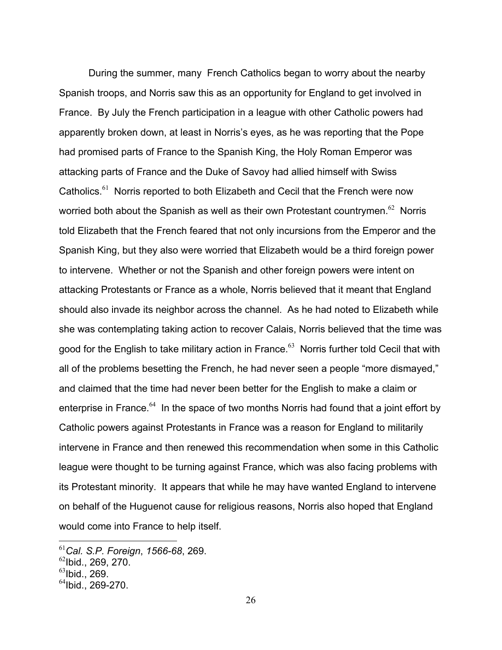During the summer, many French Catholics began to worry about the nearby Spanish troops, and Norris saw this as an opportunity for England to get involved in France. By July the French participation in a league with other Catholic powers had apparently broken down, at least in Norris's eyes, as he was reporting that the Pope had promised parts of France to the Spanish King, the Holy Roman Emperor was attacking parts of France and the Duke of Savoy had allied himself with Swiss Catholics.<sup>61</sup> Norris reported to both Elizabeth and Cecil that the French were now worried both about the Spanish as well as their own Protestant countrymen.<sup>62</sup> Norris told Elizabeth that the French feared that not only incursions from the Emperor and the Spanish King, but they also were worried that Elizabeth would be a third foreign power to intervene. Whether or not the Spanish and other foreign powers were intent on attacking Protestants or France as a whole, Norris believed that it meant that England should also invade its neighbor across the channel. As he had noted to Elizabeth while she was contemplating taking action to recover Calais, Norris believed that the time was good for the English to take military action in France.<sup>63</sup> Norris further told Cecil that with all of the problems besetting the French, he had never seen a people "more dismayed," and claimed that the time had never been better for the English to make a claim or enterprise in France. $64$  In the space of two months Norris had found that a joint effort by Catholic powers against Protestants in France was a reason for England to militarily intervene in France and then renewed this recommendation when some in this Catholic league were thought to be turning against France, which was also facing problems with its Protestant minority. It appears that while he may have wanted England to intervene on behalf of the Huguenot cause for religious reasons, Norris also hoped that England would come into France to help itself.

<sup>61</sup>*Cal. S.P. Foreign*, *1566-68*, 269.

 $^{62}$ Ibid., 269, 270.

 $^{63}$ Ibid., 269.

 $64$ Ibid., 269-270.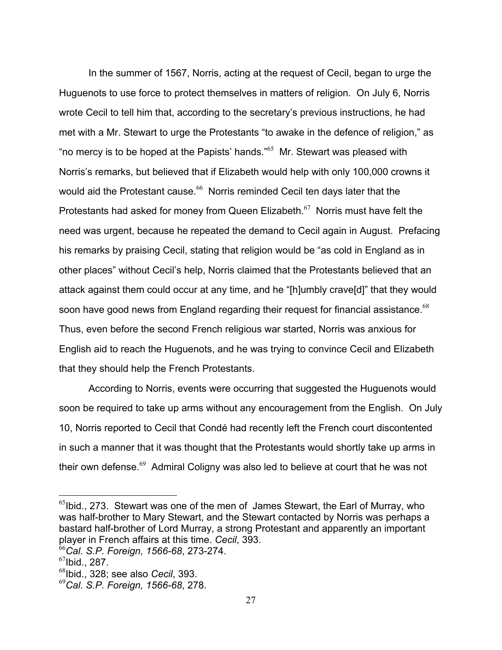In the summer of 1567, Norris, acting at the request of Cecil, began to urge the Huguenots to use force to protect themselves in matters of religion. On July 6, Norris wrote Cecil to tell him that, according to the secretary's previous instructions, he had met with a Mr. Stewart to urge the Protestants "to awake in the defence of religion," as "no mercy is to be hoped at the Papists' hands."<sup>65</sup> Mr. Stewart was pleased with Norris's remarks, but believed that if Elizabeth would help with only 100,000 crowns it would aid the Protestant cause.<sup>66</sup> Norris reminded Cecil ten days later that the Protestants had asked for money from Queen Elizabeth.<sup>67</sup> Norris must have felt the need was urgent, because he repeated the demand to Cecil again in August. Prefacing his remarks by praising Cecil, stating that religion would be "as cold in England as in other places" without Cecil's help, Norris claimed that the Protestants believed that an attack against them could occur at any time, and he "[h]umbly crave[d]" that they would soon have good news from England regarding their request for financial assistance.<sup>68</sup> Thus, even before the second French religious war started, Norris was anxious for English aid to reach the Huguenots, and he was trying to convince Cecil and Elizabeth that they should help the French Protestants.

 According to Norris, events were occurring that suggested the Huguenots would soon be required to take up arms without any encouragement from the English. On July 10, Norris reported to Cecil that Condé had recently left the French court discontented in such a manner that it was thought that the Protestants would shortly take up arms in their own defense. $69$  Admiral Coligny was also led to believe at court that he was not

1

 $^{65}$ Ibid., 273. Stewart was one of the men of James Stewart, the Earl of Murray, who was half-brother to Mary Stewart, and the Stewart contacted by Norris was perhaps a bastard half-brother of Lord Murray, a strong Protestant and apparently an important player in French affairs at this time. *Cecil*, 393. <sup>66</sup>*Cal. S.P. Foreign, 1566-68*, 273-274.

 $67$ Ibid., 287.

<sup>68</sup>Ibid., 328; see also *Cecil*, 393.

<sup>69</sup>*Cal. S.P. Foreign, 1566-68*, 278.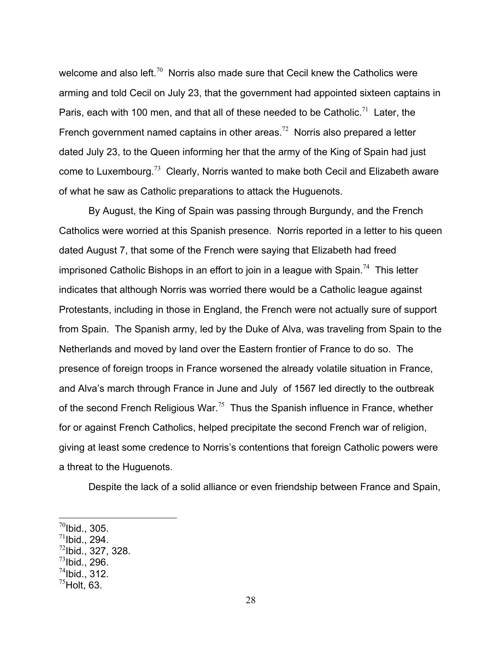welcome and also left.<sup>70</sup> Norris also made sure that Cecil knew the Catholics were arming and told Cecil on July 23, that the government had appointed sixteen captains in Paris, each with 100 men, and that all of these needed to be Catholic.<sup>71</sup> Later, the French government named captains in other areas.<sup>72</sup> Norris also prepared a letter dated July 23, to the Queen informing her that the army of the King of Spain had just come to Luxembourg.<sup>73</sup> Clearly, Norris wanted to make both Cecil and Elizabeth aware of what he saw as Catholic preparations to attack the Huguenots.

 By August, the King of Spain was passing through Burgundy, and the French Catholics were worried at this Spanish presence. Norris reported in a letter to his queen dated August 7, that some of the French were saying that Elizabeth had freed imprisoned Catholic Bishops in an effort to join in a league with Spain.<sup>74</sup> This letter indicates that although Norris was worried there would be a Catholic league against Protestants, including in those in England, the French were not actually sure of support from Spain. The Spanish army, led by the Duke of Alva, was traveling from Spain to the Netherlands and moved by land over the Eastern frontier of France to do so. The presence of foreign troops in France worsened the already volatile situation in France, and Alva's march through France in June and July of 1567 led directly to the outbreak of the second French Religious War.<sup>75</sup> Thus the Spanish influence in France, whether for or against French Catholics, helped precipitate the second French war of religion, giving at least some credence to Norris's contentions that foreign Catholic powers were a threat to the Huguenots.

Despite the lack of a solid alliance or even friendship between France and Spain,

1

 $^{71}$ Ibid., 294.

 $^{73}$ Ibid., 296.

 $^{70}$ Ibid., 305.

 $^{72}$ lbid., 327, 328.

 $^{74}$ Ibid., 312.

 $^{75}$ Holt, 63.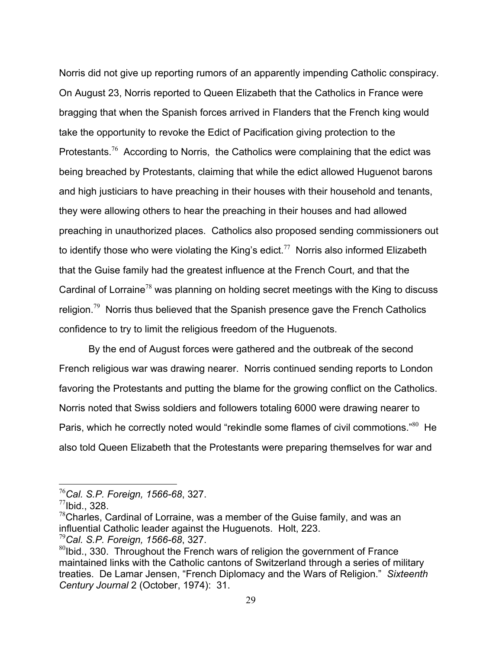Norris did not give up reporting rumors of an apparently impending Catholic conspiracy. On August 23, Norris reported to Queen Elizabeth that the Catholics in France were bragging that when the Spanish forces arrived in Flanders that the French king would take the opportunity to revoke the Edict of Pacification giving protection to the Protestants.<sup>76</sup> According to Norris, the Catholics were complaining that the edict was being breached by Protestants, claiming that while the edict allowed Huguenot barons and high justiciars to have preaching in their houses with their household and tenants, they were allowing others to hear the preaching in their houses and had allowed preaching in unauthorized places. Catholics also proposed sending commissioners out to identify those who were violating the King's edict.<sup>77</sup> Norris also informed Elizabeth that the Guise family had the greatest influence at the French Court, and that the Cardinal of Lorraine<sup>78</sup> was planning on holding secret meetings with the King to discuss religion.<sup>79</sup> Norris thus believed that the Spanish presence gave the French Catholics confidence to try to limit the religious freedom of the Huguenots.

 By the end of August forces were gathered and the outbreak of the second French religious war was drawing nearer. Norris continued sending reports to London favoring the Protestants and putting the blame for the growing conflict on the Catholics. Norris noted that Swiss soldiers and followers totaling 6000 were drawing nearer to Paris, which he correctly noted would "rekindle some flames of civil commotions."<sup>80</sup> He also told Queen Elizabeth that the Protestants were preparing themselves for war and

<u>.</u>

<sup>76</sup>*Cal. S.P. Foreign, 1566-68*, 327.

 $^{77}$ Ibid., 328.

 $78$ Charles, Cardinal of Lorraine, was a member of the Guise family, and was an influential Catholic leader against the Huguenots. Holt, 223.

<sup>79</sup>*Cal. S.P. Foreign, 1566-68*, 327.

 $80$ Ibid., 330. Throughout the French wars of religion the government of France maintained links with the Catholic cantons of Switzerland through a series of military treaties. De Lamar Jensen, "French Diplomacy and the Wars of Religion." *Sixteenth Century Journal* 2 (October, 1974): 31.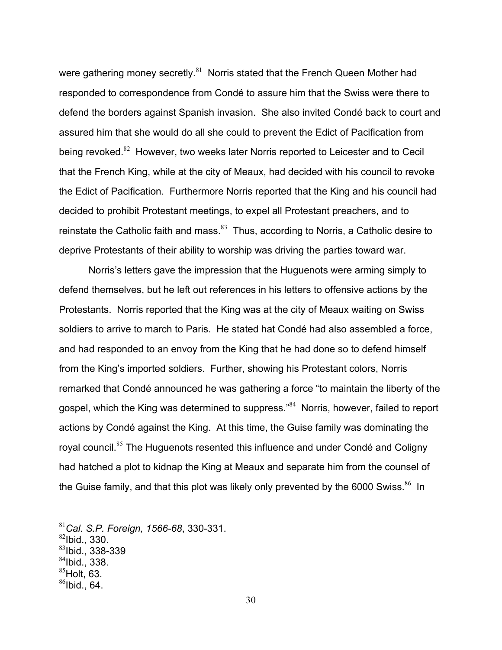were gathering money secretly. $81$  Norris stated that the French Queen Mother had responded to correspondence from Condé to assure him that the Swiss were there to defend the borders against Spanish invasion. She also invited Condé back to court and assured him that she would do all she could to prevent the Edict of Pacification from being revoked.<sup>82</sup> However, two weeks later Norris reported to Leicester and to Cecil that the French King, while at the city of Meaux, had decided with his council to revoke the Edict of Pacification. Furthermore Norris reported that the King and his council had decided to prohibit Protestant meetings, to expel all Protestant preachers, and to reinstate the Catholic faith and mass. $83$  Thus, according to Norris, a Catholic desire to deprive Protestants of their ability to worship was driving the parties toward war.

 Norris's letters gave the impression that the Huguenots were arming simply to defend themselves, but he left out references in his letters to offensive actions by the Protestants. Norris reported that the King was at the city of Meaux waiting on Swiss soldiers to arrive to march to Paris. He stated hat Condé had also assembled a force, and had responded to an envoy from the King that he had done so to defend himself from the King's imported soldiers. Further, showing his Protestant colors, Norris remarked that Condé announced he was gathering a force "to maintain the liberty of the gospel, which the King was determined to suppress."<sup>84</sup> Norris, however, failed to report actions by Condé against the King. At this time, the Guise family was dominating the royal council.<sup>85</sup> The Huguenots resented this influence and under Condé and Coligny had hatched a plot to kidnap the King at Meaux and separate him from the counsel of the Guise family, and that this plot was likely only prevented by the 6000 Swiss. $86$  In

 $84$ Ibid., 338.

1

<sup>81</sup>*Cal. S.P. Foreign, 1566-68*, 330-331.

 $82$ Ibid., 330.

 $83$ lbid., 338-339

 $85$ Holt, 63.

 $86$ Ibid., 64.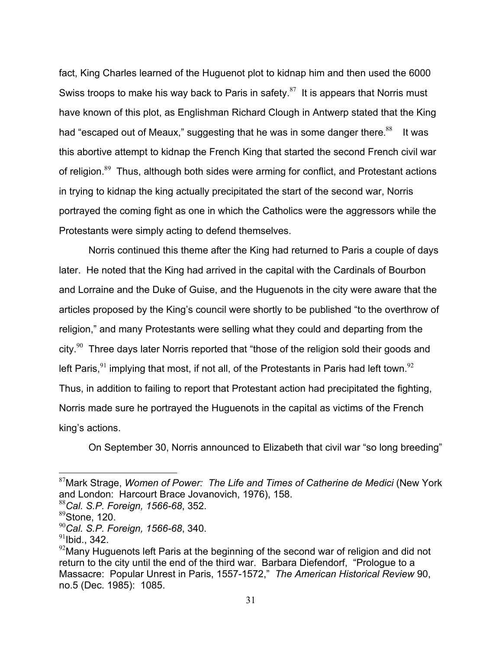fact, King Charles learned of the Huguenot plot to kidnap him and then used the 6000 Swiss troops to make his way back to Paris in safety. $87$  It is appears that Norris must have known of this plot, as Englishman Richard Clough in Antwerp stated that the King had "escaped out of Meaux," suggesting that he was in some danger there. ${}^{88}$  It was this abortive attempt to kidnap the French King that started the second French civil war of religion.<sup>89</sup> Thus, although both sides were arming for conflict, and Protestant actions in trying to kidnap the king actually precipitated the start of the second war, Norris portrayed the coming fight as one in which the Catholics were the aggressors while the Protestants were simply acting to defend themselves.

 Norris continued this theme after the King had returned to Paris a couple of days later. He noted that the King had arrived in the capital with the Cardinals of Bourbon and Lorraine and the Duke of Guise, and the Huguenots in the city were aware that the articles proposed by the King's council were shortly to be published "to the overthrow of religion," and many Protestants were selling what they could and departing from the city. $90$  Three days later Norris reported that "those of the religion sold their goods and left Paris,  $91$  implying that most, if not all, of the Protestants in Paris had left town.  $92$ Thus, in addition to failing to report that Protestant action had precipitated the fighting, Norris made sure he portrayed the Huguenots in the capital as victims of the French king's actions.

On September 30, Norris announced to Elizabeth that civil war "so long breeding"

<sup>87</sup>Mark Strage, *Women of Power: The Life and Times of Catherine de Medici* (New York and London: Harcourt Brace Jovanovich, 1976), 158.

<sup>88</sup>*Cal. S.P. Foreign, 1566-68*, 352.

 $89$ Stone, 120.

<sup>90</sup>*Cal. S.P. Foreign, 1566-68*, 340.

 $91$ Ibid., 342.

 $92$ Many Huguenots left Paris at the beginning of the second war of religion and did not return to the city until the end of the third war. Barbara Diefendorf, "Prologue to a Massacre: Popular Unrest in Paris, 1557-1572," *The American Historical Review* 90, no.5 (Dec. 1985): 1085.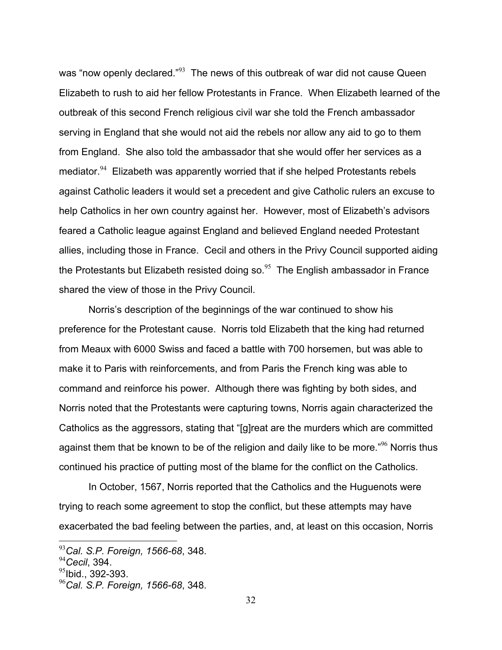was "now openly declared."<sup>93</sup> The news of this outbreak of war did not cause Queen Elizabeth to rush to aid her fellow Protestants in France. When Elizabeth learned of the outbreak of this second French religious civil war she told the French ambassador serving in England that she would not aid the rebels nor allow any aid to go to them from England. She also told the ambassador that she would offer her services as a mediator.<sup>94</sup> Elizabeth was apparently worried that if she helped Protestants rebels against Catholic leaders it would set a precedent and give Catholic rulers an excuse to help Catholics in her own country against her. However, most of Elizabeth's advisors feared a Catholic league against England and believed England needed Protestant allies, including those in France. Cecil and others in the Privy Council supported aiding the Protestants but Elizabeth resisted doing so. $95$  The English ambassador in France shared the view of those in the Privy Council.

 Norris's description of the beginnings of the war continued to show his preference for the Protestant cause. Norris told Elizabeth that the king had returned from Meaux with 6000 Swiss and faced a battle with 700 horsemen, but was able to make it to Paris with reinforcements, and from Paris the French king was able to command and reinforce his power. Although there was fighting by both sides, and Norris noted that the Protestants were capturing towns, Norris again characterized the Catholics as the aggressors, stating that "[g]reat are the murders which are committed against them that be known to be of the religion and daily like to be more." $96$  Norris thus continued his practice of putting most of the blame for the conflict on the Catholics.

 In October, 1567, Norris reported that the Catholics and the Huguenots were trying to reach some agreement to stop the conflict, but these attempts may have exacerbated the bad feeling between the parties, and, at least on this occasion, Norris

<u>.</u>

<sup>93</sup>*Cal. S.P. Foreign, 1566-68*, 348.

<sup>94</sup>*Cecil*, 394.

 $95$ lbid., 392-393.

<sup>96</sup>*Cal. S.P. Foreign, 1566-68*, 348.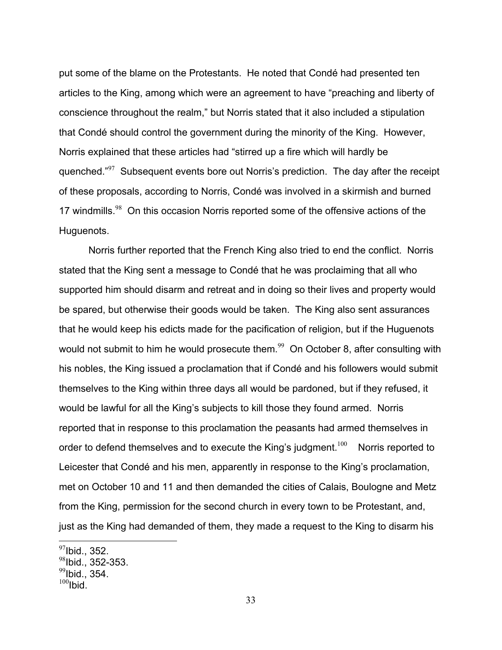put some of the blame on the Protestants. He noted that Condé had presented ten articles to the King, among which were an agreement to have "preaching and liberty of conscience throughout the realm," but Norris stated that it also included a stipulation that Condé should control the government during the minority of the King. However, Norris explained that these articles had "stirred up a fire which will hardly be quenched."<sup>97</sup> Subsequent events bore out Norris's prediction. The day after the receipt of these proposals, according to Norris, Condé was involved in a skirmish and burned 17 windmills.<sup>98</sup> On this occasion Norris reported some of the offensive actions of the Huguenots.

 Norris further reported that the French King also tried to end the conflict. Norris stated that the King sent a message to Condé that he was proclaiming that all who supported him should disarm and retreat and in doing so their lives and property would be spared, but otherwise their goods would be taken. The King also sent assurances that he would keep his edicts made for the pacification of religion, but if the Huguenots would not submit to him he would prosecute them.<sup>99</sup> On October 8, after consulting with his nobles, the King issued a proclamation that if Condé and his followers would submit themselves to the King within three days all would be pardoned, but if they refused, it would be lawful for all the King's subjects to kill those they found armed. Norris reported that in response to this proclamation the peasants had armed themselves in order to defend themselves and to execute the King's judgment.<sup>100</sup> Norris reported to Leicester that Condé and his men, apparently in response to the King's proclamation, met on October 10 and 11 and then demanded the cities of Calais, Boulogne and Metz from the King, permission for the second church in every town to be Protestant, and, just as the King had demanded of them, they made a request to the King to disarm his

 $^{97}$ Ibid., 352.

 $98$ Ibid., 352-353.

 $^{99}$ Ibid., 354.

 $100$ Ibid.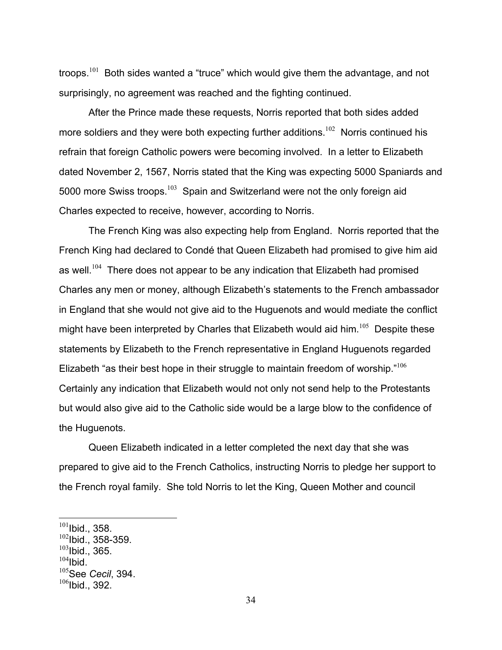troops.<sup>101</sup> Both sides wanted a "truce" which would give them the advantage, and not surprisingly, no agreement was reached and the fighting continued.

 After the Prince made these requests, Norris reported that both sides added more soldiers and they were both expecting further additions.<sup>102</sup> Norris continued his refrain that foreign Catholic powers were becoming involved. In a letter to Elizabeth dated November 2, 1567, Norris stated that the King was expecting 5000 Spaniards and 5000 more Swiss troops.<sup>103</sup> Spain and Switzerland were not the only foreign aid Charles expected to receive, however, according to Norris.

 The French King was also expecting help from England. Norris reported that the French King had declared to Condé that Queen Elizabeth had promised to give him aid as well.<sup>104</sup> There does not appear to be any indication that Elizabeth had promised Charles any men or money, although Elizabeth's statements to the French ambassador in England that she would not give aid to the Huguenots and would mediate the conflict might have been interpreted by Charles that Elizabeth would aid  $\lim_{n \to \infty} 10^{5}$  Despite these statements by Elizabeth to the French representative in England Huguenots regarded Elizabeth "as their best hope in their struggle to maintain freedom of worship."<sup>106</sup> Certainly any indication that Elizabeth would not only not send help to the Protestants but would also give aid to the Catholic side would be a large blow to the confidence of the Huguenots.

 Queen Elizabeth indicated in a letter completed the next day that she was prepared to give aid to the French Catholics, instructing Norris to pledge her support to the French royal family. She told Norris to let the King, Queen Mother and council

 $^{101}$ Ibid., 358.  $102$ Ibid., 358-359.  $^{103}$ Ibid., 365.

 $104$ Ibid.

<sup>105</sup>See *Cecil*, 394.  $106$ Ibid., 392.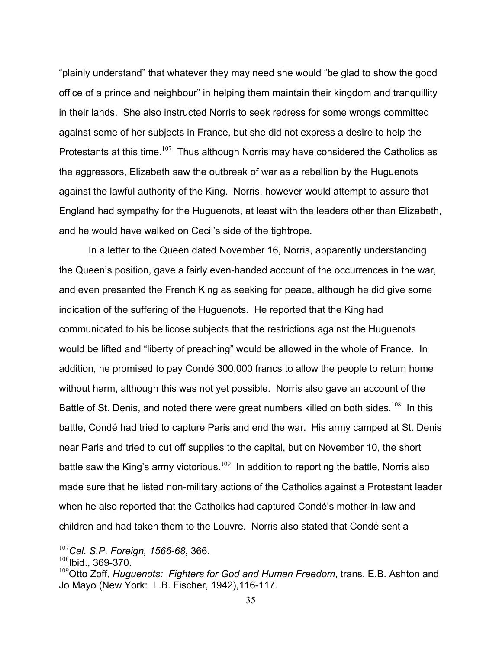"plainly understand" that whatever they may need she would "be glad to show the good office of a prince and neighbour" in helping them maintain their kingdom and tranquillity in their lands. She also instructed Norris to seek redress for some wrongs committed against some of her subjects in France, but she did not express a desire to help the Protestants at this time.<sup>107</sup> Thus although Norris may have considered the Catholics as the aggressors, Elizabeth saw the outbreak of war as a rebellion by the Huguenots against the lawful authority of the King. Norris, however would attempt to assure that England had sympathy for the Huguenots, at least with the leaders other than Elizabeth, and he would have walked on Cecil's side of the tightrope.

 In a letter to the Queen dated November 16, Norris, apparently understanding the Queen's position, gave a fairly even-handed account of the occurrences in the war, and even presented the French King as seeking for peace, although he did give some indication of the suffering of the Huguenots. He reported that the King had communicated to his bellicose subjects that the restrictions against the Huguenots would be lifted and "liberty of preaching" would be allowed in the whole of France. In addition, he promised to pay Condé 300,000 francs to allow the people to return home without harm, although this was not yet possible. Norris also gave an account of the Battle of St. Denis, and noted there were great numbers killed on both sides.<sup>108</sup> In this battle, Condé had tried to capture Paris and end the war. His army camped at St. Denis near Paris and tried to cut off supplies to the capital, but on November 10, the short battle saw the King's army victorious.<sup>109</sup> In addition to reporting the battle, Norris also made sure that he listed non-military actions of the Catholics against a Protestant leader when he also reported that the Catholics had captured Condé's mother-in-law and children and had taken them to the Louvre. Norris also stated that Condé sent a

<u>.</u>

<sup>107</sup>*Cal. S.P. Foreign, 1566-68*, 366.

 $108$ Ibid., 369-370.

<sup>&</sup>lt;sup>109</sup>Otto Zoff, *Huguenots: Fighters for God and Human Freedom*, trans. E.B. Ashton and Jo Mayo (New York: L.B. Fischer, 1942),116-117.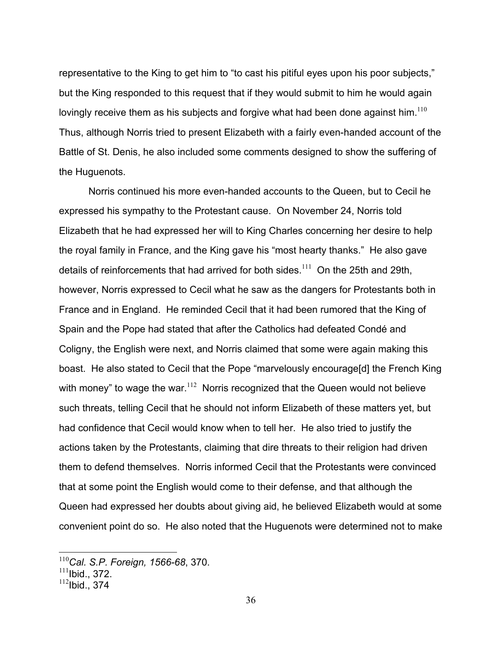representative to the King to get him to "to cast his pitiful eyes upon his poor subjects," but the King responded to this request that if they would submit to him he would again lovingly receive them as his subjects and forgive what had been done against him. $110$ Thus, although Norris tried to present Elizabeth with a fairly even-handed account of the Battle of St. Denis, he also included some comments designed to show the suffering of the Huguenots.

 Norris continued his more even-handed accounts to the Queen, but to Cecil he expressed his sympathy to the Protestant cause. On November 24, Norris told Elizabeth that he had expressed her will to King Charles concerning her desire to help the royal family in France, and the King gave his "most hearty thanks." He also gave details of reinforcements that had arrived for both sides.<sup>111</sup> On the 25th and 29th, however, Norris expressed to Cecil what he saw as the dangers for Protestants both in France and in England. He reminded Cecil that it had been rumored that the King of Spain and the Pope had stated that after the Catholics had defeated Condé and Coligny, the English were next, and Norris claimed that some were again making this boast. He also stated to Cecil that the Pope "marvelously encourage[d] the French King with money" to wage the war. $112$  Norris recognized that the Queen would not believe such threats, telling Cecil that he should not inform Elizabeth of these matters yet, but had confidence that Cecil would know when to tell her. He also tried to justify the actions taken by the Protestants, claiming that dire threats to their religion had driven them to defend themselves. Norris informed Cecil that the Protestants were convinced that at some point the English would come to their defense, and that although the Queen had expressed her doubts about giving aid, he believed Elizabeth would at some convenient point do so. He also noted that the Huguenots were determined not to make

<sup>110</sup>*Cal. S.P. Foreign, 1566-68*, 370.

 $111$ Ibid., 372.

 $112$ Ibid., 374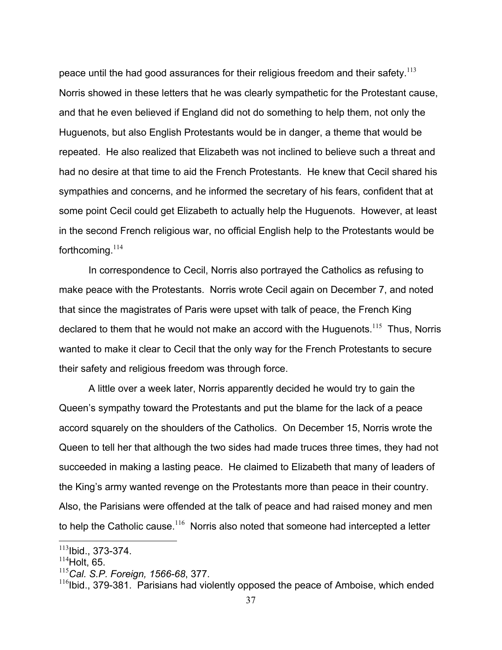peace until the had good assurances for their religious freedom and their safety.<sup>113</sup> Norris showed in these letters that he was clearly sympathetic for the Protestant cause, and that he even believed if England did not do something to help them, not only the Huguenots, but also English Protestants would be in danger, a theme that would be repeated. He also realized that Elizabeth was not inclined to believe such a threat and had no desire at that time to aid the French Protestants. He knew that Cecil shared his sympathies and concerns, and he informed the secretary of his fears, confident that at some point Cecil could get Elizabeth to actually help the Huguenots. However, at least in the second French religious war, no official English help to the Protestants would be forthcoming. $114$ 

 In correspondence to Cecil, Norris also portrayed the Catholics as refusing to make peace with the Protestants. Norris wrote Cecil again on December 7, and noted that since the magistrates of Paris were upset with talk of peace, the French King declared to them that he would not make an accord with the Huguenots.<sup>115</sup> Thus, Norris wanted to make it clear to Cecil that the only way for the French Protestants to secure their safety and religious freedom was through force.

 A little over a week later, Norris apparently decided he would try to gain the Queen's sympathy toward the Protestants and put the blame for the lack of a peace accord squarely on the shoulders of the Catholics. On December 15, Norris wrote the Queen to tell her that although the two sides had made truces three times, they had not succeeded in making a lasting peace. He claimed to Elizabeth that many of leaders of the King's army wanted revenge on the Protestants more than peace in their country. Also, the Parisians were offended at the talk of peace and had raised money and men to help the Catholic cause.<sup>116</sup> Norris also noted that someone had intercepted a letter

 $113$ Ibid., 373-374.

 $114$  Holt, 65.

<sup>115</sup>*Cal. S.P. Foreign, 1566-68*, 377.

 $116$ Ibid., 379-381. Parisians had violently opposed the peace of Amboise, which ended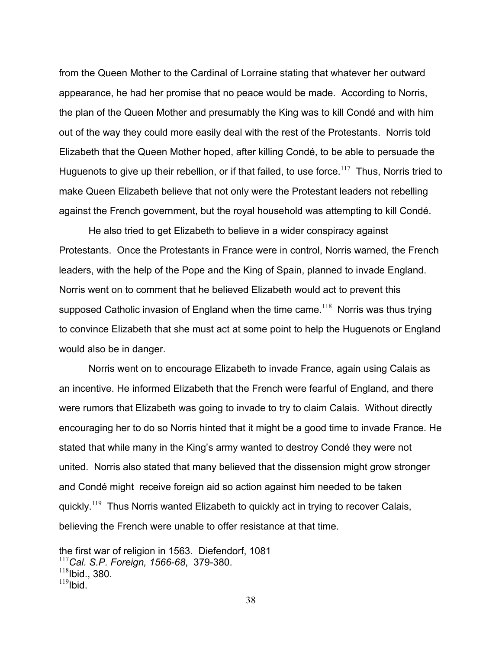from the Queen Mother to the Cardinal of Lorraine stating that whatever her outward appearance, he had her promise that no peace would be made. According to Norris, the plan of the Queen Mother and presumably the King was to kill Condé and with him out of the way they could more easily deal with the rest of the Protestants. Norris told Elizabeth that the Queen Mother hoped, after killing Condé, to be able to persuade the Huguenots to give up their rebellion, or if that failed, to use force.<sup>117</sup> Thus, Norris tried to make Queen Elizabeth believe that not only were the Protestant leaders not rebelling against the French government, but the royal household was attempting to kill Condé.

 He also tried to get Elizabeth to believe in a wider conspiracy against Protestants. Once the Protestants in France were in control, Norris warned, the French leaders, with the help of the Pope and the King of Spain, planned to invade England. Norris went on to comment that he believed Elizabeth would act to prevent this supposed Catholic invasion of England when the time came.<sup>118</sup> Norris was thus trying to convince Elizabeth that she must act at some point to help the Huguenots or England would also be in danger.

 Norris went on to encourage Elizabeth to invade France, again using Calais as an incentive. He informed Elizabeth that the French were fearful of England, and there were rumors that Elizabeth was going to invade to try to claim Calais. Without directly encouraging her to do so Norris hinted that it might be a good time to invade France. He stated that while many in the King's army wanted to destroy Condé they were not united. Norris also stated that many believed that the dissension might grow stronger and Condé might receive foreign aid so action against him needed to be taken quickly.<sup>119</sup> Thus Norris wanted Elizabeth to quickly act in trying to recover Calais, believing the French were unable to offer resistance at that time.

the first war of religion in 1563. Diefendorf, 1081

<sup>117</sup>*Cal. S.P. Foreign, 1566-68*, 379-380.

 $^{118}$ Ibid., 380.

 $119$ Ibid.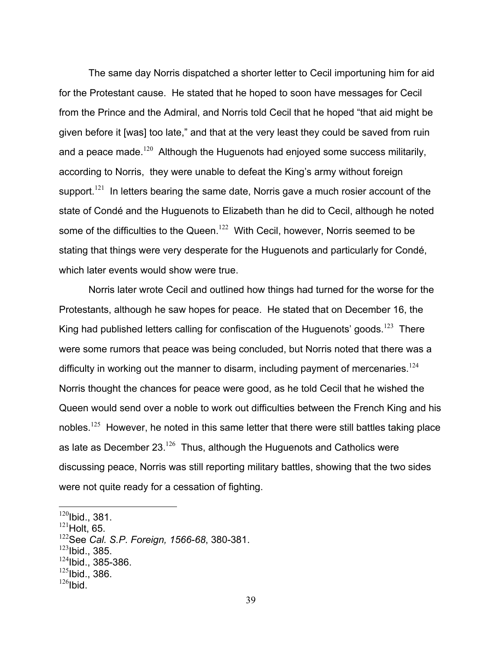The same day Norris dispatched a shorter letter to Cecil importuning him for aid for the Protestant cause. He stated that he hoped to soon have messages for Cecil from the Prince and the Admiral, and Norris told Cecil that he hoped "that aid might be given before it [was] too late," and that at the very least they could be saved from ruin and a peace made.<sup>120</sup> Although the Huguenots had enjoyed some success militarily, according to Norris, they were unable to defeat the King's army without foreign support.<sup>121</sup> In letters bearing the same date, Norris gave a much rosier account of the state of Condé and the Huguenots to Elizabeth than he did to Cecil, although he noted some of the difficulties to the Queen.<sup>122</sup> With Cecil, however, Norris seemed to be stating that things were very desperate for the Huguenots and particularly for Condé, which later events would show were true.

 Norris later wrote Cecil and outlined how things had turned for the worse for the Protestants, although he saw hopes for peace. He stated that on December 16, the King had published letters calling for confiscation of the Huguenots' goods.<sup>123</sup> There were some rumors that peace was being concluded, but Norris noted that there was a difficulty in working out the manner to disarm, including payment of mercenaries.<sup>124</sup> Norris thought the chances for peace were good, as he told Cecil that he wished the Queen would send over a noble to work out difficulties between the French King and his nobles.<sup>125</sup> However, he noted in this same letter that there were still battles taking place as late as December  $23^{126}$  Thus, although the Huguenots and Catholics were discussing peace, Norris was still reporting military battles, showing that the two sides were not quite ready for a cessation of fighting.

 $\overline{a}$ 

 $123$ Ibid., 385.

 $125$ Ibid., 386.

 $120$ Ibid., 381.

 $121$  Holt, 65.

<sup>122</sup>See *Cal. S.P. Foreign, 1566-68*, 380-381.

 $124$ Ibid., 385-386.

 $126$ Ibid.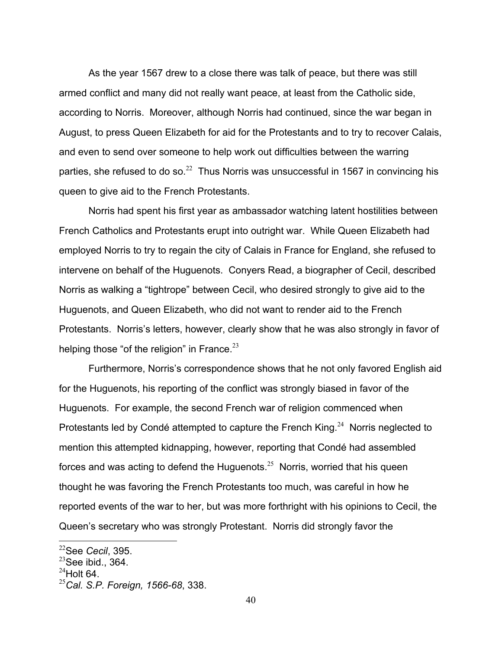As the year 1567 drew to a close there was talk of peace, but there was still armed conflict and many did not really want peace, at least from the Catholic side, according to Norris. Moreover, although Norris had continued, since the war began in August, to press Queen Elizabeth for aid for the Protestants and to try to recover Calais, and even to send over someone to help work out difficulties between the warring parties, she refused to do so. $^{22}$  Thus Norris was unsuccessful in 1567 in convincing his queen to give aid to the French Protestants.

 Norris had spent his first year as ambassador watching latent hostilities between French Catholics and Protestants erupt into outright war. While Queen Elizabeth had employed Norris to try to regain the city of Calais in France for England, she refused to intervene on behalf of the Huguenots. Conyers Read, a biographer of Cecil, described Norris as walking a "tightrope" between Cecil, who desired strongly to give aid to the Huguenots, and Queen Elizabeth, who did not want to render aid to the French Protestants. Norris's letters, however, clearly show that he was also strongly in favor of helping those "of the religion" in France.  $23$ 

 Furthermore, Norris's correspondence shows that he not only favored English aid for the Huguenots, his reporting of the conflict was strongly biased in favor of the Huguenots. For example, the second French war of religion commenced when Protestants led by Condé attempted to capture the French King.<sup>24</sup> Norris neglected to mention this attempted kidnapping, however, reporting that Condé had assembled forces and was acting to defend the Huguenots. $25$  Norris, worried that his queen thought he was favoring the French Protestants too much, was careful in how he reported events of the war to her, but was more forthright with his opinions to Cecil, the Queen's secretary who was strongly Protestant. Norris did strongly favor the

<sup>22</sup>See *Cecil*, 395.

 $^{23}$ See ibid., 364.

 $^{24}$ Holt 64.

<sup>25</sup>*Cal. S.P. Foreign, 1566-68*, 338.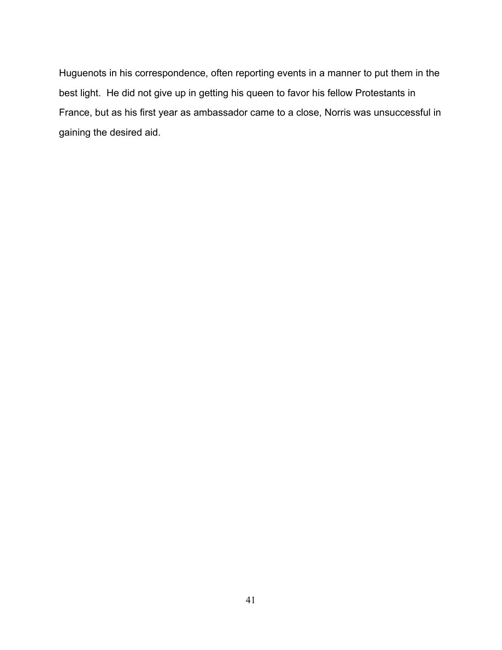Huguenots in his correspondence, often reporting events in a manner to put them in the best light. He did not give up in getting his queen to favor his fellow Protestants in France, but as his first year as ambassador came to a close, Norris was unsuccessful in gaining the desired aid.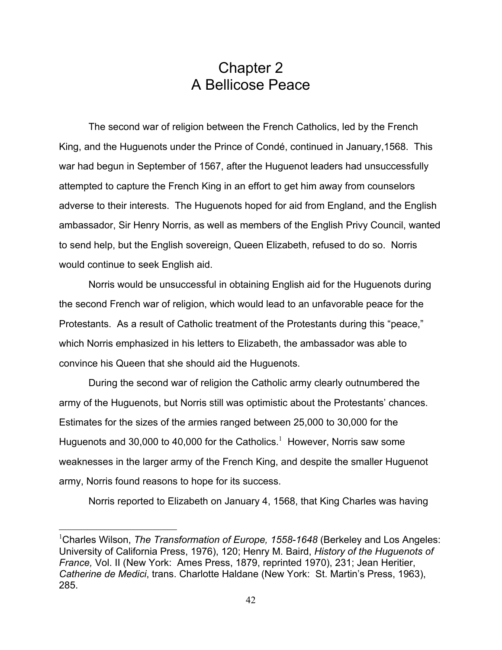## Chapter 2 A Bellicose Peace

 The second war of religion between the French Catholics, led by the French King, and the Huguenots under the Prince of Condé, continued in January,1568. This war had begun in September of 1567, after the Huguenot leaders had unsuccessfully attempted to capture the French King in an effort to get him away from counselors adverse to their interests. The Huguenots hoped for aid from England, and the English ambassador, Sir Henry Norris, as well as members of the English Privy Council, wanted to send help, but the English sovereign, Queen Elizabeth, refused to do so. Norris would continue to seek English aid.

 Norris would be unsuccessful in obtaining English aid for the Huguenots during the second French war of religion, which would lead to an unfavorable peace for the Protestants. As a result of Catholic treatment of the Protestants during this "peace," which Norris emphasized in his letters to Elizabeth, the ambassador was able to convince his Queen that she should aid the Huguenots.

 During the second war of religion the Catholic army clearly outnumbered the army of the Huguenots, but Norris still was optimistic about the Protestants' chances. Estimates for the sizes of the armies ranged between 25,000 to 30,000 for the Huguenots and 30,000 to 40,000 for the Catholics. $^1$  However, Norris saw some weaknesses in the larger army of the French King, and despite the smaller Huguenot army, Norris found reasons to hope for its success.

Norris reported to Elizabeth on January 4, 1568, that King Charles was having

<sup>&</sup>lt;sup>1</sup>Charles Wilson, *The Transformation of Europe, 1558-1648* (Berkeley and Los Angeles: University of California Press, 1976), 120; Henry M. Baird, *History of the Huguenots of France,* Vol. II (New York: Ames Press, 1879, reprinted 1970), 231; Jean Heritier, *Catherine de Medici*, trans. Charlotte Haldane (New York: St. Martin's Press, 1963), 285.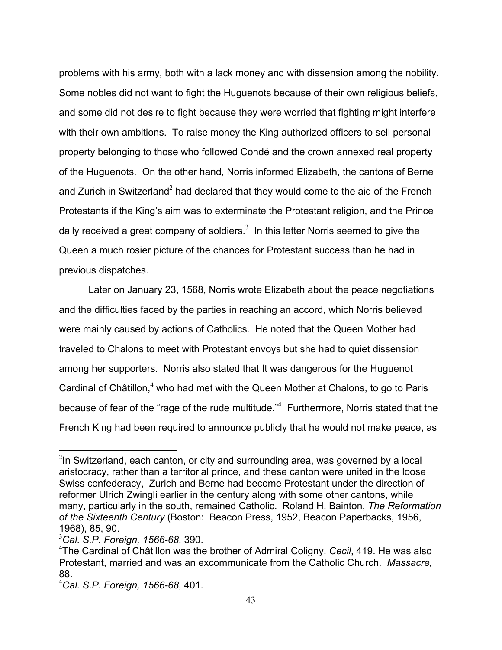problems with his army, both with a lack money and with dissension among the nobility. Some nobles did not want to fight the Huguenots because of their own religious beliefs, and some did not desire to fight because they were worried that fighting might interfere with their own ambitions. To raise money the King authorized officers to sell personal property belonging to those who followed Condé and the crown annexed real property of the Huguenots. On the other hand, Norris informed Elizabeth, the cantons of Berne and Zurich in Switzerland<sup>2</sup> had declared that they would come to the aid of the French Protestants if the King's aim was to exterminate the Protestant religion, and the Prince daily received a great company of soldiers.<sup>3</sup> In this letter Norris seemed to give the Queen a much rosier picture of the chances for Protestant success than he had in previous dispatches.

 Later on January 23, 1568, Norris wrote Elizabeth about the peace negotiations and the difficulties faced by the parties in reaching an accord, which Norris believed were mainly caused by actions of Catholics. He noted that the Queen Mother had traveled to Chalons to meet with Protestant envoys but she had to quiet dissension among her supporters. Norris also stated that It was dangerous for the Huguenot Cardinal of Châtillon, $4$  who had met with the Queen Mother at Chalons, to go to Paris because of fear of the "rage of the rude multitude."<sup>4</sup> Furthermore, Norris stated that the French King had been required to announce publicly that he would not make peace, as

 $2$ In Switzerland, each canton, or city and surrounding area, was governed by a local aristocracy, rather than a territorial prince, and these canton were united in the loose Swiss confederacy, Zurich and Berne had become Protestant under the direction of reformer Ulrich Zwingli earlier in the century along with some other cantons, while many, particularly in the south, remained Catholic. Roland H. Bainton, *The Reformation of the Sixteenth Century* (Boston: Beacon Press, 1952, Beacon Paperbacks, 1956, 1968), 85, 90.

<sup>3</sup> *Cal. S.P. Foreign, 1566-68*, 390.

<sup>4</sup> The Cardinal of Châtillon was the brother of Admiral Coligny. *Cecil*, 419. He was also Protestant, married and was an excommunicate from the Catholic Church. *Massacre,*  88.

<sup>4</sup> *Cal. S.P. Foreign, 1566-68*, 401.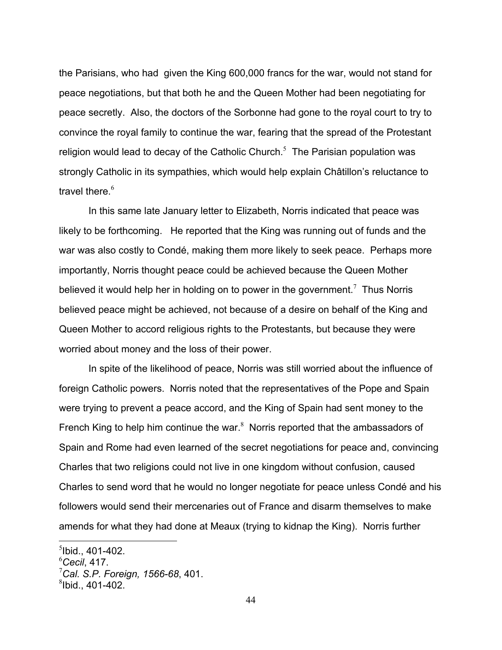the Parisians, who had given the King 600,000 francs for the war, would not stand for peace negotiations, but that both he and the Queen Mother had been negotiating for peace secretly. Also, the doctors of the Sorbonne had gone to the royal court to try to convince the royal family to continue the war, fearing that the spread of the Protestant religion would lead to decay of the Catholic Church. $<sup>5</sup>$  The Parisian population was</sup> strongly Catholic in its sympathies, which would help explain Châtillon's reluctance to travel there.<sup>6</sup>

 In this same late January letter to Elizabeth, Norris indicated that peace was likely to be forthcoming. He reported that the King was running out of funds and the war was also costly to Condé, making them more likely to seek peace. Perhaps more importantly, Norris thought peace could be achieved because the Queen Mother believed it would help her in holding on to power in the government.<sup>7</sup> Thus Norris believed peace might be achieved, not because of a desire on behalf of the King and Queen Mother to accord religious rights to the Protestants, but because they were worried about money and the loss of their power.

 In spite of the likelihood of peace, Norris was still worried about the influence of foreign Catholic powers. Norris noted that the representatives of the Pope and Spain were trying to prevent a peace accord, and the King of Spain had sent money to the French King to help him continue the war. $8$  Norris reported that the ambassadors of Spain and Rome had even learned of the secret negotiations for peace and, convincing Charles that two religions could not live in one kingdom without confusion, caused Charles to send word that he would no longer negotiate for peace unless Condé and his followers would send their mercenaries out of France and disarm themselves to make amends for what they had done at Meaux (trying to kidnap the King). Norris further

 $5$ lbid., 401-402.

<sup>6</sup> *Cecil*, 417.

<sup>7</sup> *Cal. S.P. Foreign, 1566-68*, 401.

 ${}^{8}$ Ibid., 401-402.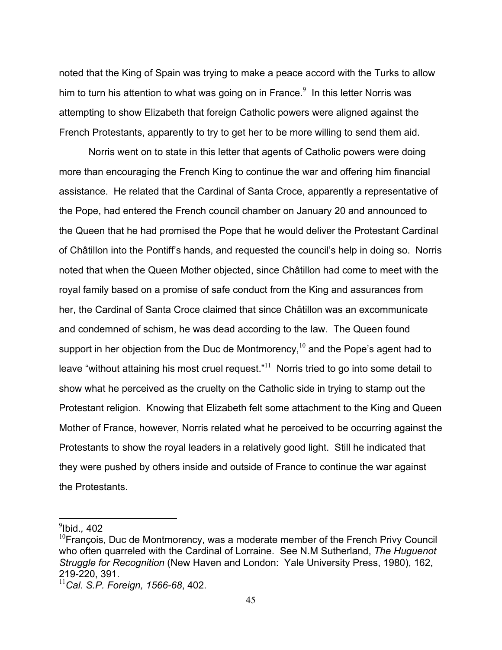noted that the King of Spain was trying to make a peace accord with the Turks to allow him to turn his attention to what was going on in France. $9$  In this letter Norris was attempting to show Elizabeth that foreign Catholic powers were aligned against the French Protestants, apparently to try to get her to be more willing to send them aid.

 Norris went on to state in this letter that agents of Catholic powers were doing more than encouraging the French King to continue the war and offering him financial assistance. He related that the Cardinal of Santa Croce, apparently a representative of the Pope, had entered the French council chamber on January 20 and announced to the Queen that he had promised the Pope that he would deliver the Protestant Cardinal of Châtillon into the Pontiff's hands, and requested the council's help in doing so. Norris noted that when the Queen Mother objected, since Châtillon had come to meet with the royal family based on a promise of safe conduct from the King and assurances from her, the Cardinal of Santa Croce claimed that since Châtillon was an excommunicate and condemned of schism, he was dead according to the law. The Queen found support in her objection from the Duc de Montmorency,  $10^6$  and the Pope's agent had to leave "without attaining his most cruel request." $11$  Norris tried to go into some detail to show what he perceived as the cruelty on the Catholic side in trying to stamp out the Protestant religion. Knowing that Elizabeth felt some attachment to the King and Queen Mother of France, however, Norris related what he perceived to be occurring against the Protestants to show the royal leaders in a relatively good light. Still he indicated that they were pushed by others inside and outside of France to continue the war against the Protestants.

<sup>9</sup> Ibid.*,* 402

 $10$ François, Duc de Montmorency, was a moderate member of the French Privy Council who often quarreled with the Cardinal of Lorraine. See N.M Sutherland, *The Huguenot Struggle for Recognition* (New Haven and London: Yale University Press, 1980), 162, 219-220, 391.

<sup>11</sup>*Cal. S.P. Foreign, 1566-68*, 402.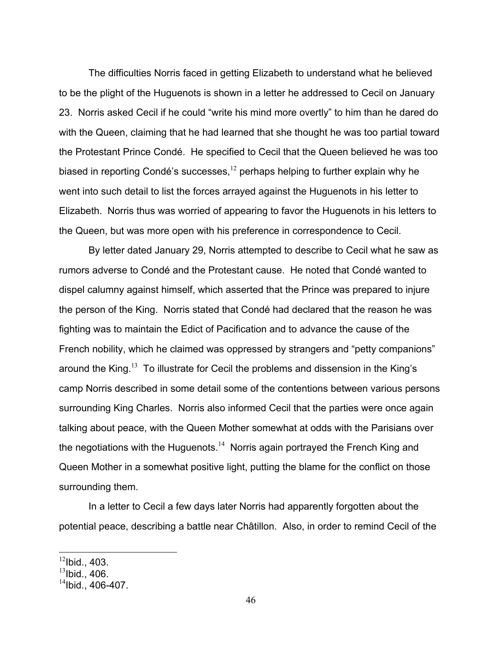The difficulties Norris faced in getting Elizabeth to understand what he believed to be the plight of the Huguenots is shown in a letter he addressed to Cecil on January 23. Norris asked Cecil if he could "write his mind more overtly" to him than he dared do with the Queen, claiming that he had learned that she thought he was too partial toward the Protestant Prince Condé. He specified to Cecil that the Queen believed he was too biased in reporting Condé's successes, $12$  perhaps helping to further explain why he went into such detail to list the forces arrayed against the Huguenots in his letter to Elizabeth. Norris thus was worried of appearing to favor the Huguenots in his letters to the Queen, but was more open with his preference in correspondence to Cecil.

 By letter dated January 29, Norris attempted to describe to Cecil what he saw as rumors adverse to Condé and the Protestant cause. He noted that Condé wanted to dispel calumny against himself, which asserted that the Prince was prepared to injure the person of the King. Norris stated that Condé had declared that the reason he was fighting was to maintain the Edict of Pacification and to advance the cause of the French nobility, which he claimed was oppressed by strangers and "petty companions" around the King.<sup>13</sup> To illustrate for Cecil the problems and dissension in the King's camp Norris described in some detail some of the contentions between various persons surrounding King Charles. Norris also informed Cecil that the parties were once again talking about peace, with the Queen Mother somewhat at odds with the Parisians over the negotiations with the Huguenots.<sup>14</sup> Norris again portrayed the French King and Queen Mother in a somewhat positive light, putting the blame for the conflict on those surrounding them.

 In a letter to Cecil a few days later Norris had apparently forgotten about the potential peace, describing a battle near Châtillon. Also, in order to remind Cecil of the

 $12$ Ibid., 403.

 $13$ Ibid., 406.

 $14$ Ibid., 406-407.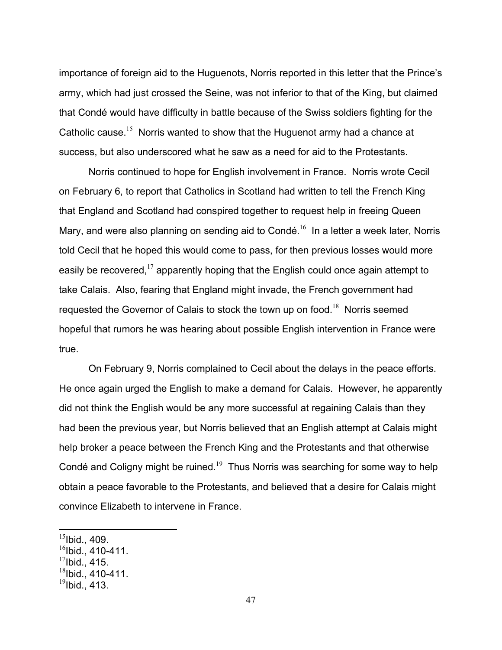importance of foreign aid to the Huguenots, Norris reported in this letter that the Prince's army, which had just crossed the Seine, was not inferior to that of the King, but claimed that Condé would have difficulty in battle because of the Swiss soldiers fighting for the Catholic cause.<sup>15</sup> Norris wanted to show that the Huguenot army had a chance at success, but also underscored what he saw as a need for aid to the Protestants.

 Norris continued to hope for English involvement in France. Norris wrote Cecil on February 6, to report that Catholics in Scotland had written to tell the French King that England and Scotland had conspired together to request help in freeing Queen Mary, and were also planning on sending aid to Condé.<sup>16</sup> In a letter a week later, Norris told Cecil that he hoped this would come to pass, for then previous losses would more easily be recovered,  $17$  apparently hoping that the English could once again attempt to take Calais. Also, fearing that England might invade, the French government had requested the Governor of Calais to stock the town up on food.<sup>18</sup> Norris seemed hopeful that rumors he was hearing about possible English intervention in France were true.

 On February 9, Norris complained to Cecil about the delays in the peace efforts. He once again urged the English to make a demand for Calais. However, he apparently did not think the English would be any more successful at regaining Calais than they had been the previous year, but Norris believed that an English attempt at Calais might help broker a peace between the French King and the Protestants and that otherwise Condé and Coligny might be ruined.<sup>19</sup> Thus Norris was searching for some way to help obtain a peace favorable to the Protestants, and believed that a desire for Calais might convince Elizabeth to intervene in France.

 $15$ Ibid., 409.

 $16$ Ibid., 410-411.

 $17$ Ibid., 415.

 $18$ Ibid., 410-411.

 $^{19}$ Ibid., 413.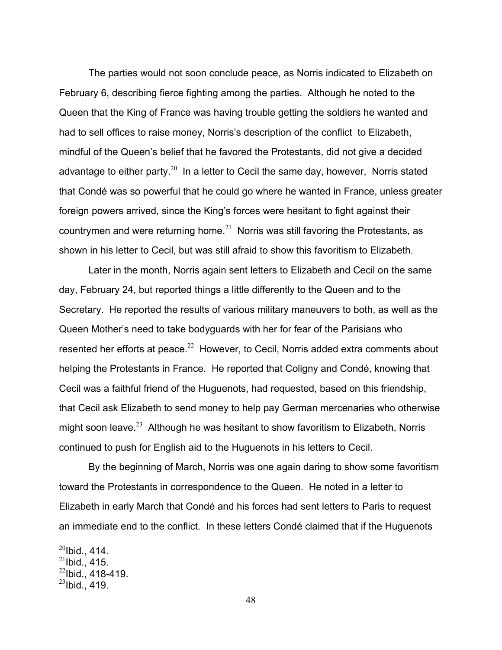The parties would not soon conclude peace, as Norris indicated to Elizabeth on February 6, describing fierce fighting among the parties. Although he noted to the Queen that the King of France was having trouble getting the soldiers he wanted and had to sell offices to raise money, Norris's description of the conflict to Elizabeth, mindful of the Queen's belief that he favored the Protestants, did not give a decided advantage to either party.<sup>20</sup> In a letter to Cecil the same day, however, Norris stated that Condé was so powerful that he could go where he wanted in France, unless greater foreign powers arrived, since the King's forces were hesitant to fight against their countrymen and were returning home. $21$  Norris was still favoring the Protestants, as shown in his letter to Cecil, but was still afraid to show this favoritism to Elizabeth.

 Later in the month, Norris again sent letters to Elizabeth and Cecil on the same day, February 24, but reported things a little differently to the Queen and to the Secretary. He reported the results of various military maneuvers to both, as well as the Queen Mother's need to take bodyguards with her for fear of the Parisians who resented her efforts at peace.<sup>22</sup> However, to Cecil, Norris added extra comments about helping the Protestants in France. He reported that Coligny and Condé, knowing that Cecil was a faithful friend of the Huguenots, had requested, based on this friendship, that Cecil ask Elizabeth to send money to help pay German mercenaries who otherwise might soon leave.<sup>23</sup> Although he was hesitant to show favoritism to Elizabeth, Norris continued to push for English aid to the Huguenots in his letters to Cecil.

 By the beginning of March, Norris was one again daring to show some favoritism toward the Protestants in correspondence to the Queen. He noted in a letter to Elizabeth in early March that Condé and his forces had sent letters to Paris to request an immediate end to the conflict. In these letters Condé claimed that if the Huguenots

<u>.</u>

 $^{20}$ Ibid., 414.

 $^{21}$ Ibid., 415.

 $^{22}$ lbid., 418-419.

 $^{23}$ Ibid., 419.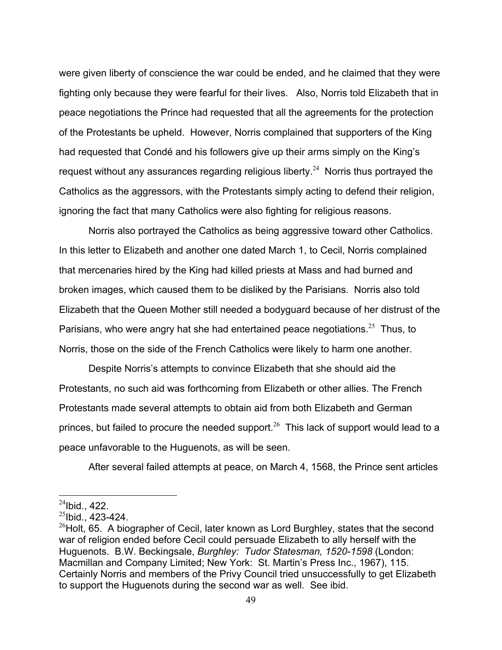were given liberty of conscience the war could be ended, and he claimed that they were fighting only because they were fearful for their lives. Also, Norris told Elizabeth that in peace negotiations the Prince had requested that all the agreements for the protection of the Protestants be upheld. However, Norris complained that supporters of the King had requested that Condé and his followers give up their arms simply on the King's request without any assurances regarding religious liberty.<sup>24</sup> Norris thus portrayed the Catholics as the aggressors, with the Protestants simply acting to defend their religion, ignoring the fact that many Catholics were also fighting for religious reasons.

 Norris also portrayed the Catholics as being aggressive toward other Catholics. In this letter to Elizabeth and another one dated March 1, to Cecil, Norris complained that mercenaries hired by the King had killed priests at Mass and had burned and broken images, which caused them to be disliked by the Parisians. Norris also told Elizabeth that the Queen Mother still needed a bodyguard because of her distrust of the Parisians, who were angry hat she had entertained peace negotiations.<sup>25</sup> Thus, to Norris, those on the side of the French Catholics were likely to harm one another.

 Despite Norris's attempts to convince Elizabeth that she should aid the Protestants, no such aid was forthcoming from Elizabeth or other allies. The French Protestants made several attempts to obtain aid from both Elizabeth and German princes, but failed to procure the needed support.<sup>26</sup> This lack of support would lead to a peace unfavorable to the Huguenots, as will be seen.

After several failed attempts at peace, on March 4, 1568, the Prince sent articles

 $^{24}$ Ibid., 422.

 $^{25}$ Ibid., 423-424.

 $^{26}$ Holt, 65. A biographer of Cecil, later known as Lord Burghley, states that the second war of religion ended before Cecil could persuade Elizabeth to ally herself with the Huguenots. B.W. Beckingsale, *Burghley: Tudor Statesman, 1520-1598* (London: Macmillan and Company Limited; New York: St. Martin's Press Inc., 1967), 115. Certainly Norris and members of the Privy Council tried unsuccessfully to get Elizabeth to support the Huguenots during the second war as well. See ibid.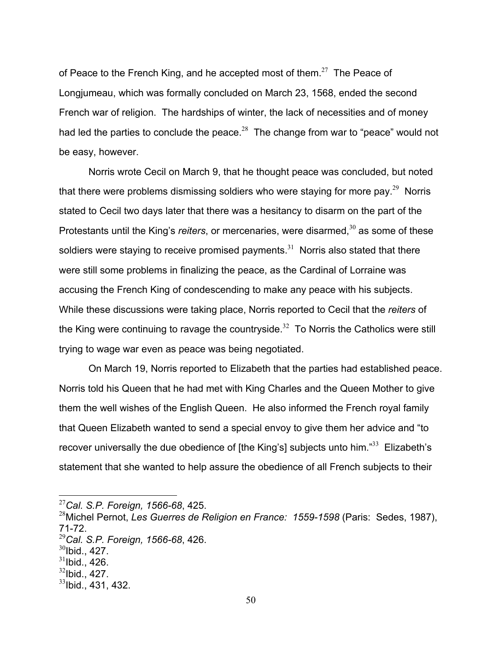of Peace to the French King, and he accepted most of them.<sup>27</sup> The Peace of Longjumeau, which was formally concluded on March 23, 1568, ended the second French war of religion. The hardships of winter, the lack of necessities and of money had led the parties to conclude the peace.<sup>28</sup> The change from war to "peace" would not be easy, however.

 Norris wrote Cecil on March 9, that he thought peace was concluded, but noted that there were problems dismissing soldiers who were staying for more pay.<sup>29</sup> Norris stated to Cecil two days later that there was a hesitancy to disarm on the part of the Protestants until the King's *reiters*, or mercenaries, were disarmed,<sup>30</sup> as some of these soldiers were staying to receive promised payments.<sup>31</sup> Norris also stated that there were still some problems in finalizing the peace, as the Cardinal of Lorraine was accusing the French King of condescending to make any peace with his subjects. While these discussions were taking place, Norris reported to Cecil that the *reiters* of the King were continuing to ravage the countryside.<sup>32</sup> To Norris the Catholics were still trying to wage war even as peace was being negotiated.

 On March 19, Norris reported to Elizabeth that the parties had established peace. Norris told his Queen that he had met with King Charles and the Queen Mother to give them the well wishes of the English Queen. He also informed the French royal family that Queen Elizabeth wanted to send a special envoy to give them her advice and "to recover universally the due obedience of [the King's] subjects unto him."<sup>33</sup> Elizabeth's statement that she wanted to help assure the obedience of all French subjects to their

 $\overline{a}$ 

 $32$ Ibid., 427.

<sup>27</sup>*Cal. S.P. Foreign, 1566-68*, 425.

<sup>28</sup>Michel Pernot, *Les Guerres de Religion en France: 1559-1598* (Paris: Sedes, 1987), 71-72. <sup>29</sup>*Cal. S.P. Foreign, 1566-68*, 426.

 $30$ Ibid., 427.

 $31$ Ibid., 426.

 $33$ Ibid., 431, 432.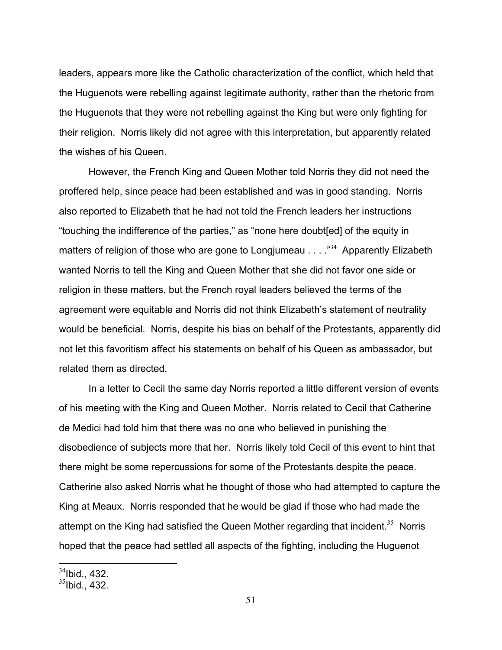leaders, appears more like the Catholic characterization of the conflict, which held that the Huguenots were rebelling against legitimate authority, rather than the rhetoric from the Huguenots that they were not rebelling against the King but were only fighting for their religion. Norris likely did not agree with this interpretation, but apparently related the wishes of his Queen.

 However, the French King and Queen Mother told Norris they did not need the proffered help, since peace had been established and was in good standing. Norris also reported to Elizabeth that he had not told the French leaders her instructions "touching the indifference of the parties," as "none here doubt[ed] of the equity in matters of religion of those who are gone to Longiumeau  $\ldots$   $\frac{1}{34}$  Apparently Elizabeth wanted Norris to tell the King and Queen Mother that she did not favor one side or religion in these matters, but the French royal leaders believed the terms of the agreement were equitable and Norris did not think Elizabeth's statement of neutrality would be beneficial.Norris, despite his bias on behalf of the Protestants, apparently did not let this favoritism affect his statements on behalf of his Queen as ambassador, but related them as directed.

 In a letter to Cecil the same day Norris reported a little different version of events of his meeting with the King and Queen Mother. Norris related to Cecil that Catherine de Medici had told him that there was no one who believed in punishing the disobedience of subjects more that her. Norris likely told Cecil of this event to hint that there might be some repercussions for some of the Protestants despite the peace. Catherine also asked Norris what he thought of those who had attempted to capture the King at Meaux. Norris responded that he would be glad if those who had made the attempt on the King had satisfied the Queen Mother regarding that incident.<sup>35</sup> Norris hoped that the peace had settled all aspects of the fighting, including the Huguenot

 $34$ Ibid., 432.

 $35$ Ibid., 432.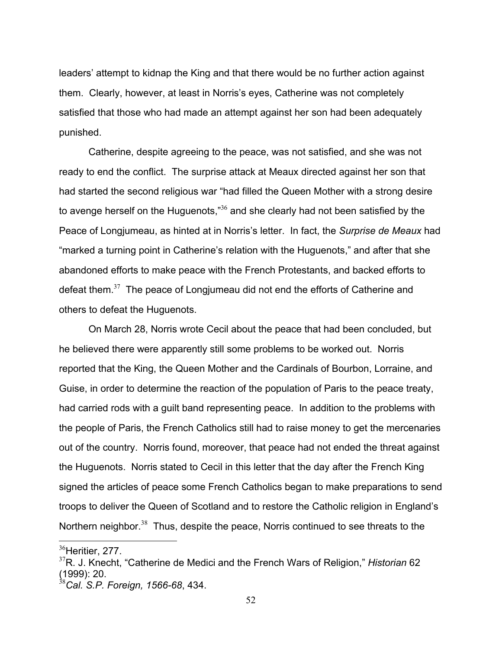leaders' attempt to kidnap the King and that there would be no further action against them. Clearly, however, at least in Norris's eyes, Catherine was not completely satisfied that those who had made an attempt against her son had been adequately punished.

 Catherine, despite agreeing to the peace, was not satisfied, and she was not ready to end the conflict. The surprise attack at Meaux directed against her son that had started the second religious war "had filled the Queen Mother with a strong desire to avenge herself on the Huguenots," $36$  and she clearly had not been satisfied by the Peace of Longjumeau, as hinted at in Norris's letter. In fact, the *Surprise de Meaux* had "marked a turning point in Catherine's relation with the Huguenots," and after that she abandoned efforts to make peace with the French Protestants, and backed efforts to defeat them. $37$  The peace of Longiumeau did not end the efforts of Catherine and others to defeat the Huguenots.

 On March 28, Norris wrote Cecil about the peace that had been concluded, but he believed there were apparently still some problems to be worked out. Norris reported that the King, the Queen Mother and the Cardinals of Bourbon, Lorraine, and Guise, in order to determine the reaction of the population of Paris to the peace treaty, had carried rods with a guilt band representing peace. In addition to the problems with the people of Paris, the French Catholics still had to raise money to get the mercenaries out of the country. Norris found, moreover, that peace had not ended the threat against the Huguenots. Norris stated to Cecil in this letter that the day after the French King signed the articles of peace some French Catholics began to make preparations to send troops to deliver the Queen of Scotland and to restore the Catholic religion in England's Northern neighbor.<sup>38</sup> Thus, despite the peace, Norris continued to see threats to the

 $36$ Heritier, 277.

<sup>37</sup>R. J. Knecht, "Catherine de Medici and the French Wars of Religion," *Historian* 62 (1999): 20.

<sup>38</sup>*Cal. S.P. Foreign, 1566-68*, 434.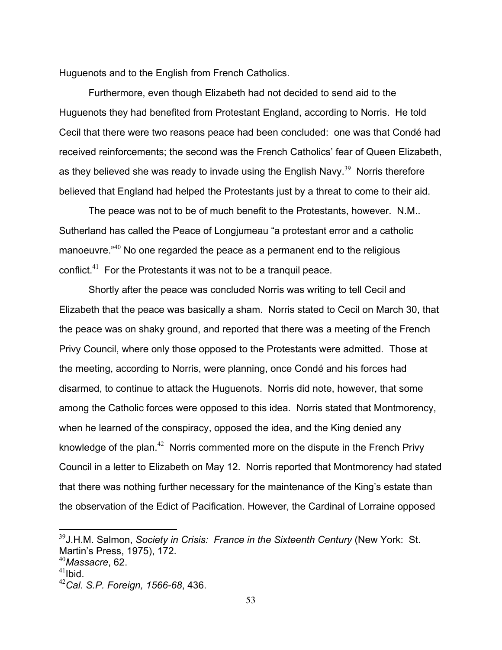Huguenots and to the English from French Catholics.

 Furthermore, even though Elizabeth had not decided to send aid to the Huguenots they had benefited from Protestant England, according to Norris. He told Cecil that there were two reasons peace had been concluded: one was that Condé had received reinforcements; the second was the French Catholics' fear of Queen Elizabeth, as they believed she was ready to invade using the English Navy.<sup>39</sup> Norris therefore believed that England had helped the Protestants just by a threat to come to their aid.

 The peace was not to be of much benefit to the Protestants, however. N.M.. Sutherland has called the Peace of Longjumeau "a protestant error and a catholic manoeuvre.<sup>"40</sup> No one regarded the peace as a permanent end to the religious conflict.<sup>41</sup> For the Protestants it was not to be a tranquil peace.

 Shortly after the peace was concluded Norris was writing to tell Cecil and Elizabeth that the peace was basically a sham. Norris stated to Cecil on March 30, that the peace was on shaky ground, and reported that there was a meeting of the French Privy Council, where only those opposed to the Protestants were admitted. Those at the meeting, according to Norris, were planning, once Condé and his forces had disarmed, to continue to attack the Huguenots. Norris did note, however, that some among the Catholic forces were opposed to this idea. Norris stated that Montmorency, when he learned of the conspiracy, opposed the idea, and the King denied any knowledge of the plan.<sup>42</sup> Norris commented more on the dispute in the French Privy Council in a letter to Elizabeth on May 12. Norris reported that Montmorency had stated that there was nothing further necessary for the maintenance of the King's estate than the observation of the Edict of Pacification. However, the Cardinal of Lorraine opposed

<sup>39</sup>J.H.M. Salmon, *Society in Crisis: France in the Sixteenth Century* (New York: St. Martin's Press, 1975), 172.

<sup>40</sup>*Massacre*, 62.

 $41$ Ibid.

<sup>42</sup>*Cal. S.P. Foreign, 1566-68*, 436.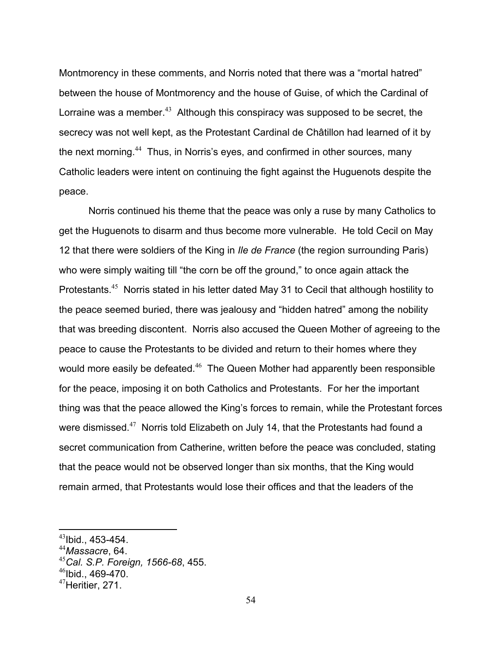Montmorency in these comments, and Norris noted that there was a "mortal hatred" between the house of Montmorency and the house of Guise, of which the Cardinal of Lorraine was a member.<sup>43</sup> Although this conspiracy was supposed to be secret, the secrecy was not well kept, as the Protestant Cardinal de Châtillon had learned of it by the next morning.<sup>44</sup> Thus, in Norris's eyes, and confirmed in other sources, many Catholic leaders were intent on continuing the fight against the Huguenots despite the peace.

 Norris continued his theme that the peace was only a ruse by many Catholics to get the Huguenots to disarm and thus become more vulnerable. He told Cecil on May 12 that there were soldiers of the King in *Ile de France* (the region surrounding Paris) who were simply waiting till "the corn be off the ground," to once again attack the Protestants.<sup>45</sup> Norris stated in his letter dated May 31 to Cecil that although hostility to the peace seemed buried, there was jealousy and "hidden hatred" among the nobility that was breeding discontent. Norris also accused the Queen Mother of agreeing to the peace to cause the Protestants to be divided and return to their homes where they would more easily be defeated.<sup>46</sup> The Queen Mother had apparently been responsible for the peace, imposing it on both Catholics and Protestants. For her the important thing was that the peace allowed the King's forces to remain, while the Protestant forces were dismissed.<sup>47</sup> Norris told Elizabeth on July 14, that the Protestants had found a secret communication from Catherine, written before the peace was concluded, stating that the peace would not be observed longer than six months, that the King would remain armed, that Protestants would lose their offices and that the leaders of the

 $^{43}$ Ibid., 453-454.

<sup>44</sup>*Massacre*, 64.

<sup>45</sup>*Cal. S.P. Foreign, 1566-68*, 455.

 $46$ Ibid., 469-470.

 $47$ Heritier, 271.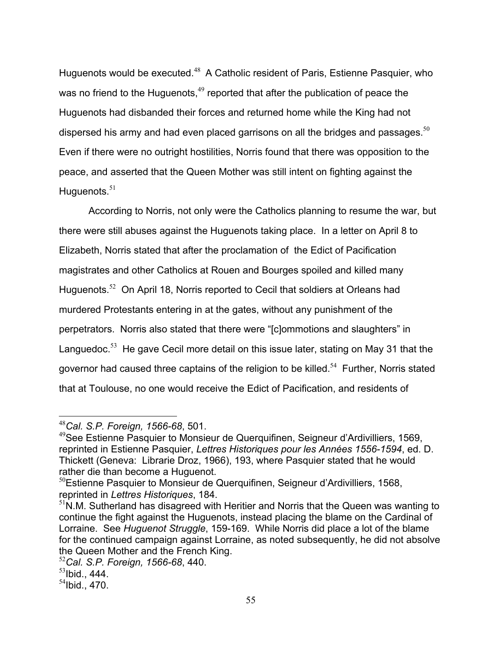Huguenots would be executed.<sup>48</sup> A Catholic resident of Paris, Estienne Pasquier, who was no friend to the Huguenots,<sup>49</sup> reported that after the publication of peace the Huguenots had disbanded their forces and returned home while the King had not dispersed his army and had even placed garrisons on all the bridges and passages.  $50$ Even if there were no outright hostilities, Norris found that there was opposition to the peace, and asserted that the Queen Mother was still intent on fighting against the Huguenots. $51$ 

 According to Norris, not only were the Catholics planning to resume the war, but there were still abuses against the Huguenots taking place. In a letter on April 8 to Elizabeth, Norris stated that after the proclamation of the Edict of Pacification magistrates and other Catholics at Rouen and Bourges spoiled and killed many Huguenots.<sup>52</sup> On April 18, Norris reported to Cecil that soldiers at Orleans had murdered Protestants entering in at the gates, without any punishment of the perpetrators. Norris also stated that there were "[c]ommotions and slaughters" in Languedoc.<sup>53</sup> He gave Cecil more detail on this issue later, stating on May 31 that the governor had caused three captains of the religion to be killed.<sup>54</sup> Further, Norris stated that at Toulouse, no one would receive the Edict of Pacification, and residents of

<sup>1</sup> <sup>48</sup>*Cal. S.P. Foreign, 1566-68*, 501.

<sup>&</sup>lt;sup>49</sup>See Estienne Pasquier to Monsieur de Querquifinen, Seigneur d'Ardivilliers, 1569, reprinted in Estienne Pasquier, *Lettres Historiques pour les Années 1556-1594*, ed. D. Thickett (Geneva: Librarie Droz, 1966), 193, where Pasquier stated that he would rather die than become a Huguenot.

 $50$ Estienne Pasquier to Monsieur de Querquifinen, Seigneur d'Ardivilliers, 1568, reprinted in *Lettres Historiques*, 184.

 $<sup>51</sup>N.M.$  Sutherland has disagreed with Heritier and Norris that the Queen was wanting to</sup> continue the fight against the Huguenots, instead placing the blame on the Cardinal of Lorraine. See *Huguenot Struggle*, 159-169. While Norris did place a lot of the blame for the continued campaign against Lorraine, as noted subsequently, he did not absolve the Queen Mother and the French King.

<sup>52</sup>*Cal. S.P. Foreign, 1566-68*, 440.

 $53$ Ibid., 444.

 $54$ Ibid., 470.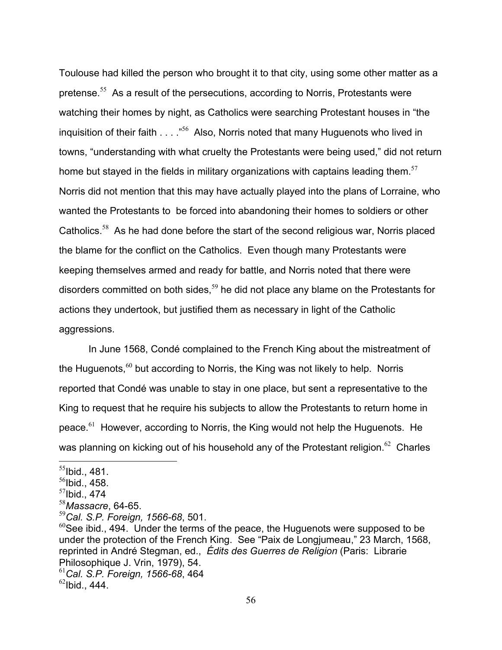Toulouse had killed the person who brought it to that city, using some other matter as a pretense.<sup>55</sup> As a result of the persecutions, according to Norris, Protestants were watching their homes by night, as Catholics were searching Protestant houses in "the inquisition of their faith  $\ldots$  ."<sup>56</sup> Also, Norris noted that many Huguenots who lived in towns, "understanding with what cruelty the Protestants were being used," did not return home but stayed in the fields in military organizations with captains leading them.<sup>57</sup> Norris did not mention that this may have actually played into the plans of Lorraine, who wanted the Protestants to be forced into abandoning their homes to soldiers or other Catholics.<sup>58</sup> As he had done before the start of the second religious war, Norris placed the blame for the conflict on the Catholics. Even though many Protestants were keeping themselves armed and ready for battle, and Norris noted that there were disorders committed on both sides.<sup>59</sup> he did not place any blame on the Protestants for actions they undertook, but justified them as necessary in light of the Catholic aggressions.

 In June 1568, Condé complained to the French King about the mistreatment of the Huguenots, $60$  but according to Norris, the King was not likely to help. Norris reported that Condé was unable to stay in one place, but sent a representative to the King to request that he require his subjects to allow the Protestants to return home in peace. $61$  However, according to Norris, the King would not help the Huguenots. He was planning on kicking out of his household any of the Protestant religion.<sup>62</sup> Charles

1

 $55$ Ibid., 481.

 $56$ Ibid., 458.

 $57$ Ibid., 474

<sup>58</sup>*Massacre*, 64-65.

<sup>59</sup>*Cal. S.P. Foreign, 1566-68*, 501.

 $60$ See ibid., 494. Under the terms of the peace, the Huguenots were supposed to be under the protection of the French King. See "Paix de Longjumeau," 23 March, 1568, reprinted in André Stegman, ed., *Édits des Guerres de Religion* (Paris: Librarie Philosophique J. Vrin, 1979), 54.

<sup>61</sup>*Cal. S.P. Foreign, 1566-68*, 464

 $62$ Ibid., 444.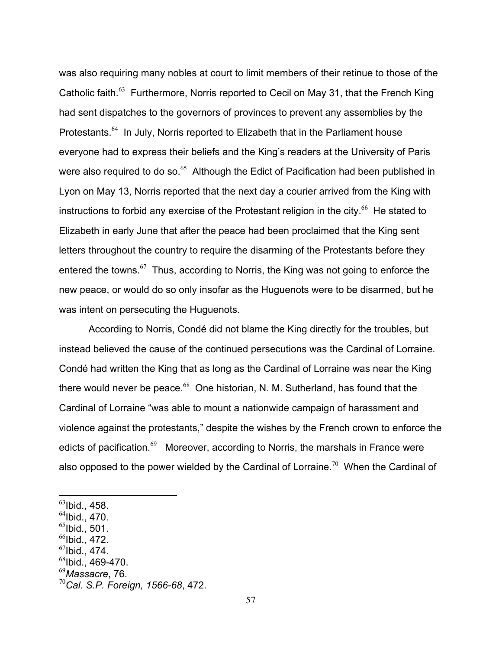was also requiring many nobles at court to limit members of their retinue to those of the Catholic faith.<sup>63</sup> Furthermore, Norris reported to Cecil on May 31, that the French King had sent dispatches to the governors of provinces to prevent any assemblies by the Protestants.<sup>64</sup> In July, Norris reported to Elizabeth that in the Parliament house everyone had to express their beliefs and the King's readers at the University of Paris were also required to do so. $65$  Although the Edict of Pacification had been published in Lyon on May 13, Norris reported that the next day a courier arrived from the King with instructions to forbid any exercise of the Protestant religion in the city. $^{66}$  He stated to Elizabeth in early June that after the peace had been proclaimed that the King sent letters throughout the country to require the disarming of the Protestants before they entered the towns. $67$  Thus, according to Norris, the King was not going to enforce the new peace, or would do so only insofar as the Huguenots were to be disarmed, but he was intent on persecuting the Huguenots.

 According to Norris, Condé did not blame the King directly for the troubles, but instead believed the cause of the continued persecutions was the Cardinal of Lorraine. Condé had written the King that as long as the Cardinal of Lorraine was near the King there would never be peace.<sup>68</sup> One historian, N. M. Sutherland, has found that the Cardinal of Lorraine "was able to mount a nationwide campaign of harassment and violence against the protestants," despite the wishes by the French crown to enforce the edicts of pacification.<sup>69</sup> Moreover, according to Norris, the marshals in France were also opposed to the power wielded by the Cardinal of Lorraine.<sup>70</sup> When the Cardinal of

- $^{65}$ Ibid., 501.
- $^{66}$ Ibid., 472.
- $^{67}$ Ibid., 474.
- $^{68}$ lbid., 469-470.
- <sup>69</sup>*Massacre*, 76.

 $^{63}$ Ibid., 458.

 $<sup>64</sup>$ Ibid., 470.</sup>

<sup>70</sup>*Cal. S.P. Foreign, 1566-68*, 472.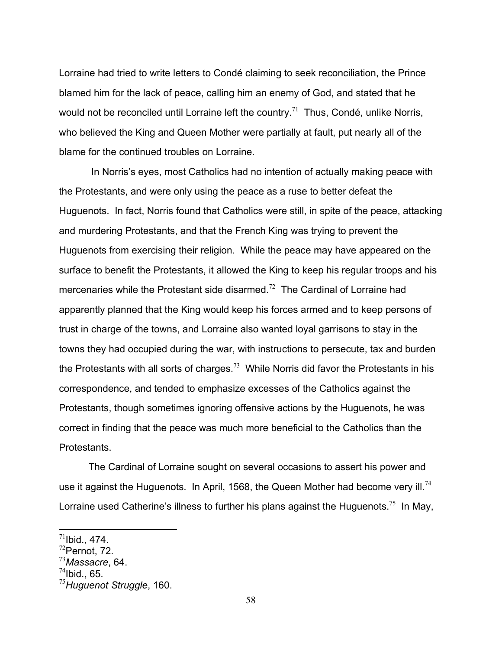Lorraine had tried to write letters to Condé claiming to seek reconciliation, the Prince blamed him for the lack of peace, calling him an enemy of God, and stated that he would not be reconciled until Lorraine left the country.<sup>71</sup> Thus, Condé, unlike Norris, who believed the King and Queen Mother were partially at fault, put nearly all of the blame for the continued troubles on Lorraine.

 In Norris's eyes, most Catholics had no intention of actually making peace with the Protestants, and were only using the peace as a ruse to better defeat the Huguenots. In fact, Norris found that Catholics were still, in spite of the peace, attacking and murdering Protestants, and that the French King was trying to prevent the Huguenots from exercising their religion. While the peace may have appeared on the surface to benefit the Protestants, it allowed the King to keep his regular troops and his mercenaries while the Protestant side disarmed.<sup>72</sup> The Cardinal of Lorraine had apparently planned that the King would keep his forces armed and to keep persons of trust in charge of the towns, and Lorraine also wanted loyal garrisons to stay in the towns they had occupied during the war, with instructions to persecute, tax and burden the Protestants with all sorts of charges.<sup>73</sup> While Norris did favor the Protestants in his correspondence, and tended to emphasize excesses of the Catholics against the Protestants, though sometimes ignoring offensive actions by the Huguenots, he was correct in finding that the peace was much more beneficial to the Catholics than the Protestants.

 The Cardinal of Lorraine sought on several occasions to assert his power and use it against the Huguenots. In April, 1568, the Queen Mother had become very ill.<sup>74</sup> Lorraine used Catherine's illness to further his plans against the Huguenots.<sup>75</sup> In May,

<u>.</u>

 $^{74}$ Ibid., 65.

 $^{71}$ Ibid., 474.

 $72$ Pernot, 72.

<sup>73</sup>*Massacre*, 64.

<sup>75</sup>*Huguenot Struggle*, 160.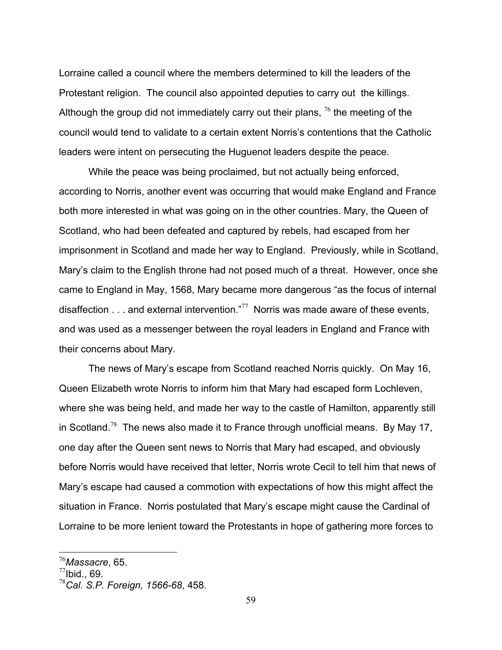Lorraine called a council where the members determined to kill the leaders of the Protestant religion. The council also appointed deputies to carry out the killings. Although the group did not immediately carry out their plans,  $^{76}$  the meeting of the council would tend to validate to a certain extent Norris's contentions that the Catholic leaders were intent on persecuting the Huguenot leaders despite the peace.

 While the peace was being proclaimed, but not actually being enforced, according to Norris, another event was occurring that would make England and France both more interested in what was going on in the other countries. Mary, the Queen of Scotland, who had been defeated and captured by rebels, had escaped from her imprisonment in Scotland and made her way to England. Previously, while in Scotland, Mary's claim to the English throne had not posed much of a threat. However, once she came to England in May, 1568, Mary became more dangerous "as the focus of internal disaffection  $\ldots$  and external intervention."<sup>77</sup> Norris was made aware of these events, and was used as a messenger between the royal leaders in England and France with their concerns about Mary.

 The news of Mary's escape from Scotland reached Norris quickly. On May 16, Queen Elizabeth wrote Norris to inform him that Mary had escaped form Lochleven, where she was being held, and made her way to the castle of Hamilton, apparently still in Scotland.<sup>78</sup> The news also made it to France through unofficial means. By May 17, one day after the Queen sent news to Norris that Mary had escaped, and obviously before Norris would have received that letter, Norris wrote Cecil to tell him that news of Mary's escape had caused a commotion with expectations of how this might affect the situation in France. Norris postulated that Mary's escape might cause the Cardinal of Lorraine to be more lenient toward the Protestants in hope of gathering more forces to

<u>.</u>

<sup>76</sup>*Massacre*, 65.

 $77$ Ibid., 69.

<sup>78</sup>*Cal. S.P. Foreign, 1566-68*, 458.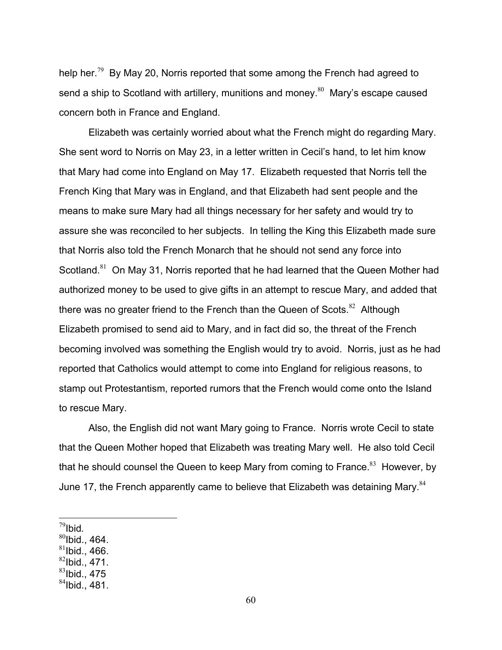help her.<sup>79</sup> By May 20, Norris reported that some among the French had agreed to send a ship to Scotland with artillery, munitions and money.<sup>80</sup> Mary's escape caused concern both in France and England.

 Elizabeth was certainly worried about what the French might do regarding Mary. She sent word to Norris on May 23, in a letter written in Cecil's hand, to let him know that Mary had come into England on May 17. Elizabeth requested that Norris tell the French King that Mary was in England, and that Elizabeth had sent people and the means to make sure Mary had all things necessary for her safety and would try to assure she was reconciled to her subjects. In telling the King this Elizabeth made sure that Norris also told the French Monarch that he should not send any force into Scotland.<sup>81</sup> On May 31, Norris reported that he had learned that the Queen Mother had authorized money to be used to give gifts in an attempt to rescue Mary, and added that there was no greater friend to the French than the Queen of Scots. $82$  Although Elizabeth promised to send aid to Mary, and in fact did so, the threat of the French becoming involved was something the English would try to avoid. Norris, just as he had reported that Catholics would attempt to come into England for religious reasons, to stamp out Protestantism, reported rumors that the French would come onto the Island to rescue Mary.

 Also, the English did not want Mary going to France. Norris wrote Cecil to state that the Queen Mother hoped that Elizabeth was treating Mary well. He also told Cecil that he should counsel the Queen to keep Mary from coming to France. $83$  However, by June 17, the French apparently came to believe that Elizabeth was detaining Mary.<sup>84</sup>

- $81$ Ibid., 466.
- $82$ Ibid., 471.
- $83$ Ibid., 475

 $^{79}$ Ibid.<br> $^{80}$ Ibid., 464.

 $84$ Ibid., 481.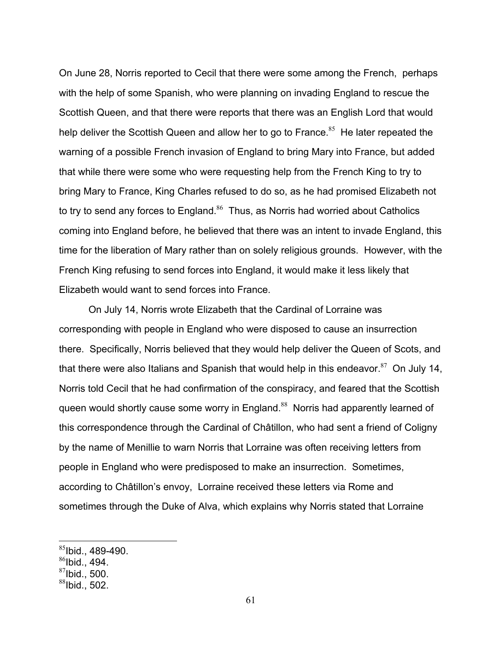On June 28, Norris reported to Cecil that there were some among the French, perhaps with the help of some Spanish, who were planning on invading England to rescue the Scottish Queen, and that there were reports that there was an English Lord that would help deliver the Scottish Queen and allow her to go to France.<sup>85</sup> He later repeated the warning of a possible French invasion of England to bring Mary into France, but added that while there were some who were requesting help from the French King to try to bring Mary to France, King Charles refused to do so, as he had promised Elizabeth not to try to send any forces to England.<sup>86</sup> Thus, as Norris had worried about Catholics coming into England before, he believed that there was an intent to invade England, this time for the liberation of Mary rather than on solely religious grounds. However, with the French King refusing to send forces into England, it would make it less likely that Elizabeth would want to send forces into France.

 On July 14, Norris wrote Elizabeth that the Cardinal of Lorraine was corresponding with people in England who were disposed to cause an insurrection there. Specifically, Norris believed that they would help deliver the Queen of Scots, and that there were also Italians and Spanish that would help in this endeavor. $87$  On July 14, Norris told Cecil that he had confirmation of the conspiracy, and feared that the Scottish queen would shortly cause some worry in England.<sup>88</sup> Norris had apparently learned of this correspondence through the Cardinal of Châtillon, who had sent a friend of Coligny by the name of Menillie to warn Norris that Lorraine was often receiving letters from people in England who were predisposed to make an insurrection. Sometimes, according to Châtillon's envoy, Lorraine received these letters via Rome and sometimes through the Duke of Alva, which explains why Norris stated that Lorraine

<u>.</u>

 $85$ Ibid., 489-490.

 $86$ Ibid., 494.

 $87$ Ibid., 500.

 $88$ Ibid., 502.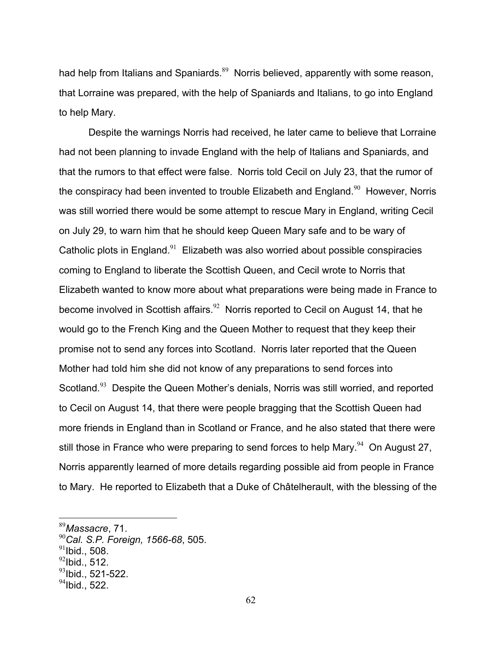had help from Italians and Spaniards. $89$  Norris believed, apparently with some reason, that Lorraine was prepared, with the help of Spaniards and Italians, to go into England to help Mary.

 Despite the warnings Norris had received, he later came to believe that Lorraine had not been planning to invade England with the help of Italians and Spaniards, and that the rumors to that effect were false. Norris told Cecil on July 23, that the rumor of the conspiracy had been invented to trouble Elizabeth and England.<sup>90</sup> However, Norris was still worried there would be some attempt to rescue Mary in England, writing Cecil on July 29, to warn him that he should keep Queen Mary safe and to be wary of Catholic plots in England. $91$  Elizabeth was also worried about possible conspiracies coming to England to liberate the Scottish Queen, and Cecil wrote to Norris that Elizabeth wanted to know more about what preparations were being made in France to become involved in Scottish affairs.<sup>92</sup>Norris reported to Cecil on August 14, that he would go to the French King and the Queen Mother to request that they keep their promise not to send any forces into Scotland. Norris later reported that the Queen Mother had told him she did not know of any preparations to send forces into Scotland.<sup>93</sup> Despite the Queen Mother's denials, Norris was still worried, and reported to Cecil on August 14, that there were people bragging that the Scottish Queen had more friends in England than in Scotland or France, and he also stated that there were still those in France who were preparing to send forces to help Mary.  $94$  On August 27, Norris apparently learned of more details regarding possible aid from people in France to Mary. He reported to Elizabeth that a Duke of Châtelherault, with the blessing of the

 $^{91}$ Ibid., 508.

<sup>89</sup>*Massacre*, 71.

<sup>90</sup>*Cal. S.P. Foreign, 1566-68*, 505.

 $^{92}$ Ibid., 512.

 $^{93}$ lbid., 521-522.

 $94$ Ibid., 522.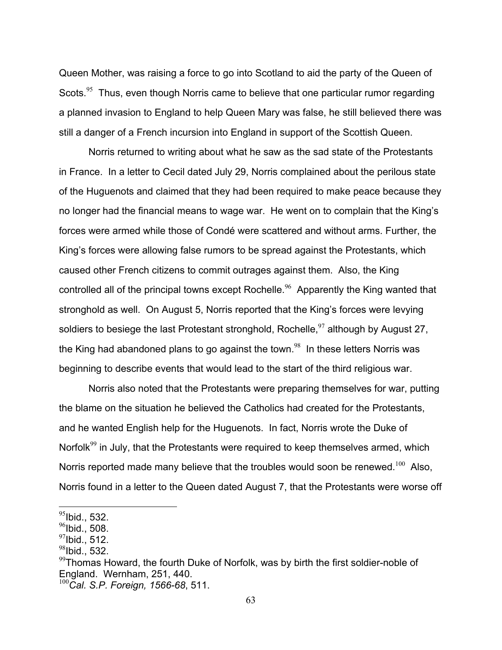Queen Mother, was raising a force to go into Scotland to aid the party of the Queen of Scots.<sup>95</sup> Thus, even though Norris came to believe that one particular rumor regarding a planned invasion to England to help Queen Mary was false, he still believed there was still a danger of a French incursion into England in support of the Scottish Queen.

 Norris returned to writing about what he saw as the sad state of the Protestants in France. In a letter to Cecil dated July 29, Norris complained about the perilous state of the Huguenots and claimed that they had been required to make peace because they no longer had the financial means to wage war. He went on to complain that the King's forces were armed while those of Condé were scattered and without arms. Further, the King's forces were allowing false rumors to be spread against the Protestants, which caused other French citizens to commit outrages against them. Also, the King controlled all of the principal towns except Rochelle.<sup>96</sup> Apparently the King wanted that stronghold as well. On August 5, Norris reported that the King's forces were levying soldiers to besiege the last Protestant stronghold, Rochelle,  $97$  although by August 27, the King had abandoned plans to go against the town.<sup>98</sup> In these letters Norris was beginning to describe events that would lead to the start of the third religious war.

 Norris also noted that the Protestants were preparing themselves for war, putting the blame on the situation he believed the Catholics had created for the Protestants, and he wanted English help for the Huguenots. In fact, Norris wrote the Duke of Norfolk $99$  in July, that the Protestants were required to keep themselves armed, which Norris reported made many believe that the troubles would soon be renewed.<sup>100</sup> Also, Norris found in a letter to the Queen dated August 7, that the Protestants were worse off

 $95$ Ibid., 532.

 $96$ Ibid., 508.

 $97$ Ibid., 512.

 $98$ Ibid., 532.

 $99$ Thomas Howard, the fourth Duke of Norfolk, was by birth the first soldier-noble of England. Wernham, 251, 440.

<sup>100</sup>*Cal. S.P. Foreign, 1566-68*, 511.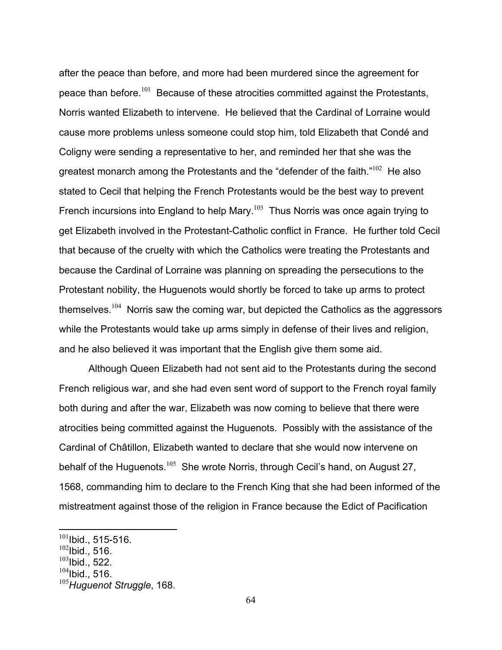after the peace than before, and more had been murdered since the agreement for peace than before.<sup>101</sup> Because of these atrocities committed against the Protestants, Norris wanted Elizabeth to intervene. He believed that the Cardinal of Lorraine would cause more problems unless someone could stop him, told Elizabeth that Condé and Coligny were sending a representative to her, and reminded her that she was the greatest monarch among the Protestants and the "defender of the faith." $102$  He also stated to Cecil that helping the French Protestants would be the best way to prevent French incursions into England to help Mary.<sup>103</sup> Thus Norris was once again trying to get Elizabeth involved in the Protestant-Catholic conflict in France. He further told Cecil that because of the cruelty with which the Catholics were treating the Protestants and because the Cardinal of Lorraine was planning on spreading the persecutions to the Protestant nobility, the Huguenots would shortly be forced to take up arms to protect themselves.<sup>104</sup> Norris saw the coming war, but depicted the Catholics as the aggressors while the Protestants would take up arms simply in defense of their lives and religion, and he also believed it was important that the English give them some aid.

 Although Queen Elizabeth had not sent aid to the Protestants during the second French religious war, and she had even sent word of support to the French royal family both during and after the war, Elizabeth was now coming to believe that there were atrocities being committed against the Huguenots. Possibly with the assistance of the Cardinal of Châtillon, Elizabeth wanted to declare that she would now intervene on behalf of the Huguenots.<sup>105</sup> She wrote Norris, through Cecil's hand, on August 27, 1568, commanding him to declare to the French King that she had been informed of the mistreatment against those of the religion in France because the Edict of Pacification

<u>.</u>

 $101$ Ibid., 515-516.

 $102$ Ibid., 516.

 $103$ Ibid., 522.

 $104$ Ibid., 516.

<sup>105</sup>*Huguenot Struggle*, 168.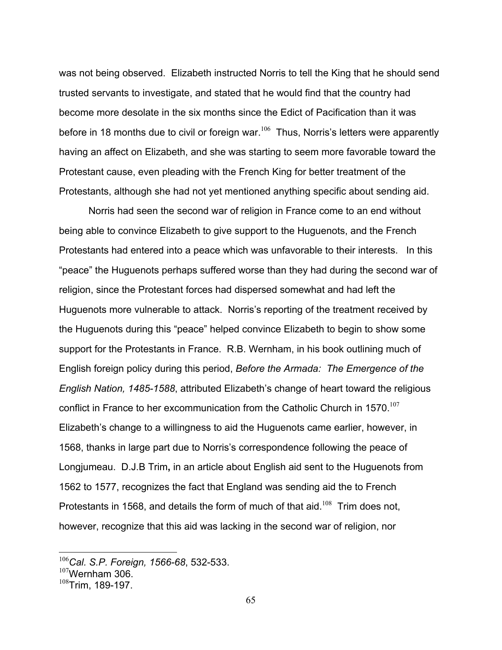was not being observed. Elizabeth instructed Norris to tell the King that he should send trusted servants to investigate, and stated that he would find that the country had become more desolate in the six months since the Edict of Pacification than it was before in 18 months due to civil or foreign war. $106$  Thus, Norris's letters were apparently having an affect on Elizabeth, and she was starting to seem more favorable toward the Protestant cause, even pleading with the French King for better treatment of the Protestants, although she had not yet mentioned anything specific about sending aid.

 Norris had seen the second war of religion in France come to an end without being able to convince Elizabeth to give support to the Huguenots, and the French Protestants had entered into a peace which was unfavorable to their interests. In this "peace" the Huguenots perhaps suffered worse than they had during the second war of religion, since the Protestant forces had dispersed somewhat and had left the Huguenots more vulnerable to attack. Norris's reporting of the treatment received by the Huguenots during this "peace" helped convince Elizabeth to begin to show some support for the Protestants in France. R.B. Wernham, in his book outlining much of English foreign policy during this period, *Before the Armada: The Emergence of the English Nation, 1485-1588*, attributed Elizabeth's change of heart toward the religious conflict in France to her excommunication from the Catholic Church in 1570.<sup>107</sup> Elizabeth's change to a willingness to aid the Huguenots came earlier, however, in 1568, thanks in large part due to Norris's correspondence following the peace of Longjumeau. D.J.B Trim**,** in an article about English aid sent to the Huguenots from 1562 to 1577, recognizes the fact that England was sending aid the to French Protestants in 1568, and details the form of much of that aid.<sup>108</sup> Trim does not, however, recognize that this aid was lacking in the second war of religion, nor

<u>.</u>

<sup>106</sup>*Cal. S.P. Foreign, 1566-68*, 532-533.

 $107$ Wernham 306.

 $108$ Trim, 189-197.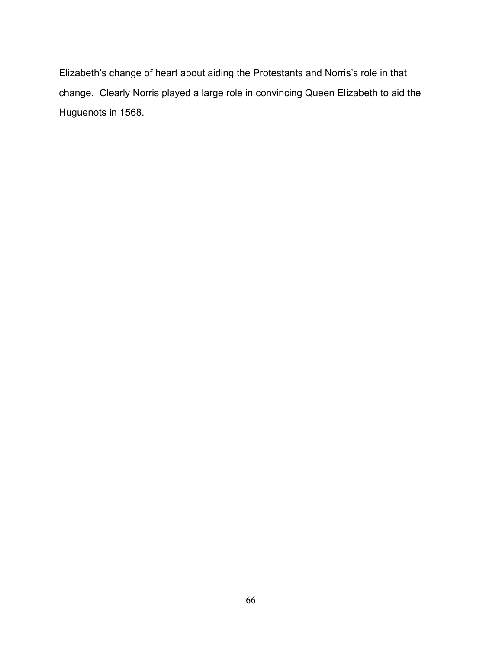Elizabeth's change of heart about aiding the Protestants and Norris's role in that change. Clearly Norris played a large role in convincing Queen Elizabeth to aid the Huguenots in 1568.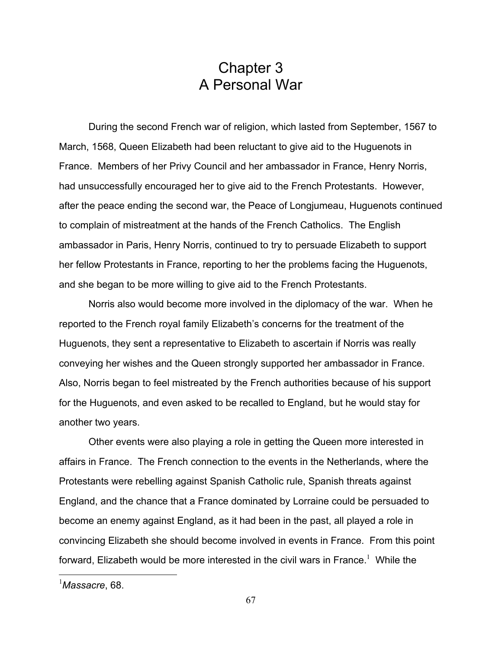## Chapter 3 A Personal War

 During the second French war of religion, which lasted from September, 1567 to March, 1568, Queen Elizabeth had been reluctant to give aid to the Huguenots in France. Members of her Privy Council and her ambassador in France, Henry Norris, had unsuccessfully encouraged her to give aid to the French Protestants. However, after the peace ending the second war, the Peace of Longjumeau, Huguenots continued to complain of mistreatment at the hands of the French Catholics. The English ambassador in Paris, Henry Norris, continued to try to persuade Elizabeth to support her fellow Protestants in France, reporting to her the problems facing the Huguenots, and she began to be more willing to give aid to the French Protestants.

 Norris also would become more involved in the diplomacy of the war. When he reported to the French royal family Elizabeth's concerns for the treatment of the Huguenots, they sent a representative to Elizabeth to ascertain if Norris was really conveying her wishes and the Queen strongly supported her ambassador in France. Also, Norris began to feel mistreated by the French authorities because of his support for the Huguenots, and even asked to be recalled to England, but he would stay for another two years.

 Other events were also playing a role in getting the Queen more interested in affairs in France. The French connection to the events in the Netherlands, where the Protestants were rebelling against Spanish Catholic rule, Spanish threats against England, and the chance that a France dominated by Lorraine could be persuaded to become an enemy against England, as it had been in the past, all played a role in convincing Elizabeth she should become involved in events in France. From this point forward, Elizabeth would be more interested in the civil wars in France.<sup>1</sup> While the

<sup>1</sup> *Massacre*, 68.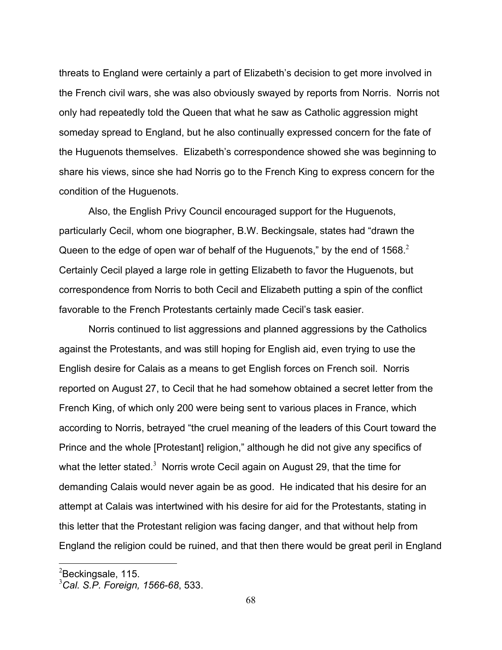threats to England were certainly a part of Elizabeth's decision to get more involved in the French civil wars, she was also obviously swayed by reports from Norris. Norris not only had repeatedly told the Queen that what he saw as Catholic aggression might someday spread to England, but he also continually expressed concern for the fate of the Huguenots themselves. Elizabeth's correspondence showed she was beginning to share his views, since she had Norris go to the French King to express concern for the condition of the Huguenots.

 Also, the English Privy Council encouraged support for the Huguenots, particularly Cecil, whom one biographer, B.W. Beckingsale, states had "drawn the Queen to the edge of open war of behalf of the Huguenots," by the end of 1568. $2$ Certainly Cecil played a large role in getting Elizabeth to favor the Huguenots, but correspondence from Norris to both Cecil and Elizabeth putting a spin of the conflict favorable to the French Protestants certainly made Cecil's task easier.

 Norris continued to list aggressions and planned aggressions by the Catholics against the Protestants, and was still hoping for English aid, even trying to use the English desire for Calais as a means to get English forces on French soil. Norris reported on August 27, to Cecil that he had somehow obtained a secret letter from the French King, of which only 200 were being sent to various places in France, which according to Norris, betrayed "the cruel meaning of the leaders of this Court toward the Prince and the whole [Protestant] religion," although he did not give any specifics of what the letter stated.<sup>3</sup> Norris wrote Cecil again on August 29, that the time for demanding Calais would never again be as good. He indicated that his desire for an attempt at Calais was intertwined with his desire for aid for the Protestants, stating in this letter that the Protestant religion was facing danger, and that without help from England the religion could be ruined, and that then there would be great peril in England

 $^{2}$ Beckingsale, 115.

<sup>3</sup> *Cal. S.P. Foreign, 1566-68*, 533.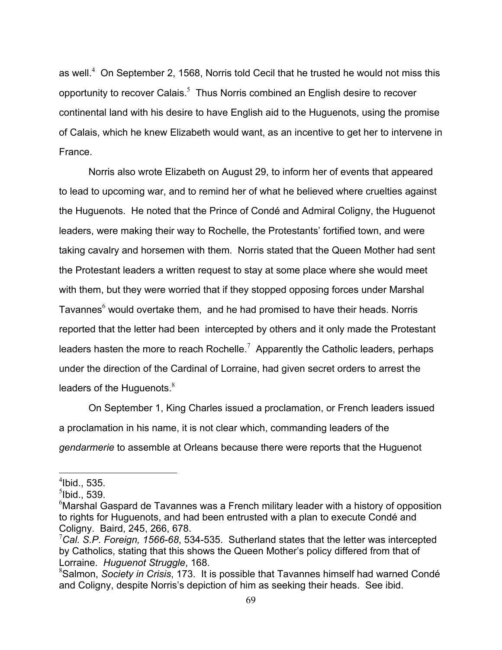as well.<sup>4</sup> On September 2, 1568, Norris told Cecil that he trusted he would not miss this opportunity to recover Calais. $<sup>5</sup>$  Thus Norris combined an English desire to recover</sup> continental land with his desire to have English aid to the Huguenots, using the promise of Calais, which he knew Elizabeth would want, as an incentive to get her to intervene in France.

 Norris also wrote Elizabeth on August 29, to inform her of events that appeared to lead to upcoming war, and to remind her of what he believed where cruelties against the Huguenots. He noted that the Prince of Condé and Admiral Coligny, the Huguenot leaders, were making their way to Rochelle, the Protestants' fortified town, and were taking cavalry and horsemen with them. Norris stated that the Queen Mother had sent the Protestant leaders a written request to stay at some place where she would meet with them, but they were worried that if they stopped opposing forces under Marshal Tavannes $^6$  would overtake them, and he had promised to have their heads. Norris reported that the letter had been intercepted by others and it only made the Protestant leaders hasten the more to reach Rochelle.<sup>7</sup> Apparently the Catholic leaders, perhaps under the direction of the Cardinal of Lorraine, had given secret orders to arrest the leaders of the Huguenots. $8<sup>8</sup>$ 

 On September 1, King Charles issued a proclamation, or French leaders issued a proclamation in his name, it is not clear which, commanding leaders of the *gendarmerie* to assemble at Orleans because there were reports that the Huguenot

 $<sup>4</sup>$ Ibid., 535.</sup>

 ${}^{5}$ lbid., 539.

 $6$ Marshal Gaspard de Tavannes was a French military leader with a history of opposition to rights for Huguenots, and had been entrusted with a plan to execute Condé and Coligny. Baird, 245, 266, 678.

<sup>7</sup> *Cal. S.P. Foreign, 1566-68*, 534-535. Sutherland states that the letter was intercepted by Catholics, stating that this shows the Queen Mother's policy differed from that of Lorraine. *Huguenot Struggle*, 168.

<sup>8</sup> Salmon, *Society in Crisis*, 173. It is possible that Tavannes himself had warned Condé and Coligny, despite Norris's depiction of him as seeking their heads. See ibid.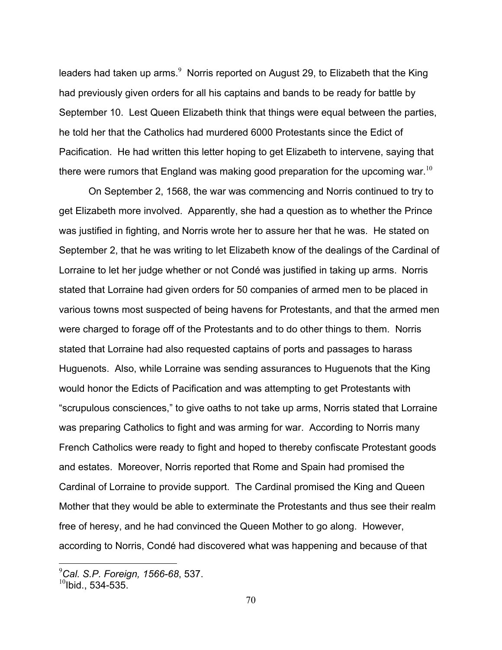leaders had taken up arms.<sup>9</sup> Norris reported on August 29, to Elizabeth that the King had previously given orders for all his captains and bands to be ready for battle by September 10. Lest Queen Elizabeth think that things were equal between the parties, he told her that the Catholics had murdered 6000 Protestants since the Edict of Pacification. He had written this letter hoping to get Elizabeth to intervene, saying that there were rumors that England was making good preparation for the upcoming war.<sup>10</sup>

 On September 2, 1568, the war was commencing and Norris continued to try to get Elizabeth more involved. Apparently, she had a question as to whether the Prince was justified in fighting, and Norris wrote her to assure her that he was. He stated on September 2, that he was writing to let Elizabeth know of the dealings of the Cardinal of Lorraine to let her judge whether or not Condé was justified in taking up arms.Norris stated that Lorraine had given orders for 50 companies of armed men to be placed in various towns most suspected of being havens for Protestants, and that the armed men were charged to forage off of the Protestants and to do other things to them. Norris stated that Lorraine had also requested captains of ports and passages to harass Huguenots. Also, while Lorraine was sending assurances to Huguenots that the King would honor the Edicts of Pacification and was attempting to get Protestants with "scrupulous consciences," to give oaths to not take up arms, Norris stated that Lorraine was preparing Catholics to fight and was arming for war. According to Norris many French Catholics were ready to fight and hoped to thereby confiscate Protestant goods and estates. Moreover, Norris reported that Rome and Spain had promised the Cardinal of Lorraine to provide support. The Cardinal promised the King and Queen Mother that they would be able to exterminate the Protestants and thus see their realm free of heresy, and he had convinced the Queen Mother to go along. However, according to Norris, Condé had discovered what was happening and because of that

 9 *Cal. S.P. Foreign, 1566-68*, 537.

 $^{10}$ Ibid., 534-535.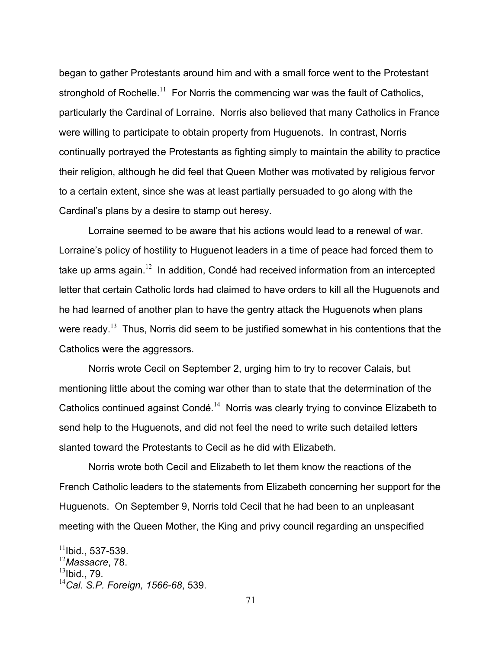began to gather Protestants around him and with a small force went to the Protestant stronghold of Rochelle.<sup>11</sup> For Norris the commencing war was the fault of Catholics, particularly the Cardinal of Lorraine. Norris also believed that many Catholics in France were willing to participate to obtain property from Huguenots. In contrast, Norris continually portrayed the Protestants as fighting simply to maintain the ability to practice their religion, although he did feel that Queen Mother was motivated by religious fervor to a certain extent, since she was at least partially persuaded to go along with the Cardinal's plans by a desire to stamp out heresy.

 Lorraine seemed to be aware that his actions would lead to a renewal of war. Lorraine's policy of hostility to Huguenot leaders in a time of peace had forced them to take up arms again.<sup>12</sup> In addition, Condé had received information from an intercepted letter that certain Catholic lords had claimed to have orders to kill all the Huguenots and he had learned of another plan to have the gentry attack the Huguenots when plans were ready.<sup>13</sup> Thus, Norris did seem to be justified somewhat in his contentions that the Catholics were the aggressors.

 Norris wrote Cecil on September 2, urging him to try to recover Calais, but mentioning little about the coming war other than to state that the determination of the Catholics continued against Condé.<sup>14</sup> Norris was clearly trying to convince Elizabeth to send help to the Huguenots, and did not feel the need to write such detailed letters slanted toward the Protestants to Cecil as he did with Elizabeth.

 Norris wrote both Cecil and Elizabeth to let them know the reactions of the French Catholic leaders to the statements from Elizabeth concerning her support for the Huguenots. On September 9, Norris told Cecil that he had been to an unpleasant meeting with the Queen Mother, the King and privy council regarding an unspecified

 $13$ Ibid., 79.

 $11$ Ibid., 537-539.

<sup>12</sup>*Massacre*, 78.

<sup>14</sup>*Cal. S.P. Foreign, 1566-68*, 539.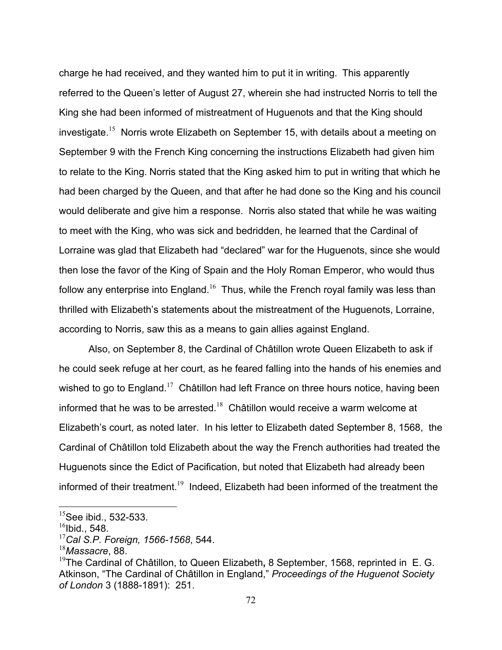charge he had received, and they wanted him to put it in writing.This apparently referred to the Queen's letter of August 27, wherein she had instructed Norris to tell the King she had been informed of mistreatment of Huguenots and that the King should investigate.<sup>15</sup> Norris wrote Elizabeth on September 15, with details about a meeting on September 9 with the French King concerning the instructions Elizabeth had given him to relate to the King. Norris stated that the King asked him to put in writing that which he had been charged by the Queen, and that after he had done so the King and his council would deliberate and give him a response. Norris also stated that while he was waiting to meet with the King, who was sick and bedridden, he learned that the Cardinal of Lorraine was glad that Elizabeth had "declared" war for the Huguenots, since she would then lose the favor of the King of Spain and the Holy Roman Emperor, who would thus follow any enterprise into England.<sup>16</sup> Thus, while the French royal family was less than thrilled with Elizabeth's statements about the mistreatment of the Huguenots, Lorraine, according to Norris, saw this as a means to gain allies against England.

 Also, on September 8, the Cardinal of Châtillon wrote Queen Elizabeth to ask if he could seek refuge at her court, as he feared falling into the hands of his enemies and wished to go to England.<sup>17</sup> Châtillon had left France on three hours notice, having been informed that he was to be arrested.<sup>18</sup> Châtillon would receive a warm welcome at Elizabeth's court, as noted later.In his letter to Elizabeth dated September 8, 1568, the Cardinal of Châtillon told Elizabeth about the way the French authorities had treated the Huguenots since the Edict of Pacification, but noted that Elizabeth had already been informed of their treatment.<sup>19</sup> Indeed, Elizabeth had been informed of the treatment the

1

 $15$ See ibid., 532-533.

 $16$ Ibid., 548.

<sup>17</sup>*Cal S.P. Foreign, 1566-1568*, 544.

<sup>18</sup>*Massacre*, 88.

<sup>19</sup>The Cardinal of Châtillon, to Queen Elizabeth**,** 8 September, 1568, reprinted inE. G. Atkinson, "The Cardinal of Châtillon in England," *Proceedings of the Huguenot Society of London* 3 (1888-1891): 251.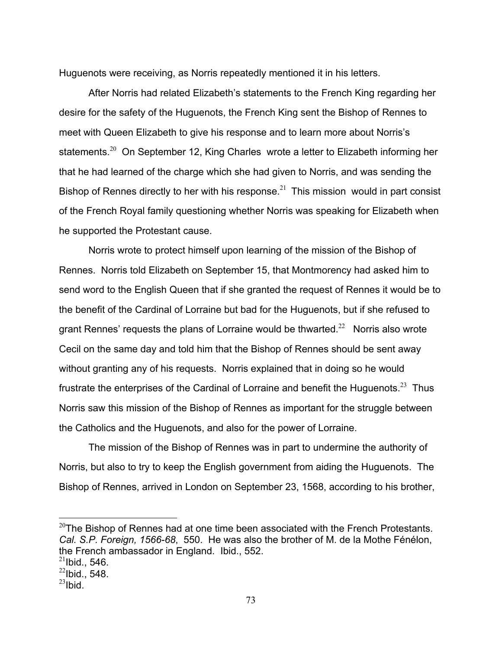Huguenots were receiving, as Norris repeatedly mentioned it in his letters.

 After Norris had related Elizabeth's statements to the French King regarding her desire for the safety of the Huguenots, the French King sent the Bishop of Rennes to meet with Queen Elizabeth to give his response and to learn more about Norris's statements.<sup>20</sup> On September 12, King Charles wrote a letter to Elizabeth informing her that he had learned of the charge which she had given to Norris, and was sending the Bishop of Rennes directly to her with his response.<sup>21</sup>This mission would in part consist of the French Royal family questioning whether Norris was speaking for Elizabeth when he supported the Protestant cause.

 Norris wrote to protect himself upon learning of the mission of the Bishop of Rennes. Norris told Elizabeth on September 15, that Montmorency had asked him to send word to the English Queen that if she granted the request of Rennes it would be to the benefit of the Cardinal of Lorraine but bad for the Huguenots, but if she refused to grant Rennes' requests the plans of Lorraine would be thwarted.<sup>22</sup> Norris also wrote Cecil on the same day and told him that the Bishop of Rennes should be sent away without granting any of his requests. Norris explained that in doing so he would frustrate the enterprises of the Cardinal of Lorraine and benefit the Huguenots.<sup>23</sup> Thus Norris saw this mission of the Bishop of Rennes as important for the struggle between the Catholics and the Huguenots, and also for the power of Lorraine.

 The mission of the Bishop of Rennes was in part to undermine the authority of Norris, but also to try to keep the English government from aiding the Huguenots. The Bishop of Rennes, arrived in London on September 23, 1568, according to his brother,

1

 $20$ The Bishop of Rennes had at one time been associated with the French Protestants. *Cal. S.P. Foreign, 1566-68*, 550. He was also the brother of M. de la Mothe Fénélon, the French ambassador in England. Ibid., 552.

 $21$ Ibid., 546.

 $^{22}$ lbid., 548.

 $^{23}$ Ibid.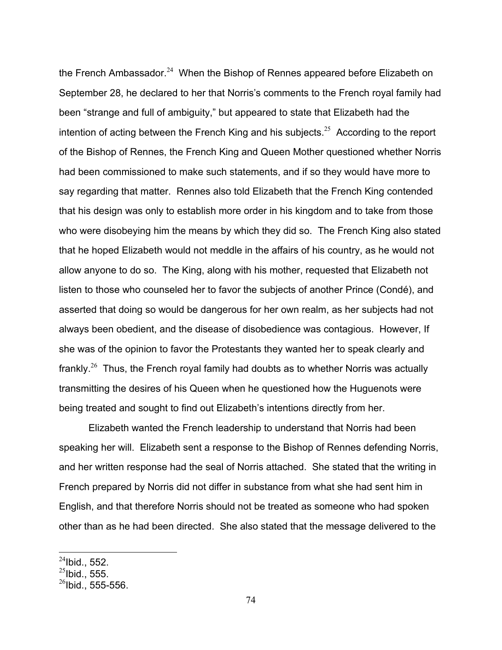the French Ambassador.<sup>24</sup> When the Bishop of Rennes appeared before Elizabeth on September 28, he declared to her that Norris's comments to the French royal family had been "strange and full of ambiguity," but appeared to state that Elizabeth had the intention of acting between the French King and his subjects.<sup>25</sup> According to the report of the Bishop of Rennes, the French King and Queen Mother questioned whether Norris had been commissioned to make such statements, and if so they would have more to say regarding that matter. Rennes also told Elizabeth that the French King contended that his design was only to establish more order in his kingdom and to take from those who were disobeying him the means by which they did so. The French King also stated that he hoped Elizabeth would not meddle in the affairs of his country, as he would not allow anyone to do so. The King, along with his mother, requested that Elizabeth not listen to those who counseled her to favor the subjects of another Prince (Condé), and asserted that doing so would be dangerous for her own realm, as her subjects had not always been obedient, and the disease of disobedience was contagious. However, If she was of the opinion to favor the Protestants they wanted her to speak clearly and frankly.<sup>26</sup> Thus, the French royal family had doubts as to whether Norris was actually transmitting the desires of his Queen when he questioned how the Huguenots were being treated and sought to find out Elizabeth's intentions directly from her.

 Elizabeth wanted the French leadership to understand that Norris had been speaking her will. Elizabeth sent a response to the Bishop of Rennes defending Norris, and her written response had the seal of Norris attached. She stated that the writing in French prepared by Norris did not differ in substance from what she had sent him in English, and that therefore Norris should not be treated as someone who had spoken other than as he had been directed. She also stated that the message delivered to the

<u>.</u>

 $^{24}$ Ibid., 552.

 $^{25}$ Ibid., 555.

 $^{26}$ Ibid., 555-556.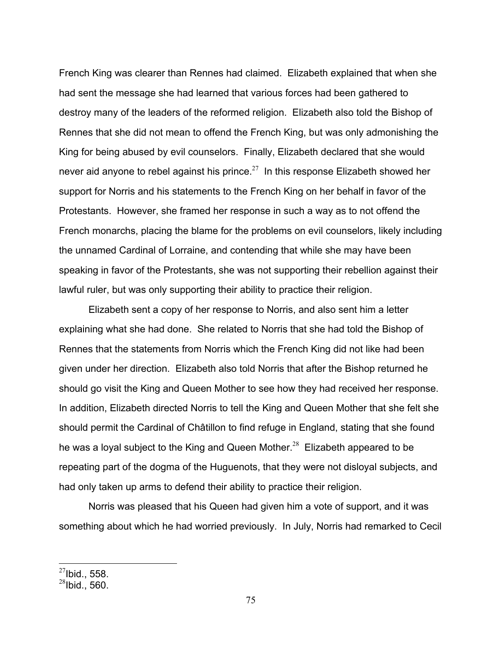French King was clearer than Rennes had claimed. Elizabeth explained that when she had sent the message she had learned that various forces had been gathered to destroy many of the leaders of the reformed religion. Elizabeth also told the Bishop of Rennes that she did not mean to offend the French King, but was only admonishing the King for being abused by evil counselors. Finally, Elizabeth declared that she would never aid anyone to rebel against his prince.<sup>27</sup> In this response Elizabeth showed her support for Norris and his statements to the French King on her behalf in favor of the Protestants. However, she framed her response in such a way as to not offend the French monarchs, placing the blame for the problems on evil counselors, likely including the unnamed Cardinal of Lorraine, and contending that while she may have been speaking in favor of the Protestants, she was not supporting their rebellion against their lawful ruler, but was only supporting their ability to practice their religion.

 Elizabeth sent a copy of her response to Norris, and also sent him a letter explaining what she had done. She related to Norris that she had told the Bishop of Rennes that the statements from Norris which the French King did not like had been given under her direction. Elizabeth also told Norris that after the Bishop returned he should go visit the King and Queen Mother to see how they had received her response. In addition, Elizabeth directed Norris to tell the King and Queen Mother that she felt she should permit the Cardinal of Châtillon to find refuge in England, stating that she found he was a loyal subject to the King and Queen Mother.<sup>28</sup> Elizabeth appeared to be repeating part of the dogma of the Huguenots, that they were not disloyal subjects, and had only taken up arms to defend their ability to practice their religion.

 Norris was pleased that his Queen had given him a vote of support, and it was something about which he had worried previously. In July, Norris had remarked to Cecil

 $^{27}$ Ibid., 558.

 $^{28}$ Ibid., 560.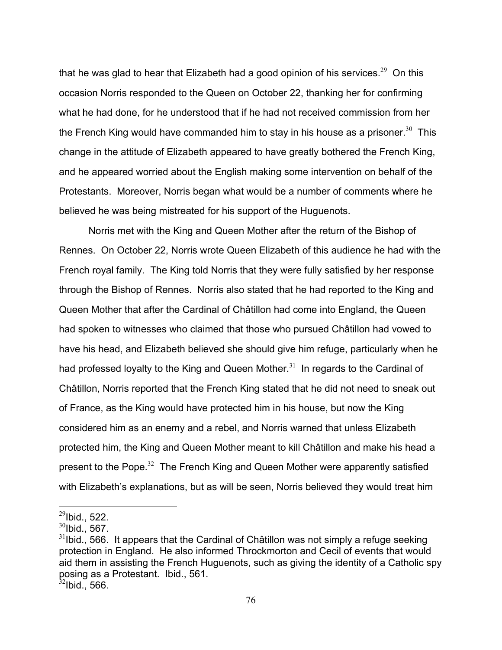that he was glad to hear that Elizabeth had a good opinion of his services.<sup>29</sup> On this occasion Norris responded to the Queen on October 22, thanking her for confirming what he had done, for he understood that if he had not received commission from her the French King would have commanded him to stay in his house as a prisoner.<sup>30</sup> This change in the attitude of Elizabeth appeared to have greatly bothered the French King, and he appeared worried about the English making some intervention on behalf of the Protestants. Moreover, Norris began what would be a number of comments where he believed he was being mistreated for his support of the Huguenots.

 Norris met with the King and Queen Mother after the return of the Bishop of Rennes. On October 22, Norris wrote Queen Elizabeth of this audience he had with the French royal family. The King told Norris that they were fully satisfied by her response through the Bishop of Rennes. Norris also stated that he had reported to the King and Queen Mother that after the Cardinal of Châtillon had come into England, the Queen had spoken to witnesses who claimed that those who pursued Châtillon had vowed to have his head, and Elizabeth believed she should give him refuge, particularly when he had professed loyalty to the King and Queen Mother.<sup>31</sup> In regards to the Cardinal of Châtillon, Norris reported that the French King stated that he did not need to sneak out of France, as the King would have protected him in his house, but now the King considered him as an enemy and a rebel, and Norris warned that unless Elizabeth protected him, the King and Queen Mother meant to kill Châtillon and make his head a present to the Pope.<sup>32</sup> The French King and Queen Mother were apparently satisfied with Elizabeth's explanations, but as will be seen, Norris believed they would treat him

 $^{29}$ Ibid., 522.

 $30$ Ibid., 567.

 $31$ Ibid., 566. It appears that the Cardinal of Châtillon was not simply a refuge seeking protection in England. He also informed Throckmorton and Cecil of events that would aid them in assisting the French Huguenots, such as giving the identity of a Catholic spy posing as a Protestant. Ibid., 561.

 $32$ Ibid., 566.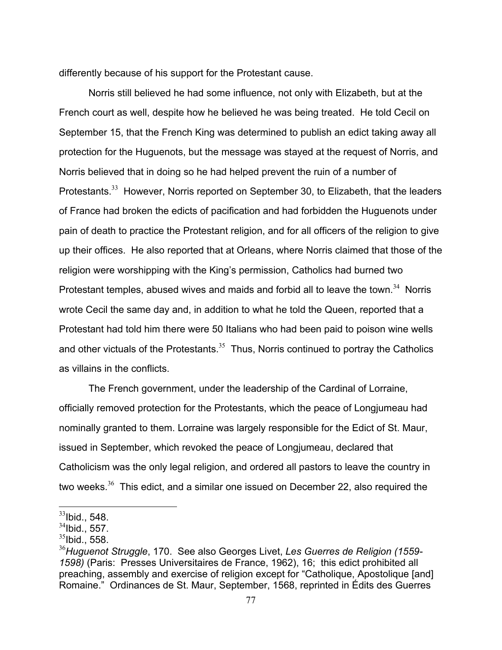differently because of his support for the Protestant cause.

 Norris still believed he had some influence, not only with Elizabeth, but at the French court as well, despite how he believed he was being treated. He told Cecil on September 15, that the French King was determined to publish an edict taking away all protection for the Huguenots, but the message was stayed at the request of Norris, and Norris believed that in doing so he had helped prevent the ruin of a number of Protestants.<sup>33</sup> However, Norris reported on September 30, to Elizabeth, that the leaders of France had broken the edicts of pacification and had forbidden the Huguenots under pain of death to practice the Protestant religion, and for all officers of the religion to give up their offices. He also reported that at Orleans, where Norris claimed that those of the religion were worshipping with the King's permission, Catholics had burned two Protestant temples, abused wives and maids and forbid all to leave the town. $34$  Norris wrote Cecil the same day and, in addition to what he told the Queen, reported that a Protestant had told him there were 50 Italians who had been paid to poison wine wells and other victuals of the Protestants. $35$  Thus, Norris continued to portray the Catholics as villains in the conflicts.

 The French government, under the leadership of the Cardinal of Lorraine, officially removed protection for the Protestants, which the peace of Longjumeau had nominally granted to them. Lorraine was largely responsible for the Edict of St. Maur, issued in September, which revoked the peace of Longjumeau, declared that Catholicism was the only legal religion, and ordered all pastors to leave the country in two weeks. $36$  This edict, and a similar one issued on December 22, also required the

 $\overline{a}$  $33$ Ibid., 548.

 $34$ Ibid., 557.

 $35$ Ibid., 558.

<sup>36</sup>*Huguenot Struggle*, 170. See also Georges Livet, *Les Guerres de Religion (1559- 1598)* (Paris: Presses Universitaires de France, 1962), 16; this edict prohibited all preaching, assembly and exercise of religion except for "Catholique, Apostolique [and] Romaine." Ordinances de St. Maur, September, 1568, reprinted in Édits des Guerres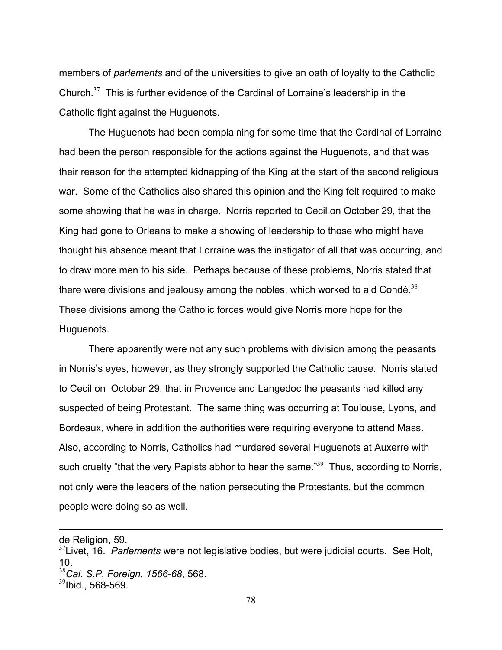members of *parlements* and of the universities to give an oath of loyalty to the Catholic Church. $37$  This is further evidence of the Cardinal of Lorraine's leadership in the Catholic fight against the Huguenots.

 The Huguenots had been complaining for some time that the Cardinal of Lorraine had been the person responsible for the actions against the Huguenots, and that was their reason for the attempted kidnapping of the King at the start of the second religious war. Some of the Catholics also shared this opinion and the King felt required to make some showing that he was in charge. Norris reported to Cecil on October 29, that the King had gone to Orleans to make a showing of leadership to those who might have thought his absence meant that Lorraine was the instigator of all that was occurring, and to draw more men to his side. Perhaps because of these problems, Norris stated that there were divisions and jealousy among the nobles, which worked to aid Condé.<sup>38</sup> These divisions among the Catholic forces would give Norris more hope for the Huguenots.

 There apparently were not any such problems with division among the peasants in Norris's eyes, however, as they strongly supported the Catholic cause. Norris stated to Cecil on October 29, that in Provence and Langedoc the peasants had killed any suspected of being Protestant. The same thing was occurring at Toulouse, Lyons, and Bordeaux, where in addition the authorities were requiring everyone to attend Mass. Also, according to Norris, Catholics had murdered several Huguenots at Auxerre with such cruelty "that the very Papists abhor to hear the same."<sup>39</sup> Thus, according to Norris, not only were the leaders of the nation persecuting the Protestants, but the common people were doing so as well.

de Religion, 59.

<sup>37</sup>Livet, 16. *Parlements* were not legislative bodies, but were judicial courts. See Holt, 10.

<sup>38</sup>*Cal. S.P. Foreign, 1566-68*, 568.

 $39$ Ibid., 568-569.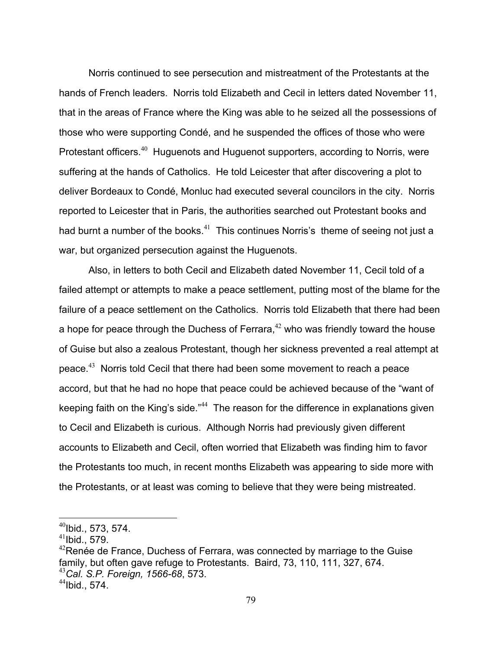Norris continued to see persecution and mistreatment of the Protestants at the hands of French leaders. Norris told Elizabeth and Cecil in letters dated November 11, that in the areas of France where the King was able to he seized all the possessions of those who were supporting Condé, and he suspended the offices of those who were Protestant officers.<sup>40</sup> Huguenots and Huguenot supporters, according to Norris, were suffering at the hands of Catholics. He told Leicester that after discovering a plot to deliver Bordeaux to Condé, Monluc had executed several councilors in the city. Norris reported to Leicester that in Paris, the authorities searched out Protestant books and had burnt a number of the books. $41$  This continues Norris's theme of seeing not just a war, but organized persecution against the Huguenots.

 Also, in letters to both Cecil and Elizabeth dated November 11, Cecil told of a failed attempt or attempts to make a peace settlement, putting most of the blame for the failure of a peace settlement on the Catholics. Norris told Elizabeth that there had been a hope for peace through the Duchess of Ferrara, $42$  who was friendly toward the house of Guise but also a zealous Protestant, though her sickness prevented a real attempt at peace. $43$  Norris told Cecil that there had been some movement to reach a peace accord, but that he had no hope that peace could be achieved because of the "want of keeping faith on the King's side."<sup>44</sup> The reason for the difference in explanations given to Cecil and Elizabeth is curious. Although Norris had previously given different accounts to Elizabeth and Cecil, often worried that Elizabeth was finding him to favor the Protestants too much, in recent months Elizabeth was appearing to side more with the Protestants, or at least was coming to believe that they were being mistreated.

1

 $^{40}$ Ibid., 573, 574.

 $41$ Ibid., 579.

 $42$ Renée de France, Duchess of Ferrara, was connected by marriage to the Guise family, but often gave refuge to Protestants. Baird, 73, 110, 111, 327, 674. <sup>43</sup>*Cal. S.P. Foreign, 1566-68*, 573.

 $44$ Ibid., 574.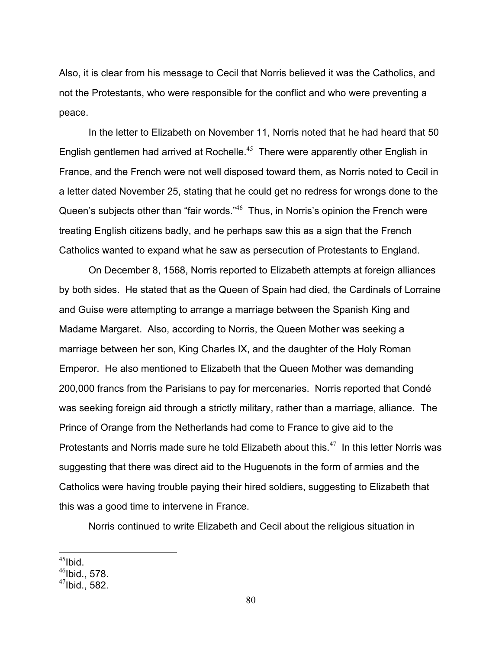Also, it is clear from his message to Cecil that Norris believed it was the Catholics, and not the Protestants, who were responsible for the conflict and who were preventing a peace.

 In the letter to Elizabeth on November 11, Norris noted that he had heard that 50 English gentlemen had arrived at Rochelle.<sup>45</sup> There were apparently other English in France, and the French were not well disposed toward them, as Norris noted to Cecil in a letter dated November 25, stating that he could get no redress for wrongs done to the Queen's subjects other than "fair words."<sup>46</sup> Thus, in Norris's opinion the French were treating English citizens badly, and he perhaps saw this as a sign that the French Catholics wanted to expand what he saw as persecution of Protestants to England.

 On December 8, 1568, Norris reported to Elizabeth attempts at foreign alliances by both sides. He stated that as the Queen of Spain had died, the Cardinals of Lorraine and Guise were attempting to arrange a marriage between the Spanish King and Madame Margaret. Also, according to Norris, the Queen Mother was seeking a marriage between her son, King Charles IX, and the daughter of the Holy Roman Emperor. He also mentioned to Elizabeth that the Queen Mother was demanding 200,000 francs from the Parisians to pay for mercenaries. Norris reported that Condé was seeking foreign aid through a strictly military, rather than a marriage, alliance. The Prince of Orange from the Netherlands had come to France to give aid to the Protestants and Norris made sure he told Elizabeth about this.<sup>47</sup> In this letter Norris was suggesting that there was direct aid to the Huguenots in the form of armies and the Catholics were having trouble paying their hired soldiers, suggesting to Elizabeth that this was a good time to intervene in France.

Norris continued to write Elizabeth and Cecil about the religious situation in

 $\overline{a}$  $45$ Ibid.

 $46$ Ibid., 578.

 $47$ Ibid., 582.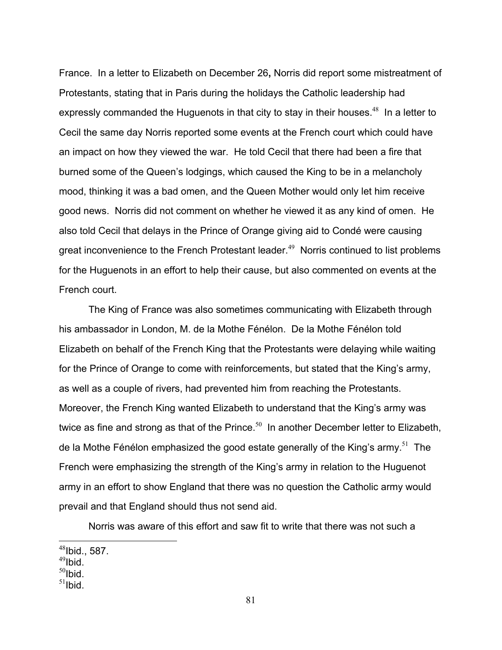France. In a letter to Elizabeth on December 26**,** Norris did report some mistreatment of Protestants, stating that in Paris during the holidays the Catholic leadership had expressly commanded the Huguenots in that city to stay in their houses.<sup>48</sup> In a letter to Cecil the same day Norris reported some events at the French court which could have an impact on how they viewed the war. He told Cecil that there had been a fire that burned some of the Queen's lodgings, which caused the King to be in a melancholy mood, thinking it was a bad omen, and the Queen Mother would only let him receive good news. Norris did not comment on whether he viewed it as any kind of omen. He also told Cecil that delays in the Prince of Orange giving aid to Condé were causing great inconvenience to the French Protestant leader.<sup>49</sup> Norris continued to list problems for the Huguenots in an effort to help their cause, but also commented on events at the French court.

 The King of France was also sometimes communicating with Elizabeth through his ambassador in London, M. de la Mothe Fénélon. De la Mothe Fénélon told Elizabeth on behalf of the French King that the Protestants were delaying while waiting for the Prince of Orange to come with reinforcements, but stated that the King's army, as well as a couple of rivers, had prevented him from reaching the Protestants. Moreover, the French King wanted Elizabeth to understand that the King's army was twice as fine and strong as that of the Prince. $50$  In another December letter to Elizabeth, de la Mothe Fénélon emphasized the good estate generally of the King's army.<sup>51</sup> The French were emphasizing the strength of the King's army in relation to the Huguenot army in an effort to show England that there was no question the Catholic army would prevail and that England should thus not send aid.

Norris was aware of this effort and saw fit to write that there was not such a

- $49$ Ibid.
- $50$ Ibid.

<u>.</u>

 $51$ Ibid.

 $48$ Ibid., 587.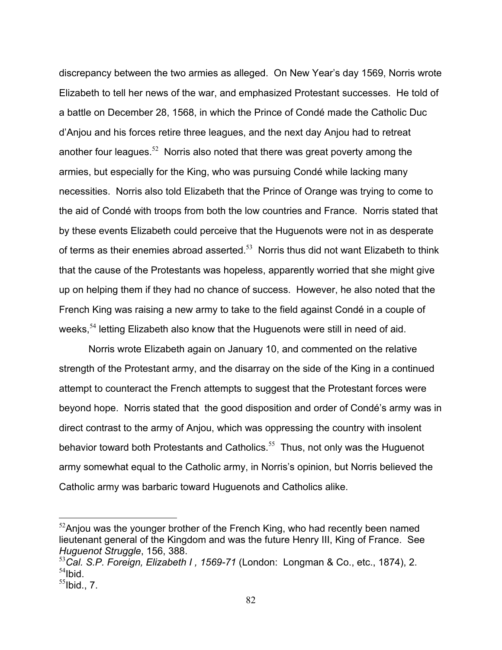discrepancy between the two armies as alleged. On New Year's day 1569, Norris wrote Elizabeth to tell her news of the war, and emphasized Protestant successes. He told of a battle on December 28, 1568, in which the Prince of Condé made the Catholic Duc d'Anjou and his forces retire three leagues, and the next day Anjou had to retreat another four leagues.<sup>52</sup> Norris also noted that there was great poverty among the armies, but especially for the King, who was pursuing Condé while lacking many necessities. Norris also told Elizabeth that the Prince of Orange was trying to come to the aid of Condé with troops from both the low countries and France. Norris stated that by these events Elizabeth could perceive that the Huguenots were not in as desperate of terms as their enemies abroad asserted.<sup>53</sup> Norris thus did not want Elizabeth to think that the cause of the Protestants was hopeless, apparently worried that she might give up on helping them if they had no chance of success. However, he also noted that the French King was raising a new army to take to the field against Condé in a couple of weeks,<sup>54</sup> letting Elizabeth also know that the Huguenots were still in need of aid.

 Norris wrote Elizabeth again on January 10, and commented on the relative strength of the Protestant army, and the disarray on the side of the King in a continued attempt to counteract the French attempts to suggest that the Protestant forces were beyond hope. Norris stated that the good disposition and order of Condé's army was in direct contrast to the army of Anjou, which was oppressing the country with insolent behavior toward both Protestants and Catholics.<sup>55</sup> Thus, not only was the Huguenot army somewhat equal to the Catholic army, in Norris's opinion, but Norris believed the Catholic army was barbaric toward Huguenots and Catholics alike.

 $52$ Anjou was the younger brother of the French King, who had recently been named lieutenant general of the Kingdom and was the future Henry III, King of France. See *Huguenot Struggle*, 156, 388.

<sup>53</sup>*Cal. S.P. Foreign, Elizabeth I , 1569-71* (London: Longman & Co., etc., 1874), 2.  $54$ Ibid.

 $<sup>55</sup>$ Ibid., 7.</sup>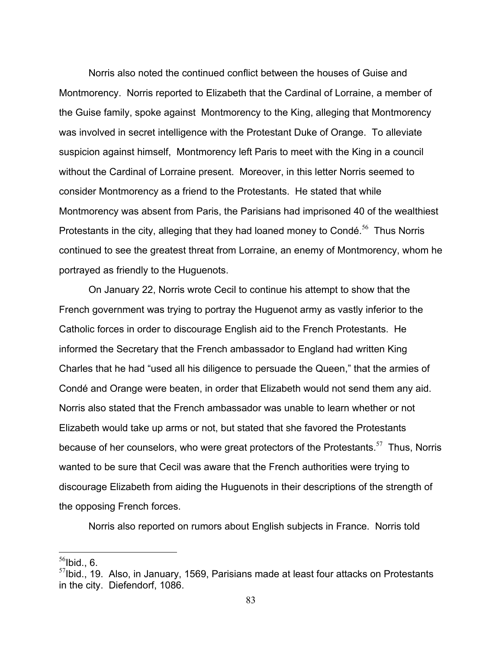Norris also noted the continued conflict between the houses of Guise and Montmorency. Norris reported to Elizabeth that the Cardinal of Lorraine, a member of the Guise family, spoke against Montmorency to the King, alleging that Montmorency was involved in secret intelligence with the Protestant Duke of Orange. To alleviate suspicion against himself, Montmorency left Paris to meet with the King in a council without the Cardinal of Lorraine present. Moreover, in this letter Norris seemed to consider Montmorency as a friend to the Protestants. He stated that while Montmorency was absent from Paris, the Parisians had imprisoned 40 of the wealthiest Protestants in the city, alleging that they had loaned money to Condé.<sup>56</sup> Thus Norris continued to see the greatest threat from Lorraine, an enemy of Montmorency, whom he portrayed as friendly to the Huguenots.

 On January 22, Norris wrote Cecil to continue his attempt to show that the French government was trying to portray the Huguenot army as vastly inferior to the Catholic forces in order to discourage English aid to the French Protestants. He informed the Secretary that the French ambassador to England had written King Charles that he had "used all his diligence to persuade the Queen," that the armies of Condé and Orange were beaten, in order that Elizabeth would not send them any aid. Norris also stated that the French ambassador was unable to learn whether or not Elizabeth would take up arms or not, but stated that she favored the Protestants because of her counselors, who were great protectors of the Protestants.<sup>57</sup> Thus, Norris wanted to be sure that Cecil was aware that the French authorities were trying to discourage Elizabeth from aiding the Huguenots in their descriptions of the strength of the opposing French forces.

Norris also reported on rumors about English subjects in France. Norris told

<u>.</u>

83

 $56$ Ibid., 6.

 $57$ Ibid., 19. Also, in January, 1569, Parisians made at least four attacks on Protestants in the city. Diefendorf, 1086.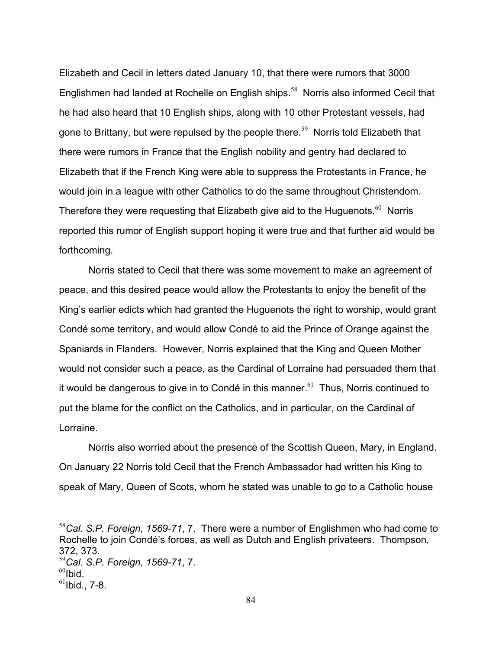Elizabeth and Cecil in letters dated January 10, that there were rumors that 3000 Englishmen had landed at Rochelle on English ships.<sup>58</sup> Norris also informed Cecil that he had also heard that 10 English ships, along with 10 other Protestant vessels, had gone to Brittany, but were repulsed by the people there.<sup>59</sup> Norris told Elizabeth that there were rumors in France that the English nobility and gentry had declared to Elizabeth that if the French King were able to suppress the Protestants in France, he would join in a league with other Catholics to do the same throughout Christendom. Therefore they were requesting that Elizabeth give aid to the Huguenots. $60$  Norris reported this rumor of English support hoping it were true and that further aid would be forthcoming.

 Norris stated to Cecil that there was some movement to make an agreement of peace, and this desired peace would allow the Protestants to enjoy the benefit of the King's earlier edicts which had granted the Huguenots the right to worship, would grant Condé some territory, and would allow Condé to aid the Prince of Orange against the Spaniards in Flanders. However, Norris explained that the King and Queen Mother would not consider such a peace, as the Cardinal of Lorraine had persuaded them that it would be dangerous to give in to Condé in this manner.<sup>61</sup> Thus, Norris continued to put the blame for the conflict on the Catholics, and in particular, on the Cardinal of Lorraine.

 Norris also worried about the presence of the Scottish Queen, Mary, in England. On January 22 Norris told Cecil that the French Ambassador had written his King to speak of Mary, Queen of Scots, whom he stated was unable to go to a Catholic house

<sup>58</sup>*Cal. S.P. Foreign, 1569-71*, 7. There were a number of Englishmen who had come to Rochelle to join Condé's forces, as well as Dutch and English privateers. Thompson, 372, 373.

<sup>59</sup>*Cal. S.P. Foreign, 1569-71*, 7.

 $^{60}$ Ibid.

 $61$ Ibid., 7-8.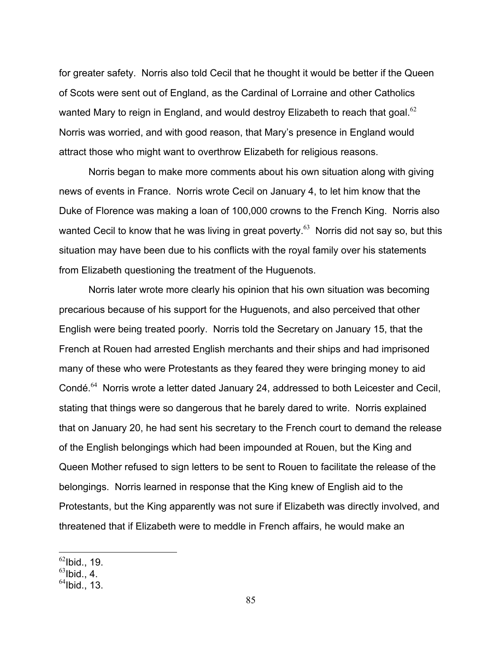for greater safety. Norris also told Cecil that he thought it would be better if the Queen of Scots were sent out of England, as the Cardinal of Lorraine and other Catholics wanted Mary to reign in England, and would destroy Elizabeth to reach that goal.<sup>62</sup> Norris was worried, and with good reason, that Mary's presence in England would attract those who might want to overthrow Elizabeth for religious reasons.

 Norris began to make more comments about his own situation along with giving news of events in France. Norris wrote Cecil on January 4, to let him know that the Duke of Florence was making a loan of 100,000 crowns to the French King. Norris also wanted Cecil to know that he was living in great poverty.<sup>63</sup> Norris did not say so, but this situation may have been due to his conflicts with the royal family over his statements from Elizabeth questioning the treatment of the Huguenots.

 Norris later wrote more clearly his opinion that his own situation was becoming precarious because of his support for the Huguenots, and also perceived that other English were being treated poorly. Norris told the Secretary on January 15, that the French at Rouen had arrested English merchants and their ships and had imprisoned many of these who were Protestants as they feared they were bringing money to aid Condé.<sup>64</sup> Norris wrote a letter dated January 24, addressed to both Leicester and Cecil, stating that things were so dangerous that he barely dared to write. Norris explained that on January 20, he had sent his secretary to the French court to demand the release of the English belongings which had been impounded at Rouen, but the King and Queen Mother refused to sign letters to be sent to Rouen to facilitate the release of the belongings. Norris learned in response that the King knew of English aid to the Protestants, but the King apparently was not sure if Elizabeth was directly involved, and threatened that if Elizabeth were to meddle in French affairs, he would make an

 $62$ Ibid., 19.

 $63$ Ibid., 4.

 $^{64}$ Ibid., 13.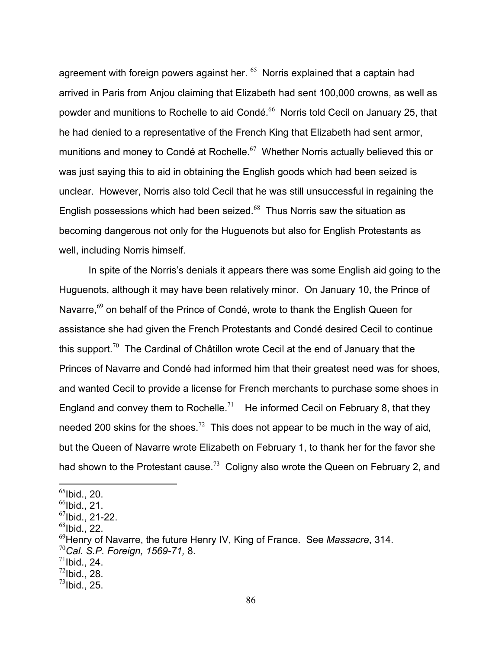agreement with foreign powers against her.  $65$  Norris explained that a captain had arrived in Paris from Anjou claiming that Elizabeth had sent 100,000 crowns, as well as powder and munitions to Rochelle to aid Condé.<sup>66</sup> Norris told Cecil on January 25, that he had denied to a representative of the French King that Elizabeth had sent armor, munitions and money to Condé at Rochelle.<sup>67</sup> Whether Norris actually believed this or was just saying this to aid in obtaining the English goods which had been seized is unclear. However, Norris also told Cecil that he was still unsuccessful in regaining the English possessions which had been seized. $68$  Thus Norris saw the situation as becoming dangerous not only for the Huguenots but also for English Protestants as well, including Norris himself.

 In spite of the Norris's denials it appears there was some English aid going to the Huguenots, although it may have been relatively minor. On January 10, the Prince of Navarre,<sup>69</sup> on behalf of the Prince of Condé, wrote to thank the English Queen for assistance she had given the French Protestants and Condé desired Cecil to continue this support.<sup>70</sup>The Cardinal of Châtillon wrote Cecil at the end of January that the Princes of Navarre and Condé had informed him that their greatest need was for shoes, and wanted Cecil to provide a license for French merchants to purchase some shoes in England and convey them to Rochelle.<sup>71</sup> He informed Cecil on February 8, that they needed 200 skins for the shoes.<sup>72</sup> This does not appear to be much in the way of aid, but the Queen of Navarre wrote Elizabeth on February 1, to thank her for the favor she had shown to the Protestant cause.<sup>73</sup> Coligny also wrote the Queen on February 2, and

 $\overline{a}$ 

 $^{68}$ Ibid., 22.

 $^{72}$ Ibid., 28.

 $65$ Ibid., 20.

 $<sup>66</sup>$ Ibid., 21.</sup>

 $^{67}$ Ibid., 21-22.

<sup>69</sup>Henry of Navarre, the future Henry IV, King of France. See *Massacre*, 314.

<sup>70</sup>*Cal. S.P. Foreign, 1569-71,* 8.

 $^{71}$ Ibid., 24.

 $^{73}$ Ibid., 25.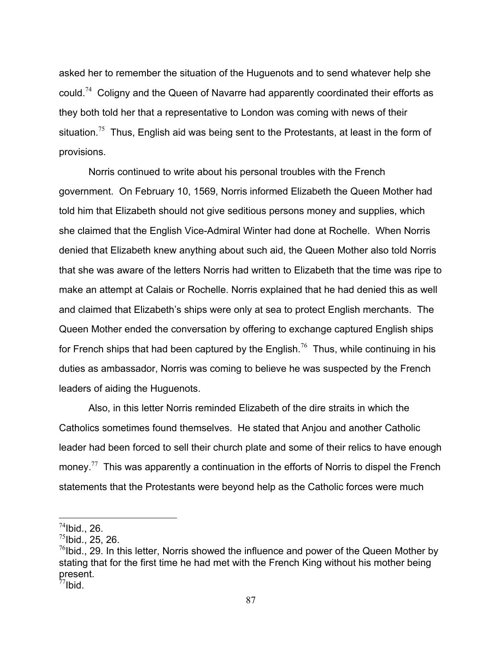asked her to remember the situation of the Huguenots and to send whatever help she could.<sup>74</sup> Coligny and the Queen of Navarre had apparently coordinated their efforts as they both told her that a representative to London was coming with news of their situation.<sup>75</sup> Thus, English aid was being sent to the Protestants, at least in the form of provisions.

 Norris continued to write about his personal troubles with the French government. On February 10, 1569, Norris informed Elizabeth the Queen Mother had told him that Elizabeth should not give seditious persons money and supplies, which she claimed that the English Vice-Admiral Winter had done at Rochelle. When Norris denied that Elizabeth knew anything about such aid, the Queen Mother also told Norris that she was aware of the letters Norris had written to Elizabeth that the time was ripe to make an attempt at Calais or Rochelle. Norris explained that he had denied this as well and claimed that Elizabeth's ships were only at sea to protect English merchants. The Queen Mother ended the conversation by offering to exchange captured English ships for French ships that had been captured by the English.<sup>76</sup> Thus, while continuing in his duties as ambassador, Norris was coming to believe he was suspected by the French leaders of aiding the Huguenots.

 Also, in this letter Norris reminded Elizabeth of the dire straits in which the Catholics sometimes found themselves. He stated that Anjou and another Catholic leader had been forced to sell their church plate and some of their relics to have enough money.<sup>77</sup> This was apparently a continuation in the efforts of Norris to dispel the French statements that the Protestants were beyond help as the Catholic forces were much

 $^{74}$ Ibid., 26.

 $^{75}$ Ibid., 25, 26.

 $^{76}$ Ibid., 29. In this letter, Norris showed the influence and power of the Queen Mother by stating that for the first time he had met with the French King without his mother being present.

 $^{77}$ Ibid.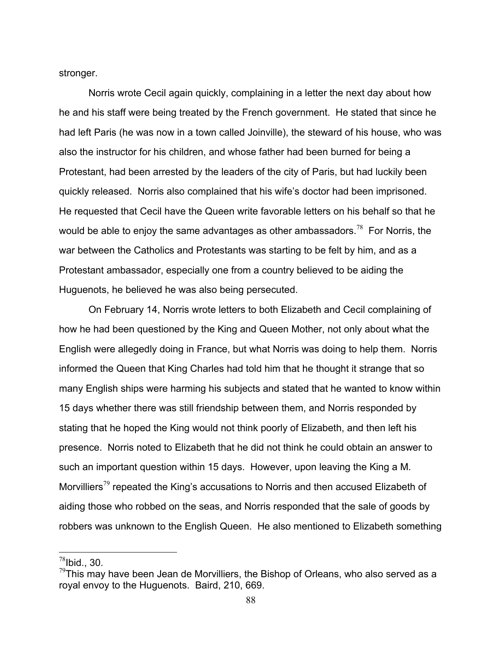stronger.

 Norris wrote Cecil again quickly, complaining in a letter the next day about how he and his staff were being treated by the French government. He stated that since he had left Paris (he was now in a town called Joinville), the steward of his house, who was also the instructor for his children, and whose father had been burned for being a Protestant, had been arrested by the leaders of the city of Paris, but had luckily been quickly released. Norris also complained that his wife's doctor had been imprisoned. He requested that Cecil have the Queen write favorable letters on his behalf so that he would be able to enjoy the same advantages as other ambassadors.<sup>78</sup> For Norris, the war between the Catholics and Protestants was starting to be felt by him, and as a Protestant ambassador, especially one from a country believed to be aiding the Huguenots, he believed he was also being persecuted.

 On February 14, Norris wrote letters to both Elizabeth and Cecil complaining of how he had been questioned by the King and Queen Mother, not only about what the English were allegedly doing in France, but what Norris was doing to help them. Norris informed the Queen that King Charles had told him that he thought it strange that so many English ships were harming his subjects and stated that he wanted to know within 15 days whether there was still friendship between them, and Norris responded by stating that he hoped the King would not think poorly of Elizabeth, and then left his presence. Norris noted to Elizabeth that he did not think he could obtain an answer to such an important question within 15 days. However, upon leaving the King a M. Morvilliers<sup>79</sup> repeated the King's accusations to Norris and then accused Elizabeth of aiding those who robbed on the seas, and Norris responded that the sale of goods by robbers was unknown to the English Queen. He also mentioned to Elizabeth something

 $^{78}$ Ibid., 30.

 $^{79}$ This may have been Jean de Morvilliers, the Bishop of Orleans, who also served as a royal envoy to the Huguenots. Baird, 210, 669.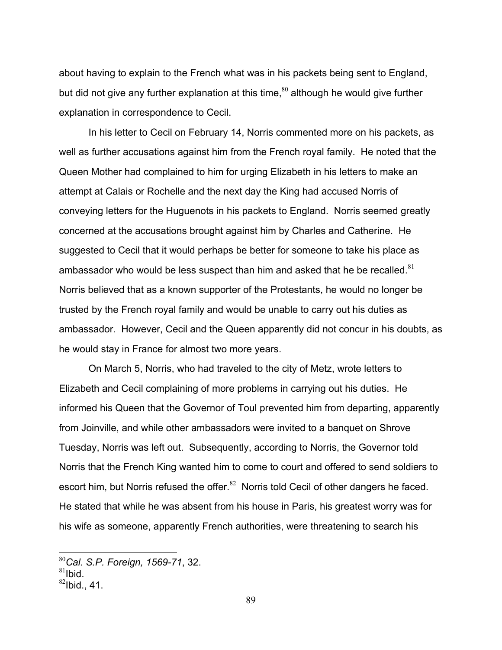about having to explain to the French what was in his packets being sent to England, but did not give any further explanation at this time,  $80$  although he would give further explanation in correspondence to Cecil.

 In his letter to Cecil on February 14, Norris commented more on his packets, as well as further accusations against him from the French royal family. He noted that the Queen Mother had complained to him for urging Elizabeth in his letters to make an attempt at Calais or Rochelle and the next day the King had accused Norris of conveying letters for the Huguenots in his packets to England. Norris seemed greatly concerned at the accusations brought against him by Charles and Catherine. He suggested to Cecil that it would perhaps be better for someone to take his place as ambassador who would be less suspect than him and asked that he be recalled. $81$ Norris believed that as a known supporter of the Protestants, he would no longer be trusted by the French royal family and would be unable to carry out his duties as ambassador. However, Cecil and the Queen apparently did not concur in his doubts, as he would stay in France for almost two more years.

 On March 5, Norris, who had traveled to the city of Metz, wrote letters to Elizabeth and Cecil complaining of more problems in carrying out his duties. He informed his Queen that the Governor of Toul prevented him from departing, apparently from Joinville, and while other ambassadors were invited to a banquet on Shrove Tuesday, Norris was left out. Subsequently, according to Norris, the Governor told Norris that the French King wanted him to come to court and offered to send soldiers to escort him, but Norris refused the offer.<sup>82</sup> Norris told Cecil of other dangers he faced. He stated that while he was absent from his house in Paris, his greatest worry was for his wife as someone, apparently French authorities, were threatening to search his

<sup>80</sup>*Cal. S.P. Foreign, 1569-71*, 32.

 $81$ Ibid.

 $82$ Ibid., 41.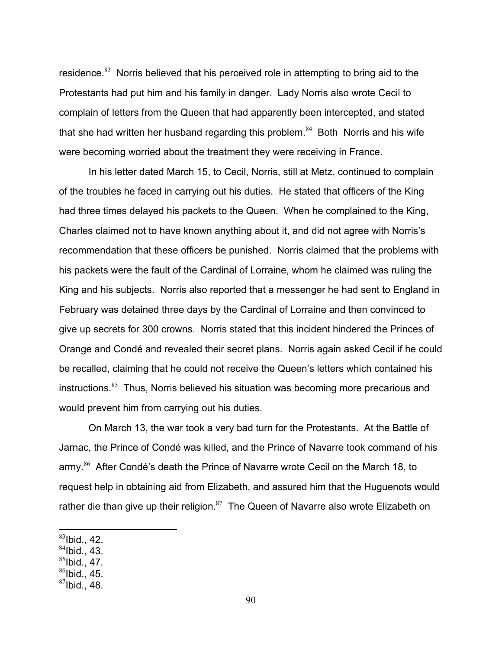residence. $83$  Norris believed that his perceived role in attempting to bring aid to the Protestants had put him and his family in danger. Lady Norris also wrote Cecil to complain of letters from the Queen that had apparently been intercepted, and stated that she had written her husband regarding this problem. $84$  Both Norris and his wife were becoming worried about the treatment they were receiving in France.

 In his letter dated March 15, to Cecil, Norris, still at Metz, continued to complain of the troubles he faced in carrying out his duties. He stated that officers of the King had three times delayed his packets to the Queen. When he complained to the King, Charles claimed not to have known anything about it, and did not agree with Norris's recommendation that these officers be punished. Norris claimed that the problems with his packets were the fault of the Cardinal of Lorraine, whom he claimed was ruling the King and his subjects. Norris also reported that a messenger he had sent to England in February was detained three days by the Cardinal of Lorraine and then convinced to give up secrets for 300 crowns. Norris stated that this incident hindered the Princes of Orange and Condé and revealed their secret plans. Norris again asked Cecil if he could be recalled, claiming that he could not receive the Queen's letters which contained his instructions.<sup>85</sup> Thus, Norris believed his situation was becoming more precarious and would prevent him from carrying out his duties.

 On March 13, the war took a very bad turn for the Protestants. At the Battle of Jarnac, the Prince of Condé was killed, and the Prince of Navarre took command of his army.<sup>86</sup> After Condé's death the Prince of Navarre wrote Cecil on the March 18, to request help in obtaining aid from Elizabeth, and assured him that the Huguenots would rather die than give up their religion. $87$  The Queen of Navarre also wrote Elizabeth on

- $84$ Ibid., 43.
- $85$ Ibid., 47.
- $86$ Ibid., 45.
- $87$ Ibid., 48.

 $83$ Ibid., 42.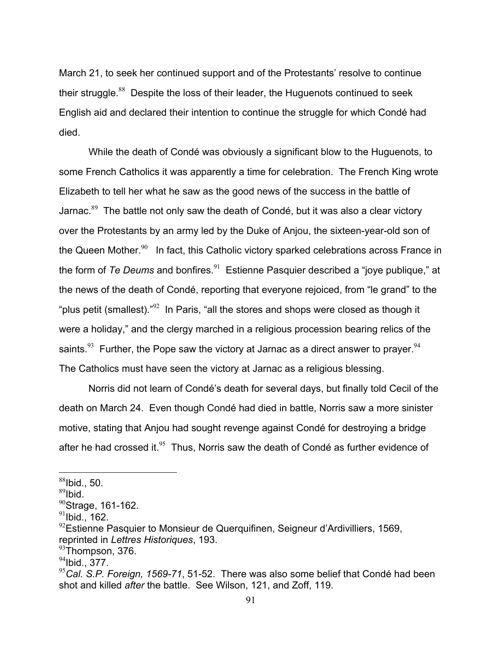March 21, to seek her continued support and of the Protestants' resolve to continue their struggle. $88$  Despite the loss of their leader, the Huguenots continued to seek English aid and declared their intention to continue the struggle for which Condé had died.

 While the death of Condé was obviously a significant blow to the Huguenots, to some French Catholics it was apparently a time for celebration. The French King wrote Elizabeth to tell her what he saw as the good news of the success in the battle of Jarnac. $89$  The battle not only saw the death of Condé, but it was also a clear victory over the Protestants by an army led by the Duke of Anjou, the sixteen-year-old son of the Queen Mother. $90$  In fact, this Catholic victory sparked celebrations across France in the form of *Te Deums* and bonfires.<sup>91</sup> Estienne Pasquier described a "joye publique," at the news of the death of Condé, reporting that everyone rejoiced, from "le grand" to the "plus petit (smallest). $^{92}$  In Paris, "all the stores and shops were closed as though it were a holiday," and the clergy marched in a religious procession bearing relics of the saints.<sup>93</sup> Further, the Pope saw the victory at Jarnac as a direct answer to prayer.<sup>94</sup> The Catholics must have seen the victory at Jarnac as a religious blessing.

 Norris did not learn of Condé's death for several days, but finally told Cecil of the death on March 24. Even though Condé had died in battle, Norris saw a more sinister motive, stating that Anjou had sought revenge against Condé for destroying a bridge after he had crossed it. $95$  Thus, Norris saw the death of Condé as further evidence of

 $88$ Ibid., 50.

 $89$ Ibid.

 $^{90}$ Strage, 161-162.

 $91$ Ibid., 162.

 $92$ Estienne Pasquier to Monsieur de Querquifinen, Seigneur d'Ardivilliers, 1569, reprinted in *Lettres Historiques*, 193.

 $93$ Thompson, 376.

 $94$ Ibid., 377.

<sup>95</sup>*Cal. S.P. Foreign, 1569-71*, 51-52. There was also some belief that Condé had been shot and killed *after* the battle. See Wilson, 121, and Zoff, 119.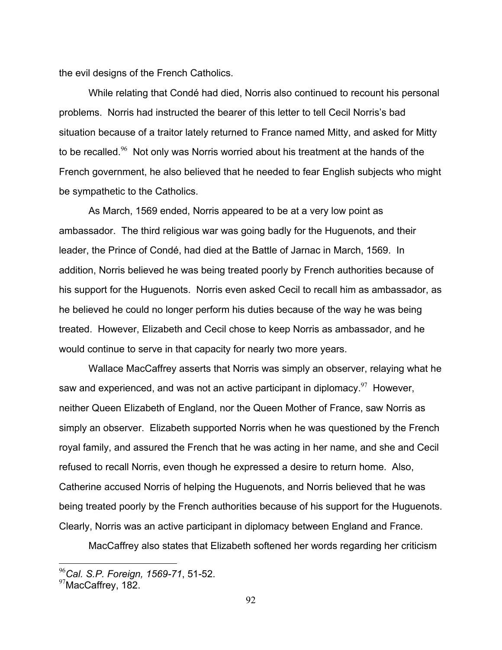the evil designs of the French Catholics.

 While relating that Condé had died, Norris also continued to recount his personal problems. Norris had instructed the bearer of this letter to tell Cecil Norris's bad situation because of a traitor lately returned to France named Mitty, and asked for Mitty to be recalled.<sup>96</sup> Not only was Norris worried about his treatment at the hands of the French government, he also believed that he needed to fear English subjects who might be sympathetic to the Catholics.

 As March, 1569 ended, Norris appeared to be at a very low point as ambassador. The third religious war was going badly for the Huguenots, and their leader, the Prince of Condé, had died at the Battle of Jarnac in March, 1569. In addition, Norris believed he was being treated poorly by French authorities because of his support for the Huguenots. Norris even asked Cecil to recall him as ambassador, as he believed he could no longer perform his duties because of the way he was being treated. However, Elizabeth and Cecil chose to keep Norris as ambassador, and he would continue to serve in that capacity for nearly two more years.

 Wallace MacCaffrey asserts that Norris was simply an observer, relaying what he saw and experienced, and was not an active participant in diplomacy. $97$  However, neither Queen Elizabeth of England, nor the Queen Mother of France, saw Norris as simply an observer. Elizabeth supported Norris when he was questioned by the French royal family, and assured the French that he was acting in her name, and she and Cecil refused to recall Norris, even though he expressed a desire to return home. Also, Catherine accused Norris of helping the Huguenots, and Norris believed that he was being treated poorly by the French authorities because of his support for the Huguenots. Clearly, Norris was an active participant in diplomacy between England and France.

MacCaffrey also states that Elizabeth softened her words regarding her criticism

<sup>96</sup>*Cal. S.P. Foreign, 1569-71*, 51-52.

<sup>&</sup>lt;sup>97</sup>MacCaffrey, 182.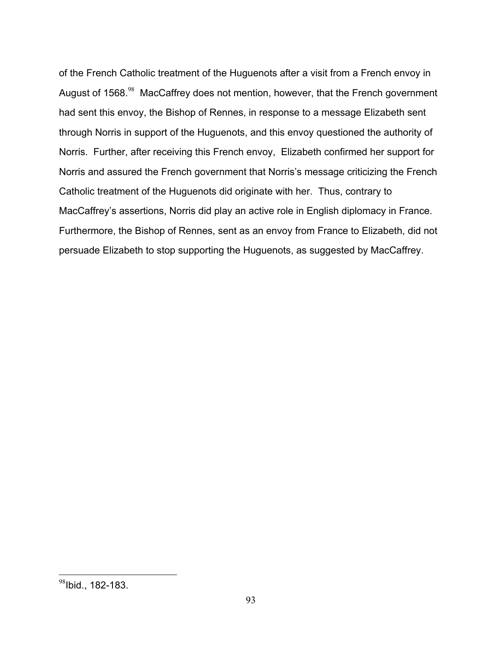of the French Catholic treatment of the Huguenots after a visit from a French envoy in August of 1568.<sup>98</sup> MacCaffrey does not mention, however, that the French government had sent this envoy, the Bishop of Rennes, in response to a message Elizabeth sent through Norris in support of the Huguenots, and this envoy questioned the authority of Norris. Further, after receiving this French envoy, Elizabeth confirmed her support for Norris and assured the French government that Norris's message criticizing the French Catholic treatment of the Huguenots did originate with her. Thus, contrary to MacCaffrey's assertions, Norris did play an active role in English diplomacy in France. Furthermore, the Bishop of Rennes, sent as an envoy from France to Elizabeth, did not persuade Elizabeth to stop supporting the Huguenots, as suggested by MacCaffrey.

1

 $98$ Ibid., 182-183.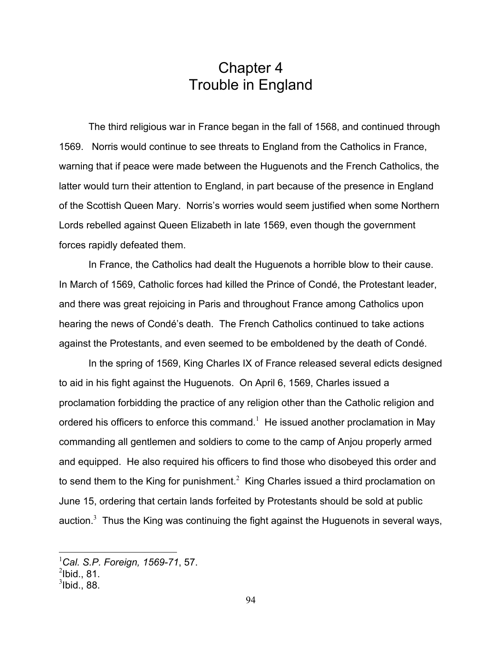## Chapter 4 Trouble in England

 The third religious war in France began in the fall of 1568, and continued through 1569. Norris would continue to see threats to England from the Catholics in France, warning that if peace were made between the Huguenots and the French Catholics, the latter would turn their attention to England, in part because of the presence in England of the Scottish Queen Mary. Norris's worries would seem justified when some Northern Lords rebelled against Queen Elizabeth in late 1569, even though the government forces rapidly defeated them.

 In France, the Catholics had dealt the Huguenots a horrible blow to their cause. In March of 1569, Catholic forces had killed the Prince of Condé, the Protestant leader, and there was great rejoicing in Paris and throughout France among Catholics upon hearing the news of Condé's death. The French Catholics continued to take actions against the Protestants, and even seemed to be emboldened by the death of Condé.

 In the spring of 1569, King Charles IX of France released several edicts designed to aid in his fight against the Huguenots. On April 6, 1569, Charles issued a proclamation forbidding the practice of any religion other than the Catholic religion and ordered his officers to enforce this command.<sup>1</sup> He issued another proclamation in May commanding all gentlemen and soldiers to come to the camp of Anjou properly armed and equipped. He also required his officers to find those who disobeyed this order and to send them to the King for punishment.<sup>2</sup> King Charles issued a third proclamation on June 15, ordering that certain lands forfeited by Protestants should be sold at public auction.<sup>3</sup> Thus the King was continuing the fight against the Huguenots in several ways,

<sup>1</sup> *Cal. S.P. Foreign, 1569-71*, 57.

 $^2$ lbid., 81.

 $3$ lbid., 88.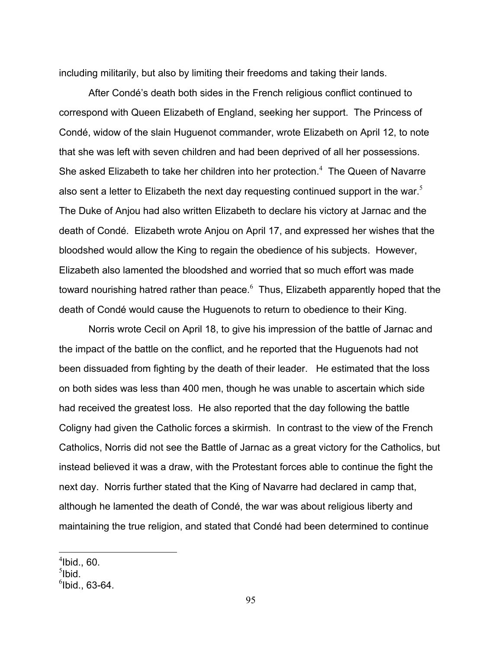including militarily, but also by limiting their freedoms and taking their lands.

 After Condé's death both sides in the French religious conflict continued to correspond with Queen Elizabeth of England, seeking her support. The Princess of Condé, widow of the slain Huguenot commander, wrote Elizabeth on April 12, to note that she was left with seven children and had been deprived of all her possessions. She asked Elizabeth to take her children into her protection. $4$  The Queen of Navarre also sent a letter to Elizabeth the next day requesting continued support in the war.<sup>5</sup> The Duke of Anjou had also written Elizabeth to declare his victory at Jarnac and the death of Condé. Elizabeth wrote Anjou on April 17, and expressed her wishes that the bloodshed would allow the King to regain the obedience of his subjects. However, Elizabeth also lamented the bloodshed and worried that so much effort was made toward nourishing hatred rather than peace. $^6$  Thus, Elizabeth apparently hoped that the death of Condé would cause the Huguenots to return to obedience to their King.

 Norris wrote Cecil on April 18, to give his impression of the battle of Jarnac and the impact of the battle on the conflict, and he reported that the Huguenots had not been dissuaded from fighting by the death of their leader. He estimated that the loss on both sides was less than 400 men, though he was unable to ascertain which side had received the greatest loss. He also reported that the day following the battle Coligny had given the Catholic forces a skirmish. In contrast to the view of the French Catholics, Norris did not see the Battle of Jarnac as a great victory for the Catholics, but instead believed it was a draw, with the Protestant forces able to continue the fight the next day. Norris further stated that the King of Navarre had declared in camp that, although he lamented the death of Condé, the war was about religious liberty and maintaining the true religion, and stated that Condé had been determined to continue

<u>.</u>

 $<sup>4</sup>$ Ibid., 60.</sup>

 $5$ Ibid.

 $<sup>6</sup>$ Ibid., 63-64.</sup>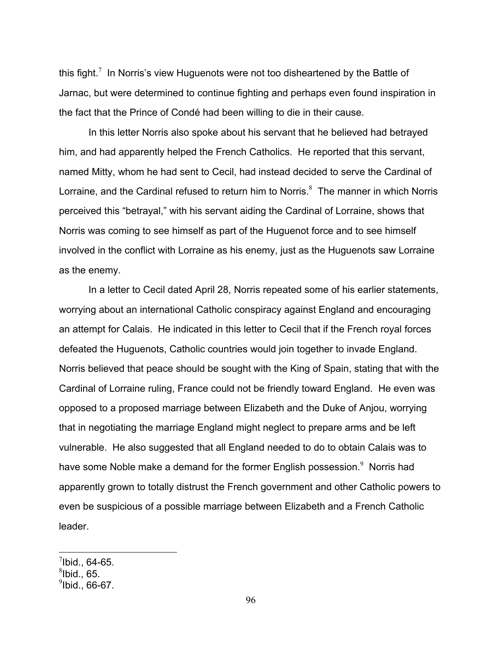this fight.<sup>7</sup> In Norris's view Huguenots were not too disheartened by the Battle of Jarnac, but were determined to continue fighting and perhaps even found inspiration in the fact that the Prince of Condé had been willing to die in their cause.

 In this letter Norris also spoke about his servant that he believed had betrayed him, and had apparently helped the French Catholics. He reported that this servant, named Mitty, whom he had sent to Cecil, had instead decided to serve the Cardinal of Lorraine, and the Cardinal refused to return him to Norris. $8$  The manner in which Norris perceived this "betrayal," with his servant aiding the Cardinal of Lorraine, shows that Norris was coming to see himself as part of the Huguenot force and to see himself involved in the conflict with Lorraine as his enemy, just as the Huguenots saw Lorraine as the enemy.

 In a letter to Cecil dated April 28, Norris repeated some of his earlier statements, worrying about an international Catholic conspiracy against England and encouraging an attempt for Calais. He indicated in this letter to Cecil that if the French royal forces defeated the Huguenots, Catholic countries would join together to invade England. Norris believed that peace should be sought with the King of Spain, stating that with the Cardinal of Lorraine ruling, France could not be friendly toward England. He even was opposed to a proposed marriage between Elizabeth and the Duke of Anjou, worrying that in negotiating the marriage England might neglect to prepare arms and be left vulnerable. He also suggested that all England needed to do to obtain Calais was to have some Noble make a demand for the former English possession. $9$  Norris had apparently grown to totally distrust the French government and other Catholic powers to even be suspicious of a possible marriage between Elizabeth and a French Catholic leader.

 $^7$ Ibid., 64-65.

 ${}^{8}$ Ibid., 65.

 $^9$ lbid., 66-67.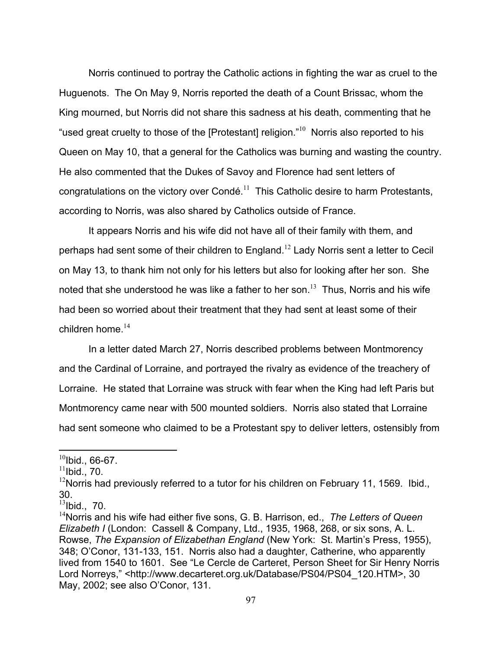Norris continued to portray the Catholic actions in fighting the war as cruel to the Huguenots. The On May 9, Norris reported the death of a Count Brissac, whom the King mourned, but Norris did not share this sadness at his death, commenting that he "used great cruelty to those of the [Protestant] religion. $10^{\circ}$  Norris also reported to his Queen on May 10, that a general for the Catholics was burning and wasting the country. He also commented that the Dukes of Savoy and Florence had sent letters of congratulations on the victory over Condé.<sup>11</sup> This Catholic desire to harm Protestants, according to Norris, was also shared by Catholics outside of France.

 It appears Norris and his wife did not have all of their family with them, and perhaps had sent some of their children to England.<sup>12</sup> Lady Norris sent a letter to Cecil on May 13, to thank him not only for his letters but also for looking after her son. She noted that she understood he was like a father to her son.<sup>13</sup> Thus, Norris and his wife had been so worried about their treatment that they had sent at least some of their children home  $^{14}$ 

 In a letter dated March 27, Norris described problems between Montmorency and the Cardinal of Lorraine, and portrayed the rivalry as evidence of the treachery of Lorraine. He stated that Lorraine was struck with fear when the King had left Paris but Montmorency came near with 500 mounted soldiers. Norris also stated that Lorraine had sent someone who claimed to be a Protestant spy to deliver letters, ostensibly from

 $10$ Ibid., 66-67.

 $11$ Ibid., 70.

 $12$ Norris had previously referred to a tutor for his children on February 11, 1569. Ibid., 30.

 $13$ Ibid., 70.

<sup>14</sup>Norris and his wife had either five sons, G. B. Harrison, ed., *The Letters of Queen Elizabeth I* (London: Cassell & Company, Ltd., 1935, 1968, 268, or six sons, A. L. Rowse, *The Expansion of Elizabethan England* (New York: St. Martin's Press, 1955), 348; O'Conor, 131-133, 151. Norris also had a daughter, Catherine, who apparently lived from 1540 to 1601. See "Le Cercle de Carteret, Person Sheet for Sir Henry Norris Lord Norreys," <http://www.decarteret.org.uk/Database/PS04/PS04\_120.HTM>, 30 May, 2002; see also O'Conor, 131.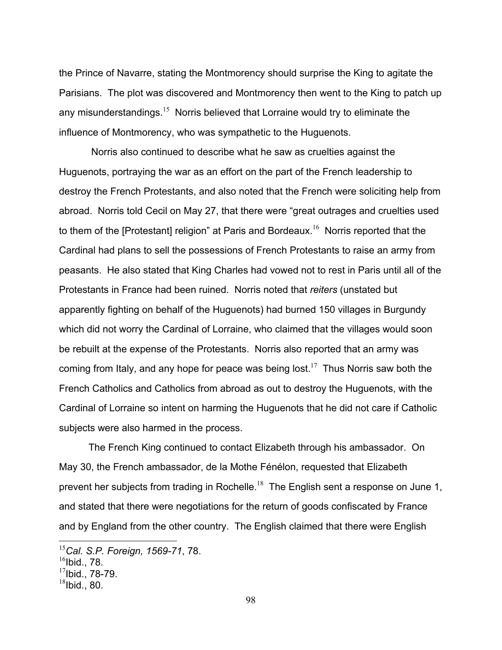the Prince of Navarre, stating the Montmorency should surprise the King to agitate the Parisians. The plot was discovered and Montmorency then went to the King to patch up any misunderstandings.<sup>15</sup> Norris believed that Lorraine would try to eliminate the influence of Montmorency, who was sympathetic to the Huguenots.

 Norris also continued to describe what he saw as cruelties against the Huguenots, portraying the war as an effort on the part of the French leadership to destroy the French Protestants, and also noted that the French were soliciting help from abroad. Norris told Cecil on May 27, that there were "great outrages and cruelties used to them of the [Protestant] religion" at Paris and Bordeaux.<sup>16</sup> Norris reported that the Cardinal had plans to sell the possessions of French Protestants to raise an army from peasants. He also stated that King Charles had vowed not to rest in Paris until all of the Protestants in France had been ruined. Norris noted that *reiters* (unstated but apparently fighting on behalf of the Huguenots) had burned 150 villages in Burgundy which did not worry the Cardinal of Lorraine, who claimed that the villages would soon be rebuilt at the expense of the Protestants. Norris also reported that an army was coming from Italy, and any hope for peace was being lost.<sup>17</sup> Thus Norris saw both the French Catholics and Catholics from abroad as out to destroy the Huguenots, with the Cardinal of Lorraine so intent on harming the Huguenots that he did not care if Catholic subjects were also harmed in the process.

 The French King continued to contact Elizabeth through his ambassador. On May 30, the French ambassador, de la Mothe Fénélon, requested that Elizabeth prevent her subjects from trading in Rochelle.<sup>18</sup> The English sent a response on June 1, and stated that there were negotiations for the return of goods confiscated by France and by England from the other country. The English claimed that there were English

<u>.</u>

<sup>15</sup>*Cal. S.P. Foreign, 1569-71*, 78.

 $16$ Ibid., 78.

 $17$ Ibid., 78-79.

 $18$ Ibid., 80.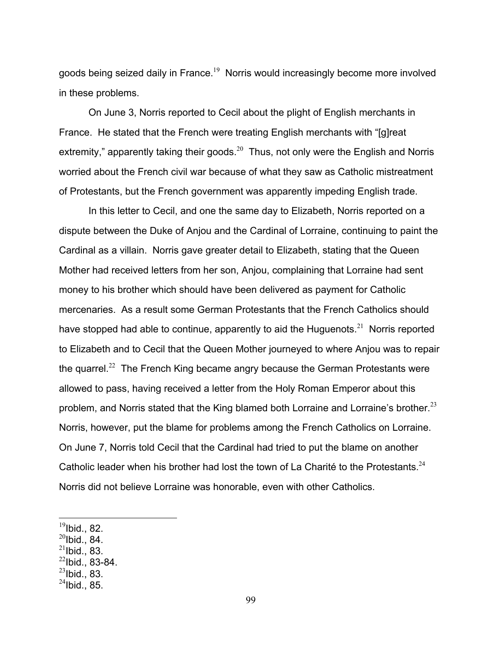goods being seized daily in France.<sup>19</sup> Norris would increasingly become more involved in these problems.

 On June 3, Norris reported to Cecil about the plight of English merchants in France. He stated that the French were treating English merchants with "[g]reat extremity," apparently taking their goods. $^{20}$  Thus, not only were the English and Norris worried about the French civil war because of what they saw as Catholic mistreatment of Protestants, but the French government was apparently impeding English trade.

 In this letter to Cecil, and one the same day to Elizabeth, Norris reported on a dispute between the Duke of Anjou and the Cardinal of Lorraine, continuing to paint the Cardinal as a villain. Norris gave greater detail to Elizabeth, stating that the Queen Mother had received letters from her son, Anjou, complaining that Lorraine had sent money to his brother which should have been delivered as payment for Catholic mercenaries. As a result some German Protestants that the French Catholics should have stopped had able to continue, apparently to aid the Huguenots.<sup>21</sup> Norris reported to Elizabeth and to Cecil that the Queen Mother journeyed to where Anjou was to repair the quarrel.<sup>22</sup> The French King became angry because the German Protestants were allowed to pass, having received a letter from the Holy Roman Emperor about this problem, and Norris stated that the King blamed both Lorraine and Lorraine's brother. $^{23}$ Norris, however, put the blame for problems among the French Catholics on Lorraine. On June 7, Norris told Cecil that the Cardinal had tried to put the blame on another Catholic leader when his brother had lost the town of La Charité to the Protestants. $^{24}$ Norris did not believe Lorraine was honorable, even with other Catholics.

1

- $^{20}$ Ibid., 84.
- $^{21}$ Ibid., 83.
- $^{22}$ Ibid., 83-84.
- $^{23}$ Ibid., 83.

 $^{19}$ Ibid., 82.

 $^{24}$ Ibid., 85.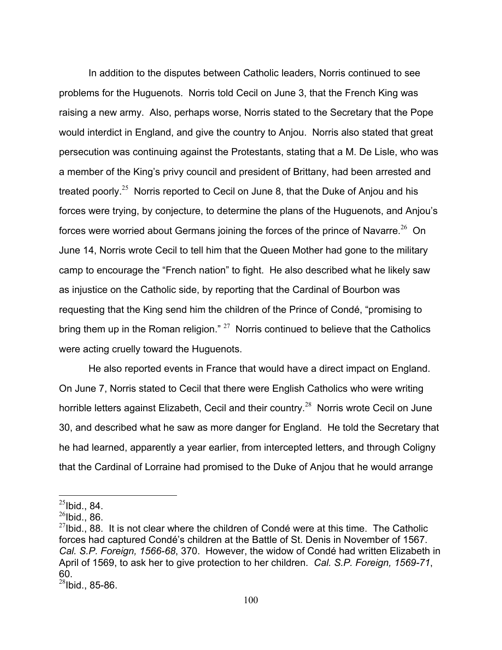In addition to the disputes between Catholic leaders, Norris continued to see problems for the Huguenots. Norris told Cecil on June 3, that the French King was raising a new army. Also, perhaps worse, Norris stated to the Secretary that the Pope would interdict in England, and give the country to Anjou. Norris also stated that great persecution was continuing against the Protestants, stating that a M. De Lisle, who was a member of the King's privy council and president of Brittany, had been arrested and treated poorly.<sup>25</sup> Norris reported to Cecil on June 8, that the Duke of Anjou and his forces were trying, by conjecture, to determine the plans of the Huguenots, and Anjou's forces were worried about Germans joining the forces of the prince of Navarre.<sup>26</sup> On June 14, Norris wrote Cecil to tell him that the Queen Mother had gone to the military camp to encourage the "French nation" to fight. He also described what he likely saw as injustice on the Catholic side, by reporting that the Cardinal of Bourbon was requesting that the King send him the children of the Prince of Condé, "promising to bring them up in the Roman religion."  $27$  Norris continued to believe that the Catholics were acting cruelly toward the Huguenots.

 He also reported events in France that would have a direct impact on England. On June 7, Norris stated to Cecil that there were English Catholics who were writing horrible letters against Elizabeth, Cecil and their country.<sup>28</sup> Norris wrote Cecil on June 30, and described what he saw as more danger for England. He told the Secretary that he had learned, apparently a year earlier, from intercepted letters, and through Coligny that the Cardinal of Lorraine had promised to the Duke of Anjou that he would arrange

 $^{25}$ Ibid., 84.

 $^{26}$ Ibid., 86.

 $^{27}$ Ibid., 88. It is not clear where the children of Condé were at this time. The Catholic forces had captured Condé's children at the Battle of St. Denis in November of 1567. *Cal. S.P. Foreign, 1566-68*, 370. However, the widow of Condé had written Elizabeth in April of 1569, to ask her to give protection to her children. *Cal. S.P. Foreign, 1569-71*, 60.

 $28$ Ibid., 85-86.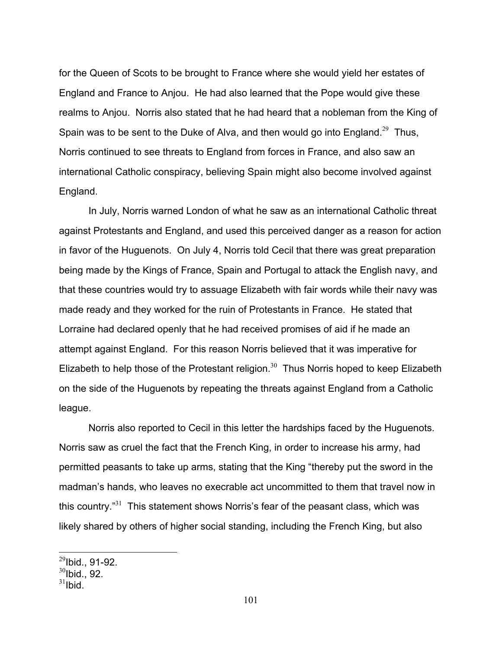for the Queen of Scots to be brought to France where she would yield her estates of England and France to Anjou. He had also learned that the Pope would give these realms to Anjou. Norris also stated that he had heard that a nobleman from the King of Spain was to be sent to the Duke of Alva, and then would go into England.<sup>29</sup> Thus, Norris continued to see threats to England from forces in France, and also saw an international Catholic conspiracy, believing Spain might also become involved against England.

 In July, Norris warned London of what he saw as an international Catholic threat against Protestants and England, and used this perceived danger as a reason for action in favor of the Huguenots. On July 4, Norris told Cecil that there was great preparation being made by the Kings of France, Spain and Portugal to attack the English navy, and that these countries would try to assuage Elizabeth with fair words while their navy was made ready and they worked for the ruin of Protestants in France. He stated that Lorraine had declared openly that he had received promises of aid if he made an attempt against England. For this reason Norris believed that it was imperative for Elizabeth to help those of the Protestant religion.<sup>30</sup> Thus Norris hoped to keep Elizabeth on the side of the Huguenots by repeating the threats against England from a Catholic league.

 Norris also reported to Cecil in this letter the hardships faced by the Huguenots. Norris saw as cruel the fact that the French King, in order to increase his army, had permitted peasants to take up arms, stating that the King "thereby put the sword in the madman's hands, who leaves no execrable act uncommitted to them that travel now in this country. $^{31}$  This statement shows Norris's fear of the peasant class, which was likely shared by others of higher social standing, including the French King, but also

 $^{29}$ Ibid., 91-92.

 $30$ Ibid., 92.

 $31$ Ibid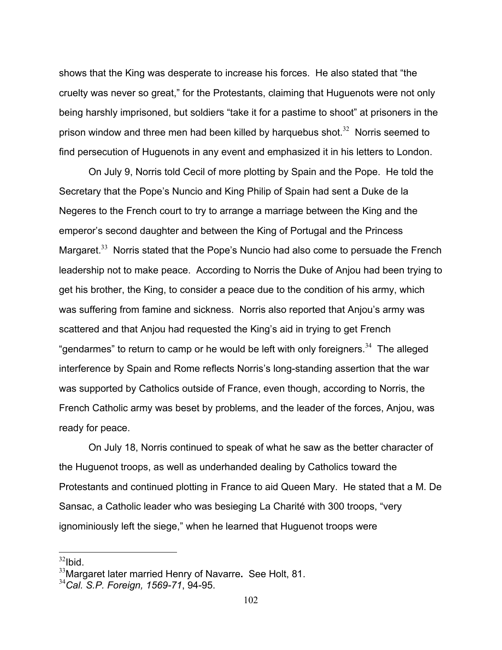shows that the King was desperate to increase his forces. He also stated that "the cruelty was never so great," for the Protestants, claiming that Huguenots were not only being harshly imprisoned, but soldiers "take it for a pastime to shoot" at prisoners in the prison window and three men had been killed by harquebus shot. $32$  Norris seemed to find persecution of Huguenots in any event and emphasized it in his letters to London.

 On July 9, Norris told Cecil of more plotting by Spain and the Pope. He told the Secretary that the Pope's Nuncio and King Philip of Spain had sent a Duke de la Negeres to the French court to try to arrange a marriage between the King and the emperor's second daughter and between the King of Portugal and the Princess Margaret. $33$  Norris stated that the Pope's Nuncio had also come to persuade the French leadership not to make peace. According to Norris the Duke of Anjou had been trying to get his brother, the King, to consider a peace due to the condition of his army, which was suffering from famine and sickness. Norris also reported that Anjou's army was scattered and that Anjou had requested the King's aid in trying to get French "gendarmes" to return to camp or he would be left with only foreigners. $34$  The alleged interference by Spain and Rome reflects Norris's long-standing assertion that the war was supported by Catholics outside of France, even though, according to Norris, the French Catholic army was beset by problems, and the leader of the forces, Anjou, was ready for peace.

 On July 18, Norris continued to speak of what he saw as the better character of the Huguenot troops, as well as underhanded dealing by Catholics toward the Protestants and continued plotting in France to aid Queen Mary. He stated that a M. De Sansac, a Catholic leader who was besieging La Charité with 300 troops, "very ignominiously left the siege," when he learned that Huguenot troops were

 $32$ Ibid.

<sup>33</sup>Margaret later married Henry of Navarre**.** See Holt, 81.

<sup>34</sup>*Cal. S.P. Foreign, 1569-71*, 94-95.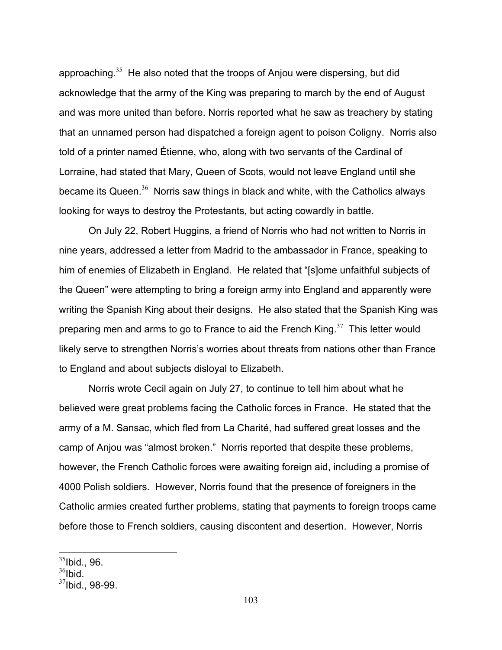approaching.<sup>35</sup> He also noted that the troops of Anjou were dispersing, but did acknowledge that the army of the King was preparing to march by the end of August and was more united than before. Norris reported what he saw as treachery by stating that an unnamed person had dispatched a foreign agent to poison Coligny. Norris also told of a printer named Étienne, who, along with two servants of the Cardinal of Lorraine, had stated that Mary, Queen of Scots, would not leave England until she became its Queen. $36$  Norris saw things in black and white, with the Catholics always looking for ways to destroy the Protestants, but acting cowardly in battle.

 On July 22, Robert Huggins, a friend of Norris who had not written to Norris in nine years, addressed a letter from Madrid to the ambassador in France, speaking to him of enemies of Elizabeth in England. He related that "[s]ome unfaithful subjects of the Queen" were attempting to bring a foreign army into England and apparently were writing the Spanish King about their designs. He also stated that the Spanish King was preparing men and arms to go to France to aid the French King. $37$  This letter would likely serve to strengthen Norris's worries about threats from nations other than France to England and about subjects disloyal to Elizabeth.

 Norris wrote Cecil again on July 27, to continue to tell him about what he believed were great problems facing the Catholic forces in France. He stated that the army of a M. Sansac, which fled from La Charité, had suffered great losses and the camp of Anjou was "almost broken." Norris reported that despite these problems, however, the French Catholic forces were awaiting foreign aid, including a promise of 4000 Polish soldiers. However, Norris found that the presence of foreigners in the Catholic armies created further problems, stating that payments to foreign troops came before those to French soldiers, causing discontent and desertion. However, Norris

 $35$ Ibid., 96.

 $36$ Ibid.

 $37$ Ibid., 98-99.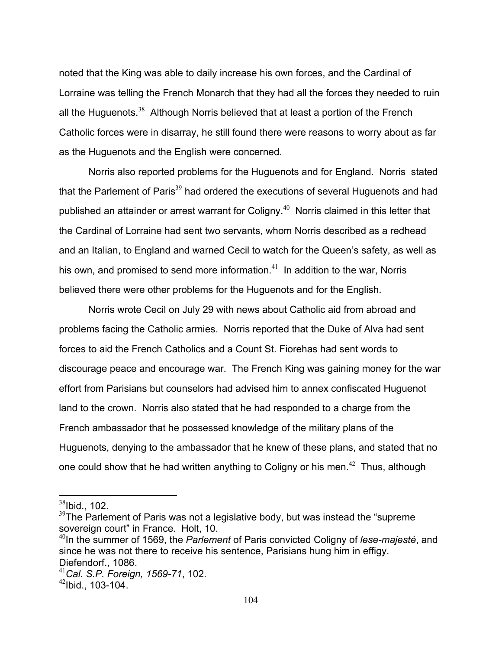noted that the King was able to daily increase his own forces, and the Cardinal of Lorraine was telling the French Monarch that they had all the forces they needed to ruin all the Huguenots.<sup>38</sup> Although Norris believed that at least a portion of the French Catholic forces were in disarray, he still found there were reasons to worry about as far as the Huguenots and the English were concerned.

 Norris also reported problems for the Huguenots and for England. Norris stated that the Parlement of Paris $39$  had ordered the executions of several Huguenots and had published an attainder or arrest warrant for Coligny.<sup>40</sup> Norris claimed in this letter that the Cardinal of Lorraine had sent two servants, whom Norris described as a redhead and an Italian, to England and warned Cecil to watch for the Queen's safety, as well as his own, and promised to send more information.<sup>41</sup> In addition to the war, Norris believed there were other problems for the Huguenots and for the English.

 Norris wrote Cecil on July 29 with news about Catholic aid from abroad and problems facing the Catholic armies. Norris reported that the Duke of Alva had sent forces to aid the French Catholics and a Count St. Fiorehas had sent words to discourage peace and encourage war. The French King was gaining money for the war effort from Parisians but counselors had advised him to annex confiscated Huguenot land to the crown. Norris also stated that he had responded to a charge from the French ambassador that he possessed knowledge of the military plans of the Huguenots, denying to the ambassador that he knew of these plans, and stated that no one could show that he had written anything to Coligny or his men.<sup>42</sup> Thus, although

 $38$ Ibid., 102.

 $39$ The Parlement of Paris was not a legislative body, but was instead the "supreme" sovereign court" in France. Holt, 10.

<sup>40</sup>In the summer of 1569, the *Parlement* of Paris convicted Coligny of *lese-majesté*, and since he was not there to receive his sentence, Parisians hung him in effigy. Diefendorf., 1086.

<sup>41</sup>*Cal. S.P. Foreign, 1569-71*, 102.

 $42$ Ibid., 103-104.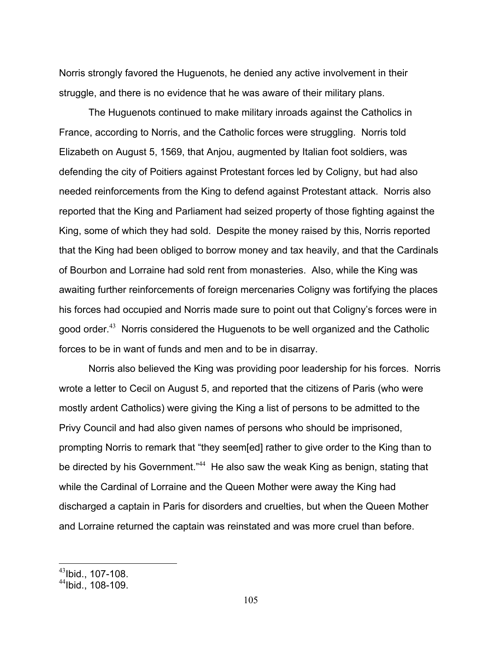Norris strongly favored the Huguenots, he denied any active involvement in their struggle, and there is no evidence that he was aware of their military plans.

 The Huguenots continued to make military inroads against the Catholics in France, according to Norris, and the Catholic forces were struggling. Norris told Elizabeth on August 5, 1569, that Anjou, augmented by Italian foot soldiers, was defending the city of Poitiers against Protestant forces led by Coligny, but had also needed reinforcements from the King to defend against Protestant attack. Norris also reported that the King and Parliament had seized property of those fighting against the King, some of which they had sold. Despite the money raised by this, Norris reported that the King had been obliged to borrow money and tax heavily, and that the Cardinals of Bourbon and Lorraine had sold rent from monasteries. Also, while the King was awaiting further reinforcements of foreign mercenaries Coligny was fortifying the places his forces had occupied and Norris made sure to point out that Coligny's forces were in good order.<sup>43</sup> Norris considered the Huguenots to be well organized and the Catholic forces to be in want of funds and men and to be in disarray.

 Norris also believed the King was providing poor leadership for his forces. Norris wrote a letter to Cecil on August 5, and reported that the citizens of Paris (who were mostly ardent Catholics) were giving the King a list of persons to be admitted to the Privy Council and had also given names of persons who should be imprisoned, prompting Norris to remark that "they seem[ed] rather to give order to the King than to be directed by his Government."<sup>44</sup> He also saw the weak King as benign, stating that while the Cardinal of Lorraine and the Queen Mother were away the King had discharged a captain in Paris for disorders and cruelties, but when the Queen Mother and Lorraine returned the captain was reinstated and was more cruel than before.

1

 $43$ Ibid., 107-108.

 $44$ Ibid., 108-109.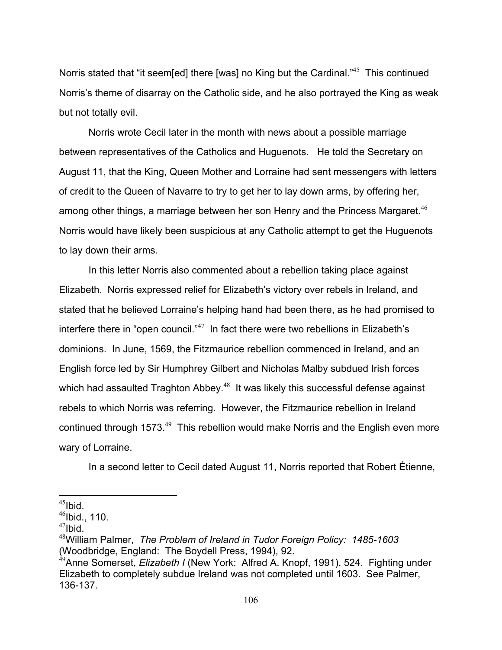Norris stated that "it seem[ed] there [was] no King but the Cardinal."<sup>45</sup> This continued Norris's theme of disarray on the Catholic side, and he also portrayed the King as weak but not totally evil.

 Norris wrote Cecil later in the month with news about a possible marriage between representatives of the Catholics and Huguenots. He told the Secretary on August 11, that the King, Queen Mother and Lorraine had sent messengers with letters of credit to the Queen of Navarre to try to get her to lay down arms, by offering her, among other things, a marriage between her son Henry and the Princess Margaret.<sup>46</sup> Norris would have likely been suspicious at any Catholic attempt to get the Huguenots to lay down their arms.

 In this letter Norris also commented about a rebellion taking place against Elizabeth. Norris expressed relief for Elizabeth's victory over rebels in Ireland, and stated that he believed Lorraine's helping hand had been there, as he had promised to interfere there in "open council." $47$  In fact there were two rebellions in Elizabeth's dominions. In June, 1569, the Fitzmaurice rebellion commenced in Ireland, and an English force led by Sir Humphrey Gilbert and Nicholas Malby subdued Irish forces which had assaulted Traghton Abbey.<sup>48</sup> It was likely this successful defense against rebels to which Norris was referring. However, the Fitzmaurice rebellion in Ireland continued through 1573.<sup>49</sup> This rebellion would make Norris and the English even more wary of Lorraine.

In a second letter to Cecil dated August 11, Norris reported that Robert Étienne,

 $^{45}$ Ibid

 $46$ Ibid., 110.

 $47$ Ibid.

<sup>48</sup>William Palmer, *The Problem of Ireland in Tudor Foreign Policy: 1485-1603* (Woodbridge, England: The Boydell Press, 1994), 92.

<sup>49</sup>Anne Somerset, *Elizabeth I* (New York: Alfred A. Knopf, 1991), 524. Fighting under Elizabeth to completely subdue Ireland was not completed until 1603. See Palmer, 136-137.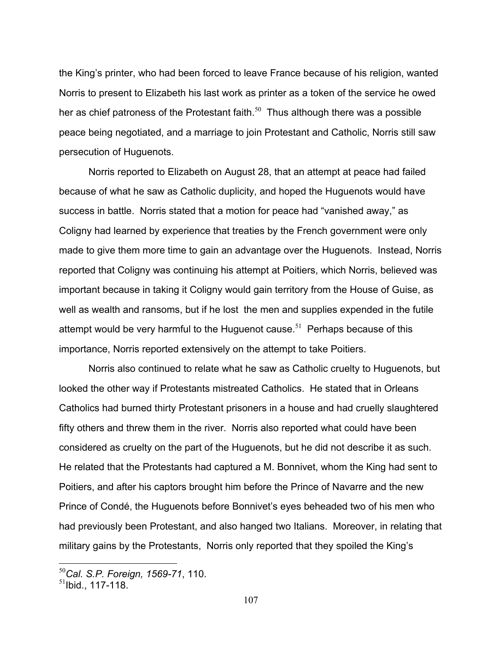the King's printer, who had been forced to leave France because of his religion, wanted Norris to present to Elizabeth his last work as printer as a token of the service he owed her as chief patroness of the Protestant faith. $50$  Thus although there was a possible peace being negotiated, and a marriage to join Protestant and Catholic, Norris still saw persecution of Huguenots.

 Norris reported to Elizabeth on August 28, that an attempt at peace had failed because of what he saw as Catholic duplicity, and hoped the Huguenots would have success in battle. Norris stated that a motion for peace had "vanished away," as Coligny had learned by experience that treaties by the French government were only made to give them more time to gain an advantage over the Huguenots. Instead, Norris reported that Coligny was continuing his attempt at Poitiers, which Norris, believed was important because in taking it Coligny would gain territory from the House of Guise, as well as wealth and ransoms, but if he lost the men and supplies expended in the futile attempt would be very harmful to the Huguenot cause.<sup>51</sup> Perhaps because of this importance, Norris reported extensively on the attempt to take Poitiers.

 Norris also continued to relate what he saw as Catholic cruelty to Huguenots, but looked the other way if Protestants mistreated Catholics. He stated that in Orleans Catholics had burned thirty Protestant prisoners in a house and had cruelly slaughtered fifty others and threw them in the river. Norris also reported what could have been considered as cruelty on the part of the Huguenots, but he did not describe it as such. He related that the Protestants had captured a M. Bonnivet, whom the King had sent to Poitiers, and after his captors brought him before the Prince of Navarre and the new Prince of Condé, the Huguenots before Bonnivet's eyes beheaded two of his men who had previously been Protestant, and also hanged two Italians. Moreover, in relating that military gains by the Protestants, Norris only reported that they spoiled the King's

<sup>50</sup>*Cal. S.P. Foreign, 1569-71*, 110.

 $^{51}$ lbid 117-118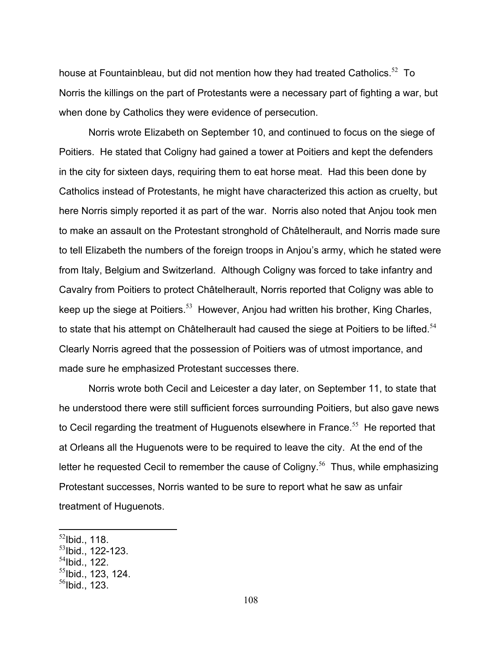house at Fountainbleau, but did not mention how they had treated Catholics.<sup>52</sup> To Norris the killings on the part of Protestants were a necessary part of fighting a war, but when done by Catholics they were evidence of persecution.

 Norris wrote Elizabeth on September 10, and continued to focus on the siege of Poitiers. He stated that Coligny had gained a tower at Poitiers and kept the defenders in the city for sixteen days, requiring them to eat horse meat. Had this been done by Catholics instead of Protestants, he might have characterized this action as cruelty, but here Norris simply reported it as part of the war. Norris also noted that Anjou took men to make an assault on the Protestant stronghold of Châtelherault, and Norris made sure to tell Elizabeth the numbers of the foreign troops in Anjou's army, which he stated were from Italy, Belgium and Switzerland. Although Coligny was forced to take infantry and Cavalry from Poitiers to protect Châtelherault, Norris reported that Coligny was able to keep up the siege at Poitiers.<sup>53</sup> However, Anjou had written his brother, King Charles, to state that his attempt on Châtelherault had caused the siege at Poitiers to be lifted. $54$ Clearly Norris agreed that the possession of Poitiers was of utmost importance, and made sure he emphasized Protestant successes there.

 Norris wrote both Cecil and Leicester a day later, on September 11, to state that he understood there were still sufficient forces surrounding Poitiers, but also gave news to Cecil regarding the treatment of Huguenots elsewhere in France.<sup>55</sup> He reported that at Orleans all the Huguenots were to be required to leave the city. At the end of the letter he requested Cecil to remember the cause of Coligny.<sup>56</sup> Thus, while emphasizing Protestant successes, Norris wanted to be sure to report what he saw as unfair treatment of Huguenots.

 $\overline{a}$ 

 $^{54}$ Ibid., 122.

 $^{52}$ lbid., 118.

 $53$ lbid., 122-123.

 $<sup>55</sup>$ Ibid., 123, 124,</sup>

 $56$ Ibid., 123.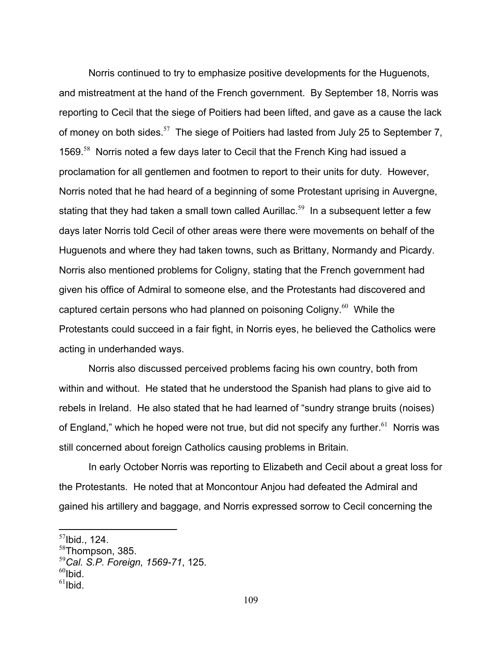Norris continued to try to emphasize positive developments for the Huguenots, and mistreatment at the hand of the French government. By September 18, Norris was reporting to Cecil that the siege of Poitiers had been lifted, and gave as a cause the lack of money on both sides.<sup>57</sup> The siege of Poitiers had lasted from July 25 to September 7, 1569.<sup>58</sup> Norris noted a few days later to Cecil that the French King had issued a proclamation for all gentlemen and footmen to report to their units for duty. However, Norris noted that he had heard of a beginning of some Protestant uprising in Auvergne, stating that they had taken a small town called Aurillac.<sup>59</sup> In a subsequent letter a few days later Norris told Cecil of other areas were there were movements on behalf of the Huguenots and where they had taken towns, such as Brittany, Normandy and Picardy. Norris also mentioned problems for Coligny, stating that the French government had given his office of Admiral to someone else, and the Protestants had discovered and captured certain persons who had planned on poisoning Coligny.<sup>60</sup> While the Protestants could succeed in a fair fight, in Norris eyes, he believed the Catholics were acting in underhanded ways.

 Norris also discussed perceived problems facing his own country, both from within and without. He stated that he understood the Spanish had plans to give aid to rebels in Ireland. He also stated that he had learned of "sundry strange bruits (noises) of England," which he hoped were not true, but did not specify any further.<sup>61</sup> Norris was still concerned about foreign Catholics causing problems in Britain.

 In early October Norris was reporting to Elizabeth and Cecil about a great loss for the Protestants. He noted that at Moncontour Anjou had defeated the Admiral and gained his artillery and baggage, and Norris expressed sorrow to Cecil concerning the

 $57$ Ibid., 124.

 $58$ Thompson, 385.

<sup>59</sup>*Cal. S.P. Foreign, 1569-71*, 125.

 $60$ Ibid.

 $61$ Ibid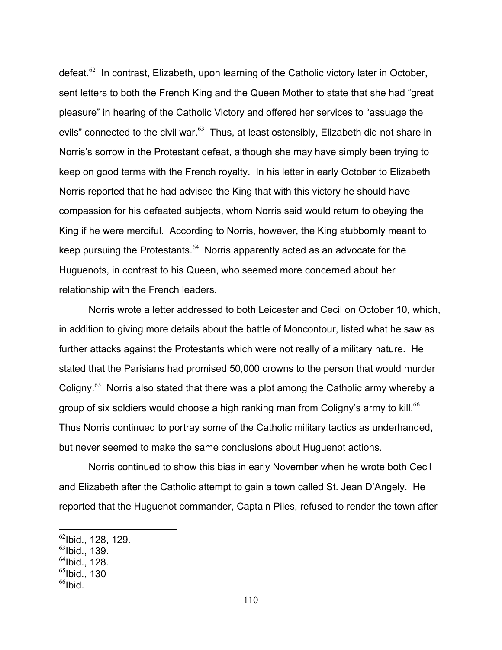defeat.<sup>62</sup> In contrast, Elizabeth, upon learning of the Catholic victory later in October, sent letters to both the French King and the Queen Mother to state that she had "great pleasure" in hearing of the Catholic Victory and offered her services to "assuage the evils" connected to the civil war. $63$  Thus, at least ostensibly, Elizabeth did not share in Norris's sorrow in the Protestant defeat, although she may have simply been trying to keep on good terms with the French royalty. In his letter in early October to Elizabeth Norris reported that he had advised the King that with this victory he should have compassion for his defeated subjects, whom Norris said would return to obeying the King if he were merciful. According to Norris, however, the King stubbornly meant to keep pursuing the Protestants. $64$  Norris apparently acted as an advocate for the Huguenots, in contrast to his Queen, who seemed more concerned about her relationship with the French leaders.

 Norris wrote a letter addressed to both Leicester and Cecil on October 10, which, in addition to giving more details about the battle of Moncontour, listed what he saw as further attacks against the Protestants which were not really of a military nature. He stated that the Parisians had promised 50,000 crowns to the person that would murder Coligny.<sup>65</sup> Norris also stated that there was a plot among the Catholic army whereby a group of six soldiers would choose a high ranking man from Coligny's army to kill.<sup>66</sup> Thus Norris continued to portray some of the Catholic military tactics as underhanded, but never seemed to make the same conclusions about Huguenot actions.

 Norris continued to show this bias in early November when he wrote both Cecil and Elizabeth after the Catholic attempt to gain a town called St. Jean D'Angely. He reported that the Huguenot commander, Captain Piles, refused to render the town after

- $^{65}$ Ibid., 130
- $^{66}$ Ibid

 $^{62}$ lbid., 128, 129.

 $^{63}$ Ibid., 139.

 $^{64}$ Ibid., 128.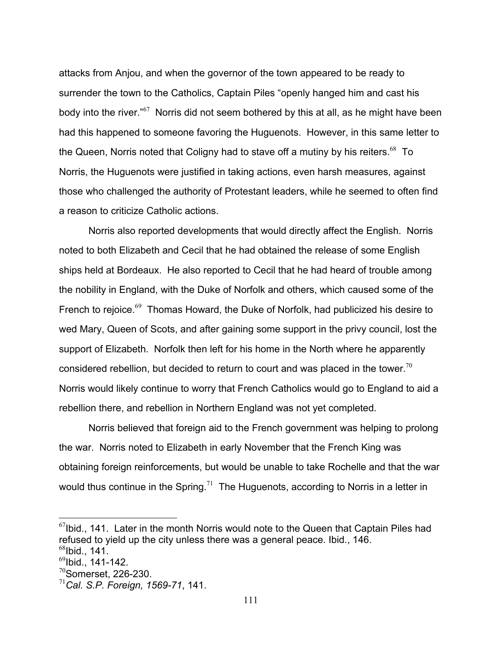attacks from Anjou, and when the governor of the town appeared to be ready to surrender the town to the Catholics, Captain Piles "openly hanged him and cast his body into the river."<sup>67</sup> Norris did not seem bothered by this at all, as he might have been had this happened to someone favoring the Huguenots. However, in this same letter to the Queen, Norris noted that Coligny had to stave off a mutiny by his reiters.<sup>68</sup> To Norris, the Huguenots were justified in taking actions, even harsh measures, against those who challenged the authority of Protestant leaders, while he seemed to often find a reason to criticize Catholic actions.

 Norris also reported developments that would directly affect the English. Norris noted to both Elizabeth and Cecil that he had obtained the release of some English ships held at Bordeaux. He also reported to Cecil that he had heard of trouble among the nobility in England, with the Duke of Norfolk and others, which caused some of the French to rejoice.<sup>69</sup>Thomas Howard, the Duke of Norfolk, had publicized his desire to wed Mary, Queen of Scots, and after gaining some support in the privy council, lost the support of Elizabeth. Norfolk then left for his home in the North where he apparently considered rebellion, but decided to return to court and was placed in the tower.<sup>70</sup> Norris would likely continue to worry that French Catholics would go to England to aid a rebellion there, and rebellion in Northern England was not yet completed.

 Norris believed that foreign aid to the French government was helping to prolong the war. Norris noted to Elizabeth in early November that the French King was obtaining foreign reinforcements, but would be unable to take Rochelle and that the war would thus continue in the Spring.<sup>71</sup> The Huguenots, according to Norris in a letter in

 $67$ Ibid., 141. Later in the month Norris would note to the Queen that Captain Piles had refused to yield up the city unless there was a general peace. Ibid., 146.  $^{68}$ Ibid., 141.

 $^{69}$ lbid., 141-142.

 $70$ Somerset, 226-230.

<sup>71</sup>*Cal. S.P. Foreign, 1569-71*, 141.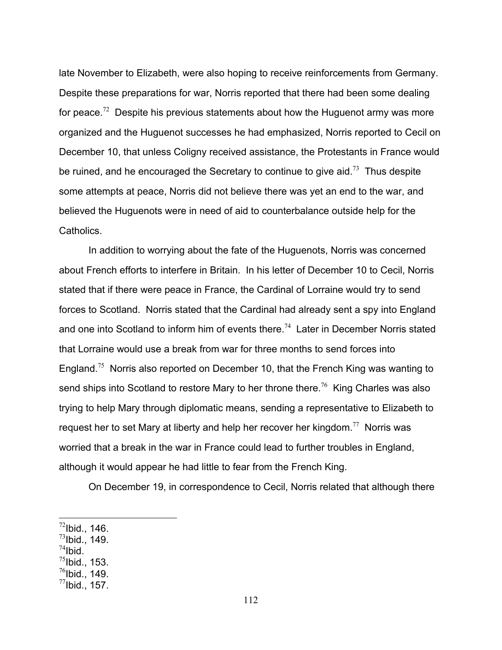late November to Elizabeth, were also hoping to receive reinforcements from Germany. Despite these preparations for war, Norris reported that there had been some dealing for peace.<sup>72</sup> Despite his previous statements about how the Huguenot army was more organized and the Huguenot successes he had emphasized, Norris reported to Cecil on December 10, that unless Coligny received assistance, the Protestants in France would be ruined, and he encouraged the Secretary to continue to give aid.<sup>73</sup> Thus despite some attempts at peace, Norris did not believe there was yet an end to the war, and believed the Huguenots were in need of aid to counterbalance outside help for the Catholics.

 In addition to worrying about the fate of the Huguenots, Norris was concerned about French efforts to interfere in Britain. In his letter of December 10 to Cecil, Norris stated that if there were peace in France, the Cardinal of Lorraine would try to send forces to Scotland. Norris stated that the Cardinal had already sent a spy into England and one into Scotland to inform him of events there.<sup>74</sup> Later in December Norris stated that Lorraine would use a break from war for three months to send forces into England.<sup>75</sup> Norris also reported on December 10, that the French King was wanting to send ships into Scotland to restore Mary to her throne there.<sup>76</sup> King Charles was also trying to help Mary through diplomatic means, sending a representative to Elizabeth to request her to set Mary at liberty and help her recover her kingdom.<sup>77</sup> Norris was worried that a break in the war in France could lead to further troubles in England, although it would appear he had little to fear from the French King.

On December 19, in correspondence to Cecil, Norris related that although there

- $^{73}$ Ibid., 149.
- $^{74}$ Ibid.
- $^{75}$ Ibid., 153.
- $^{76}$ Ibid., 149.
- $^{77}$ Ibid., 157.

 $\overline{a}$  $^{72}$ Ibid., 146.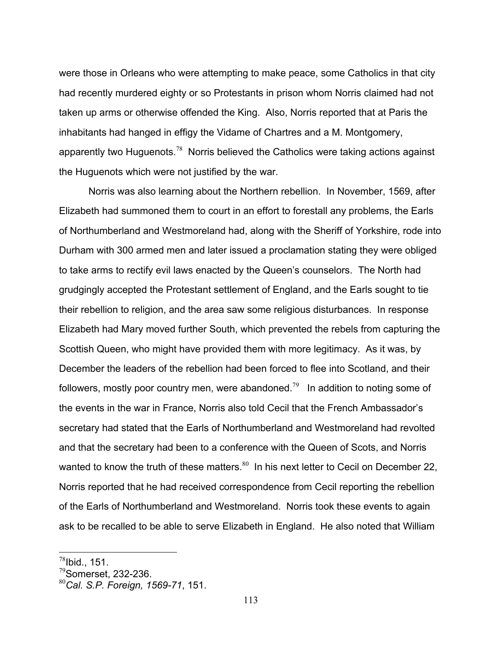were those in Orleans who were attempting to make peace, some Catholics in that city had recently murdered eighty or so Protestants in prison whom Norris claimed had not taken up arms or otherwise offended the King. Also, Norris reported that at Paris the inhabitants had hanged in effigy the Vidame of Chartres and a M. Montgomery, apparently two Huguenots.<sup>78</sup> Norris believed the Catholics were taking actions against the Huguenots which were not justified by the war.

 Norris was also learning about the Northern rebellion. In November, 1569, after Elizabeth had summoned them to court in an effort to forestall any problems, the Earls of Northumberland and Westmoreland had, along with the Sheriff of Yorkshire, rode into Durham with 300 armed men and later issued a proclamation stating they were obliged to take arms to rectify evil laws enacted by the Queen's counselors. The North had grudgingly accepted the Protestant settlement of England, and the Earls sought to tie their rebellion to religion, and the area saw some religious disturbances. In response Elizabeth had Mary moved further South, which prevented the rebels from capturing the Scottish Queen, who might have provided them with more legitimacy. As it was, by December the leaders of the rebellion had been forced to flee into Scotland, and their followers, mostly poor country men, were abandoned.<sup>79</sup> In addition to noting some of the events in the war in France, Norris also told Cecil that the French Ambassador's secretary had stated that the Earls of Northumberland and Westmoreland had revolted and that the secretary had been to a conference with the Queen of Scots, and Norris wanted to know the truth of these matters.<sup>80</sup> In his next letter to Cecil on December 22, Norris reported that he had received correspondence from Cecil reporting the rebellion of the Earls of Northumberland and Westmoreland. Norris took these events to again ask to be recalled to be able to serve Elizabeth in England. He also noted that William

<u>.</u>

 $^{78}$ Ibid., 151.

 $79$ Somerset, 232-236.

<sup>80</sup>*Cal. S.P. Foreign, 1569-71*, 151.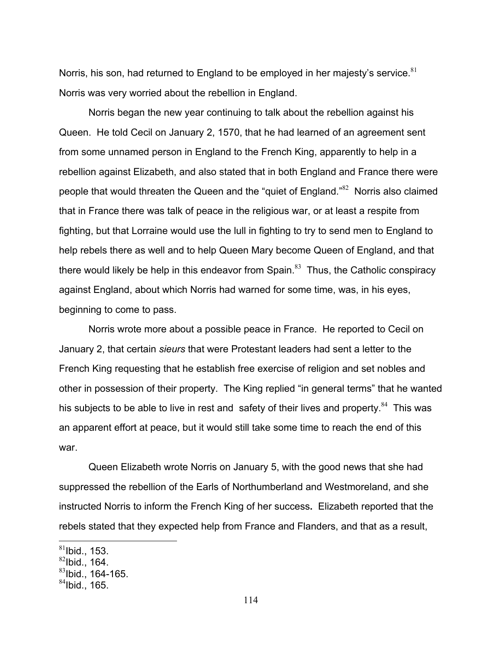Norris, his son, had returned to England to be emploved in her maiesty's service. $81$ Norris was very worried about the rebellion in England.

 Norris began the new year continuing to talk about the rebellion against his Queen. He told Cecil on January 2, 1570, that he had learned of an agreement sent from some unnamed person in England to the French King, apparently to help in a rebellion against Elizabeth, and also stated that in both England and France there were people that would threaten the Queen and the "quiet of England."<sup>82</sup> Norris also claimed that in France there was talk of peace in the religious war, or at least a respite from fighting, but that Lorraine would use the lull in fighting to try to send men to England to help rebels there as well and to help Queen Mary become Queen of England, and that there would likely be help in this endeavor from Spain. $83$  Thus, the Catholic conspiracy against England, about which Norris had warned for some time, was, in his eyes, beginning to come to pass.

 Norris wrote more about a possible peace in France. He reported to Cecil on January 2, that certain *sieurs* that were Protestant leaders had sent a letter to the French King requesting that he establish free exercise of religion and set nobles and other in possession of their property. The King replied "in general terms" that he wanted his subjects to be able to live in rest and safety of their lives and property. $84$  This was an apparent effort at peace, but it would still take some time to reach the end of this war.

 Queen Elizabeth wrote Norris on January 5, with the good news that she had suppressed the rebellion of the Earls of Northumberland and Westmoreland, and she instructed Norris to inform the French King of her success**.** Elizabeth reported that the rebels stated that they expected help from France and Flanders, and that as a result,

<u>.</u>

 $81$ Ibid., 153.

 $82$ Ibid., 164.

 $83$ Ibid., 164-165.

 $84$ Ibid., 165.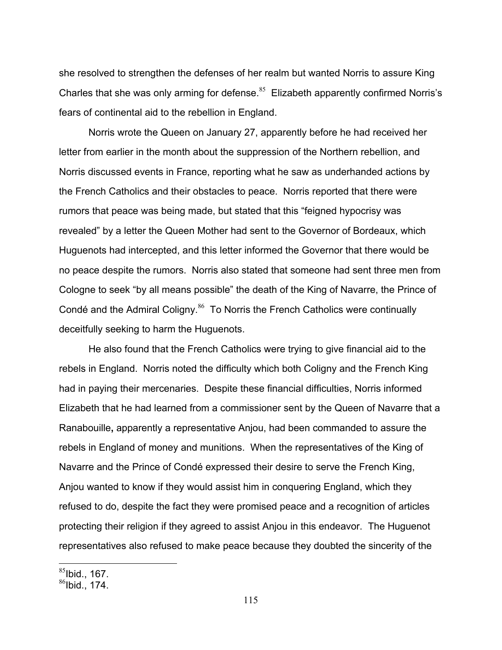she resolved to strengthen the defenses of her realm but wanted Norris to assure King Charles that she was only arming for defense.<sup>85</sup> Elizabeth apparently confirmed Norris's fears of continental aid to the rebellion in England.

 Norris wrote the Queen on January 27, apparently before he had received her letter from earlier in the month about the suppression of the Northern rebellion, and Norris discussed events in France, reporting what he saw as underhanded actions by the French Catholics and their obstacles to peace. Norris reported that there were rumors that peace was being made, but stated that this "feigned hypocrisy was revealed" by a letter the Queen Mother had sent to the Governor of Bordeaux, which Huguenots had intercepted, and this letter informed the Governor that there would be no peace despite the rumors. Norris also stated that someone had sent three men from Cologne to seek "by all means possible" the death of the King of Navarre, the Prince of Condé and the Admiral Coligny.<sup>86</sup> To Norris the French Catholics were continually deceitfully seeking to harm the Huguenots.

 He also found that the French Catholics were trying to give financial aid to the rebels in England. Norris noted the difficulty which both Coligny and the French King had in paying their mercenaries. Despite these financial difficulties, Norris informed Elizabeth that he had learned from a commissioner sent by the Queen of Navarre that a Ranabouille**,** apparently a representative Anjou, had been commanded to assure the rebels in England of money and munitions. When the representatives of the King of Navarre and the Prince of Condé expressed their desire to serve the French King, Anjou wanted to know if they would assist him in conquering England, which they refused to do, despite the fact they were promised peace and a recognition of articles protecting their religion if they agreed to assist Anjou in this endeavor. The Huguenot representatives also refused to make peace because they doubted the sincerity of the

 $85$ Ibid., 167.

 $86$ Ibid., 174.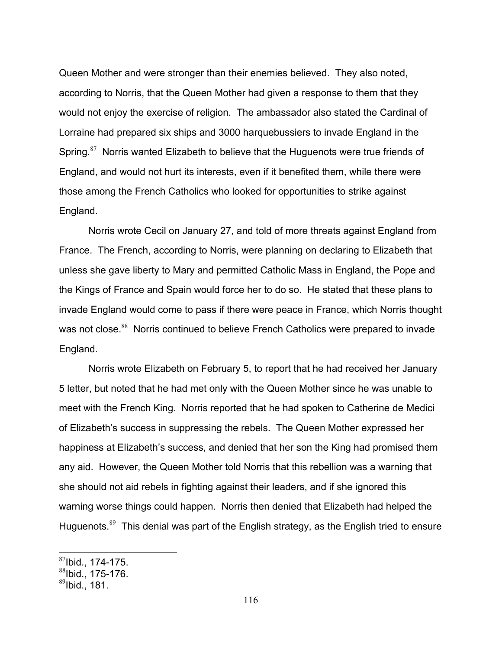Queen Mother and were stronger than their enemies believed. They also noted, according to Norris, that the Queen Mother had given a response to them that they would not enjoy the exercise of religion. The ambassador also stated the Cardinal of Lorraine had prepared six ships and 3000 harquebussiers to invade England in the Spring.<sup>87</sup> Norris wanted Elizabeth to believe that the Huguenots were true friends of England, and would not hurt its interests, even if it benefited them, while there were those among the French Catholics who looked for opportunities to strike against England.

 Norris wrote Cecil on January 27, and told of more threats against England from France. The French, according to Norris, were planning on declaring to Elizabeth that unless she gave liberty to Mary and permitted Catholic Mass in England, the Pope and the Kings of France and Spain would force her to do so. He stated that these plans to invade England would come to pass if there were peace in France, which Norris thought was not close.<sup>88</sup> Norris continued to believe French Catholics were prepared to invade England.

 Norris wrote Elizabeth on February 5, to report that he had received her January 5 letter, but noted that he had met only with the Queen Mother since he was unable to meet with the French King. Norris reported that he had spoken to Catherine de Medici of Elizabeth's success in suppressing the rebels. The Queen Mother expressed her happiness at Elizabeth's success, and denied that her son the King had promised them any aid. However, the Queen Mother told Norris that this rebellion was a warning that she should not aid rebels in fighting against their leaders, and if she ignored this warning worse things could happen. Norris then denied that Elizabeth had helped the Huguenots.<sup>89</sup> This denial was part of the English strategy, as the English tried to ensure

 $87$ Ibid., 174-175.

 $88$ Ibid., 175-176.

 $89$ Ibid., 181.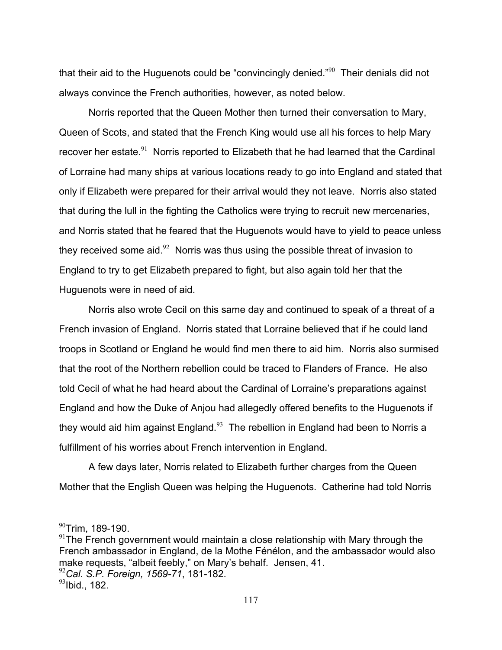that their aid to the Huguenots could be "convincingly denied." $90$  Their denials did not always convince the French authorities, however, as noted below.

 Norris reported that the Queen Mother then turned their conversation to Mary, Queen of Scots, and stated that the French King would use all his forces to help Mary recover her estate.<sup>91</sup> Norris reported to Elizabeth that he had learned that the Cardinal of Lorraine had many ships at various locations ready to go into England and stated that only if Elizabeth were prepared for their arrival would they not leave. Norris also stated that during the lull in the fighting the Catholics were trying to recruit new mercenaries, and Norris stated that he feared that the Huguenots would have to yield to peace unless they received some aid. $92$  Norris was thus using the possible threat of invasion to England to try to get Elizabeth prepared to fight, but also again told her that the Huguenots were in need of aid.

 Norris also wrote Cecil on this same day and continued to speak of a threat of a French invasion of England. Norris stated that Lorraine believed that if he could land troops in Scotland or England he would find men there to aid him. Norris also surmised that the root of the Northern rebellion could be traced to Flanders of France. He also told Cecil of what he had heard about the Cardinal of Lorraine's preparations against England and how the Duke of Anjou had allegedly offered benefits to the Huguenots if they would aid him against England. $93$  The rebellion in England had been to Norris a fulfillment of his worries about French intervention in England.

 A few days later, Norris related to Elizabeth further charges from the Queen Mother that the English Queen was helping the Huguenots. Catherine had told Norris

 $\overline{a}$ 

<sup>92</sup>*Cal. S.P. Foreign, 1569-71*, 181-182.

 $90$ Trim, 189-190.

 $91$ The French government would maintain a close relationship with Mary through the French ambassador in England, de la Mothe Fénélon, and the ambassador would also make requests, "albeit feebly," on Mary's behalf. Jensen, 41.

 $^{93}$ lbid., 182.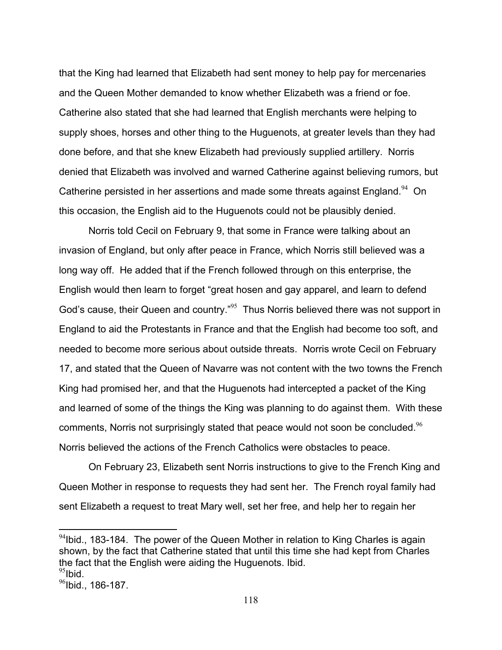that the King had learned that Elizabeth had sent money to help pay for mercenaries and the Queen Mother demanded to know whether Elizabeth was a friend or foe. Catherine also stated that she had learned that English merchants were helping to supply shoes, horses and other thing to the Huguenots, at greater levels than they had done before, and that she knew Elizabeth had previously supplied artillery. Norris denied that Elizabeth was involved and warned Catherine against believing rumors, but Catherine persisted in her assertions and made some threats against England.<sup>94</sup> On this occasion, the English aid to the Huguenots could not be plausibly denied.

 Norris told Cecil on February 9, that some in France were talking about an invasion of England, but only after peace in France, which Norris still believed was a long way off. He added that if the French followed through on this enterprise, the English would then learn to forget "great hosen and gay apparel, and learn to defend God's cause, their Queen and country."<sup>95</sup> Thus Norris believed there was not support in England to aid the Protestants in France and that the English had become too soft, and needed to become more serious about outside threats. Norris wrote Cecil on February 17, and stated that the Queen of Navarre was not content with the two towns the French King had promised her, and that the Huguenots had intercepted a packet of the King and learned of some of the things the King was planning to do against them. With these comments, Norris not surprisingly stated that peace would not soon be concluded.<sup>96</sup> Norris believed the actions of the French Catholics were obstacles to peace.

 On February 23, Elizabeth sent Norris instructions to give to the French King and Queen Mother in response to requests they had sent her. The French royal family had sent Elizabeth a request to treat Mary well, set her free, and help her to regain her

1

 $94$ Ibid., 183-184. The power of the Queen Mother in relation to King Charles is again shown, by the fact that Catherine stated that until this time she had kept from Charles the fact that the English were aiding the Huguenots. Ibid.  $95$ Ibid.

 $96$ Ibid., 186-187.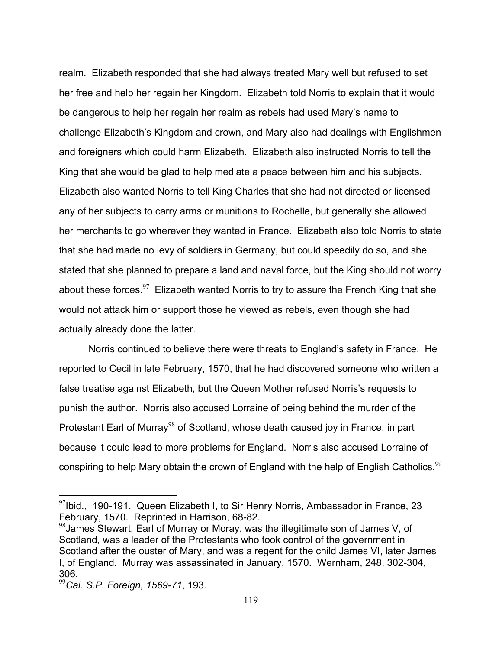realm. Elizabeth responded that she had always treated Mary well but refused to set her free and help her regain her Kingdom. Elizabeth told Norris to explain that it would be dangerous to help her regain her realm as rebels had used Mary's name to challenge Elizabeth's Kingdom and crown, and Mary also had dealings with Englishmen and foreigners which could harm Elizabeth. Elizabeth also instructed Norris to tell the King that she would be glad to help mediate a peace between him and his subjects. Elizabeth also wanted Norris to tell King Charles that she had not directed or licensed any of her subjects to carry arms or munitions to Rochelle, but generally she allowed her merchants to go wherever they wanted in France. Elizabeth also told Norris to state that she had made no levy of soldiers in Germany, but could speedily do so, and she stated that she planned to prepare a land and naval force, but the King should not worry about these forces.  $97$  Elizabeth wanted Norris to try to assure the French King that she would not attack him or support those he viewed as rebels, even though she had actually already done the latter.

 Norris continued to believe there were threats to England's safety in France. He reported to Cecil in late February, 1570, that he had discovered someone who written a false treatise against Elizabeth, but the Queen Mother refused Norris's requests to punish the author. Norris also accused Lorraine of being behind the murder of the Protestant Earl of Murray<sup>98</sup> of Scotland, whose death caused joy in France, in part because it could lead to more problems for England. Norris also accused Lorraine of conspiring to help Mary obtain the crown of England with the help of English Catholics.<sup>99</sup>

<u>.</u>

 $97$ Ibid., 190-191. Queen Elizabeth I, to Sir Henry Norris, Ambassador in France, 23 February, 1570. Reprinted in Harrison, 68-82.

 $98$ James Stewart, Earl of Murray or Moray, was the illegitimate son of James V, of Scotland, was a leader of the Protestants who took control of the government in Scotland after the ouster of Mary, and was a regent for the child James VI, later James I, of England. Murray was assassinated in January, 1570. Wernham, 248, 302-304, 306.

<sup>99</sup>*Cal. S.P. Foreign, 1569-71*, 193.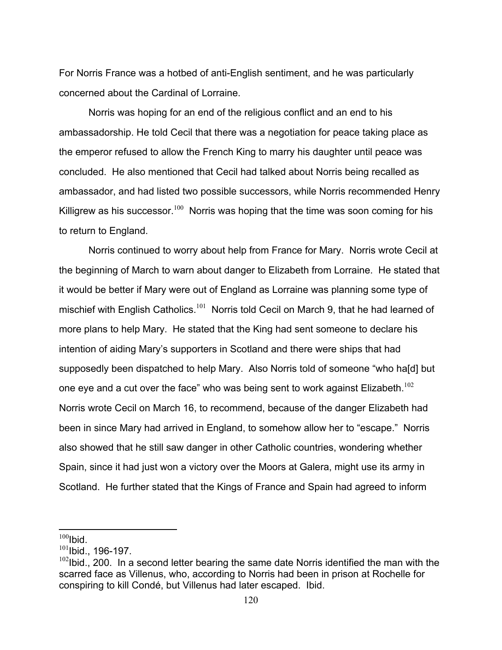For Norris France was a hotbed of anti-English sentiment, and he was particularly concerned about the Cardinal of Lorraine.

 Norris was hoping for an end of the religious conflict and an end to his ambassadorship. He told Cecil that there was a negotiation for peace taking place as the emperor refused to allow the French King to marry his daughter until peace was concluded. He also mentioned that Cecil had talked about Norris being recalled as ambassador, and had listed two possible successors, while Norris recommended Henry Killigrew as his successor.<sup>100</sup> Norris was hoping that the time was soon coming for his to return to England.

 Norris continued to worry about help from France for Mary. Norris wrote Cecil at the beginning of March to warn about danger to Elizabeth from Lorraine. He stated that it would be better if Mary were out of England as Lorraine was planning some type of mischief with English Catholics.<sup>101</sup> Norris told Cecil on March 9, that he had learned of more plans to help Mary. He stated that the King had sent someone to declare his intention of aiding Mary's supporters in Scotland and there were ships that had supposedly been dispatched to help Mary. Also Norris told of someone "who ha[d] but one eye and a cut over the face" who was being sent to work against Elizabeth.<sup>102</sup> Norris wrote Cecil on March 16, to recommend, because of the danger Elizabeth had been in since Mary had arrived in England, to somehow allow her to "escape." Norris also showed that he still saw danger in other Catholic countries, wondering whether Spain, since it had just won a victory over the Moors at Galera, might use its army in Scotland. He further stated that the Kings of France and Spain had agreed to inform

 $100$ Ibid.

 $^{101}$ Ibid., 196-197.

 $102$ Ibid., 200. In a second letter bearing the same date Norris identified the man with the scarred face as Villenus, who, according to Norris had been in prison at Rochelle for conspiring to kill Condé, but Villenus had later escaped. Ibid.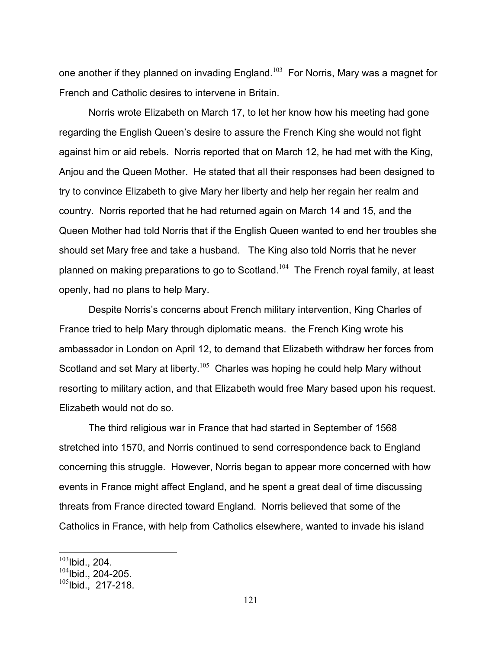one another if they planned on invading England.<sup>103</sup> For Norris, Mary was a magnet for French and Catholic desires to intervene in Britain.

 Norris wrote Elizabeth on March 17, to let her know how his meeting had gone regarding the English Queen's desire to assure the French King she would not fight against him or aid rebels. Norris reported that on March 12, he had met with the King, Anjou and the Queen Mother. He stated that all their responses had been designed to try to convince Elizabeth to give Mary her liberty and help her regain her realm and country. Norris reported that he had returned again on March 14 and 15, and the Queen Mother had told Norris that if the English Queen wanted to end her troubles she should set Mary free and take a husband. The King also told Norris that he never planned on making preparations to go to Scotland.<sup>104</sup> The French royal family, at least openly, had no plans to help Mary.

 Despite Norris's concerns about French military intervention, King Charles of France tried to help Mary through diplomatic means. the French King wrote his ambassador in London on April 12, to demand that Elizabeth withdraw her forces from Scotland and set Mary at liberty.<sup>105</sup> Charles was hoping he could help Mary without resorting to military action, and that Elizabeth would free Mary based upon his request. Elizabeth would not do so.

 The third religious war in France that had started in September of 1568 stretched into 1570, and Norris continued to send correspondence back to England concerning this struggle. However, Norris began to appear more concerned with how events in France might affect England, and he spent a great deal of time discussing threats from France directed toward England. Norris believed that some of the Catholics in France, with help from Catholics elsewhere, wanted to invade his island

 $103$ Ibid., 204.

 $104$ Ibid., 204-205.

 $^{105}$ Ibid., 217-218.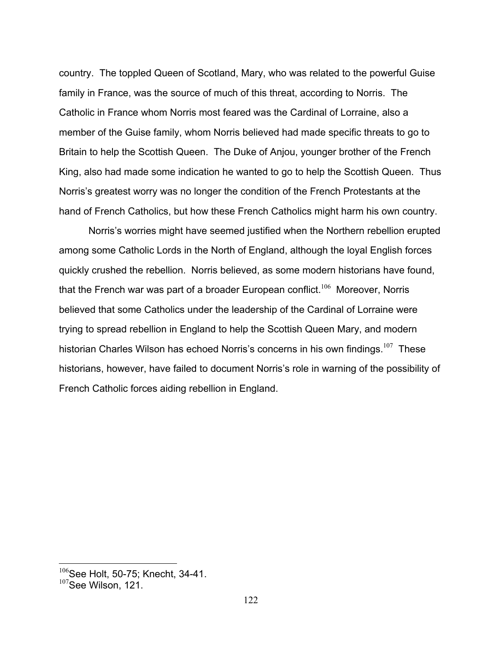country. The toppled Queen of Scotland, Mary, who was related to the powerful Guise family in France, was the source of much of this threat, according to Norris. The Catholic in France whom Norris most feared was the Cardinal of Lorraine, also a member of the Guise family, whom Norris believed had made specific threats to go to Britain to help the Scottish Queen. The Duke of Anjou, younger brother of the French King, also had made some indication he wanted to go to help the Scottish Queen. Thus Norris's greatest worry was no longer the condition of the French Protestants at the hand of French Catholics, but how these French Catholics might harm his own country.

 Norris's worries might have seemed justified when the Northern rebellion erupted among some Catholic Lords in the North of England, although the loyal English forces quickly crushed the rebellion. Norris believed, as some modern historians have found, that the French war was part of a broader European conflict.<sup>106</sup> Moreover, Norris believed that some Catholics under the leadership of the Cardinal of Lorraine were trying to spread rebellion in England to help the Scottish Queen Mary, and modern historian Charles Wilson has echoed Norris's concerns in his own findings.<sup>107</sup> These historians, however, have failed to document Norris's role in warning of the possibility of French Catholic forces aiding rebellion in England.

 $106$ See Holt, 50-75; Knecht, 34-41.

<sup>&</sup>lt;sup>107</sup>See Wilson, 121.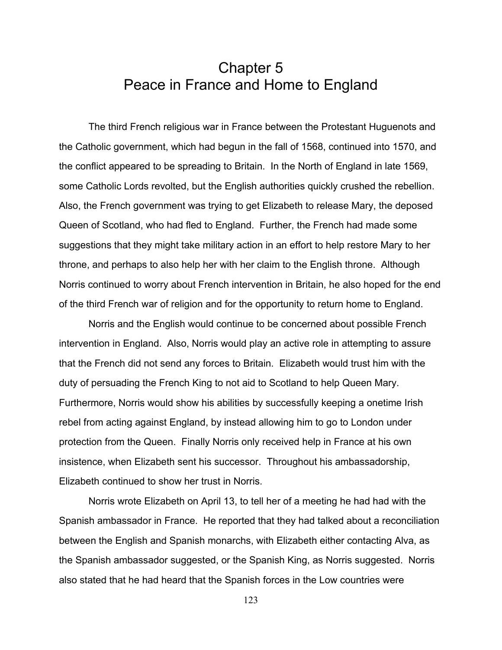## Chapter 5 Peace in France and Home to England

 The third French religious war in France between the Protestant Huguenots and the Catholic government, which had begun in the fall of 1568, continued into 1570, and the conflict appeared to be spreading to Britain. In the North of England in late 1569, some Catholic Lords revolted, but the English authorities quickly crushed the rebellion. Also, the French government was trying to get Elizabeth to release Mary, the deposed Queen of Scotland, who had fled to England. Further, the French had made some suggestions that they might take military action in an effort to help restore Mary to her throne, and perhaps to also help her with her claim to the English throne. Although Norris continued to worry about French intervention in Britain, he also hoped for the end of the third French war of religion and for the opportunity to return home to England.

 Norris and the English would continue to be concerned about possible French intervention in England. Also, Norris would play an active role in attempting to assure that the French did not send any forces to Britain. Elizabeth would trust him with the duty of persuading the French King to not aid to Scotland to help Queen Mary. Furthermore, Norris would show his abilities by successfully keeping a onetime Irish rebel from acting against England, by instead allowing him to go to London under protection from the Queen. Finally Norris only received help in France at his own insistence, when Elizabeth sent his successor. Throughout his ambassadorship, Elizabeth continued to show her trust in Norris.

Norris wrote Elizabeth on April 13, to tell her of a meeting he had had with the Spanish ambassador in France. He reported that they had talked about a reconciliation between the English and Spanish monarchs, with Elizabeth either contacting Alva, as the Spanish ambassador suggested, or the Spanish King, as Norris suggested. Norris also stated that he had heard that the Spanish forces in the Low countries were

123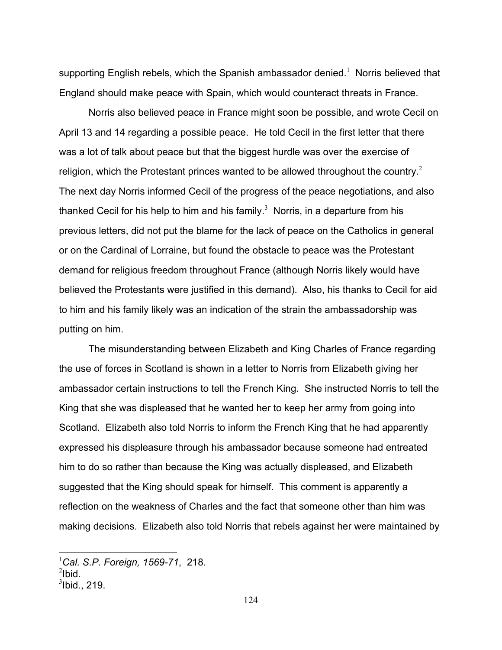supporting English rebels, which the Spanish ambassador denied.<sup>1</sup> Norris believed that England should make peace with Spain, which would counteract threats in France.

 Norris also believed peace in France might soon be possible, and wrote Cecil on April 13 and 14 regarding a possible peace. He told Cecil in the first letter that there was a lot of talk about peace but that the biggest hurdle was over the exercise of religion, which the Protestant princes wanted to be allowed throughout the country.<sup>2</sup> The next day Norris informed Cecil of the progress of the peace negotiations, and also thanked Cecil for his help to him and his family.<sup>3</sup> Norris, in a departure from his previous letters, did not put the blame for the lack of peace on the Catholics in general or on the Cardinal of Lorraine, but found the obstacle to peace was the Protestant demand for religious freedom throughout France (although Norris likely would have believed the Protestants were justified in this demand). Also, his thanks to Cecil for aid to him and his family likely was an indication of the strain the ambassadorship was putting on him.

 The misunderstanding between Elizabeth and King Charles of France regarding the use of forces in Scotland is shown in a letter to Norris from Elizabeth giving her ambassador certain instructions to tell the French King. She instructed Norris to tell the King that she was displeased that he wanted her to keep her army from going into Scotland. Elizabeth also told Norris to inform the French King that he had apparently expressed his displeasure through his ambassador because someone had entreated him to do so rather than because the King was actually displeased, and Elizabeth suggested that the King should speak for himself. This comment is apparently a reflection on the weakness of Charles and the fact that someone other than him was making decisions. Elizabeth also told Norris that rebels against her were maintained by

<u>.</u>

<sup>1</sup> *Cal. S.P. Foreign, 1569-71*, 218.

 $^{2}$ lbid.

 $3$ lbid., 219.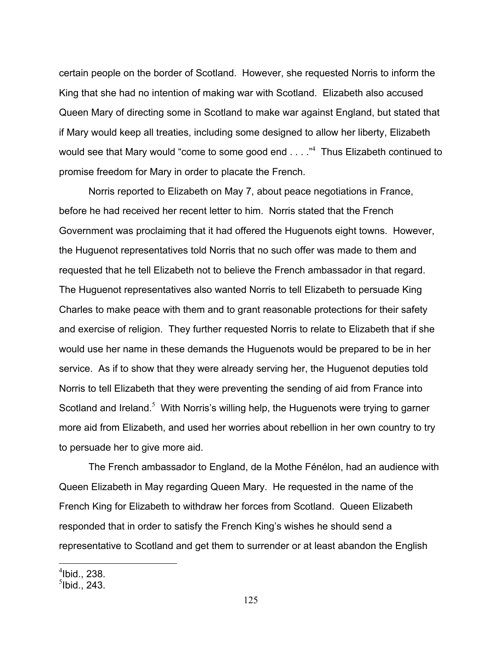certain people on the border of Scotland. However, she requested Norris to inform the King that she had no intention of making war with Scotland. Elizabeth also accused Queen Mary of directing some in Scotland to make war against England, but stated that if Mary would keep all treaties, including some designed to allow her liberty, Elizabeth would see that Mary would "come to some good end  $\dots$ ."<sup>4</sup> Thus Elizabeth continued to promise freedom for Mary in order to placate the French.

 Norris reported to Elizabeth on May 7, about peace negotiations in France, before he had received her recent letter to him. Norris stated that the French Government was proclaiming that it had offered the Huguenots eight towns. However, the Huguenot representatives told Norris that no such offer was made to them and requested that he tell Elizabeth not to believe the French ambassador in that regard. The Huguenot representatives also wanted Norris to tell Elizabeth to persuade King Charles to make peace with them and to grant reasonable protections for their safety and exercise of religion. They further requested Norris to relate to Elizabeth that if she would use her name in these demands the Huguenots would be prepared to be in her service. As if to show that they were already serving her, the Huguenot deputies told Norris to tell Elizabeth that they were preventing the sending of aid from France into Scotland and Ireland. $5$  With Norris's willing help, the Huguenots were trying to garner more aid from Elizabeth, and used her worries about rebellion in her own country to try to persuade her to give more aid.

 The French ambassador to England, de la Mothe Fénélon, had an audience with Queen Elizabeth in May regarding Queen Mary. He requested in the name of the French King for Elizabeth to withdraw her forces from Scotland. Queen Elizabeth responded that in order to satisfy the French King's wishes he should send a representative to Scotland and get them to surrender or at least abandon the English

 $<sup>4</sup>$ Ibid., 238.</sup>

 $<sup>5</sup>$ Ibid., 243.</sup>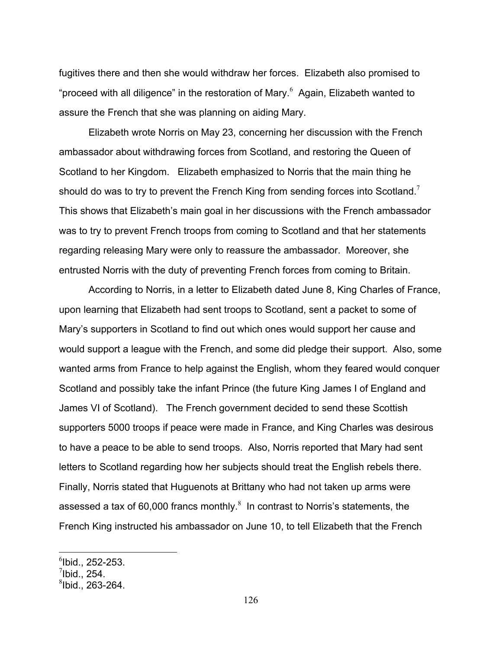fugitives there and then she would withdraw her forces. Elizabeth also promised to "proceed with all diligence" in the restoration of Mary. $6$  Again, Elizabeth wanted to assure the French that she was planning on aiding Mary.

 Elizabeth wrote Norris on May 23, concerning her discussion with the French ambassador about withdrawing forces from Scotland, and restoring the Queen of Scotland to her Kingdom. Elizabeth emphasized to Norris that the main thing he should do was to try to prevent the French King from sending forces into Scotland.<sup>7</sup> This shows that Elizabeth's main goal in her discussions with the French ambassador was to try to prevent French troops from coming to Scotland and that her statements regarding releasing Mary were only to reassure the ambassador. Moreover, she entrusted Norris with the duty of preventing French forces from coming to Britain.

 According to Norris, in a letter to Elizabeth dated June 8, King Charles of France, upon learning that Elizabeth had sent troops to Scotland, sent a packet to some of Mary's supporters in Scotland to find out which ones would support her cause and would support a league with the French, and some did pledge their support. Also, some wanted arms from France to help against the English, whom they feared would conquer Scotland and possibly take the infant Prince (the future King James I of England and James VI of Scotland). The French government decided to send these Scottish supporters 5000 troops if peace were made in France, and King Charles was desirous to have a peace to be able to send troops. Also, Norris reported that Mary had sent letters to Scotland regarding how her subjects should treat the English rebels there. Finally, Norris stated that Huguenots at Brittany who had not taken up arms were assessed a tax of 60,000 francs monthly. $^8$  In contrast to Norris's statements, the French King instructed his ambassador on June 10, to tell Elizabeth that the French

 $<sup>6</sup>$ Ibid., 252-253.</sup>

 $^7$ Ibid., 254.

 $8$ Ibid., 263-264.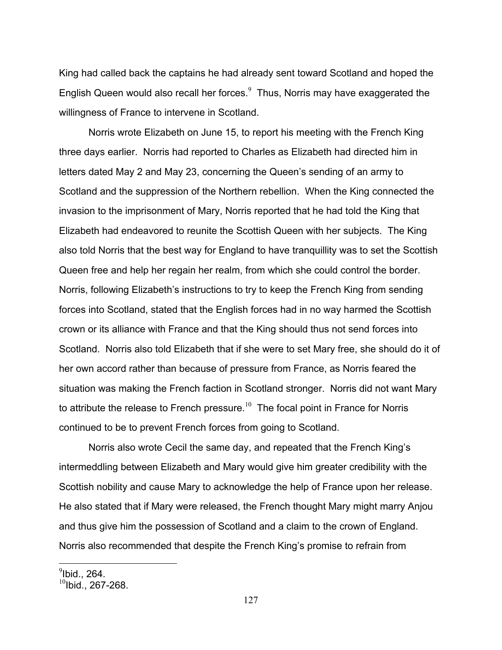King had called back the captains he had already sent toward Scotland and hoped the English Queen would also recall her forces. $^9$  Thus, Norris may have exaggerated the willingness of France to intervene in Scotland.

 Norris wrote Elizabeth on June 15, to report his meeting with the French King three days earlier. Norris had reported to Charles as Elizabeth had directed him in letters dated May 2 and May 23, concerning the Queen's sending of an army to Scotland and the suppression of the Northern rebellion. When the King connected the invasion to the imprisonment of Mary, Norris reported that he had told the King that Elizabeth had endeavored to reunite the Scottish Queen with her subjects. The King also told Norris that the best way for England to have tranquillity was to set the Scottish Queen free and help her regain her realm, from which she could control the border. Norris, following Elizabeth's instructions to try to keep the French King from sending forces into Scotland, stated that the English forces had in no way harmed the Scottish crown or its alliance with France and that the King should thus not send forces into Scotland. Norris also told Elizabeth that if she were to set Mary free, she should do it of her own accord rather than because of pressure from France, as Norris feared the situation was making the French faction in Scotland stronger. Norris did not want Mary to attribute the release to French pressure.<sup>10</sup> The focal point in France for Norris continued to be to prevent French forces from going to Scotland.

 Norris also wrote Cecil the same day, and repeated that the French King's intermeddling between Elizabeth and Mary would give him greater credibility with the Scottish nobility and cause Mary to acknowledge the help of France upon her release. He also stated that if Mary were released, the French thought Mary might marry Anjou and thus give him the possession of Scotland and a claim to the crown of England. Norris also recommended that despite the French King's promise to refrain from

 $^9$ lbid., 264.

 $10$ Ibid., 267-268.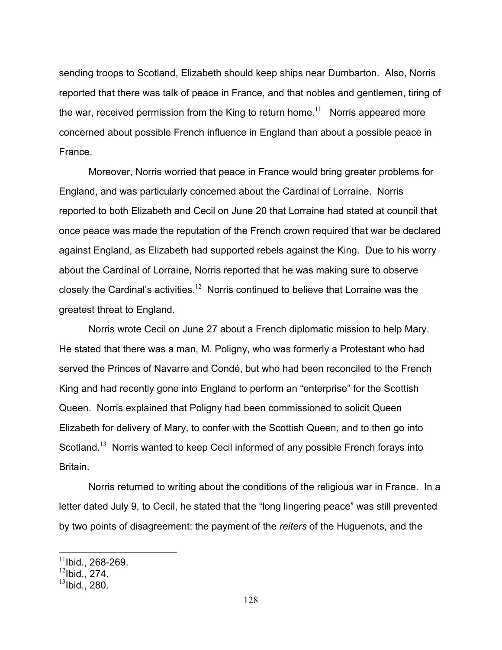sending troops to Scotland, Elizabeth should keep ships near Dumbarton. Also, Norris reported that there was talk of peace in France, and that nobles and gentlemen, tiring of the war, received permission from the King to return home.<sup>11</sup> Norris appeared more concerned about possible French influence in England than about a possible peace in France.

 Moreover, Norris worried that peace in France would bring greater problems for England, and was particularly concerned about the Cardinal of Lorraine. Norris reported to both Elizabeth and Cecil on June 20 that Lorraine had stated at council that once peace was made the reputation of the French crown required that war be declared against England, as Elizabeth had supported rebels against the King. Due to his worry about the Cardinal of Lorraine, Norris reported that he was making sure to observe closely the Cardinal's activities.<sup>12</sup> Norris continued to believe that Lorraine was the greatest threat to England.

 Norris wrote Cecil on June 27 about a French diplomatic mission to help Mary. He stated that there was a man, M. Poligny, who was formerly a Protestant who had served the Princes of Navarre and Condé, but who had been reconciled to the French King and had recently gone into England to perform an "enterprise" for the Scottish Queen. Norris explained that Poligny had been commissioned to solicit Queen Elizabeth for delivery of Mary, to confer with the Scottish Queen, and to then go into Scotland.<sup>13</sup> Norris wanted to keep Cecil informed of any possible French forays into **Britain** 

 Norris returned to writing about the conditions of the religious war in France. In a letter dated July 9, to Cecil, he stated that the "long lingering peace" was still prevented by two points of disagreement: the payment of the *reiters* of the Huguenots, and the

<u>.</u>

 $11$ Ibid., 268-269.

 $12$ Ibid., 274.

 $13$ Ibid., 280.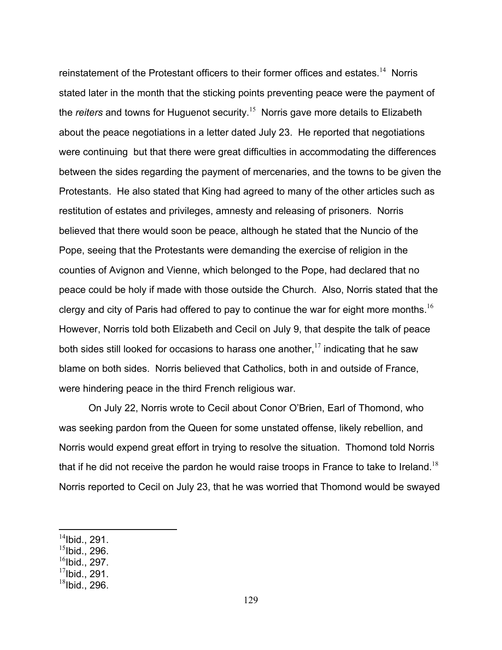reinstatement of the Protestant officers to their former offices and estates.<sup>14</sup> Norris stated later in the month that the sticking points preventing peace were the payment of the *reiters* and towns for Huguenot security.<sup>15</sup> Norris gave more details to Elizabeth about the peace negotiations in a letter dated July 23. He reported that negotiations were continuing but that there were great difficulties in accommodating the differences between the sides regarding the payment of mercenaries, and the towns to be given the Protestants. He also stated that King had agreed to many of the other articles such as restitution of estates and privileges, amnesty and releasing of prisoners. Norris believed that there would soon be peace, although he stated that the Nuncio of the Pope, seeing that the Protestants were demanding the exercise of religion in the counties of Avignon and Vienne, which belonged to the Pope, had declared that no peace could be holy if made with those outside the Church. Also, Norris stated that the clergy and city of Paris had offered to pay to continue the war for eight more months.<sup>16</sup> However, Norris told both Elizabeth and Cecil on July 9, that despite the talk of peace both sides still looked for occasions to harass one another.<sup>17</sup> indicating that he saw blame on both sides. Norris believed that Catholics, both in and outside of France, were hindering peace in the third French religious war.

 On July 22, Norris wrote to Cecil about Conor O'Brien, Earl of Thomond, who was seeking pardon from the Queen for some unstated offense, likely rebellion, and Norris would expend great effort in trying to resolve the situation. Thomond told Norris that if he did not receive the pardon he would raise troops in France to take to Ireland.<sup>18</sup> Norris reported to Cecil on July 23, that he was worried that Thomond would be swayed

- $15$ Ibid., 296.
- $^{16}$ Ibid., 297.
- $17$ Ibid., 291.

 $14$ Ibid., 291.

 $18$ Ibid., 296.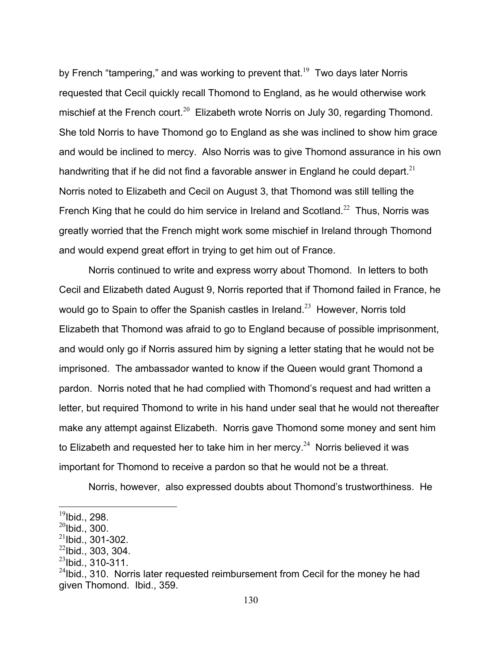by French "tampering," and was working to prevent that.<sup>19</sup> Two days later Norris requested that Cecil quickly recall Thomond to England, as he would otherwise work mischief at the French court.<sup>20</sup> Elizabeth wrote Norris on July 30, regarding Thomond. She told Norris to have Thomond go to England as she was inclined to show him grace and would be inclined to mercy. Also Norris was to give Thomond assurance in his own handwriting that if he did not find a favorable answer in England he could depart.<sup>21</sup> Norris noted to Elizabeth and Cecil on August 3, that Thomond was still telling the French King that he could do him service in Ireland and Scotland.<sup>22</sup> Thus, Norris was greatly worried that the French might work some mischief in Ireland through Thomond and would expend great effort in trying to get him out of France.

Norris continued to write and express worry about Thomond. In letters to both Cecil and Elizabeth dated August 9, Norris reported that if Thomond failed in France, he would go to Spain to offer the Spanish castles in Ireland.<sup>23</sup> However, Norris told Elizabeth that Thomond was afraid to go to England because of possible imprisonment, and would only go if Norris assured him by signing a letter stating that he would not be imprisoned. The ambassador wanted to know if the Queen would grant Thomond a pardon. Norris noted that he had complied with Thomond's request and had written a letter, but required Thomond to write in his hand under seal that he would not thereafter make any attempt against Elizabeth. Norris gave Thomond some money and sent him to Elizabeth and requested her to take him in her mercy.<sup>24</sup> Norris believed it was important for Thomond to receive a pardon so that he would not be a threat.

Norris, however, also expressed doubts about Thomond's trustworthiness. He

 $^{19}$ Ibid., 298.

 $^{20}$ Ibid., 300.

 $^{21}$ Ibid., 301-302.

 $22$ Ibid., 303, 304.

 $^{23}$ lbid., 310-311.

 $^{24}$ lbid., 310. Norris later requested reimbursement from Cecil for the money he had given Thomond. Ibid., 359.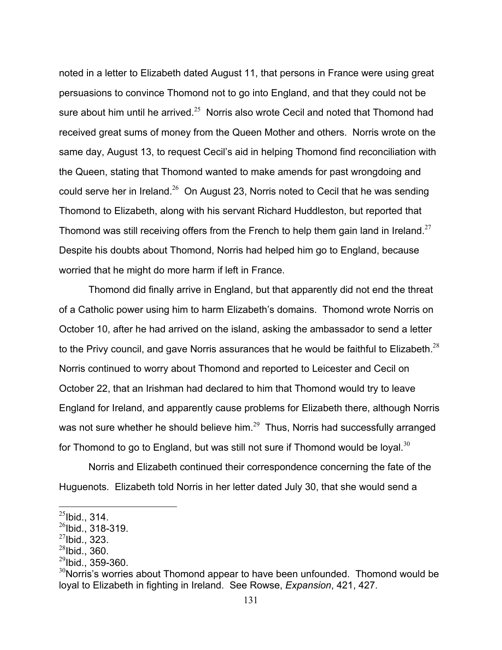noted in a letter to Elizabeth dated August 11, that persons in France were using great persuasions to convince Thomond not to go into England, and that they could not be sure about him until he arrived. $25$  Norris also wrote Cecil and noted that Thomond had received great sums of money from the Queen Mother and others. Norris wrote on the same day, August 13, to request Cecil's aid in helping Thomond find reconciliation with the Queen, stating that Thomond wanted to make amends for past wrongdoing and could serve her in Ireland. $26$  On August 23, Norris noted to Cecil that he was sending Thomond to Elizabeth, along with his servant Richard Huddleston, but reported that Thomond was still receiving offers from the French to help them gain land in Ireland.<sup>27</sup> Despite his doubts about Thomond, Norris had helped him go to England, because worried that he might do more harm if left in France.

 Thomond did finally arrive in England, but that apparently did not end the threat of a Catholic power using him to harm Elizabeth's domains. Thomond wrote Norris on October 10, after he had arrived on the island, asking the ambassador to send a letter to the Privy council, and gave Norris assurances that he would be faithful to Elizabeth. $^{28}$ Norris continued to worry about Thomond and reported to Leicester and Cecil on October 22, that an Irishman had declared to him that Thomond would try to leave England for Ireland, and apparently cause problems for Elizabeth there, although Norris was not sure whether he should believe him. $^{29}$  Thus, Norris had successfully arranged for Thomond to go to England, but was still not sure if Thomond would be loyal.<sup>30</sup>

 Norris and Elizabeth continued their correspondence concerning the fate of the Huguenots. Elizabeth told Norris in her letter dated July 30, that she would send a

 $^{25}$ lbid., 314.

 $^{26}$ Ibid., 318-319.

 $27$ Ibid., 323.

 $^{28}$ Ibid., 360.

 $^{29}$ Ibid., 359-360.

 $30$ Norris's worries about Thomond appear to have been unfounded. Thomond would be loyal to Elizabeth in fighting in Ireland. See Rowse, *Expansion*, 421, 427.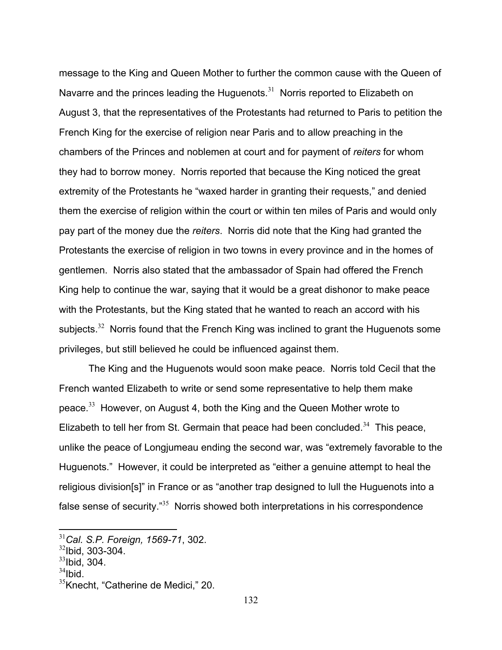message to the King and Queen Mother to further the common cause with the Queen of Navarre and the princes leading the Huguenots. $31$  Norris reported to Elizabeth on August 3, that the representatives of the Protestants had returned to Paris to petition the French King for the exercise of religion near Paris and to allow preaching in the chambers of the Princes and noblemen at court and for payment of *reiters* for whom they had to borrow money. Norris reported that because the King noticed the great extremity of the Protestants he "waxed harder in granting their requests," and denied them the exercise of religion within the court or within ten miles of Paris and would only pay part of the money due the *reiters*. Norris did note that the King had granted the Protestants the exercise of religion in two towns in every province and in the homes of gentlemen. Norris also stated that the ambassador of Spain had offered the French King help to continue the war, saying that it would be a great dishonor to make peace with the Protestants, but the King stated that he wanted to reach an accord with his subjects.<sup>32</sup> Norris found that the French King was inclined to grant the Huguenots some privileges, but still believed he could be influenced against them.

 The King and the Huguenots would soon make peace. Norris told Cecil that the French wanted Elizabeth to write or send some representative to help them make peace.<sup>33</sup> However, on August 4, both the King and the Queen Mother wrote to Elizabeth to tell her from St. Germain that peace had been concluded.<sup>34</sup> This peace, unlike the peace of Longjumeau ending the second war, was "extremely favorable to the Huguenots." However, it could be interpreted as "either a genuine attempt to heal the religious division[s]" in France or as "another trap designed to lull the Huguenots into a false sense of security."<sup>35</sup> Norris showed both interpretations in his correspondence

 $34$ Ibid.

<sup>31</sup>*Cal. S.P. Foreign, 1569-71*, 302.

<sup>32</sup>Ibid, 303-304.

 $33$ Ibid, 304.

<sup>&</sup>lt;sup>35</sup>Knecht, "Catherine de Medici," 20.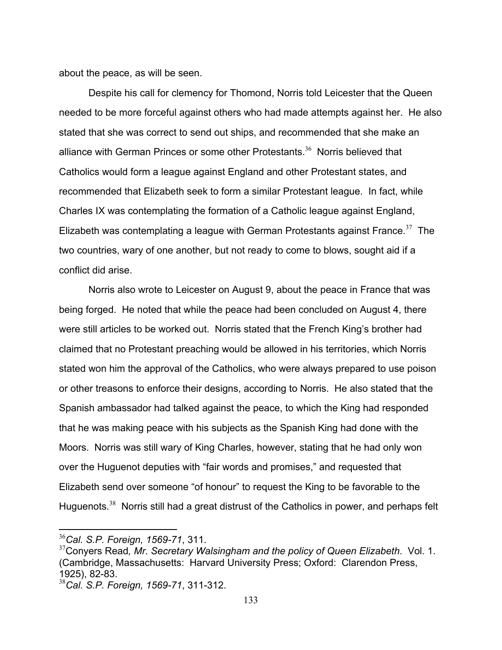about the peace, as will be seen.

 Despite his call for clemency for Thomond, Norris told Leicester that the Queen needed to be more forceful against others who had made attempts against her. He also stated that she was correct to send out ships, and recommended that she make an alliance with German Princes or some other Protestants.<sup>36</sup> Norris believed that Catholics would form a league against England and other Protestant states, and recommended that Elizabeth seek to form a similar Protestant league. In fact, while Charles IX was contemplating the formation of a Catholic league against England, Elizabeth was contemplating a league with German Protestants against France.<sup>37</sup> The two countries, wary of one another, but not ready to come to blows, sought aid if a conflict did arise.

 Norris also wrote to Leicester on August 9, about the peace in France that was being forged. He noted that while the peace had been concluded on August 4, there were still articles to be worked out. Norris stated that the French King's brother had claimed that no Protestant preaching would be allowed in his territories, which Norris stated won him the approval of the Catholics, who were always prepared to use poison or other treasons to enforce their designs, according to Norris. He also stated that the Spanish ambassador had talked against the peace, to which the King had responded that he was making peace with his subjects as the Spanish King had done with the Moors. Norris was still wary of King Charles, however, stating that he had only won over the Huguenot deputies with "fair words and promises," and requested that Elizabeth send over someone "of honour" to request the King to be favorable to the Huguenots.<sup>38</sup> Norris still had a great distrust of the Catholics in power, and perhaps felt

1

<sup>36</sup>*Cal. S.P. Foreign, 1569-71*, 311.

<sup>37</sup>Conyers Read*, Mr. Secretary Walsingham and the policy of Queen Elizabeth*. Vol. 1. (Cambridge, Massachusetts: Harvard University Press; Oxford: Clarendon Press, 1925), 82-83.

<sup>38</sup>*Cal. S.P. Foreign, 1569-71*, 311-312.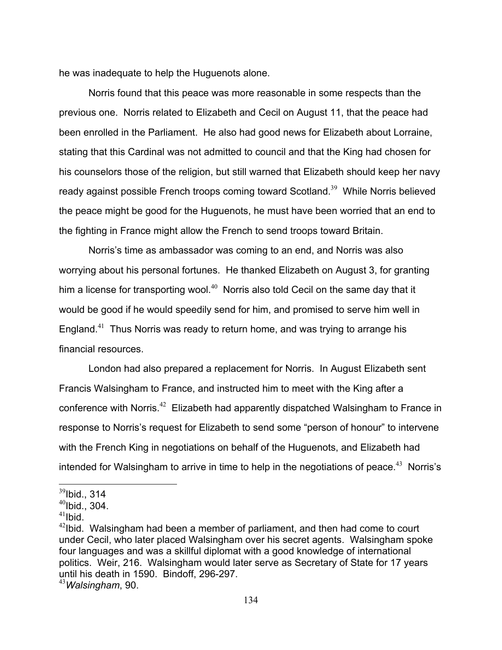he was inadequate to help the Huguenots alone.

 Norris found that this peace was more reasonable in some respects than the previous one. Norris related to Elizabeth and Cecil on August 11, that the peace had been enrolled in the Parliament. He also had good news for Elizabeth about Lorraine, stating that this Cardinal was not admitted to council and that the King had chosen for his counselors those of the religion, but still warned that Elizabeth should keep her navy ready against possible French troops coming toward Scotland.<sup>39</sup> While Norris believed the peace might be good for the Huguenots, he must have been worried that an end to the fighting in France might allow the French to send troops toward Britain.

 Norris's time as ambassador was coming to an end, and Norris was also worrying about his personal fortunes. He thanked Elizabeth on August 3, for granting him a license for transporting wool.<sup>40</sup> Norris also told Cecil on the same day that it would be good if he would speedily send for him, and promised to serve him well in England.<sup>41</sup> Thus Norris was ready to return home, and was trying to arrange his financial resources.

 London had also prepared a replacement for Norris. In August Elizabeth sent Francis Walsingham to France, and instructed him to meet with the King after a conference with Norris.<sup>42</sup> Elizabeth had apparently dispatched Walsingham to France in response to Norris's request for Elizabeth to send some "person of honour" to intervene with the French King in negotiations on behalf of the Huguenots, and Elizabeth had intended for Walsingham to arrive in time to help in the negotiations of peace.<sup>43</sup> Norris's

<u>.</u>

 $39$ Ibid., 314

 $40$ Ibid., 304.

 $41$ Ibid.

 $42$ Ibid. Walsingham had been a member of parliament, and then had come to court under Cecil, who later placed Walsingham over his secret agents. Walsingham spoke four languages and was a skillful diplomat with a good knowledge of international politics. Weir, 216. Walsingham would later serve as Secretary of State for 17 years until his death in 1590. Bindoff, 296-297.

<sup>43</sup>*Walsingham*, 90.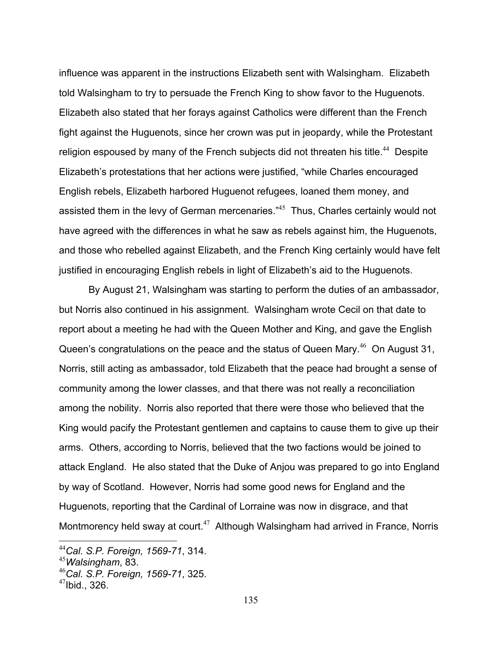influence was apparent in the instructions Elizabeth sent with Walsingham. Elizabeth told Walsingham to try to persuade the French King to show favor to the Huguenots. Elizabeth also stated that her forays against Catholics were different than the French fight against the Huguenots, since her crown was put in jeopardy, while the Protestant religion espoused by many of the French subjects did not threaten his title.<sup>44</sup> Despite Elizabeth's protestations that her actions were justified, "while Charles encouraged English rebels, Elizabeth harbored Huguenot refugees, loaned them money, and assisted them in the levy of German mercenaries."<sup>45</sup> Thus, Charles certainly would not have agreed with the differences in what he saw as rebels against him, the Huguenots, and those who rebelled against Elizabeth, and the French King certainly would have felt justified in encouraging English rebels in light of Elizabeth's aid to the Huguenots.

 By August 21, Walsingham was starting to perform the duties of an ambassador, but Norris also continued in his assignment. Walsingham wrote Cecil on that date to report about a meeting he had with the Queen Mother and King, and gave the English Queen's congratulations on the peace and the status of Queen Mary.<sup>46</sup> On August 31, Norris, still acting as ambassador, told Elizabeth that the peace had brought a sense of community among the lower classes, and that there was not really a reconciliation among the nobility. Norris also reported that there were those who believed that the King would pacify the Protestant gentlemen and captains to cause them to give up their arms. Others, according to Norris, believed that the two factions would be joined to attack England. He also stated that the Duke of Anjou was prepared to go into England by way of Scotland. However, Norris had some good news for England and the Huguenots, reporting that the Cardinal of Lorraine was now in disgrace, and that Montmorency held sway at court. $47$  Although Walsingham had arrived in France, Norris

<sup>44</sup>*Cal. S.P. Foreign, 1569-71*, 314.

<sup>45</sup>*Walsingham*, 83.

<sup>46</sup>*Cal. S.P. Foreign, 1569-71*, 325.

 $47$ Ibid., 326.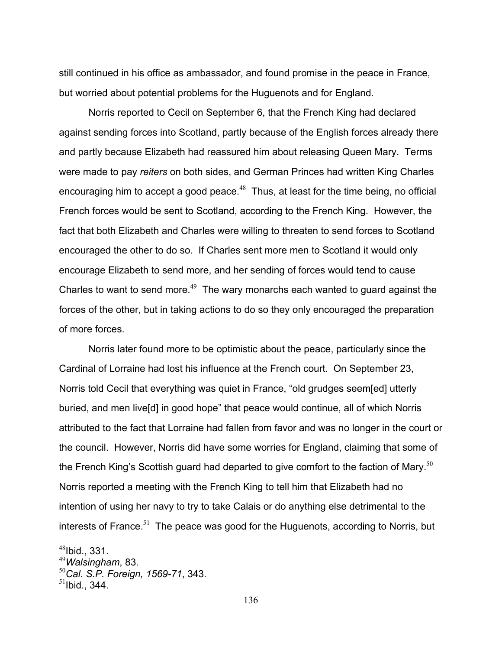still continued in his office as ambassador, and found promise in the peace in France, but worried about potential problems for the Huguenots and for England.

 Norris reported to Cecil on September 6, that the French King had declared against sending forces into Scotland, partly because of the English forces already there and partly because Elizabeth had reassured him about releasing Queen Mary. Terms were made to pay *reiters* on both sides, and German Princes had written King Charles encouraging him to accept a good peace. $48$  Thus, at least for the time being, no official French forces would be sent to Scotland, according to the French King. However, the fact that both Elizabeth and Charles were willing to threaten to send forces to Scotland encouraged the other to do so. If Charles sent more men to Scotland it would only encourage Elizabeth to send more, and her sending of forces would tend to cause Charles to want to send more.<sup>49</sup> The wary monarchs each wanted to quard against the forces of the other, but in taking actions to do so they only encouraged the preparation of more forces.

 Norris later found more to be optimistic about the peace, particularly since the Cardinal of Lorraine had lost his influence at the French court. On September 23, Norris told Cecil that everything was quiet in France, "old grudges seem[ed] utterly buried, and men live[d] in good hope" that peace would continue, all of which Norris attributed to the fact that Lorraine had fallen from favor and was no longer in the court or the council. However, Norris did have some worries for England, claiming that some of the French King's Scottish guard had departed to give comfort to the faction of Mary.<sup>50</sup> Norris reported a meeting with the French King to tell him that Elizabeth had no intention of using her navy to try to take Calais or do anything else detrimental to the interests of France.<sup>51</sup> The peace was good for the Huguenots, according to Norris, but

<u>.</u>

 $48$ Ibid., 331.

<sup>49</sup>*Walsingham*, 83.

<sup>50</sup>*Cal. S.P. Foreign, 1569-71*, 343.

 $51$ Ibid., 344.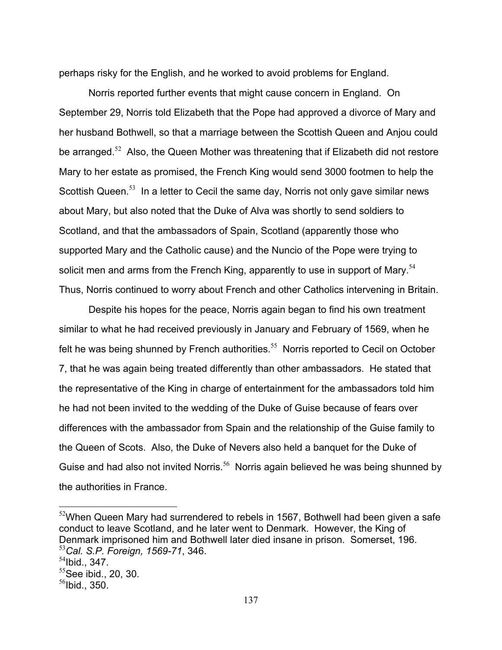perhaps risky for the English, and he worked to avoid problems for England.

 Norris reported further events that might cause concern in England. On September 29, Norris told Elizabeth that the Pope had approved a divorce of Mary and her husband Bothwell, so that a marriage between the Scottish Queen and Anjou could be arranged.<sup>52</sup> Also, the Queen Mother was threatening that if Elizabeth did not restore Mary to her estate as promised, the French King would send 3000 footmen to help the Scottish Queen.<sup>53</sup> In a letter to Cecil the same day, Norris not only gave similar news about Mary, but also noted that the Duke of Alva was shortly to send soldiers to Scotland, and that the ambassadors of Spain, Scotland (apparently those who supported Mary and the Catholic cause) and the Nuncio of the Pope were trying to solicit men and arms from the French King, apparently to use in support of Mary.<sup>54</sup> Thus, Norris continued to worry about French and other Catholics intervening in Britain.

 Despite his hopes for the peace, Norris again began to find his own treatment similar to what he had received previously in January and February of 1569, when he felt he was being shunned by French authorities.<sup>55</sup> Norris reported to Cecil on October 7, that he was again being treated differently than other ambassadors. He stated that the representative of the King in charge of entertainment for the ambassadors told him he had not been invited to the wedding of the Duke of Guise because of fears over differences with the ambassador from Spain and the relationship of the Guise family to the Queen of Scots. Also, the Duke of Nevers also held a banquet for the Duke of Guise and had also not invited Norris.<sup>56</sup> Norris again believed he was being shunned by the authorities in France.

1

 $52$ When Queen Mary had surrendered to rebels in 1567, Bothwell had been given a safe conduct to leave Scotland, and he later went to Denmark. However, the King of Denmark imprisoned him and Bothwell later died insane in prison. Somerset, 196. <sup>53</sup>*Cal. S.P. Foreign, 1569-71*, 346.

 $54$ Ibid., 347.

 $55$ See ibid., 20, 30.

 $56$ Ibid., 350.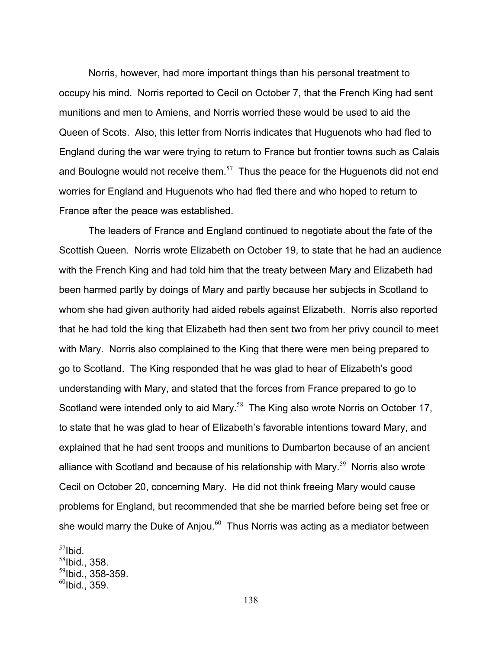Norris, however, had more important things than his personal treatment to occupy his mind. Norris reported to Cecil on October 7, that the French King had sent munitions and men to Amiens, and Norris worried these would be used to aid the Queen of Scots. Also, this letter from Norris indicates that Huguenots who had fled to England during the war were trying to return to France but frontier towns such as Calais and Boulogne would not receive them. $57$  Thus the peace for the Huguenots did not end worries for England and Huguenots who had fled there and who hoped to return to France after the peace was established.

 The leaders of France and England continued to negotiate about the fate of the Scottish Queen. Norris wrote Elizabeth on October 19, to state that he had an audience with the French King and had told him that the treaty between Mary and Elizabeth had been harmed partly by doings of Mary and partly because her subjects in Scotland to whom she had given authority had aided rebels against Elizabeth. Norris also reported that he had told the king that Elizabeth had then sent two from her privy council to meet with Mary. Norris also complained to the King that there were men being prepared to go to Scotland. The King responded that he was glad to hear of Elizabeth's good understanding with Mary, and stated that the forces from France prepared to go to Scotland were intended only to aid Mary.<sup>58</sup> The King also wrote Norris on October 17, to state that he was glad to hear of Elizabeth's favorable intentions toward Mary, and explained that he had sent troops and munitions to Dumbarton because of an ancient alliance with Scotland and because of his relationship with Mary.<sup>59</sup> Norris also wrote Cecil on October 20, concerning Mary. He did not think freeing Mary would cause problems for England, but recommended that she be married before being set free or she would marry the Duke of Anjou. $60$  Thus Norris was acting as a mediator between

 $57$ Ibid.

 $58$ Ibid., 358.

<sup>59</sup>Ibid., 358-359.

 $^{60}$ Ibid., 359.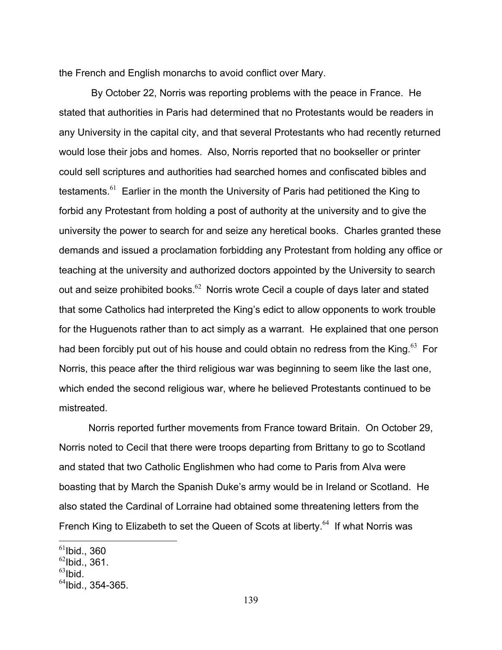the French and English monarchs to avoid conflict over Mary.

 By October 22, Norris was reporting problems with the peace in France. He stated that authorities in Paris had determined that no Protestants would be readers in any University in the capital city, and that several Protestants who had recently returned would lose their jobs and homes. Also, Norris reported that no bookseller or printer could sell scriptures and authorities had searched homes and confiscated bibles and testaments.<sup>61</sup> Earlier in the month the University of Paris had petitioned the King to forbid any Protestant from holding a post of authority at the university and to give the university the power to search for and seize any heretical books. Charles granted these demands and issued a proclamation forbidding any Protestant from holding any office or teaching at the university and authorized doctors appointed by the University to search out and seize prohibited books. $62$  Norris wrote Cecil a couple of days later and stated that some Catholics had interpreted the King's edict to allow opponents to work trouble for the Huguenots rather than to act simply as a warrant. He explained that one person had been forcibly put out of his house and could obtain no redress from the King. $63$  For Norris, this peace after the third religious war was beginning to seem like the last one, which ended the second religious war, where he believed Protestants continued to be mistreated.

 Norris reported further movements from France toward Britain. On October 29, Norris noted to Cecil that there were troops departing from Brittany to go to Scotland and stated that two Catholic Englishmen who had come to Paris from Alva were boasting that by March the Spanish Duke's army would be in Ireland or Scotland. He also stated the Cardinal of Lorraine had obtained some threatening letters from the French King to Elizabeth to set the Queen of Scots at liberty.<sup>64</sup> If what Norris was

 $\overline{a}$  $^{61}$ Ibid., 360  $62$ Ibid., 361.  $^{63}$ Ibid.

 $64$ Ibid., 354-365.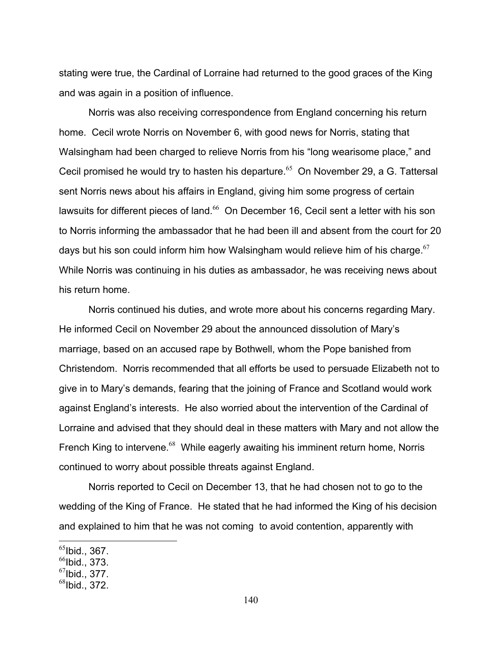stating were true, the Cardinal of Lorraine had returned to the good graces of the King and was again in a position of influence.

 Norris was also receiving correspondence from England concerning his return home. Cecil wrote Norris on November 6, with good news for Norris, stating that Walsingham had been charged to relieve Norris from his "long wearisome place," and Cecil promised he would try to hasten his departure.<sup>65</sup> On November 29, a G. Tattersal sent Norris news about his affairs in England, giving him some progress of certain lawsuits for different pieces of land.<sup>66</sup> On December 16, Cecil sent a letter with his son to Norris informing the ambassador that he had been ill and absent from the court for 20 days but his son could inform him how Walsingham would relieve him of his charge.  $67$ While Norris was continuing in his duties as ambassador, he was receiving news about his return home.

 Norris continued his duties, and wrote more about his concerns regarding Mary. He informed Cecil on November 29 about the announced dissolution of Mary's marriage, based on an accused rape by Bothwell, whom the Pope banished from Christendom. Norris recommended that all efforts be used to persuade Elizabeth not to give in to Mary's demands, fearing that the joining of France and Scotland would work against England's interests. He also worried about the intervention of the Cardinal of Lorraine and advised that they should deal in these matters with Mary and not allow the French King to intervene.<sup>68</sup> While eagerly awaiting his imminent return home, Norris continued to worry about possible threats against England.

 Norris reported to Cecil on December 13, that he had chosen not to go to the wedding of the King of France. He stated that he had informed the King of his decision and explained to him that he was not coming to avoid contention, apparently with

 $<sup>65</sup>$ Ibid., 367.</sup>

 $<sup>66</sup>$ Ibid., 373.</sup>

 $^{67}$ Ibid., 377.

 $^{68}$ Ibid., 372.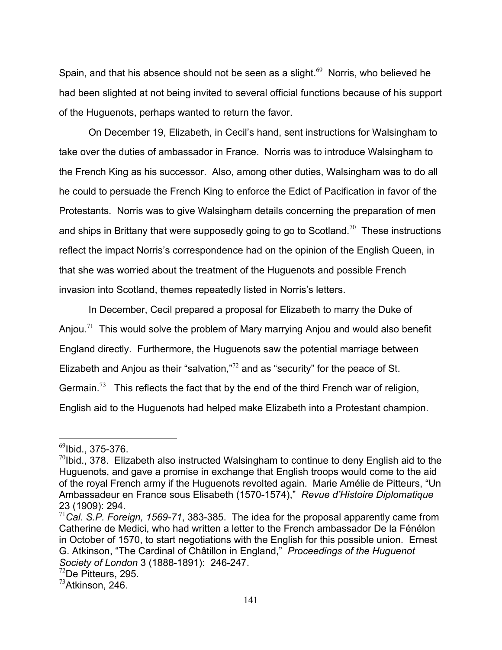Spain, and that his absence should not be seen as a slight.<sup>69</sup> Norris, who believed he had been slighted at not being invited to several official functions because of his support of the Huguenots, perhaps wanted to return the favor.

 On December 19, Elizabeth, in Cecil's hand, sent instructions for Walsingham to take over the duties of ambassador in France. Norris was to introduce Walsingham to the French King as his successor. Also, among other duties, Walsingham was to do all he could to persuade the French King to enforce the Edict of Pacification in favor of the Protestants. Norris was to give Walsingham details concerning the preparation of men and ships in Brittany that were supposedly going to go to Scotland.<sup>70</sup> These instructions reflect the impact Norris's correspondence had on the opinion of the English Queen, in that she was worried about the treatment of the Huguenots and possible French invasion into Scotland, themes repeatedly listed in Norris's letters.

 In December, Cecil prepared a proposal for Elizabeth to marry the Duke of Anjou.<sup>71</sup> This would solve the problem of Mary marrying Anjou and would also benefit England directly. Furthermore, the Huguenots saw the potential marriage between Elizabeth and Anjou as their "salvation, $n^2$  and as "security" for the peace of St. Germain.<sup>73</sup> This reflects the fact that by the end of the third French war of religion, English aid to the Huguenots had helped make Elizabeth into a Protestant champion.

 $^{69}$ Ibid., 375-376.

 $^{70}$ Ibid., 378. Elizabeth also instructed Walsingham to continue to deny English aid to the Huguenots, and gave a promise in exchange that English troops would come to the aid of the royal French army if the Huguenots revolted again. Marie Amélie de Pitteurs, "Un Ambassadeur en France sous Elisabeth (1570-1574)," *Revue d'Histoire Diplomatique*  23 (1909): 294.

<sup>71</sup>*Cal. S.P. Foreign, 1569-71*, 383-385. The idea for the proposal apparently came from Catherine de Medici, who had written a letter to the French ambassador De la Fénélon in October of 1570, to start negotiations with the English for this possible union. Ernest G. Atkinson, "The Cardinal of Châtillon in England," *Proceedings of the Huguenot Society of London 3 (1888-1891): 246-247.* <sup>72</sup>De Pitteurs, 295.

 $^{73}$ Atkinson, 246.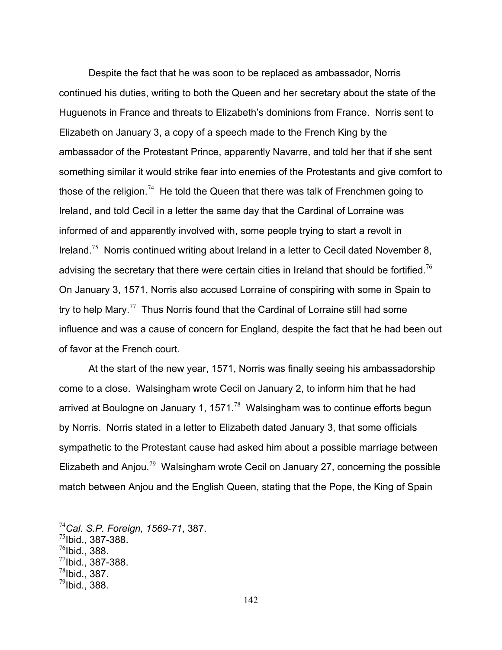Despite the fact that he was soon to be replaced as ambassador, Norris continued his duties, writing to both the Queen and her secretary about the state of the Huguenots in France and threats to Elizabeth's dominions from France. Norris sent to Elizabeth on January 3, a copy of a speech made to the French King by the ambassador of the Protestant Prince, apparently Navarre, and told her that if she sent something similar it would strike fear into enemies of the Protestants and give comfort to those of the religion.<sup>74</sup> He told the Queen that there was talk of Frenchmen going to Ireland, and told Cecil in a letter the same day that the Cardinal of Lorraine was informed of and apparently involved with, some people trying to start a revolt in Ireland.<sup>75</sup> Norris continued writing about Ireland in a letter to Cecil dated November 8, advising the secretary that there were certain cities in Ireland that should be fortified.<sup>76</sup> On January 3, 1571, Norris also accused Lorraine of conspiring with some in Spain to try to help Mary.<sup>77</sup> Thus Norris found that the Cardinal of Lorraine still had some influence and was a cause of concern for England, despite the fact that he had been out of favor at the French court.

 At the start of the new year, 1571, Norris was finally seeing his ambassadorship come to a close. Walsingham wrote Cecil on January 2, to inform him that he had arrived at Boulogne on January 1, 1571. $^{78}$  Walsingham was to continue efforts begun by Norris. Norris stated in a letter to Elizabeth dated January 3, that some officials sympathetic to the Protestant cause had asked him about a possible marriage between Elizabeth and Anjou.<sup>79</sup> Walsingham wrote Cecil on January 27, concerning the possible match between Anjou and the English Queen, stating that the Pope, the King of Spain

<sup>74</sup>*Cal. S.P. Foreign, 1569-71*, 387.

 $^{75}$ Ibid., 387-388.

 $^{76}$ Ibid., 388.

 $^{77}$ Ibid., 387-388.

 $^{78}$ Ibid., 387.

 $^{79}$ Ibid., 388.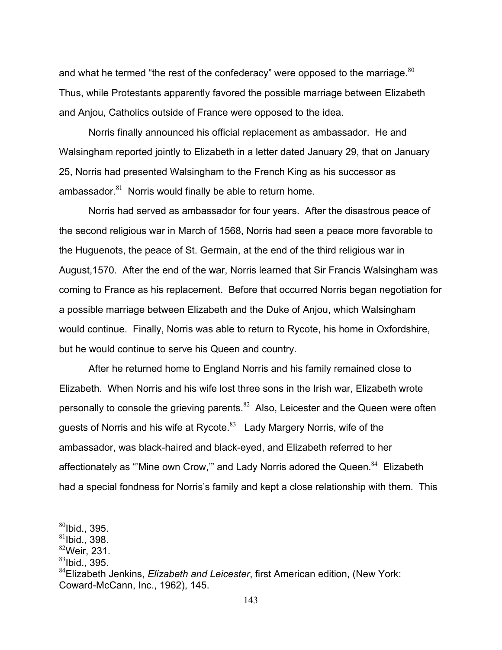and what he termed "the rest of the confederacy" were opposed to the marriage. $80$ Thus, while Protestants apparently favored the possible marriage between Elizabeth and Anjou, Catholics outside of France were opposed to the idea.

 Norris finally announced his official replacement as ambassador. He and Walsingham reported jointly to Elizabeth in a letter dated January 29, that on January 25, Norris had presented Walsingham to the French King as his successor as ambassador. $81$  Norris would finally be able to return home.

 Norris had served as ambassador for four years. After the disastrous peace of the second religious war in March of 1568, Norris had seen a peace more favorable to the Huguenots, the peace of St. Germain, at the end of the third religious war in August,1570. After the end of the war, Norris learned that Sir Francis Walsingham was coming to France as his replacement. Before that occurred Norris began negotiation for a possible marriage between Elizabeth and the Duke of Anjou, which Walsingham would continue. Finally, Norris was able to return to Rycote, his home in Oxfordshire, but he would continue to serve his Queen and country.

 After he returned home to England Norris and his family remained close to Elizabeth. When Norris and his wife lost three sons in the Irish war, Elizabeth wrote personally to console the grieving parents.<sup>82</sup> Also, Leicester and the Queen were often guests of Norris and his wife at Rycote. $83$  Lady Margery Norris, wife of the ambassador, was black-haired and black-eyed, and Elizabeth referred to her affectionately as "Mine own Crow," and Lady Norris adored the Queen. $84$  Elizabeth had a special fondness for Norris's family and kept a close relationship with them. This

1

 $80$ Ibid., 395.

 $81$ Ibid., 398.

 $82$ Weir, 231.

 $83$ Ibid., 395.

<sup>84</sup>Elizabeth Jenkins, *Elizabeth and Leicester*, first American edition, (New York: Coward-McCann, Inc., 1962), 145.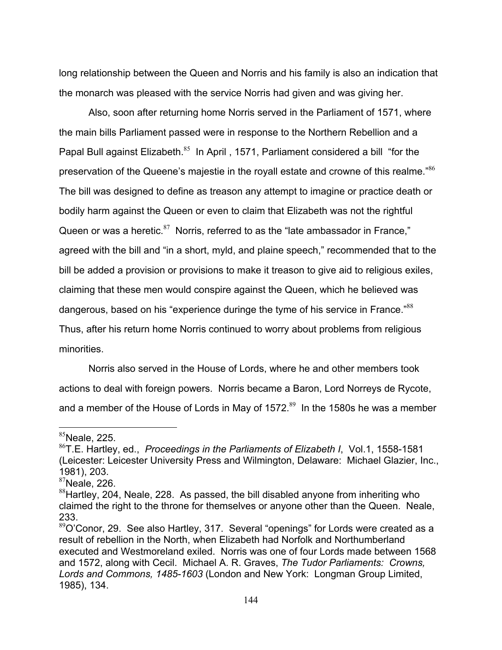long relationship between the Queen and Norris and his family is also an indication that the monarch was pleased with the service Norris had given and was giving her.

 Also, soon after returning home Norris served in the Parliament of 1571, where the main bills Parliament passed were in response to the Northern Rebellion and a Papal Bull against Elizabeth.<sup>85</sup> In April, 1571, Parliament considered a bill "for the preservation of the Queene's majestie in the royall estate and crowne of this realme."<sup>86</sup> The bill was designed to define as treason any attempt to imagine or practice death or bodily harm against the Queen or even to claim that Elizabeth was not the rightful Queen or was a heretic. $87$  Norris, referred to as the "late ambassador in France," agreed with the bill and "in a short, myld, and plaine speech," recommended that to the bill be added a provision or provisions to make it treason to give aid to religious exiles, claiming that these men would conspire against the Queen, which he believed was dangerous, based on his "experience duringe the tyme of his service in France."<sup>88</sup> Thus, after his return home Norris continued to worry about problems from religious minorities.

 Norris also served in the House of Lords, where he and other members took actions to deal with foreign powers. Norris became a Baron, Lord Norreys de Rycote, and a member of the House of Lords in May of 1572. $89$  In the 1580s he was a member

 $85$ Neale, 225.

<sup>86</sup>T.E. Hartley, ed., *Proceedings in the Parliaments of Elizabeth I*, Vol.1, 1558-1581 (Leicester: Leicester University Press and Wilmington, Delaware: Michael Glazier, Inc., 1981), 203.

 $87$ Neale, 226.

<sup>&</sup>lt;sup>88</sup>Hartley, 204, Neale, 228. As passed, the bill disabled anyone from inheriting who claimed the right to the throne for themselves or anyone other than the Queen. Neale, 233.

 $89$ O'Conor, 29. See also Hartley, 317. Several "openings" for Lords were created as a result of rebellion in the North, when Elizabeth had Norfolk and Northumberland executed and Westmoreland exiled. Norris was one of four Lords made between 1568 and 1572, along with Cecil. Michael A. R. Graves, *The Tudor Parliaments: Crowns, Lords and Commons, 1485-1603* (London and New York: Longman Group Limited, 1985), 134.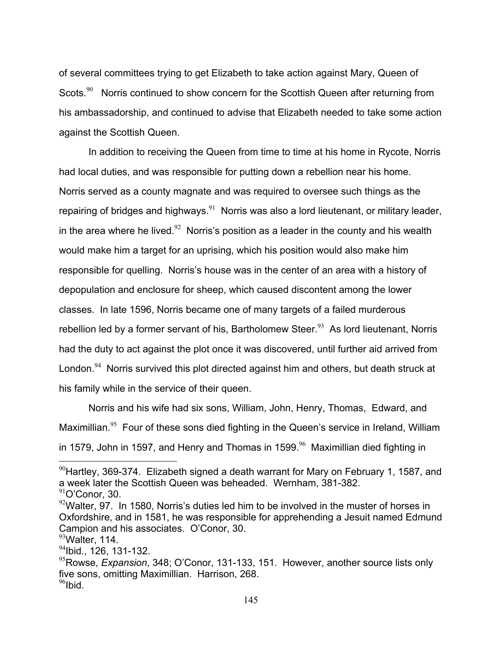of several committees trying to get Elizabeth to take action against Mary, Queen of Scots.<sup>90</sup> Norris continued to show concern for the Scottish Queen after returning from his ambassadorship, and continued to advise that Elizabeth needed to take some action against the Scottish Queen.

 In addition to receiving the Queen from time to time at his home in Rycote, Norris had local duties, and was responsible for putting down a rebellion near his home. Norris served as a county magnate and was required to oversee such things as the repairing of bridges and highways.<sup>91</sup> Norris was also a lord lieutenant, or military leader, in the area where he lived.<sup>92</sup> Norris's position as a leader in the county and his wealth would make him a target for an uprising, which his position would also make him responsible for quelling. Norris's house was in the center of an area with a history of depopulation and enclosure for sheep, which caused discontent among the lower classes. In late 1596, Norris became one of many targets of a failed murderous rebellion led by a former servant of his, Bartholomew Steer. $93$  As lord lieutenant, Norris had the duty to act against the plot once it was discovered, until further aid arrived from London.<sup>94</sup> Norris survived this plot directed against him and others, but death struck at his family while in the service of their queen.

 Norris and his wife had six sons, William, John, Henry, Thomas, Edward, and Maximillian.<sup>95</sup> Four of these sons died fighting in the Queen's service in Ireland, William in 1579, John in 1597, and Henry and Thomas in 1599. $96$  Maximillian died fighting in

 $90$ Hartley, 369-374. Elizabeth signed a death warrant for Mary on February 1, 1587, and a week later the Scottish Queen was beheaded. Wernham, 381-382.

 $91$ O'Conor, 30.

 $92$ Walter, 97. In 1580, Norris's duties led him to be involved in the muster of horses in Oxfordshire, and in 1581, he was responsible for apprehending a Jesuit named Edmund Campion and his associates. O'Conor, 30.

 $93$ Walter, 114.

 $94$ Ibid., 126, 131-132.

<sup>95</sup>Rowse, *Expansion*, 348; O'Conor, 131-133, 151. However, another source lists only five sons, omitting Maximillian. Harrison, 268.  $96$ Ibid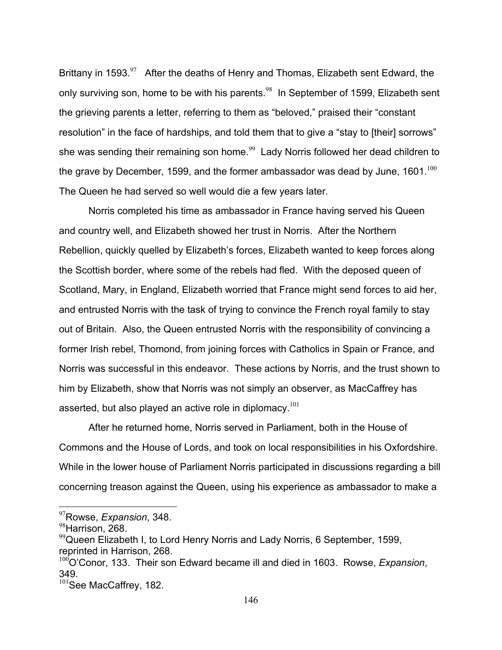Brittany in 1593. $97$  After the deaths of Henry and Thomas, Elizabeth sent Edward, the only surviving son, home to be with his parents.<sup>98</sup> In September of 1599, Elizabeth sent the grieving parents a letter, referring to them as "beloved," praised their "constant resolution" in the face of hardships, and told them that to give a "stay to [their] sorrows" she was sending their remaining son home.<sup>99</sup> Lady Norris followed her dead children to the grave by December, 1599, and the former ambassador was dead by June,  $1601^{100}$ The Queen he had served so well would die a few years later.

 Norris completed his time as ambassador in France having served his Queen and country well, and Elizabeth showed her trust in Norris. After the Northern Rebellion, quickly quelled by Elizabeth's forces, Elizabeth wanted to keep forces along the Scottish border, where some of the rebels had fled. With the deposed queen of Scotland, Mary, in England, Elizabeth worried that France might send forces to aid her, and entrusted Norris with the task of trying to convince the French royal family to stay out of Britain. Also, the Queen entrusted Norris with the responsibility of convincing a former Irish rebel, Thomond, from joining forces with Catholics in Spain or France, and Norris was successful in this endeavor. These actions by Norris, and the trust shown to him by Elizabeth, show that Norris was not simply an observer, as MacCaffrey has asserted, but also played an active role in diplomacy.<sup>101</sup>

 After he returned home, Norris served in Parliament, both in the House of Commons and the House of Lords, and took on local responsibilities in his Oxfordshire. While in the lower house of Parliament Norris participated in discussions regarding a bill concerning treason against the Queen, using his experience as ambassador to make a

<sup>97</sup>Rowse, *Expansion*, 348.

<sup>98</sup>Harrison, 268.

 $99$ Queen Elizabeth I, to Lord Henry Norris and Lady Norris, 6 September, 1599, reprinted in Harrison, 268.

<sup>&</sup>lt;sup>100</sup>O'Conor, 133. Their son Edward became ill and died in 1603. Rowse, *Expansion*, 349.

<sup>&</sup>lt;sup>101</sup>See MacCaffrey, 182.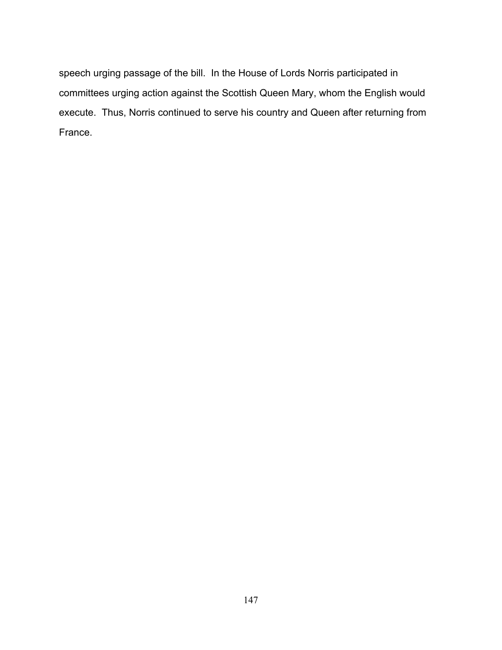speech urging passage of the bill. In the House of Lords Norris participated in committees urging action against the Scottish Queen Mary, whom the English would execute. Thus, Norris continued to serve his country and Queen after returning from France.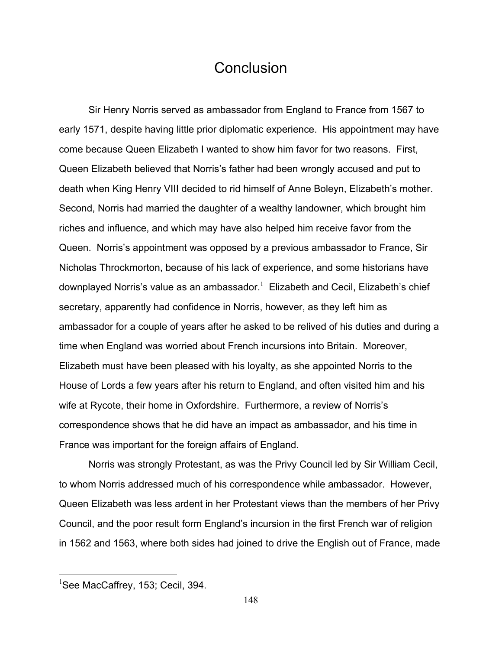## **Conclusion**

 Sir Henry Norris served as ambassador from England to France from 1567 to early 1571, despite having little prior diplomatic experience. His appointment may have come because Queen Elizabeth I wanted to show him favor for two reasons. First, Queen Elizabeth believed that Norris's father had been wrongly accused and put to death when King Henry VIII decided to rid himself of Anne Boleyn, Elizabeth's mother. Second, Norris had married the daughter of a wealthy landowner, which brought him riches and influence, and which may have also helped him receive favor from the Queen. Norris's appointment was opposed by a previous ambassador to France, Sir Nicholas Throckmorton, because of his lack of experience, and some historians have downplayed Norris's value as an ambassador. $^1$  Elizabeth and Cecil, Elizabeth's chief secretary, apparently had confidence in Norris, however, as they left him as ambassador for a couple of years after he asked to be relived of his duties and during a time when England was worried about French incursions into Britain. Moreover, Elizabeth must have been pleased with his loyalty, as she appointed Norris to the House of Lords a few years after his return to England, and often visited him and his wife at Rycote, their home in Oxfordshire. Furthermore, a review of Norris's correspondence shows that he did have an impact as ambassador, and his time in France was important for the foreign affairs of England.

 Norris was strongly Protestant, as was the Privy Council led by Sir William Cecil, to whom Norris addressed much of his correspondence while ambassador. However, Queen Elizabeth was less ardent in her Protestant views than the members of her Privy Council, and the poor result form England's incursion in the first French war of religion in 1562 and 1563, where both sides had joined to drive the English out of France, made

<sup>&</sup>lt;sup>1</sup>See MacCaffrey, 153; Cecil, 394.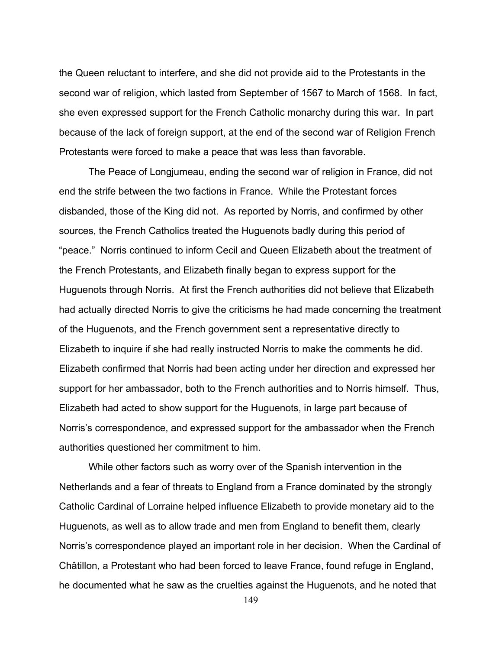the Queen reluctant to interfere, and she did not provide aid to the Protestants in the second war of religion, which lasted from September of 1567 to March of 1568. In fact, she even expressed support for the French Catholic monarchy during this war. In part because of the lack of foreign support, at the end of the second war of Religion French Protestants were forced to make a peace that was less than favorable.

 The Peace of Longjumeau, ending the second war of religion in France, did not end the strife between the two factions in France. While the Protestant forces disbanded, those of the King did not. As reported by Norris, and confirmed by other sources, the French Catholics treated the Huguenots badly during this period of "peace." Norris continued to inform Cecil and Queen Elizabeth about the treatment of the French Protestants, and Elizabeth finally began to express support for the Huguenots through Norris. At first the French authorities did not believe that Elizabeth had actually directed Norris to give the criticisms he had made concerning the treatment of the Huguenots, and the French government sent a representative directly to Elizabeth to inquire if she had really instructed Norris to make the comments he did. Elizabeth confirmed that Norris had been acting under her direction and expressed her support for her ambassador, both to the French authorities and to Norris himself. Thus, Elizabeth had acted to show support for the Huguenots, in large part because of Norris's correspondence, and expressed support for the ambassador when the French authorities questioned her commitment to him.

 While other factors such as worry over of the Spanish intervention in the Netherlands and a fear of threats to England from a France dominated by the strongly Catholic Cardinal of Lorraine helped influence Elizabeth to provide monetary aid to the Huguenots, as well as to allow trade and men from England to benefit them, clearly Norris's correspondence played an important role in her decision. When the Cardinal of Châtillon, a Protestant who had been forced to leave France, found refuge in England, he documented what he saw as the cruelties against the Huguenots, and he noted that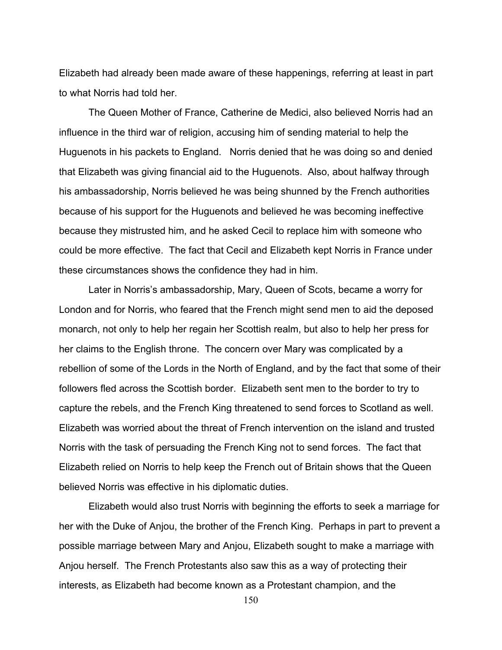Elizabeth had already been made aware of these happenings, referring at least in part to what Norris had told her.

 The Queen Mother of France, Catherine de Medici, also believed Norris had an influence in the third war of religion, accusing him of sending material to help the Huguenots in his packets to England. Norris denied that he was doing so and denied that Elizabeth was giving financial aid to the Huguenots. Also, about halfway through his ambassadorship, Norris believed he was being shunned by the French authorities because of his support for the Huguenots and believed he was becoming ineffective because they mistrusted him, and he asked Cecil to replace him with someone who could be more effective. The fact that Cecil and Elizabeth kept Norris in France under these circumstances shows the confidence they had in him.

 Later in Norris's ambassadorship, Mary, Queen of Scots, became a worry for London and for Norris, who feared that the French might send men to aid the deposed monarch, not only to help her regain her Scottish realm, but also to help her press for her claims to the English throne. The concern over Mary was complicated by a rebellion of some of the Lords in the North of England, and by the fact that some of their followers fled across the Scottish border. Elizabeth sent men to the border to try to capture the rebels, and the French King threatened to send forces to Scotland as well. Elizabeth was worried about the threat of French intervention on the island and trusted Norris with the task of persuading the French King not to send forces. The fact that Elizabeth relied on Norris to help keep the French out of Britain shows that the Queen believed Norris was effective in his diplomatic duties.

 Elizabeth would also trust Norris with beginning the efforts to seek a marriage for her with the Duke of Anjou, the brother of the French King. Perhaps in part to prevent a possible marriage between Mary and Anjou, Elizabeth sought to make a marriage with Anjou herself. The French Protestants also saw this as a way of protecting their interests, as Elizabeth had become known as a Protestant champion, and the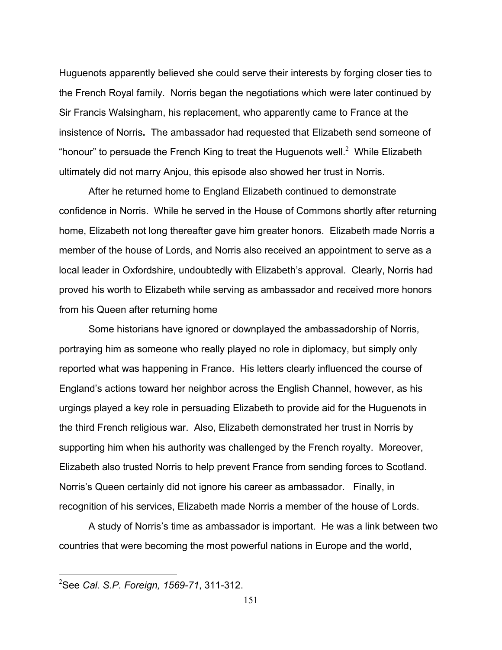Huguenots apparently believed she could serve their interests by forging closer ties to the French Royal family. Norris began the negotiations which were later continued by Sir Francis Walsingham, his replacement, who apparently came to France at the insistence of Norris**.** The ambassador had requested that Elizabeth send someone of "honour" to persuade the French King to treat the Huguenots well.<sup>2</sup> While Elizabeth ultimately did not marry Anjou, this episode also showed her trust in Norris.

 After he returned home to England Elizabeth continued to demonstrate confidence in Norris. While he served in the House of Commons shortly after returning home, Elizabeth not long thereafter gave him greater honors. Elizabeth made Norris a member of the house of Lords, and Norris also received an appointment to serve as a local leader in Oxfordshire, undoubtedly with Elizabeth's approval. Clearly, Norris had proved his worth to Elizabeth while serving as ambassador and received more honors from his Queen after returning home

 Some historians have ignored or downplayed the ambassadorship of Norris, portraying him as someone who really played no role in diplomacy, but simply only reported what was happening in France. His letters clearly influenced the course of England's actions toward her neighbor across the English Channel, however, as his urgings played a key role in persuading Elizabeth to provide aid for the Huguenots in the third French religious war. Also, Elizabeth demonstrated her trust in Norris by supporting him when his authority was challenged by the French royalty. Moreover, Elizabeth also trusted Norris to help prevent France from sending forces to Scotland. Norris's Queen certainly did not ignore his career as ambassador. Finally, in recognition of his services, Elizabeth made Norris a member of the house of Lords.

 A study of Norris's time as ambassador is important. He was a link between two countries that were becoming the most powerful nations in Europe and the world,

<sup>2</sup> See *Cal. S.P. Foreign, 1569-71*, 311-312.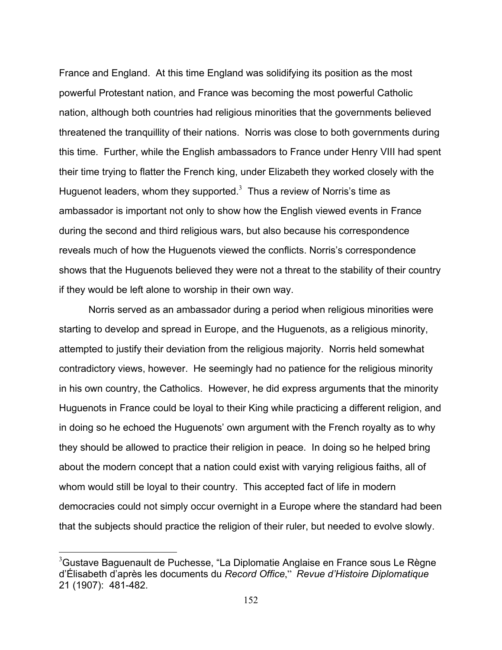France and England. At this time England was solidifying its position as the most powerful Protestant nation, and France was becoming the most powerful Catholic nation, although both countries had religious minorities that the governments believed threatened the tranquillity of their nations. Norris was close to both governments during this time. Further, while the English ambassadors to France under Henry VIII had spent their time trying to flatter the French king, under Elizabeth they worked closely with the Huguenot leaders, whom they supported.<sup>3</sup> Thus a review of Norris's time as ambassador is important not only to show how the English viewed events in France during the second and third religious wars, but also because his correspondence reveals much of how the Huguenots viewed the conflicts. Norris's correspondence shows that the Huguenots believed they were not a threat to the stability of their country if they would be left alone to worship in their own way.

 Norris served as an ambassador during a period when religious minorities were starting to develop and spread in Europe, and the Huguenots, as a religious minority, attempted to justify their deviation from the religious majority. Norris held somewhat contradictory views, however. He seemingly had no patience for the religious minority in his own country, the Catholics. However, he did express arguments that the minority Huguenots in France could be loyal to their King while practicing a different religion, and in doing so he echoed the Huguenots' own argument with the French royalty as to why they should be allowed to practice their religion in peace. In doing so he helped bring about the modern concept that a nation could exist with varying religious faiths, all of whom would still be loyal to their country. This accepted fact of life in modern democracies could not simply occur overnight in a Europe where the standard had been that the subjects should practice the religion of their ruler, but needed to evolve slowly.

 $3$ Gustave Baguenault de Puchesse, "La Diplomatie Anglaise en France sous Le Règne d'Élisabeth d'après les documents du *Record Office*," *Revue d'Histoire Diplomatique* 21 (1907): 481-482.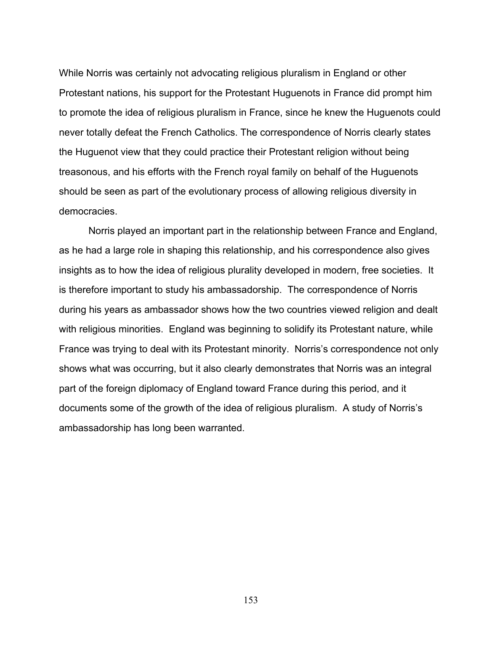While Norris was certainly not advocating religious pluralism in England or other Protestant nations, his support for the Protestant Huguenots in France did prompt him to promote the idea of religious pluralism in France, since he knew the Huguenots could never totally defeat the French Catholics. The correspondence of Norris clearly states the Huguenot view that they could practice their Protestant religion without being treasonous, and his efforts with the French royal family on behalf of the Huguenots should be seen as part of the evolutionary process of allowing religious diversity in democracies.

 Norris played an important part in the relationship between France and England, as he had a large role in shaping this relationship, and his correspondence also gives insights as to how the idea of religious plurality developed in modern, free societies. It is therefore important to study his ambassadorship.The correspondence of Norris during his years as ambassador shows how the two countries viewed religion and dealt with religious minorities. England was beginning to solidify its Protestant nature, while France was trying to deal with its Protestant minority. Norris's correspondence not only shows what was occurring, but it also clearly demonstrates that Norris was an integral part of the foreign diplomacy of England toward France during this period, and it documents some of the growth of the idea of religious pluralism. A study of Norris's ambassadorship has long been warranted.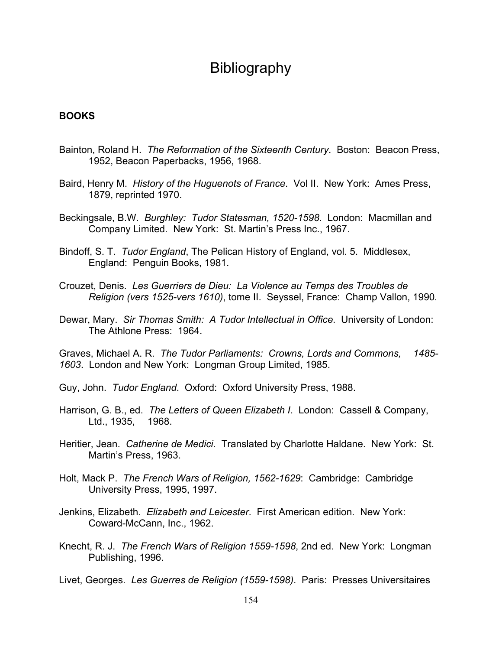# Bibliography

#### **BOOKS**

- Bainton, Roland H. *The Reformation of the Sixteenth Century*. Boston: Beacon Press, 1952, Beacon Paperbacks, 1956, 1968.
- Baird, Henry M. *History of the Huguenots of France*. Vol II. New York: Ames Press, 1879, reprinted 1970.
- Beckingsale, B.W. *Burghley: Tudor Statesman, 1520-1598*. London: Macmillan and Company Limited. New York: St. Martin's Press Inc., 1967.
- Bindoff, S. T. *Tudor England*, The Pelican History of England, vol. 5. Middlesex, England: Penguin Books, 1981.
- Crouzet, Denis. *Les Guerriers de Dieu: La Violence au Temps des Troubles de Religion (vers 1525-vers 1610)*, tome II. Seyssel, France: Champ Vallon, 1990*.*
- Dewar, Mary. *Sir Thomas Smith: A Tudor Intellectual in Office*. University of London: The Athlone Press: 1964.

Graves, Michael A. R. *The Tudor Parliaments: Crowns, Lords and Commons, 1485- 1603*. London and New York: Longman Group Limited, 1985.

- Guy, John. *Tudor England*. Oxford: Oxford University Press, 1988.
- Harrison, G. B., ed. *The Letters of Queen Elizabeth I*. London: Cassell & Company, Ltd., 1935, 1968.
- Heritier, Jean. *Catherine de Medici*. Translated by Charlotte Haldane. New York: St. Martin's Press, 1963.
- Holt, Mack P. *The French Wars of Religion, 1562-1629*: Cambridge: Cambridge University Press, 1995, 1997.
- Jenkins, Elizabeth. *Elizabeth and Leicester*. First American edition. New York: Coward-McCann, Inc., 1962.
- Knecht, R. J. *The French Wars of Religion 1559-1598*, 2nd ed. New York: Longman Publishing, 1996.

Livet, Georges. *Les Guerres de Religion (1559-1598)*. Paris: Presses Universitaires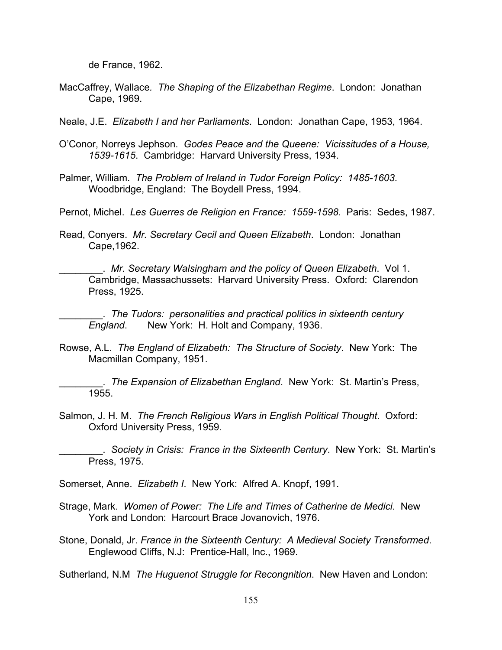de France, 1962.

- MacCaffrey, Wallace*. The Shaping of the Elizabethan Regime*. London: Jonathan Cape, 1969.
- Neale, J.E. *Elizabeth I and her Parliaments*. London: Jonathan Cape, 1953, 1964.
- O'Conor, Norreys Jephson. *Godes Peace and the Queene: Vicissitudes of a House, 1539-1615*. Cambridge: Harvard University Press, 1934.
- Palmer, William. *The Problem of Ireland in Tudor Foreign Policy: 1485-1603*. Woodbridge, England: The Boydell Press, 1994.
- Pernot, Michel. *Les Guerres de Religion en France: 1559-1598*. Paris: Sedes, 1987.
- Read, Conyers. *Mr. Secretary Cecil and Queen Elizabeth*. London: Jonathan Cape,1962.

\_\_\_\_\_\_\_\_. *Mr. Secretary Walsingham and the policy of Queen Elizabeth*. Vol 1. Cambridge, Massachussets: Harvard University Press. Oxford: Clarendon Press, 1925.

\_\_\_\_\_\_\_\_. *The Tudors: personalities and practical politics in sixteenth century England*. New York:H. Holt and Company, 1936.

Rowse, A.L. *The England of Elizabeth: The Structure of Society*. New York: The Macmillan Company, 1951.

. The Expansion of Elizabethan England. New York: St. Martin's Press, 1955.

Salmon, J. H. M. *The French Religious Wars in English Political Thought*. Oxford: Oxford University Press, 1959.

\_\_\_\_\_\_\_\_. *Society in Crisis: France in the Sixteenth Century*. New York: St. Martin's Press, 1975.

Somerset, Anne. *Elizabeth I*. New York: Alfred A. Knopf, 1991.

- Strage, Mark. *Women of Power: The Life and Times of Catherine de Medici*. New York and London: Harcourt Brace Jovanovich, 1976.
- Stone, Donald, Jr. *France in the Sixteenth Century: A Medieval Society Transformed*. Englewood Cliffs, N.J: Prentice-Hall, Inc., 1969.

Sutherland, N.M *The Huguenot Struggle for Recongnition*. New Haven and London: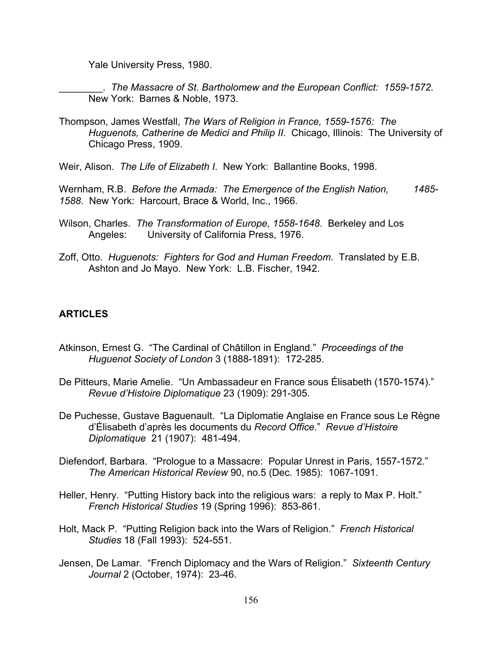Yale University Press, 1980.

\_\_\_\_\_\_\_\_. *The Massacre of St. Bartholomew and the European Conflict: 1559-1572*. New York: Barnes & Noble, 1973.

Thompson, James Westfall, *The Wars of Religion in France, 1559-1576: The Huguenots, Catherine de Medici and Philip II*. Chicago, Illinois: The University of Chicago Press, 1909.

Weir, Alison. *The Life of Elizabeth I*. New York: Ballantine Books, 1998.

Wernham, R.B. *Before the Armada: The Emergence of the English Nation, 1485- 1588*. New York: Harcourt, Brace & World, Inc., 1966.

- Wilson, Charles. *The Transformation of Europe, 1558-1648*. Berkeley and Los Angeles: University of California Press, 1976.
- Zoff, Otto. *Huguenots: Fighters for God and Human Freedom*. Translated by E.B. Ashton and Jo Mayo. New York: L.B. Fischer, 1942.

### **ARTICLES**

- Atkinson, Ernest G. "The Cardinal of Châtillon in England." *Proceedings of the Huguenot Society of London* 3 (1888-1891): 172-285.
- De Pitteurs, Marie Amelie. "Un Ambassadeur en France sous Élisabeth (1570-1574)."  *Revue d'Histoire Diplomatique* 23 (1909): 291-305.
- De Puchesse, Gustave Baguenault. "La Diplomatie Anglaise en France sous Le Règne d'Élisabeth d'après les documents du *Record Office*." *Revue d'Histoire Diplomatique* 21 (1907): 481-494.
- Diefendorf, Barbara. "Prologue to a Massacre: Popular Unrest in Paris, 1557-1572."  *The American Historical Review* 90, no.5 (Dec. 1985): 1067-1091.
- Heller, Henry. "Putting History back into the religious wars: a reply to Max P. Holt."  *French Historical Studies* 19 (Spring 1996): 853-861.
- Holt, Mack P. "Putting Religion back into the Wars of Religion." *French Historical Studies* 18 (Fall 1993): 524-551.
- Jensen, De Lamar. "French Diplomacy and the Wars of Religion." *Sixteenth Century Journal* 2 (October, 1974): 23-46.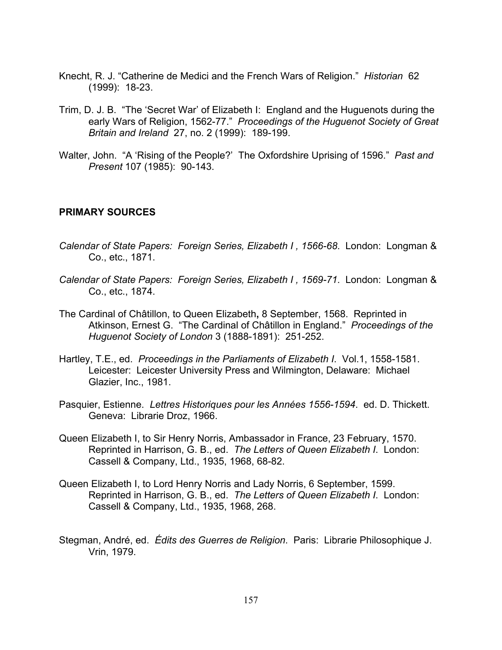- Knecht, R. J. "Catherine de Medici and the French Wars of Religion." *Historian* 62 (1999): 18-23.
- Trim, D. J. B. "The 'Secret War' of Elizabeth I: England and the Huguenots during the early Wars of Religion, 1562-77." *Proceedings of the Huguenot Society of Great Britain and Ireland* 27, no. 2 (1999): 189-199.
- Walter, John. "A 'Rising of the People?' The Oxfordshire Uprising of 1596." *Past and Present* 107 (1985): 90-143.

### **PRIMARY SOURCES**

- *Calendar of State Papers: Foreign Series, Elizabeth I , 1566-68*. London: Longman & Co., etc., 1871.
- *Calendar of State Papers: Foreign Series, Elizabeth I , 1569-71*. London: Longman & Co., etc., 1874.
- The Cardinal of Châtillon, to Queen Elizabeth**,** 8 September, 1568. Reprinted in Atkinson, Ernest G. "The Cardinal of Châtillon in England." *Proceedings of the Huguenot Society of London* 3 (1888-1891): 251-252.
- Hartley, T.E., ed. *Proceedings in the Parliaments of Elizabeth I*. Vol.1, 1558-1581. Leicester: Leicester University Press and Wilmington, Delaware: Michael Glazier, Inc., 1981.
- Pasquier, Estienne. *Lettres Historiques pour les Années 1556-1594*. ed. D. Thickett. Geneva: Librarie Droz, 1966.
- Queen Elizabeth I, to Sir Henry Norris, Ambassador in France, 23 February, 1570. Reprinted in Harrison, G. B., ed. *The Letters of Queen Elizabeth I*. London: Cassell & Company, Ltd., 1935, 1968, 68-82.
- Queen Elizabeth I, to Lord Henry Norris and Lady Norris, 6 September, 1599. Reprinted in Harrison, G. B., ed. *The Letters of Queen Elizabeth I*. London: Cassell & Company, Ltd., 1935, 1968, 268.
- Stegman, André, ed. *Édits des Guerres de Religion*. Paris: Librarie Philosophique J. Vrin, 1979.